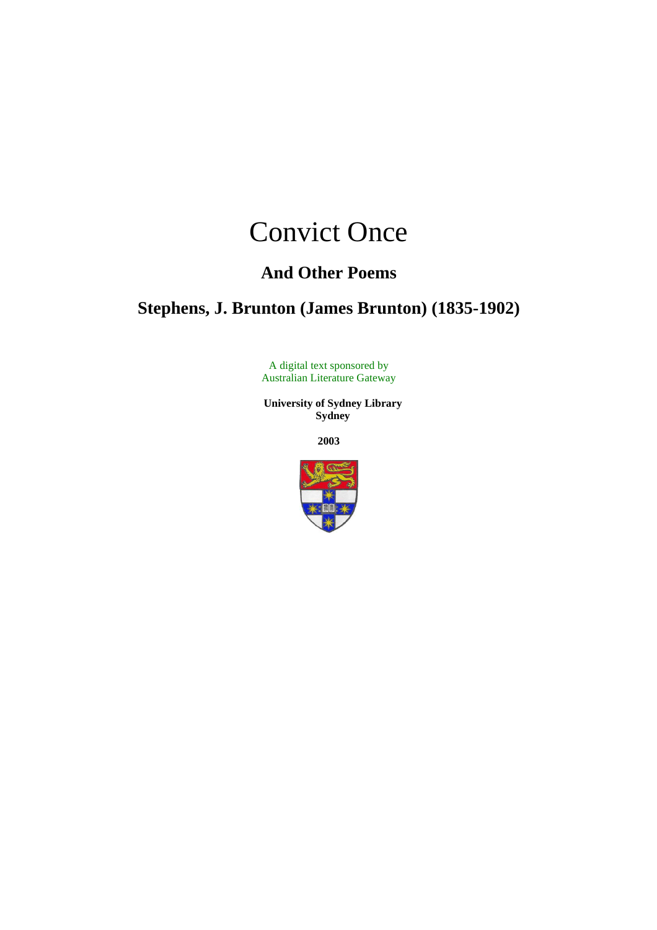# Convict Once

# **And Other Poems**

# **Stephens, J. Brunton (James Brunton) (1835-1902)**

A digital text sponsored by Australian Literature Gateway

 **University of Sydney Library Sydney**

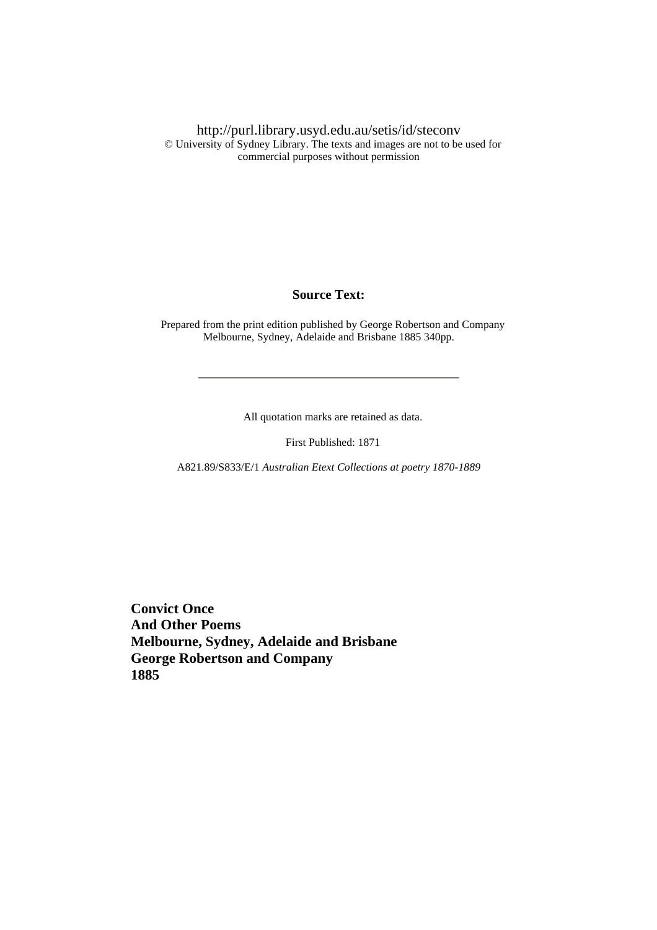http://purl.library.usyd.edu.au/setis/id/steconv © University of Sydney Library. The texts and images are not to be used for commercial purposes without permission

#### **Source Text:**

 Prepared from the print edition published by George Robertson and Company Melbourne, Sydney, Adelaide and Brisbane 1885 340pp.

All quotation marks are retained as data.

First Published: 1871

A821.89/S833/E/1 *Australian Etext Collections at poetry 1870-1889*

 **Convict Once And Other Poems Melbourne, Sydney, Adelaide and Brisbane George Robertson and Company 1885**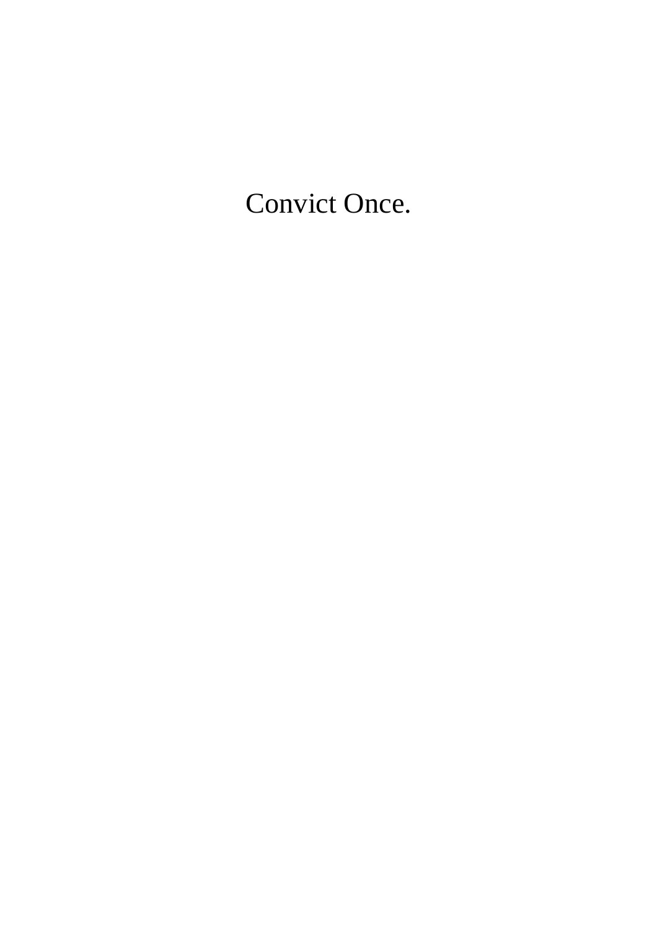Convict Once.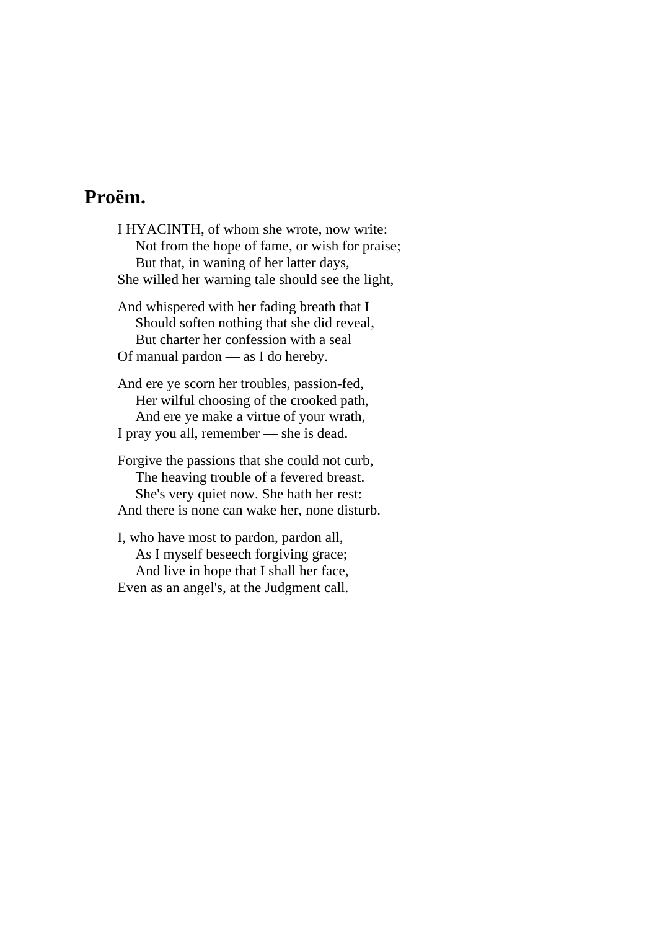# **Proëm.**

I HYACINTH, of whom she wrote, now write: Not from the hope of fame, or wish for praise; But that, in waning of her latter days, She willed her warning tale should see the light,

And whispered with her fading breath that I Should soften nothing that she did reveal, But charter her confession with a seal Of manual pardon — as I do hereby.

And ere ye scorn her troubles, passion-fed, Her wilful choosing of the crooked path, And ere ye make a virtue of your wrath, I pray you all, remember — she is dead.

Forgive the passions that she could not curb, The heaving trouble of a fevered breast. She's very quiet now. She hath her rest: And there is none can wake her, none disturb.

I, who have most to pardon, pardon all, As I myself beseech forgiving grace; And live in hope that I shall her face, Even as an angel's, at the Judgment call.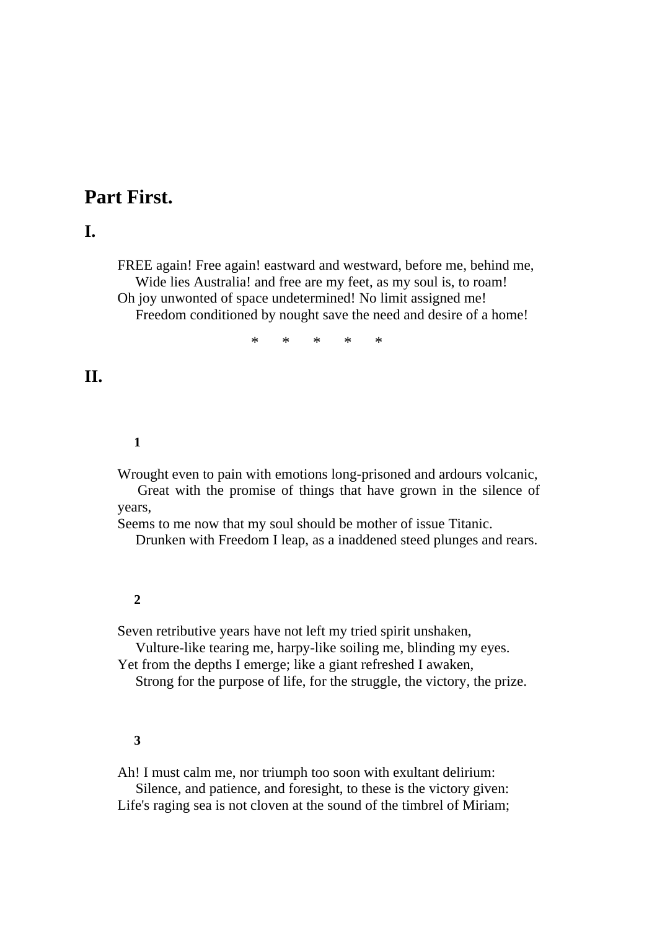# **Part First.**

# **I.**

FREE again! Free again! eastward and westward, before me, behind me, Wide lies Australia! and free are my feet, as my soul is, to roam! Oh joy unwonted of space undetermined! No limit assigned me! Freedom conditioned by nought save the need and desire of a home!

\* \* \* \* \*

# **II.**

# **1**

Wrought even to pain with emotions long-prisoned and ardours volcanic,

 Great with the promise of things that have grown in the silence of years,

Seems to me now that my soul should be mother of issue Titanic.

Drunken with Freedom I leap, as a inaddened steed plunges and rears.

#### **2**

Seven retributive years have not left my tried spirit unshaken,

 Vulture-like tearing me, harpy-like soiling me, blinding my eyes. Yet from the depths I emerge; like a giant refreshed I awaken,

Strong for the purpose of life, for the struggle, the victory, the prize.

#### **3**

Ah! I must calm me, nor triumph too soon with exultant delirium:

 Silence, and patience, and foresight, to these is the victory given: Life's raging sea is not cloven at the sound of the timbrel of Miriam;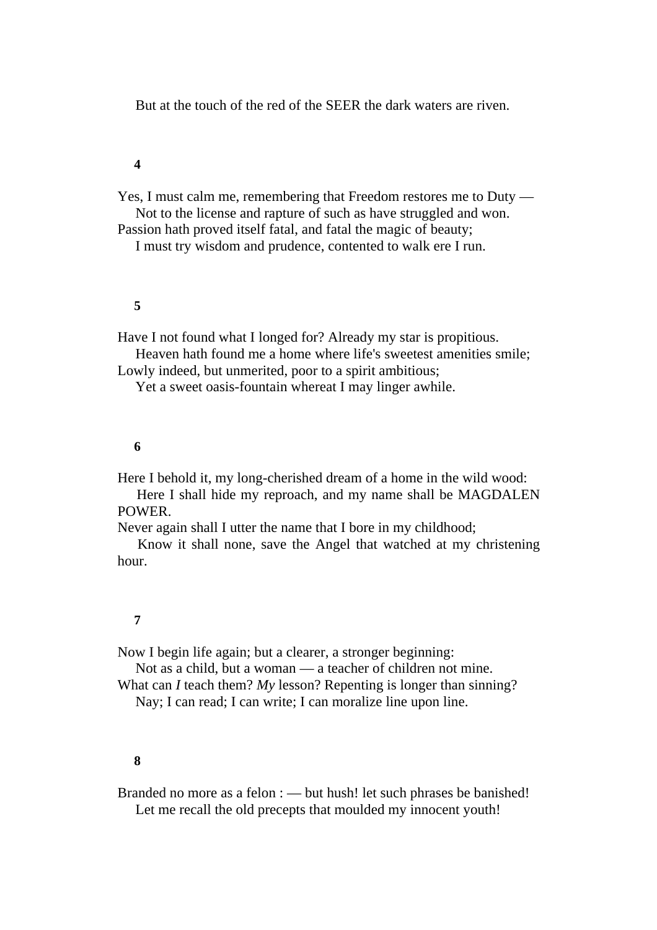But at the touch of the red of the SEER the dark waters are riven.

#### **4**

Yes, I must calm me, remembering that Freedom restores me to Duty — Not to the license and rapture of such as have struggled and won.

Passion hath proved itself fatal, and fatal the magic of beauty;

I must try wisdom and prudence, contented to walk ere I run.

## **5**

Have I not found what I longed for? Already my star is propitious.

 Heaven hath found me a home where life's sweetest amenities smile; Lowly indeed, but unmerited, poor to a spirit ambitious;

Yet a sweet oasis-fountain whereat I may linger awhile.

#### **6**

Here I behold it, my long-cherished dream of a home in the wild wood:

 Here I shall hide my reproach, and my name shall be MAGDALEN POWER.

Never again shall I utter the name that I bore in my childhood;

 Know it shall none, save the Angel that watched at my christening hour.

# **7**

Now I begin life again; but a clearer, a stronger beginning:

Not as a child, but a woman — a teacher of children not mine.

What can *I* teach them? *My* lesson? Repenting is longer than sinning?

Nay; I can read; I can write; I can moralize line upon line.

#### **8**

Branded no more as a felon : — but hush! let such phrases be banished! Let me recall the old precepts that moulded my innocent youth!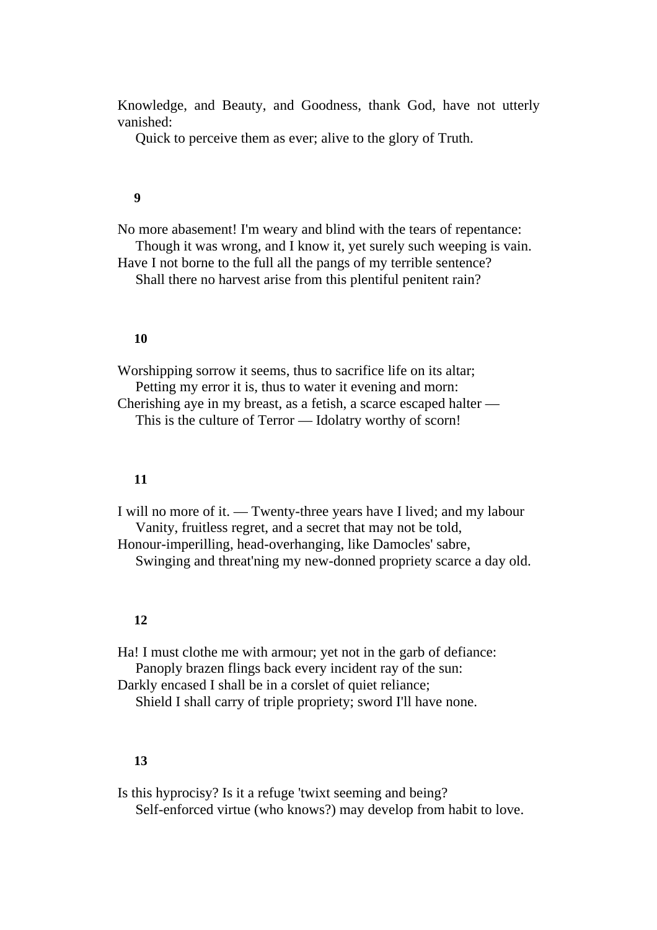Knowledge, and Beauty, and Goodness, thank God, have not utterly vanished:

Quick to perceive them as ever; alive to the glory of Truth.

## **9**

No more abasement! I'm weary and blind with the tears of repentance: Though it was wrong, and I know it, yet surely such weeping is vain.

Have I not borne to the full all the pangs of my terrible sentence?

Shall there no harvest arise from this plentiful penitent rain?

#### **10**

Worshipping sorrow it seems, thus to sacrifice life on its altar; Petting my error it is, thus to water it evening and morn: Cherishing aye in my breast, as a fetish, a scarce escaped halter — This is the culture of Terror — Idolatry worthy of scorn!

### **11**

I will no more of it. — Twenty-three years have I lived; and my labour Vanity, fruitless regret, and a secret that may not be told, Honour-imperilling, head-overhanging, like Damocles' sabre, Swinging and threat'ning my new-donned propriety scarce a day old.

#### **12**

Ha! I must clothe me with armour; yet not in the garb of defiance: Panoply brazen flings back every incident ray of the sun: Darkly encased I shall be in a corslet of quiet reliance; Shield I shall carry of triple propriety; sword I'll have none.

#### **13**

Is this hyprocisy? Is it a refuge 'twixt seeming and being? Self-enforced virtue (who knows?) may develop from habit to love.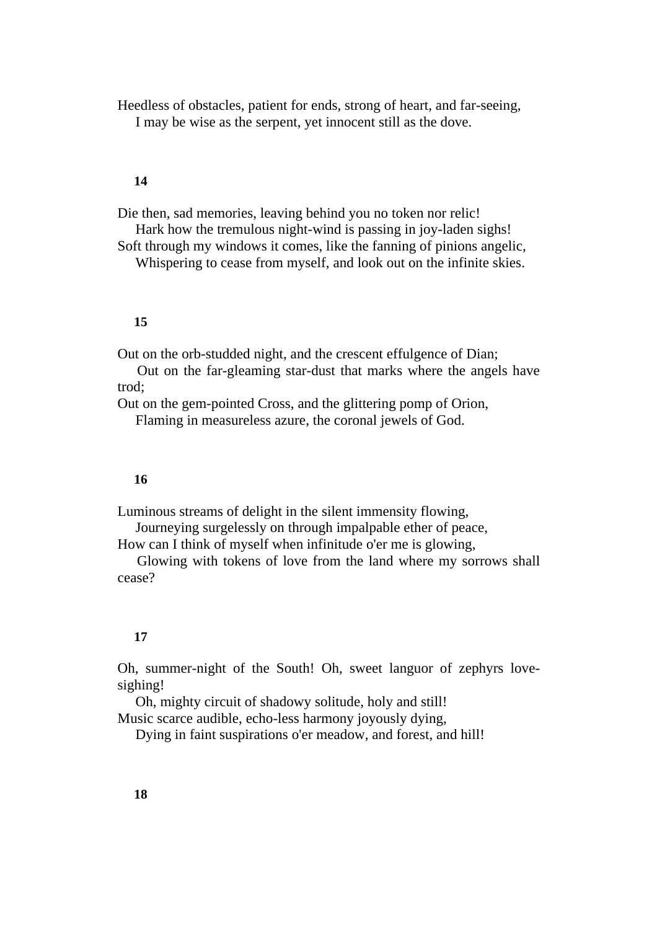Heedless of obstacles, patient for ends, strong of heart, and far-seeing, I may be wise as the serpent, yet innocent still as the dove.

### **14**

Die then, sad memories, leaving behind you no token nor relic!

Hark how the tremulous night-wind is passing in joy-laden sighs!

Soft through my windows it comes, like the fanning of pinions angelic, Whispering to cease from myself, and look out on the infinite skies.

#### **15**

Out on the orb-studded night, and the crescent effulgence of Dian;

 Out on the far-gleaming star-dust that marks where the angels have trod;

Out on the gem-pointed Cross, and the glittering pomp of Orion, Flaming in measureless azure, the coronal jewels of God.

#### **16**

Luminous streams of delight in the silent immensity flowing,

Journeying surgelessly on through impalpable ether of peace,

How can I think of myself when infinitude o'er me is glowing,

 Glowing with tokens of love from the land where my sorrows shall cease?

#### **17**

Oh, summer-night of the South! Oh, sweet languor of zephyrs lovesighing!

 Oh, mighty circuit of shadowy solitude, holy and still! Music scarce audible, echo-less harmony joyously dying,

Dying in faint suspirations o'er meadow, and forest, and hill!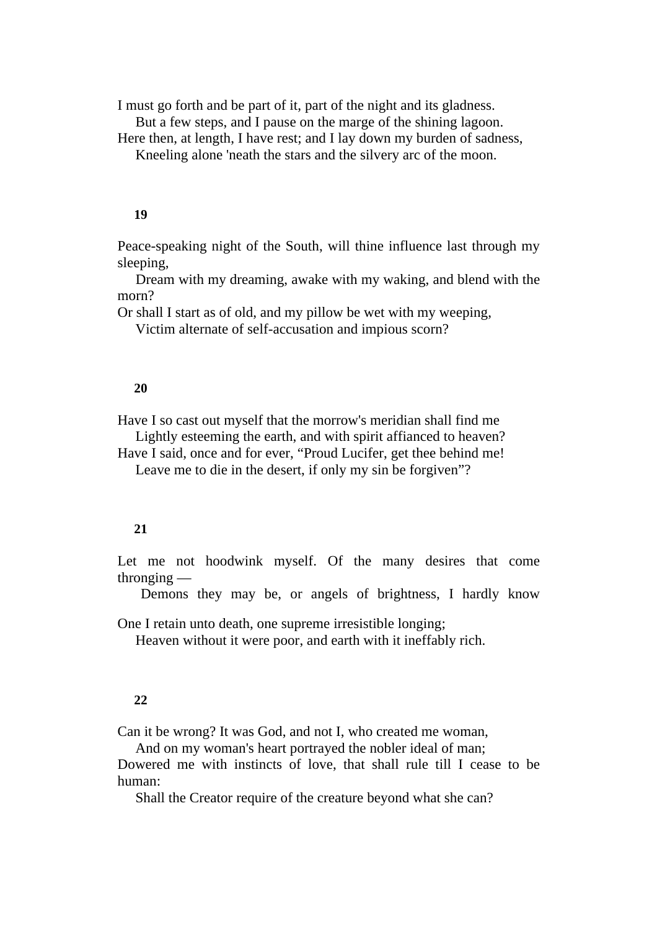I must go forth and be part of it, part of the night and its gladness.

But a few steps, and I pause on the marge of the shining lagoon.

Here then, at length, I have rest; and I lay down my burden of sadness,

Kneeling alone 'neath the stars and the silvery arc of the moon.

#### **19**

Peace-speaking night of the South, will thine influence last through my sleeping.

 Dream with my dreaming, awake with my waking, and blend with the morn?

Or shall I start as of old, and my pillow be wet with my weeping,

Victim alternate of self-accusation and impious scorn?

#### **20**

Have I so cast out myself that the morrow's meridian shall find me

 Lightly esteeming the earth, and with spirit affianced to heaven? Have I said, once and for ever, "Proud Lucifer, get thee behind me!

Leave me to die in the desert, if only my sin be forgiven"?

#### **21**

Let me not hoodwink myself. Of the many desires that come thronging —

Demons they may be, or angels of brightness, I hardly know

One I retain unto death, one supreme irresistible longing;

Heaven without it were poor, and earth with it ineffably rich.

#### **22**

Can it be wrong? It was God, and not I, who created me woman,

And on my woman's heart portrayed the nobler ideal of man;

Dowered me with instincts of love, that shall rule till I cease to be human:

Shall the Creator require of the creature beyond what she can?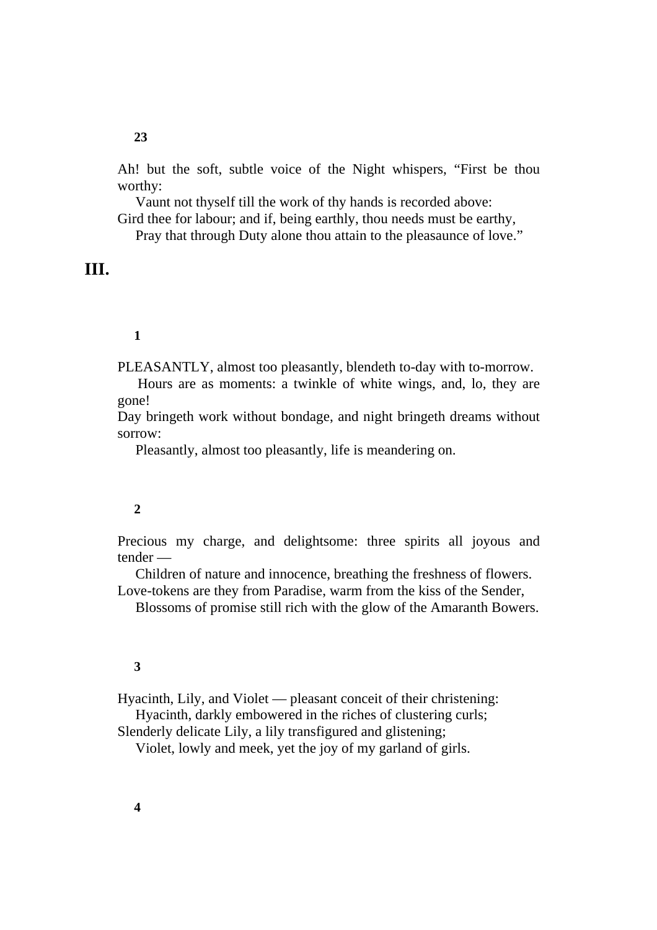Ah! but the soft, subtle voice of the Night whispers, "First be thou worthy:

Vaunt not thyself till the work of thy hands is recorded above:

Gird thee for labour; and if, being earthly, thou needs must be earthy,

Pray that through Duty alone thou attain to the pleasaunce of love."

**III.** 

# **1**

PLEASANTLY, almost too pleasantly, blendeth to-day with to-morrow.

 Hours are as moments: a twinkle of white wings, and, lo, they are gone!

Day bringeth work without bondage, and night bringeth dreams without sorrow:

Pleasantly, almost too pleasantly, life is meandering on.

# **2**

Precious my charge, and delightsome: three spirits all joyous and tender —

 Children of nature and innocence, breathing the freshness of flowers. Love-tokens are they from Paradise, warm from the kiss of the Sender,

Blossoms of promise still rich with the glow of the Amaranth Bowers.

# **3**

Hyacinth, Lily, and Violet — pleasant conceit of their christening:

Hyacinth, darkly embowered in the riches of clustering curls;

Slenderly delicate Lily, a lily transfigured and glistening;

Violet, lowly and meek, yet the joy of my garland of girls.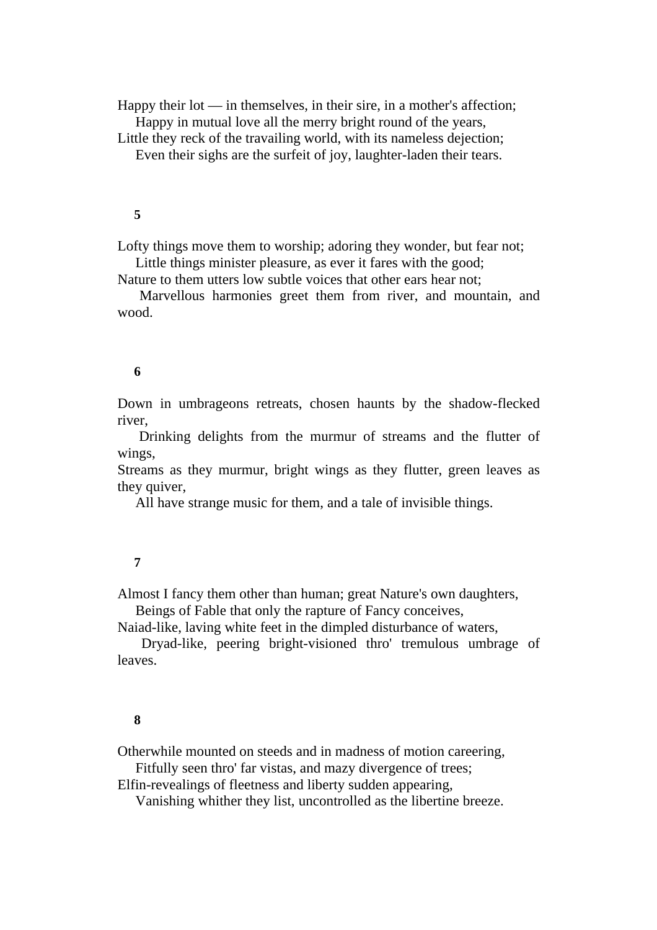Happy their lot — in themselves, in their sire, in a mother's affection; Happy in mutual love all the merry bright round of the years,

Little they reck of the travailing world, with its nameless dejection;

Even their sighs are the surfeit of joy, laughter-laden their tears.

## **5**

Lofty things move them to worship; adoring they wonder, but fear not; Little things minister pleasure, as ever it fares with the good;

Nature to them utters low subtle voices that other ears hear not;

 Marvellous harmonies greet them from river, and mountain, and wood.

#### **6**

Down in umbrageons retreats, chosen haunts by the shadow-flecked river,

 Drinking delights from the murmur of streams and the flutter of wings,

Streams as they murmur, bright wings as they flutter, green leaves as they quiver,

All have strange music for them, and a tale of invisible things.

#### **7**

Almost I fancy them other than human; great Nature's own daughters,

Beings of Fable that only the rapture of Fancy conceives,

Naiad-like, laving white feet in the dimpled disturbance of waters,

 Dryad-like, peering bright-visioned thro' tremulous umbrage of leaves.

## **8**

Otherwhile mounted on steeds and in madness of motion careering,

Fitfully seen thro' far vistas, and mazy divergence of trees;

Elfin-revealings of fleetness and liberty sudden appearing,

Vanishing whither they list, uncontrolled as the libertine breeze.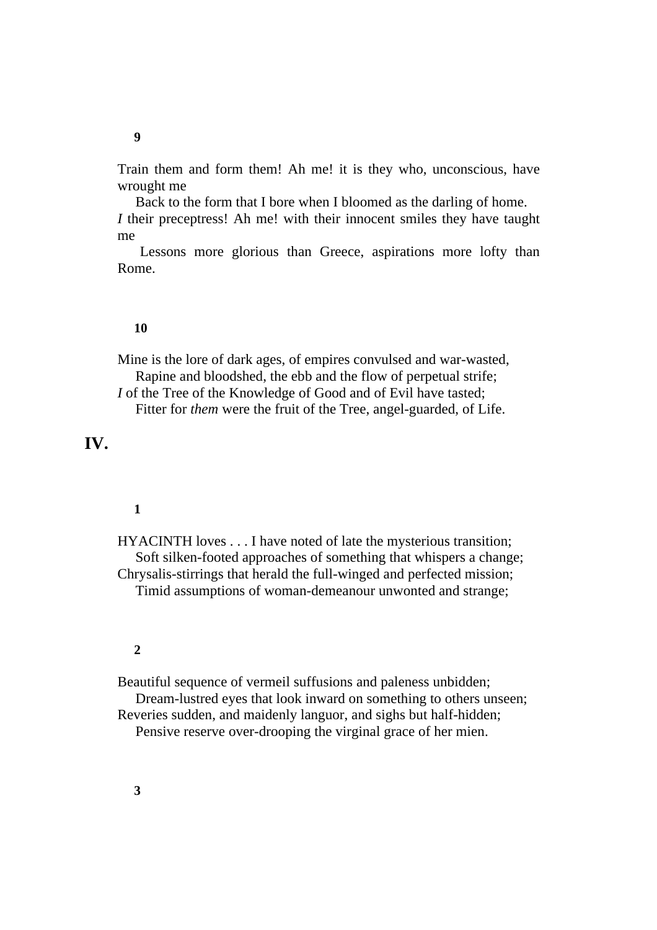Train them and form them! Ah me! it is they who, unconscious, have wrought me

 Back to the form that I bore when I bloomed as the darling of home. *I* their preceptress! Ah me! with their innocent smiles they have taught me

 Lessons more glorious than Greece, aspirations more lofty than Rome.

#### **10**

Mine is the lore of dark ages, of empires convulsed and war-wasted, Rapine and bloodshed, the ebb and the flow of perpetual strife;

*I* of the Tree of the Knowledge of Good and of Evil have tasted;

Fitter for *them* were the fruit of the Tree, angel-guarded, of Life.

# **IV.**

# **1**

HYACINTH loves . . . I have noted of late the mysterious transition; Soft silken-footed approaches of something that whispers a change; Chrysalis-stirrings that herald the full-winged and perfected mission; Timid assumptions of woman-demeanour unwonted and strange;

#### **2**

Beautiful sequence of vermeil suffusions and paleness unbidden; Dream-lustred eyes that look inward on something to others unseen; Reveries sudden, and maidenly languor, and sighs but half-hidden; Pensive reserve over-drooping the virginal grace of her mien.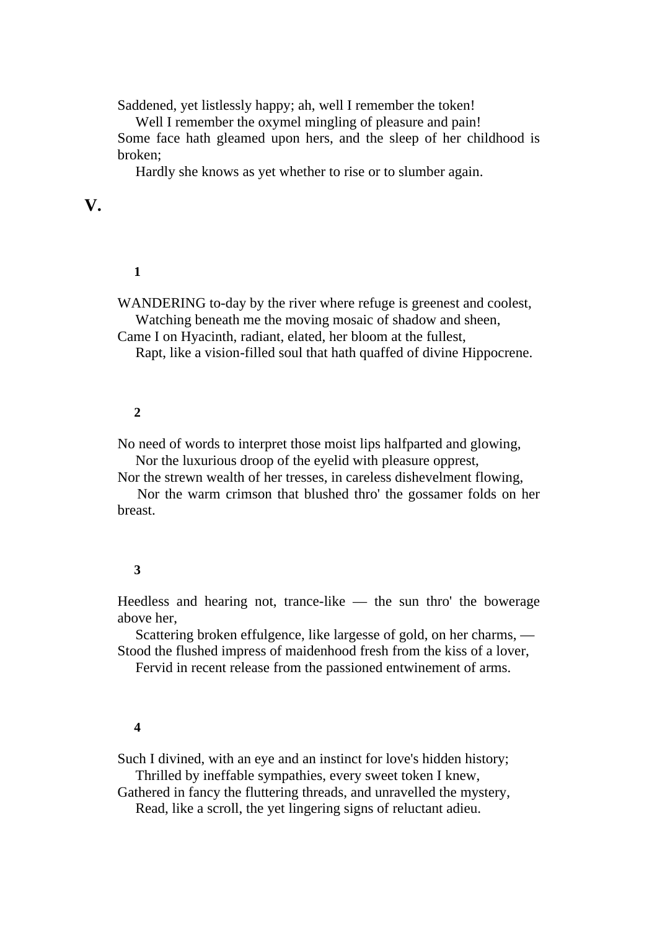Saddened, yet listlessly happy; ah, well I remember the token!

 Well I remember the oxymel mingling of pleasure and pain! Some face hath gleamed upon hers, and the sleep of her childhood is

broken;

Hardly she knows as yet whether to rise or to slumber again.

# **V.**

# **1**

WANDERING to-day by the river where refuge is greenest and coolest, Watching beneath me the moving mosaic of shadow and sheen,

Came I on Hyacinth, radiant, elated, her bloom at the fullest,

Rapt, like a vision-filled soul that hath quaffed of divine Hippocrene.

## **2**

No need of words to interpret those moist lips halfparted and glowing, Nor the luxurious droop of the eyelid with pleasure opprest,

Nor the strewn wealth of her tresses, in careless dishevelment flowing,

 Nor the warm crimson that blushed thro' the gossamer folds on her breast.

# **3**

Heedless and hearing not, trance-like — the sun thro' the bowerage above her,

 Scattering broken effulgence, like largesse of gold, on her charms, — Stood the flushed impress of maidenhood fresh from the kiss of a lover,

Fervid in recent release from the passioned entwinement of arms.

#### **4**

Such I divined, with an eye and an instinct for love's hidden history; Thrilled by ineffable sympathies, every sweet token I knew,

Gathered in fancy the fluttering threads, and unravelled the mystery, Read, like a scroll, the yet lingering signs of reluctant adieu.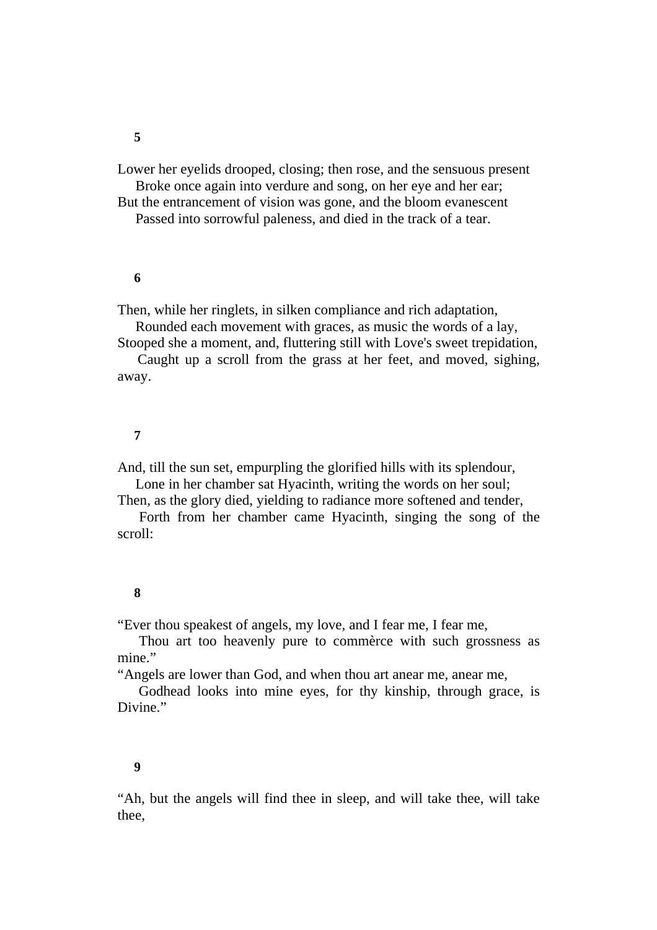Lower her eyelids drooped, closing; then rose, and the sensuous present Broke once again into verdure and song, on her eye and her ear;

But the entrancement of vision was gone, and the bloom evanescent

Passed into sorrowful paleness, and died in the track of a tear.

# **6**

Then, while her ringlets, in silken compliance and rich adaptation,

Rounded each movement with graces, as music the words of a lay,

Stooped she a moment, and, fluttering still with Love's sweet trepidation, Caught up a scroll from the grass at her feet, and moved, sighing, away.

# **7**

And, till the sun set, empurpling the glorified hills with its splendour,

Lone in her chamber sat Hyacinth, writing the words on her soul;

Then, as the glory died, yielding to radiance more softened and tender, Forth from her chamber came Hyacinth, singing the song of the

scroll:

# **8**

"Ever thou speakest of angels, my love, and I fear me, I fear me,

 Thou art too heavenly pure to commèrce with such grossness as mine."

"Angels are lower than God, and when thou art anear me, anear me,

 Godhead looks into mine eyes, for thy kinship, through grace, is Divine."

# **9**

"Ah, but the angels will find thee in sleep, and will take thee, will take thee,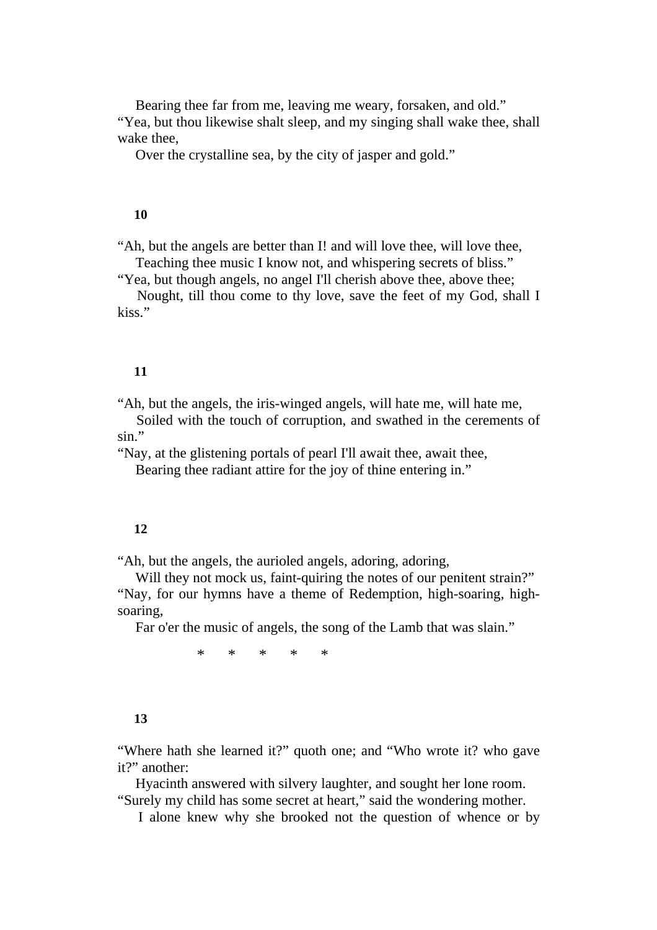Bearing thee far from me, leaving me weary, forsaken, and old." "Yea, but thou likewise shalt sleep, and my singing shall wake thee, shall wake thee,

Over the crystalline sea, by the city of jasper and gold."

## **10**

"Ah, but the angels are better than I! and will love thee, will love thee,

 Teaching thee music I know not, and whispering secrets of bliss." "Yea, but though angels, no angel I'll cherish above thee, above thee;

 Nought, till thou come to thy love, save the feet of my God, shall I kiss."

## **11**

"Ah, but the angels, the iris-winged angels, will hate me, will hate me,

 Soiled with the touch of corruption, and swathed in the cerements of sin."

"Nay, at the glistening portals of pearl I'll await thee, await thee,

Bearing thee radiant attire for the joy of thine entering in."

#### **12**

"Ah, but the angels, the aurioled angels, adoring, adoring,

Will they not mock us, faint-quiring the notes of our penitent strain?" "Nay, for our hymns have a theme of Redemption, high-soaring, highsoaring,

Far o'er the music of angels, the song of the Lamb that was slain."

\* \* \* \* \*

#### **13**

"Where hath she learned it?" quoth one; and "Who wrote it? who gave it?" another:

 Hyacinth answered with silvery laughter, and sought her lone room. "Surely my child has some secret at heart," said the wondering mother.

I alone knew why she brooked not the question of whence or by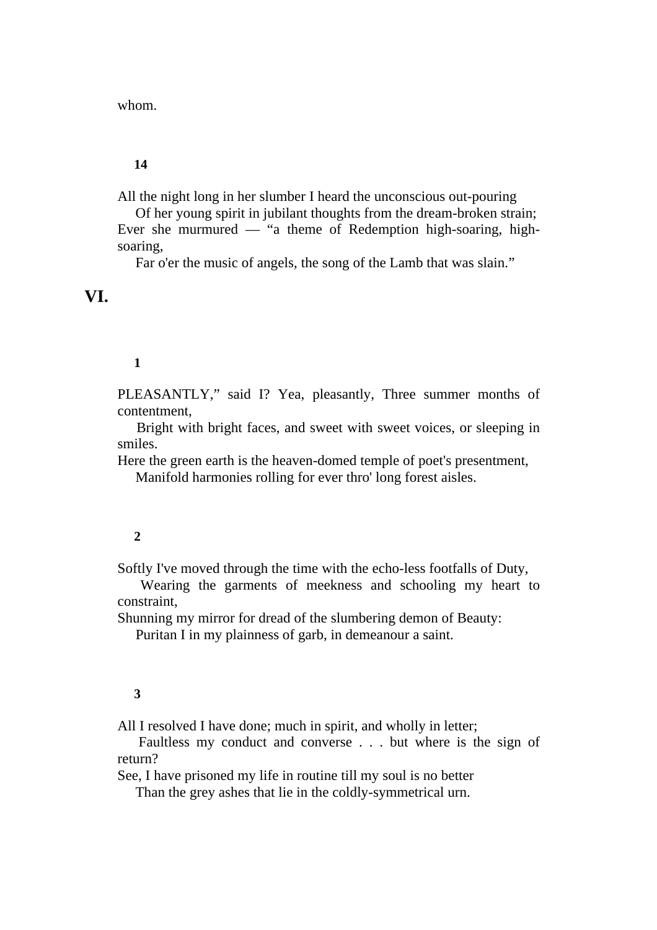whom.

## **14**

All the night long in her slumber I heard the unconscious out-pouring

 Of her young spirit in jubilant thoughts from the dream-broken strain; Ever she murmured — "a theme of Redemption high-soaring, highsoaring,

Far o'er the music of angels, the song of the Lamb that was slain."

**VI.** 

# **1**

PLEASANTLY," said I? Yea, pleasantly, Three summer months of contentment,

 Bright with bright faces, and sweet with sweet voices, or sleeping in smiles.

Here the green earth is the heaven-domed temple of poet's presentment,

Manifold harmonies rolling for ever thro' long forest aisles.

#### **2**

Softly I've moved through the time with the echo-less footfalls of Duty,

 Wearing the garments of meekness and schooling my heart to constraint,

Shunning my mirror for dread of the slumbering demon of Beauty:

Puritan I in my plainness of garb, in demeanour a saint.

#### **3**

All I resolved I have done; much in spirit, and wholly in letter;

 Faultless my conduct and converse . . . but where is the sign of return?

See, I have prisoned my life in routine till my soul is no better

Than the grey ashes that lie in the coldly-symmetrical urn.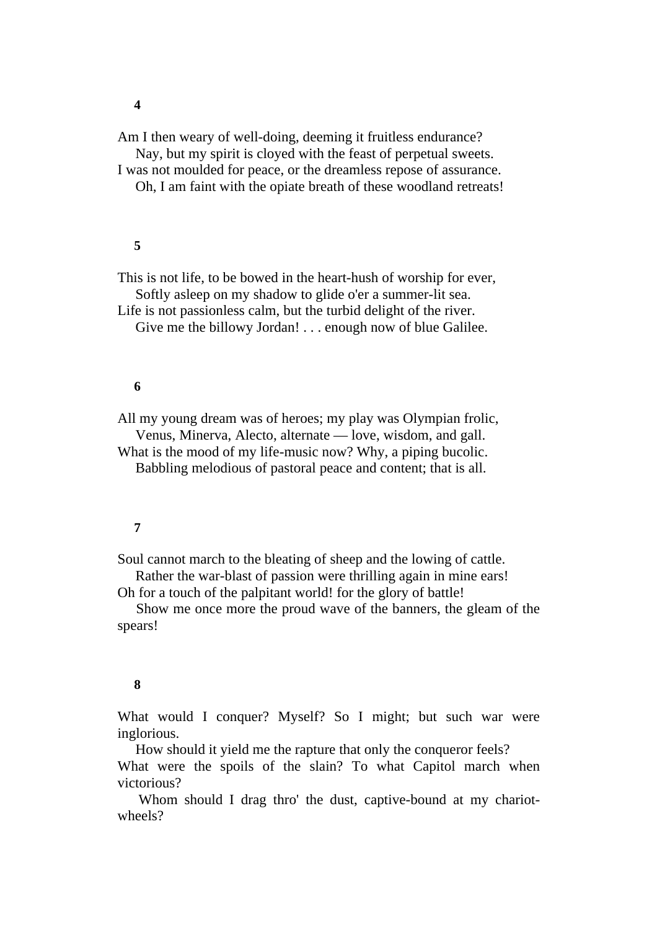**4** 

Am I then weary of well-doing, deeming it fruitless endurance? Nay, but my spirit is cloyed with the feast of perpetual sweets. I was not moulded for peace, or the dreamless repose of assurance. Oh, I am faint with the opiate breath of these woodland retreats!

#### **5**

This is not life, to be bowed in the heart-hush of worship for ever, Softly asleep on my shadow to glide o'er a summer-lit sea.

Life is not passionless calm, but the turbid delight of the river.

Give me the billowy Jordan! . . . enough now of blue Galilee.

## **6**

All my young dream was of heroes; my play was Olympian frolic, Venus, Minerva, Alecto, alternate — love, wisdom, and gall.

What is the mood of my life-music now? Why, a piping bucolic. Babbling melodious of pastoral peace and content; that is all.

#### **7**

Soul cannot march to the bleating of sheep and the lowing of cattle. Rather the war-blast of passion were thrilling again in mine ears!

Oh for a touch of the palpitant world! for the glory of battle!

 Show me once more the proud wave of the banners, the gleam of the spears!

#### **8**

What would I conquer? Myself? So I might; but such war were inglorious.

 How should it yield me the rapture that only the conqueror feels? What were the spoils of the slain? To what Capitol march when victorious?

 Whom should I drag thro' the dust, captive-bound at my chariotwheels?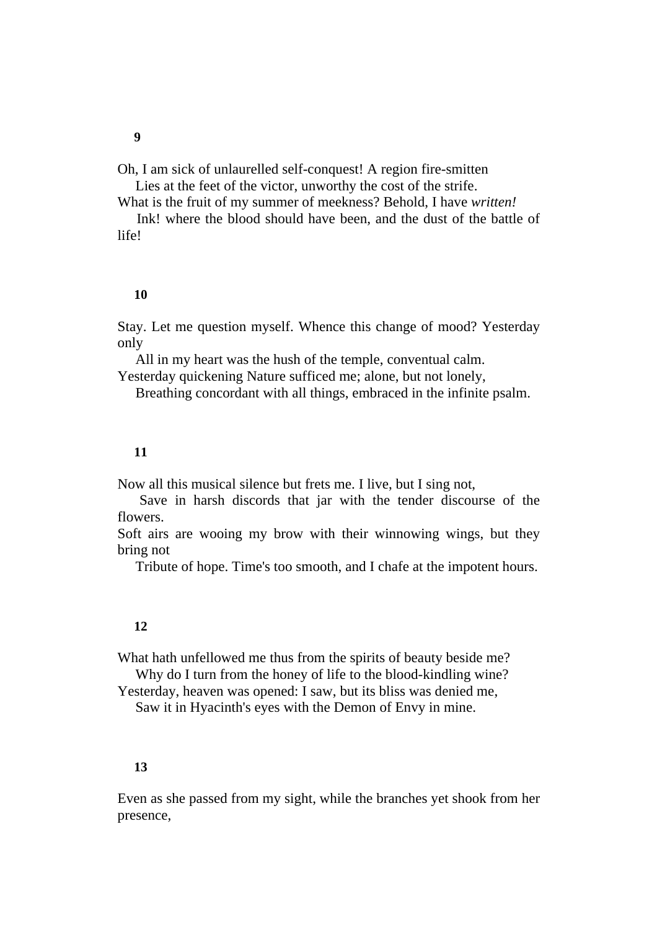Oh, I am sick of unlaurelled self-conquest! A region fire-smitten

Lies at the feet of the victor, unworthy the cost of the strife.

What is the fruit of my summer of meekness? Behold, I have *written!* Ink! where the blood should have been, and the dust of the battle of life!

# **10**

Stay. Let me question myself. Whence this change of mood? Yesterday only

 All in my heart was the hush of the temple, conventual calm. Yesterday quickening Nature sufficed me; alone, but not lonely,

Breathing concordant with all things, embraced in the infinite psalm.

# **11**

Now all this musical silence but frets me. I live, but I sing not,

 Save in harsh discords that jar with the tender discourse of the flowers.

Soft airs are wooing my brow with their winnowing wings, but they bring not

Tribute of hope. Time's too smooth, and I chafe at the impotent hours.

#### **12**

What hath unfellowed me thus from the spirits of beauty beside me? Why do I turn from the honey of life to the blood-kindling wine?

Yesterday, heaven was opened: I saw, but its bliss was denied me,

Saw it in Hyacinth's eyes with the Demon of Envy in mine.

# **13**

Even as she passed from my sight, while the branches yet shook from her presence,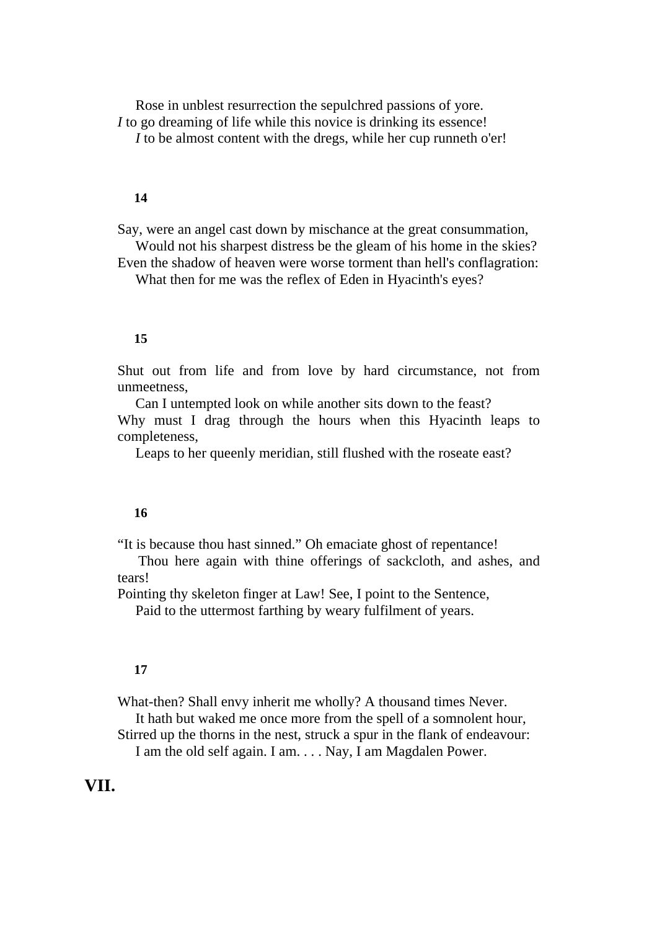Rose in unblest resurrection the sepulchred passions of yore. *I* to go dreaming of life while this novice is drinking its essence!

*I* to be almost content with the dregs, while her cup runneth o'er!

#### **14**

Say, were an angel cast down by mischance at the great consummation, Would not his sharpest distress be the gleam of his home in the skies?

Even the shadow of heaven were worse torment than hell's conflagration: What then for me was the reflex of Eden in Hyacinth's eyes?

#### **15**

Shut out from life and from love by hard circumstance, not from unmeetness,

 Can I untempted look on while another sits down to the feast? Why must I drag through the hours when this Hyacinth leaps to completeness,

Leaps to her queenly meridian, still flushed with the roseate east?

#### **16**

"It is because thou hast sinned." Oh emaciate ghost of repentance!

 Thou here again with thine offerings of sackcloth, and ashes, and tears!

Pointing thy skeleton finger at Law! See, I point to the Sentence,

Paid to the uttermost farthing by weary fulfilment of years.

#### **17**

What-then? Shall envy inherit me wholly? A thousand times Never. It hath but waked me once more from the spell of a somnolent hour, Stirred up the thorns in the nest, struck a spur in the flank of endeavour: I am the old self again. I am. . . . Nay, I am Magdalen Power.

# **VII.**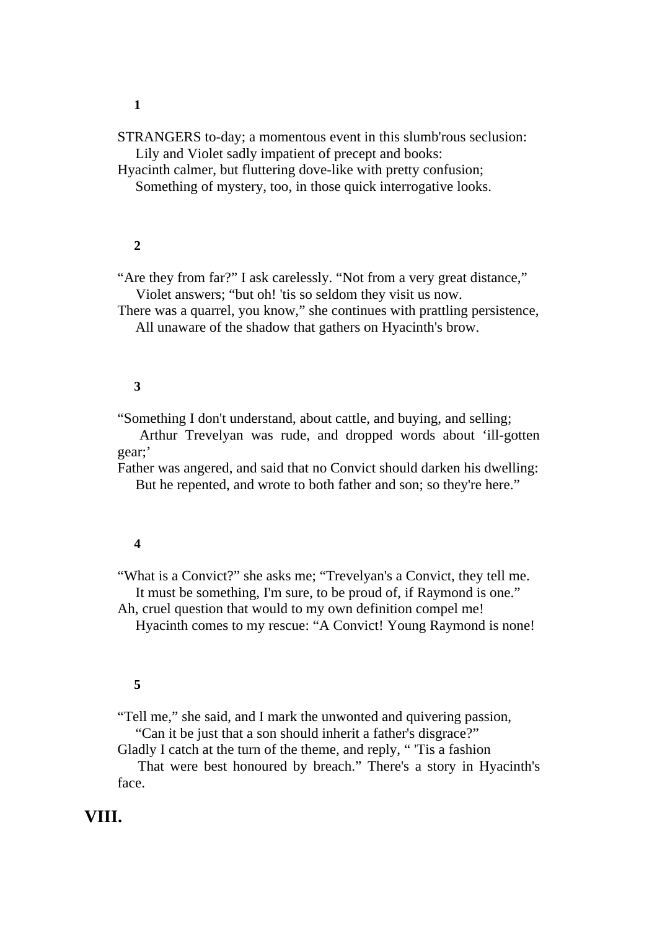STRANGERS to-day; a momentous event in this slumb'rous seclusion: Lily and Violet sadly impatient of precept and books:

Hyacinth calmer, but fluttering dove-like with pretty confusion; Something of mystery, too, in those quick interrogative looks.

#### **2**

"Are they from far?" I ask carelessly. "Not from a very great distance," Violet answers; "but oh! 'tis so seldom they visit us now.

There was a quarrel, you know," she continues with prattling persistence, All unaware of the shadow that gathers on Hyacinth's brow.

#### **3**

"Something I don't understand, about cattle, and buying, and selling;

 Arthur Trevelyan was rude, and dropped words about 'ill-gotten gear;'

Father was angered, and said that no Convict should darken his dwelling: But he repented, and wrote to both father and son; so they're here."

#### **4**

"What is a Convict?" she asks me; "Trevelyan's a Convict, they tell me. It must be something, I'm sure, to be proud of, if Raymond is one."

Ah, cruel question that would to my own definition compel me!

Hyacinth comes to my rescue: "A Convict! Young Raymond is none!

#### **5**

"Tell me," she said, and I mark the unwonted and quivering passion, "Can it be just that a son should inherit a father's disgrace?"

Gladly I catch at the turn of the theme, and reply, " 'Tis a fashion

 That were best honoured by breach." There's a story in Hyacinth's face.

# **VIII.**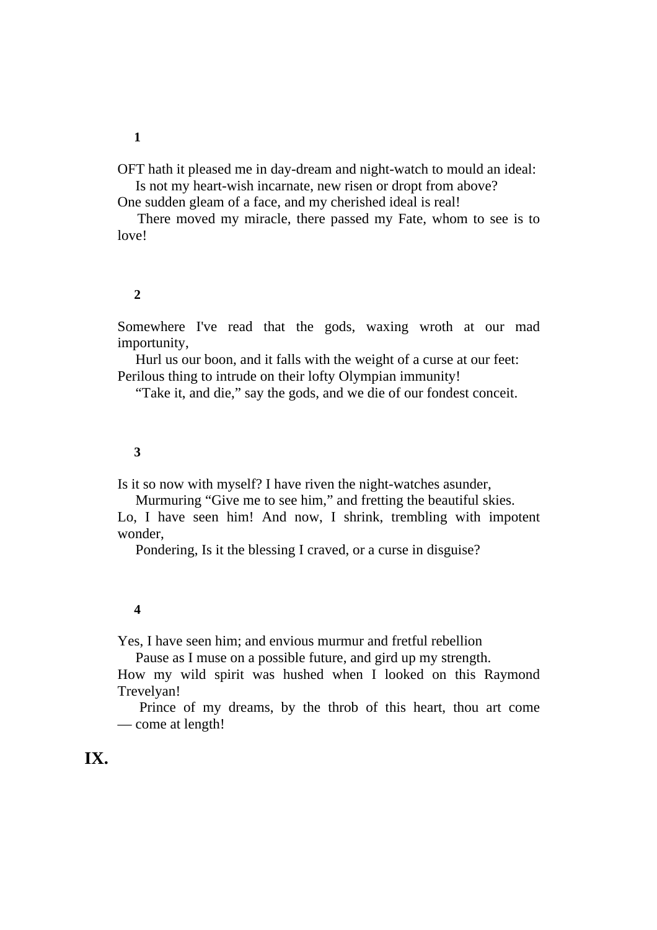OFT hath it pleased me in day-dream and night-watch to mould an ideal:

 Is not my heart-wish incarnate, new risen or dropt from above? One sudden gleam of a face, and my cherished ideal is real!

 There moved my miracle, there passed my Fate, whom to see is to love!

## **2**

Somewhere I've read that the gods, waxing wroth at our mad importunity,

 Hurl us our boon, and it falls with the weight of a curse at our feet: Perilous thing to intrude on their lofty Olympian immunity!

"Take it, and die," say the gods, and we die of our fondest conceit.

## **3**

Is it so now with myself? I have riven the night-watches asunder,

Murmuring "Give me to see him," and fretting the beautiful skies.

Lo, I have seen him! And now, I shrink, trembling with impotent wonder,

Pondering, Is it the blessing I craved, or a curse in disguise?

#### **4**

Yes, I have seen him; and envious murmur and fretful rebellion

Pause as I muse on a possible future, and gird up my strength.

How my wild spirit was hushed when I looked on this Raymond Trevelyan!

 Prince of my dreams, by the throb of this heart, thou art come — come at length!

# **IX.**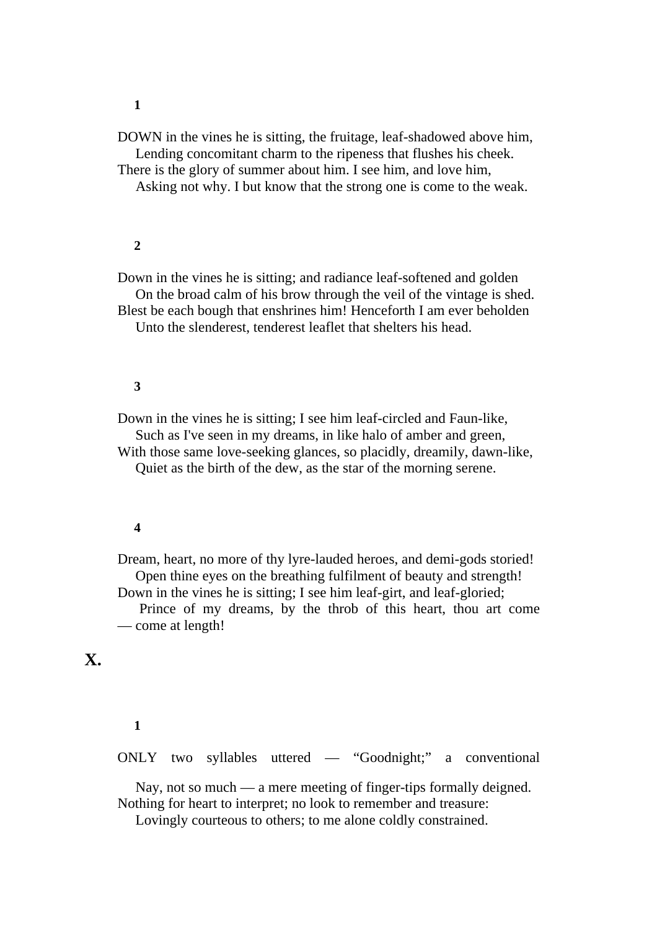**1** 

DOWN in the vines he is sitting, the fruitage, leaf-shadowed above him, Lending concomitant charm to the ripeness that flushes his cheek.

There is the glory of summer about him. I see him, and love him,

Asking not why. I but know that the strong one is come to the weak.

#### **2**

Down in the vines he is sitting; and radiance leaf-softened and golden On the broad calm of his brow through the veil of the vintage is shed. Blest be each bough that enshrines him! Henceforth I am ever beholden

Unto the slenderest, tenderest leaflet that shelters his head.

#### **3**

Down in the vines he is sitting; I see him leaf-circled and Faun-like,

Such as I've seen in my dreams, in like halo of amber and green,

With those same love-seeking glances, so placidly, dreamily, dawn-like, Quiet as the birth of the dew, as the star of the morning serene.

#### **4**

Dream, heart, no more of thy lyre-lauded heroes, and demi-gods storied! Open thine eyes on the breathing fulfilment of beauty and strength!

Down in the vines he is sitting; I see him leaf-girt, and leaf-gloried;

 Prince of my dreams, by the throb of this heart, thou art come — come at length!

# **X.**

# **1**

ONLY two syllables uttered — "Goodnight;" a conventional

 Nay, not so much — a mere meeting of finger-tips formally deigned. Nothing for heart to interpret; no look to remember and treasure:

Lovingly courteous to others; to me alone coldly constrained.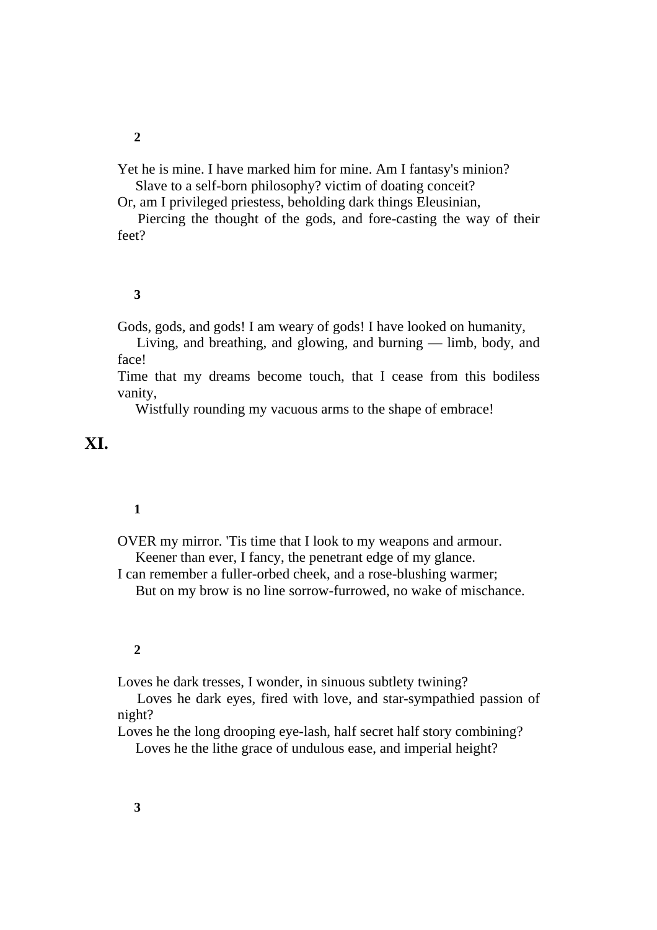Yet he is mine. I have marked him for mine. Am I fantasy's minion? Slave to a self-born philosophy? victim of doating conceit?

Or, am I privileged priestess, beholding dark things Eleusinian,

 Piercing the thought of the gods, and fore-casting the way of their feet?

#### **3**

Gods, gods, and gods! I am weary of gods! I have looked on humanity,

 Living, and breathing, and glowing, and burning — limb, body, and face!

Time that my dreams become touch, that I cease from this bodiless vanity,

Wistfully rounding my vacuous arms to the shape of embrace!

# **XI.**

# **1**

OVER my mirror. 'Tis time that I look to my weapons and armour. Keener than ever, I fancy, the penetrant edge of my glance.

I can remember a fuller-orbed cheek, and a rose-blushing warmer; But on my brow is no line sorrow-furrowed, no wake of mischance.

#### **2**

Loves he dark tresses, I wonder, in sinuous subtlety twining?

 Loves he dark eyes, fired with love, and star-sympathied passion of night?

Loves he the long drooping eye-lash, half secret half story combining? Loves he the lithe grace of undulous ease, and imperial height?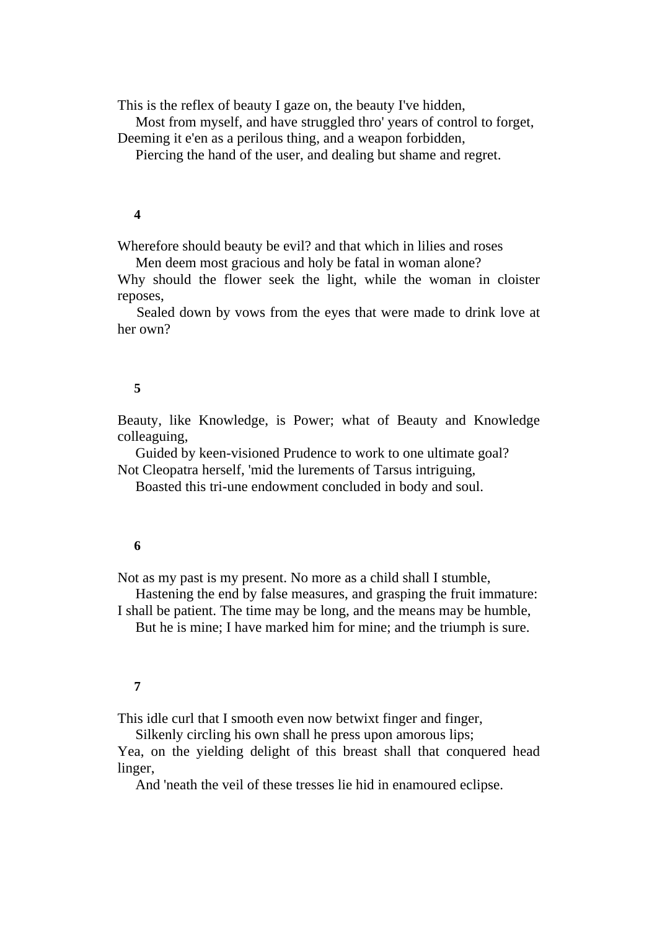This is the reflex of beauty I gaze on, the beauty I've hidden,

Most from myself, and have struggled thro' years of control to forget,

Deeming it e'en as a perilous thing, and a weapon forbidden,

Piercing the hand of the user, and dealing but shame and regret.

#### **4**

Wherefore should beauty be evil? and that which in lilies and roses

Men deem most gracious and holy be fatal in woman alone?

Why should the flower seek the light, while the woman in cloister reposes,

 Sealed down by vows from the eyes that were made to drink love at her own?

#### **5**

Beauty, like Knowledge, is Power; what of Beauty and Knowledge colleaguing,

 Guided by keen-visioned Prudence to work to one ultimate goal? Not Cleopatra herself, 'mid the lurements of Tarsus intriguing,

Boasted this tri-une endowment concluded in body and soul.

#### **6**

Not as my past is my present. No more as a child shall I stumble,

Hastening the end by false measures, and grasping the fruit immature:

I shall be patient. The time may be long, and the means may be humble,

But he is mine; I have marked him for mine; and the triumph is sure.

## **7**

This idle curl that I smooth even now betwixt finger and finger,

Silkenly circling his own shall he press upon amorous lips;

Yea, on the yielding delight of this breast shall that conquered head linger,

And 'neath the veil of these tresses lie hid in enamoured eclipse.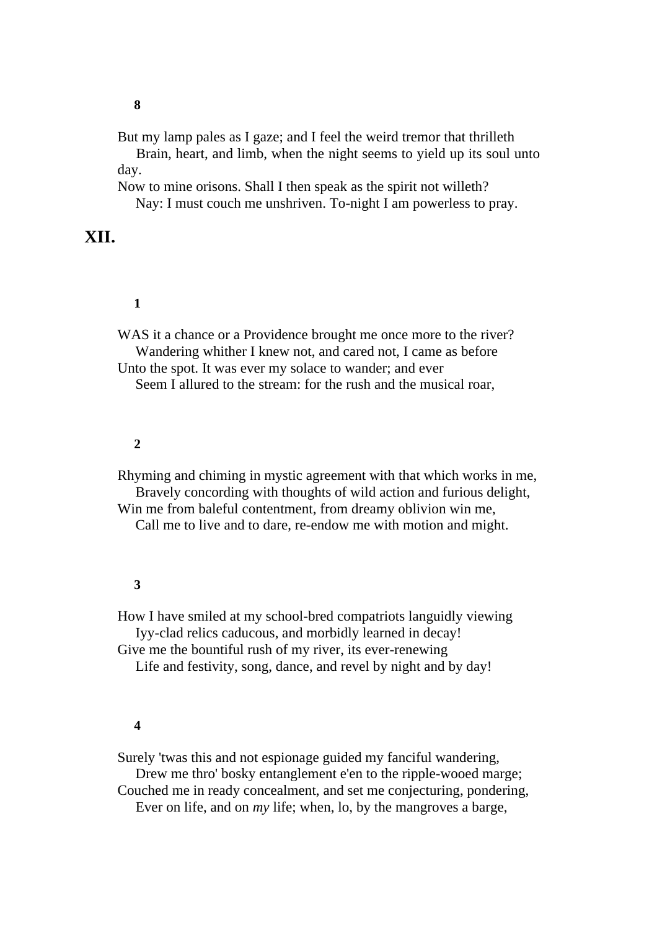But my lamp pales as I gaze; and I feel the weird tremor that thrilleth

 Brain, heart, and limb, when the night seems to yield up its soul unto day.

Now to mine orisons. Shall I then speak as the spirit not willeth? Nay: I must couch me unshriven. To-night I am powerless to pray.

# **XII.**

# **1**

WAS it a chance or a Providence brought me once more to the river? Wandering whither I knew not, and cared not, I came as before Unto the spot. It was ever my solace to wander; and ever Seem I allured to the stream: for the rush and the musical roar,

## **2**

Rhyming and chiming in mystic agreement with that which works in me, Bravely concording with thoughts of wild action and furious delight, Win me from baleful contentment, from dreamy oblivion win me, Call me to live and to dare, re-endow me with motion and might.

#### **3**

How I have smiled at my school-bred compatriots languidly viewing Iyy-clad relics caducous, and morbidly learned in decay!

Give me the bountiful rush of my river, its ever-renewing

Life and festivity, song, dance, and revel by night and by day!

#### **4**

Surely 'twas this and not espionage guided my fanciful wandering, Drew me thro' bosky entanglement e'en to the ripple-wooed marge;

Couched me in ready concealment, and set me conjecturing, pondering,

Ever on life, and on *my* life; when, lo, by the mangroves a barge,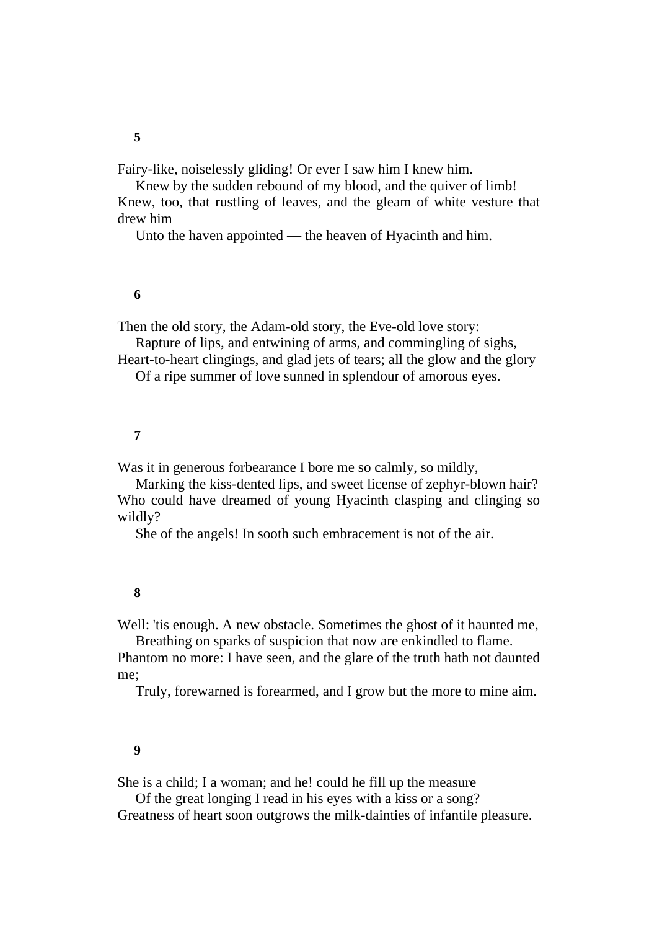Fairy-like, noiselessly gliding! Or ever I saw him I knew him.

 Knew by the sudden rebound of my blood, and the quiver of limb! Knew, too, that rustling of leaves, and the gleam of white vesture that drew him

Unto the haven appointed — the heaven of Hyacinth and him.

# **6**

Then the old story, the Adam-old story, the Eve-old love story:

 Rapture of lips, and entwining of arms, and commingling of sighs, Heart-to-heart clingings, and glad jets of tears; all the glow and the glory

Of a ripe summer of love sunned in splendour of amorous eyes.

#### **7**

Was it in generous forbearance I bore me so calmly, so mildly,

 Marking the kiss-dented lips, and sweet license of zephyr-blown hair? Who could have dreamed of young Hyacinth clasping and clinging so wildly?

She of the angels! In sooth such embracement is not of the air.

#### **8**

Well: 'tis enough. A new obstacle. Sometimes the ghost of it haunted me,

 Breathing on sparks of suspicion that now are enkindled to flame. Phantom no more: I have seen, and the glare of the truth hath not daunted me;

Truly, forewarned is forearmed, and I grow but the more to mine aim.

#### **9**

She is a child; I a woman; and he! could he fill up the measure

 Of the great longing I read in his eyes with a kiss or a song? Greatness of heart soon outgrows the milk-dainties of infantile pleasure.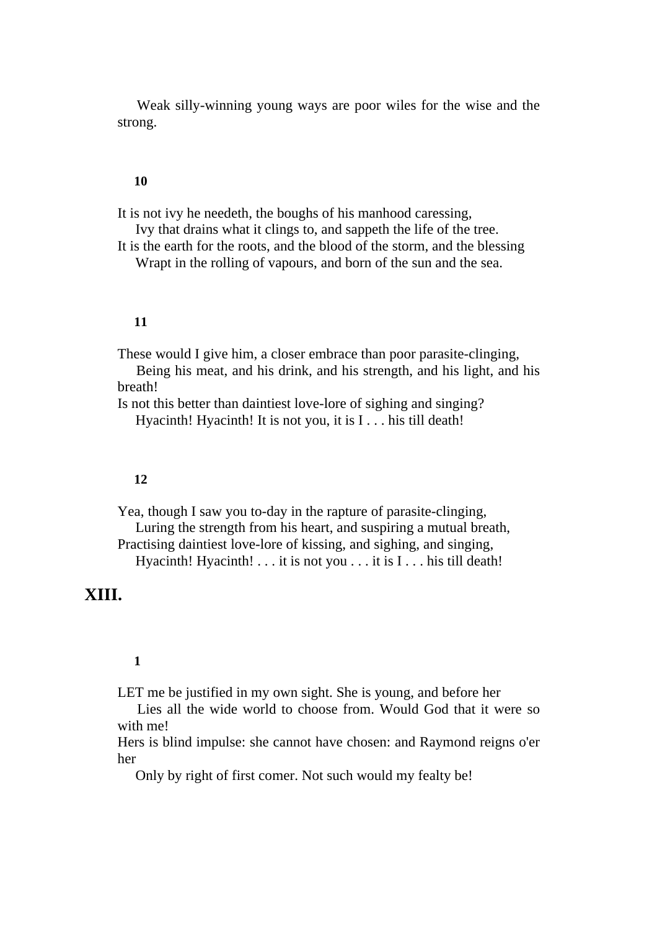Weak silly-winning young ways are poor wiles for the wise and the strong.

## **10**

It is not ivy he needeth, the boughs of his manhood caressing,

 Ivy that drains what it clings to, and sappeth the life of the tree. It is the earth for the roots, and the blood of the storm, and the blessing

Wrapt in the rolling of vapours, and born of the sun and the sea.

## **11**

These would I give him, a closer embrace than poor parasite-clinging,

 Being his meat, and his drink, and his strength, and his light, and his breath!

Is not this better than daintiest love-lore of sighing and singing? Hyacinth! Hyacinth! It is not you, it is I . . . his till death!

### **12**

Yea, though I saw you to-day in the rapture of parasite-clinging, Luring the strength from his heart, and suspiring a mutual breath, Practising daintiest love-lore of kissing, and sighing, and singing, Hyacinth! Hyacinth!  $\dots$  it is not you  $\dots$  it is  $I \dots$  his till death!

# **XIII.**

# **1**

LET me be justified in my own sight. She is young, and before her

 Lies all the wide world to choose from. Would God that it were so with me!

Hers is blind impulse: she cannot have chosen: and Raymond reigns o'er her

Only by right of first comer. Not such would my fealty be!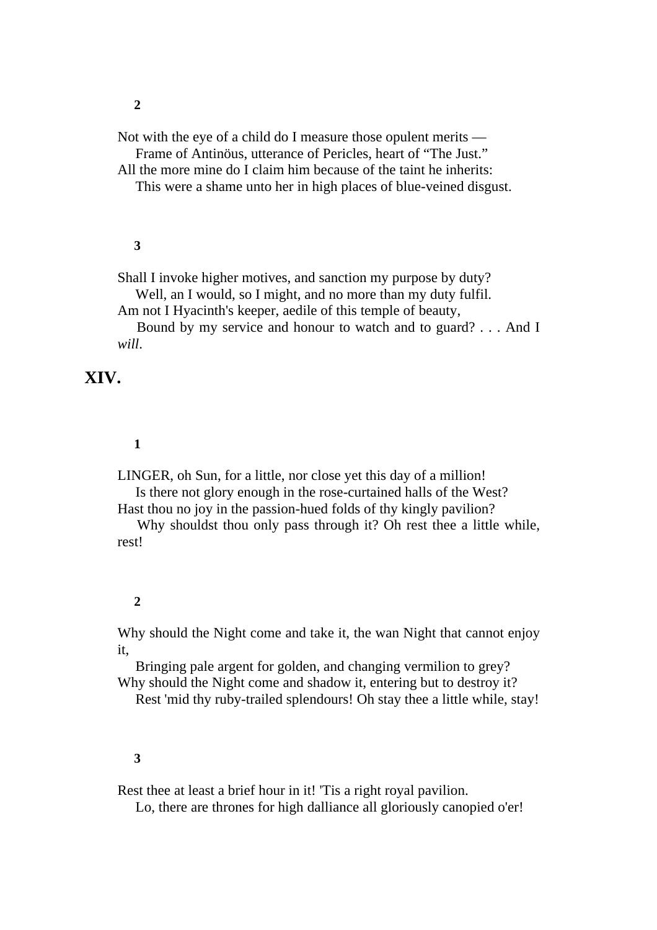Not with the eye of a child do I measure those opulent merits —

 Frame of Antinöus, utterance of Pericles, heart of "The Just." All the more mine do I claim him because of the taint he inherits:

This were a shame unto her in high places of blue-veined disgust.

#### **3**

Shall I invoke higher motives, and sanction my purpose by duty?

Well, an I would, so I might, and no more than my duty fulfil.

Am not I Hyacinth's keeper, aedile of this temple of beauty,

 Bound by my service and honour to watch and to guard? . . . And I *will*.

# **XIV.**

# **1**

LINGER, oh Sun, for a little, nor close yet this day of a million!

 Is there not glory enough in the rose-curtained halls of the West? Hast thou no joy in the passion-hued folds of thy kingly pavilion?

Why shouldst thou only pass through it? Oh rest thee a little while, rest!

## **2**

Why should the Night come and take it, the wan Night that cannot enjoy it,

 Bringing pale argent for golden, and changing vermilion to grey? Why should the Night come and shadow it, entering but to destroy it?

Rest 'mid thy ruby-trailed splendours! Oh stay thee a little while, stay!

## **3**

Rest thee at least a brief hour in it! 'Tis a right royal pavilion.

Lo, there are thrones for high dalliance all gloriously canopied o'er!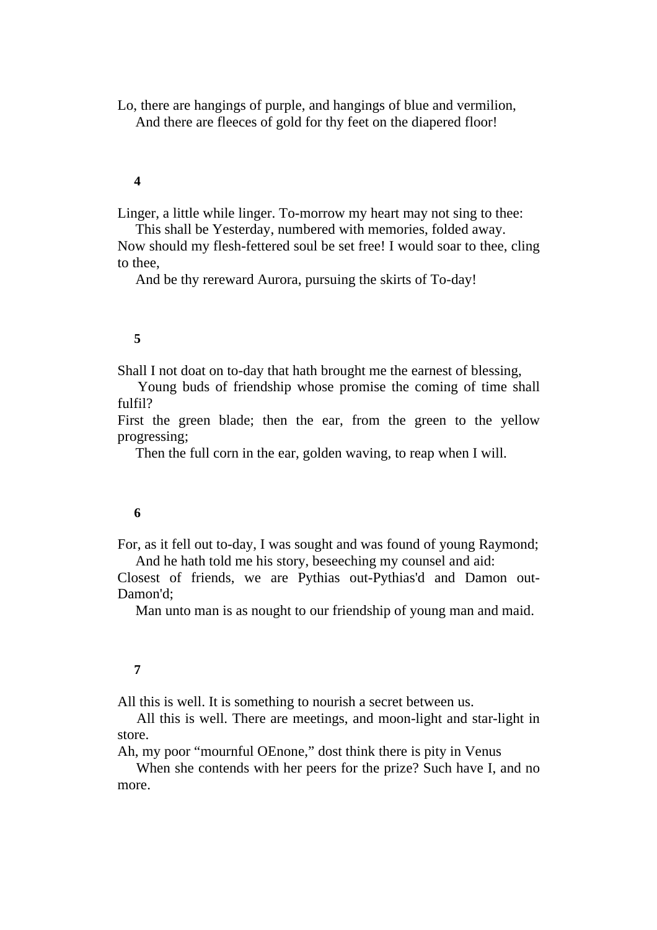Lo, there are hangings of purple, and hangings of blue and vermilion, And there are fleeces of gold for thy feet on the diapered floor!

## **4**

Linger, a little while linger. To-morrow my heart may not sing to thee:

 This shall be Yesterday, numbered with memories, folded away. Now should my flesh-fettered soul be set free! I would soar to thee, cling to thee,

And be thy rereward Aurora, pursuing the skirts of To-day!

#### **5**

Shall I not doat on to-day that hath brought me the earnest of blessing,

 Young buds of friendship whose promise the coming of time shall fulfil?

First the green blade; then the ear, from the green to the yellow progressing;

Then the full corn in the ear, golden waving, to reap when I will.

#### **6**

For, as it fell out to-day, I was sought and was found of young Raymond; And he hath told me his story, beseeching my counsel and aid:

Closest of friends, we are Pythias out-Pythias'd and Damon out-Damon'd;

Man unto man is as nought to our friendship of young man and maid.

# **7**

All this is well. It is something to nourish a secret between us.

 All this is well. There are meetings, and moon-light and star-light in store.

Ah, my poor "mournful OEnone," dost think there is pity in Venus

 When she contends with her peers for the prize? Such have I, and no more.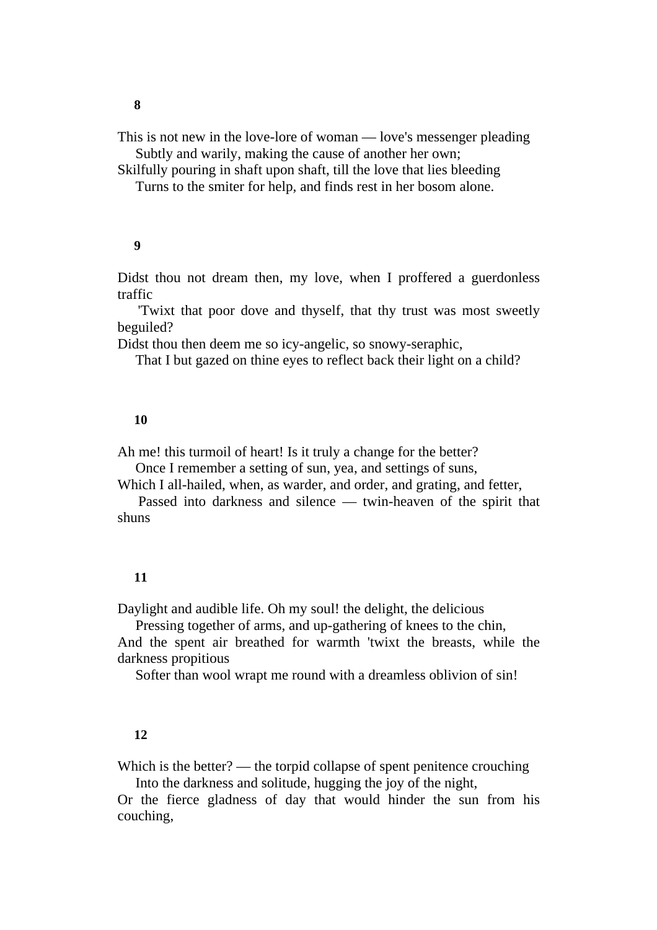**8** 

This is not new in the love-lore of woman — love's messenger pleading Subtly and warily, making the cause of another her own;

Skilfully pouring in shaft upon shaft, till the love that lies bleeding

Turns to the smiter for help, and finds rest in her bosom alone.

#### **9**

Didst thou not dream then, my love, when I proffered a guerdonless traffic

 'Twixt that poor dove and thyself, that thy trust was most sweetly beguiled?

Didst thou then deem me so icy-angelic, so snowy-seraphic,

That I but gazed on thine eyes to reflect back their light on a child?

#### **10**

Ah me! this turmoil of heart! Is it truly a change for the better?

Once I remember a setting of sun, yea, and settings of suns,

Which I all-hailed, when, as warder, and order, and grating, and fetter, Passed into darkness and silence — twin-heaven of the spirit that

shuns

#### **11**

Daylight and audible life. Oh my soul! the delight, the delicious

Pressing together of arms, and up-gathering of knees to the chin,

And the spent air breathed for warmth 'twixt the breasts, while the darkness propitious

Softer than wool wrapt me round with a dreamless oblivion of sin!

#### **12**

Which is the better? — the torpid collapse of spent penitence crouching Into the darkness and solitude, hugging the joy of the night,

Or the fierce gladness of day that would hinder the sun from his couching,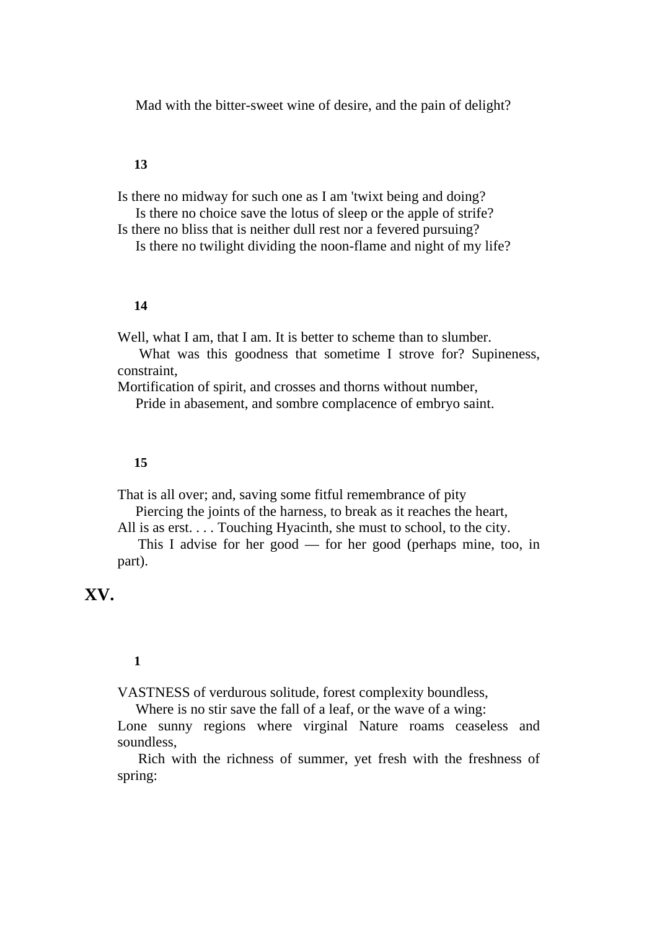Mad with the bitter-sweet wine of desire, and the pain of delight?

#### **13**

Is there no midway for such one as I am 'twixt being and doing? Is there no choice save the lotus of sleep or the apple of strife?

Is there no bliss that is neither dull rest nor a fevered pursuing?

Is there no twilight dividing the noon-flame and night of my life?

#### **14**

Well, what I am, that I am. It is better to scheme than to slumber.

What was this goodness that sometime I strove for? Supineness, constraint,

Mortification of spirit, and crosses and thorns without number, Pride in abasement, and sombre complacence of embryo saint.

# **15**

That is all over; and, saving some fitful remembrance of pity

 Piercing the joints of the harness, to break as it reaches the heart, All is as erst. . . . Touching Hyacinth, she must to school, to the city.

 This I advise for her good — for her good (perhaps mine, too, in part).

# **XV.**

## **1**

VASTNESS of verdurous solitude, forest complexity boundless,

Where is no stir save the fall of a leaf, or the wave of a wing:

Lone sunny regions where virginal Nature roams ceaseless and soundless,

 Rich with the richness of summer, yet fresh with the freshness of spring: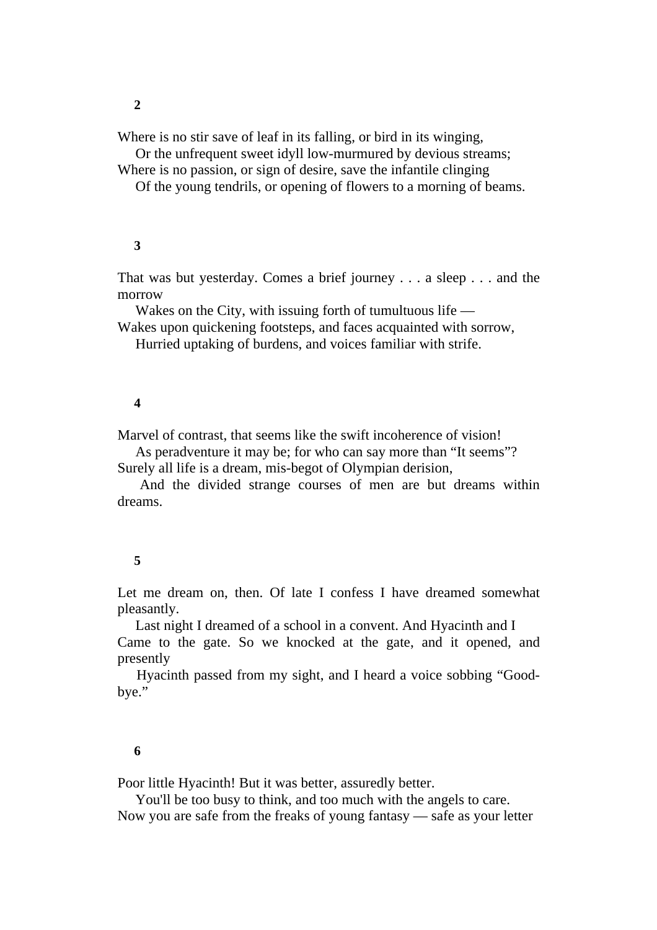Where is no stir save of leaf in its falling, or bird in its winging,

 Or the unfrequent sweet idyll low-murmured by devious streams; Where is no passion, or sign of desire, save the infantile clinging

Of the young tendrils, or opening of flowers to a morning of beams.

#### **3**

That was but yesterday. Comes a brief journey . . . a sleep . . . and the morrow

Wakes on the City, with issuing forth of tumultuous life —

Wakes upon quickening footsteps, and faces acquainted with sorrow, Hurried uptaking of burdens, and voices familiar with strife.

#### **4**

Marvel of contrast, that seems like the swift incoherence of vision!

 As peradventure it may be; for who can say more than "It seems"? Surely all life is a dream, mis-begot of Olympian derision,

 And the divided strange courses of men are but dreams within dreams.

#### **5**

Let me dream on, then. Of late I confess I have dreamed somewhat pleasantly.

 Last night I dreamed of a school in a convent. And Hyacinth and I Came to the gate. So we knocked at the gate, and it opened, and presently

 Hyacinth passed from my sight, and I heard a voice sobbing "Goodbye."

#### **6**

Poor little Hyacinth! But it was better, assuredly better.

 You'll be too busy to think, and too much with the angels to care. Now you are safe from the freaks of young fantasy — safe as your letter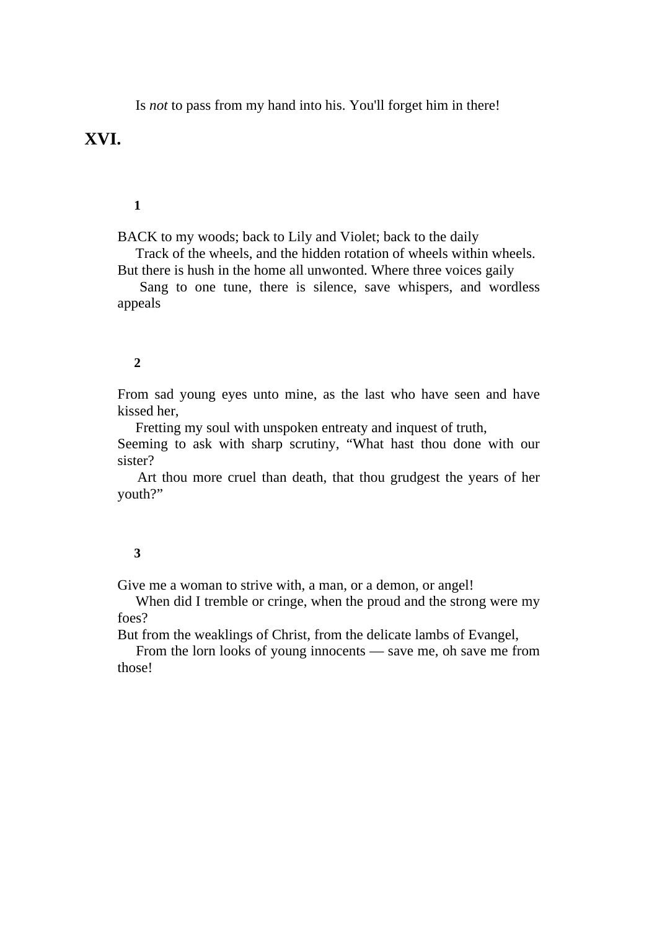Is *not* to pass from my hand into his. You'll forget him in there!

# **XVI.**

# **1**

BACK to my woods; back to Lily and Violet; back to the daily

Track of the wheels, and the hidden rotation of wheels within wheels.

But there is hush in the home all unwonted. Where three voices gaily

 Sang to one tune, there is silence, save whispers, and wordless appeals

# **2**

From sad young eyes unto mine, as the last who have seen and have kissed her,

Fretting my soul with unspoken entreaty and inquest of truth,

Seeming to ask with sharp scrutiny, "What hast thou done with our sister?

 Art thou more cruel than death, that thou grudgest the years of her youth?"

# **3**

Give me a woman to strive with, a man, or a demon, or angel!

 When did I tremble or cringe, when the proud and the strong were my foes?

But from the weaklings of Christ, from the delicate lambs of Evangel,

 From the lorn looks of young innocents — save me, oh save me from those!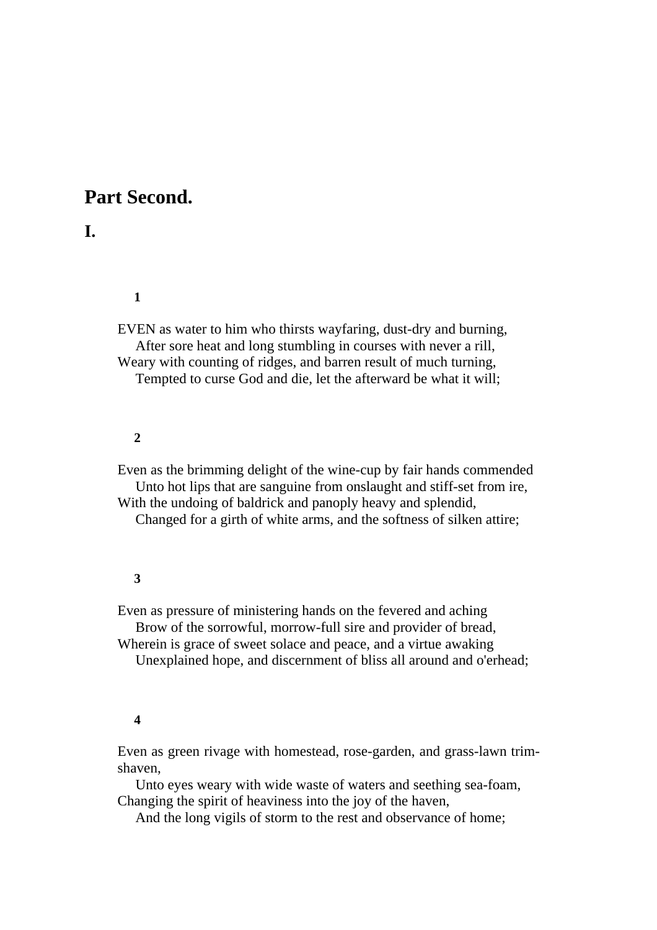# **Part Second.**

# **I.**

# **1**

EVEN as water to him who thirsts wayfaring, dust-dry and burning, After sore heat and long stumbling in courses with never a rill, Weary with counting of ridges, and barren result of much turning, Tempted to curse God and die, let the afterward be what it will;

# **2**

Even as the brimming delight of the wine-cup by fair hands commended Unto hot lips that are sanguine from onslaught and stiff-set from ire,

With the undoing of baldrick and panoply heavy and splendid,

Changed for a girth of white arms, and the softness of silken attire;

#### **3**

Even as pressure of ministering hands on the fevered and aching

Brow of the sorrowful, morrow-full sire and provider of bread,

Wherein is grace of sweet solace and peace, and a virtue awaking

Unexplained hope, and discernment of bliss all around and o'erhead;

# **4**

Even as green rivage with homestead, rose-garden, and grass-lawn trimshaven,

 Unto eyes weary with wide waste of waters and seething sea-foam, Changing the spirit of heaviness into the joy of the haven,

And the long vigils of storm to the rest and observance of home;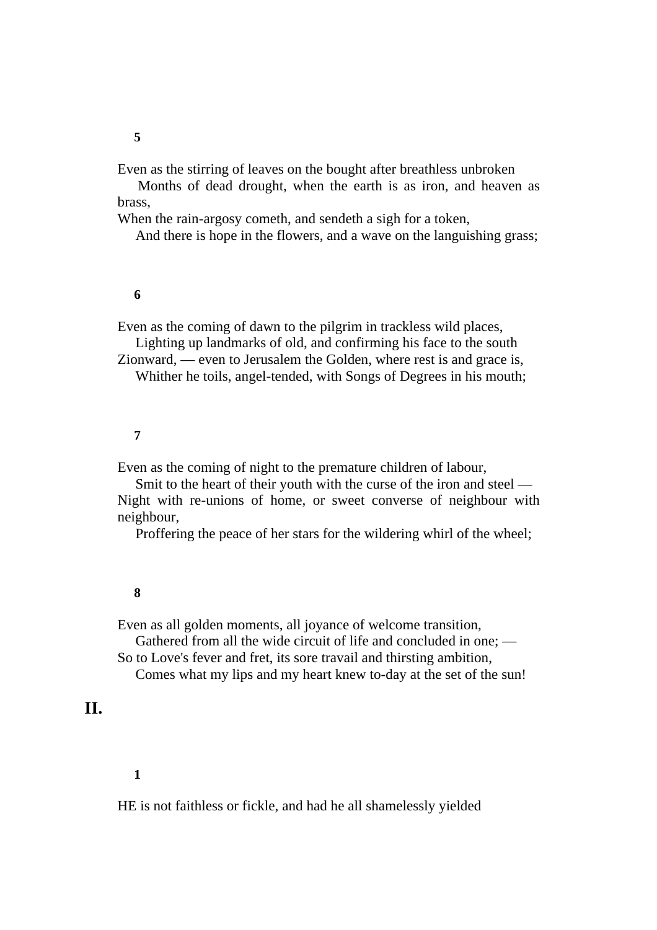Even as the stirring of leaves on the bought after breathless unbroken

 Months of dead drought, when the earth is as iron, and heaven as brass,

When the rain-argosy cometh, and sendeth a sigh for a token,

And there is hope in the flowers, and a wave on the languishing grass;

#### **6**

Even as the coming of dawn to the pilgrim in trackless wild places, Lighting up landmarks of old, and confirming his face to the south

Zionward, — even to Jerusalem the Golden, where rest is and grace is, Whither he toils, angel-tended, with Songs of Degrees in his mouth;

#### **7**

Even as the coming of night to the premature children of labour,

 Smit to the heart of their youth with the curse of the iron and steel — Night with re-unions of home, or sweet converse of neighbour with neighbour,

Proffering the peace of her stars for the wildering whirl of the wheel;

#### **8**

Even as all golden moments, all joyance of welcome transition,

 Gathered from all the wide circuit of life and concluded in one; — So to Love's fever and fret, its sore travail and thirsting ambition,

Comes what my lips and my heart knew to-day at the set of the sun!

# **II.**

# **1**

HE is not faithless or fickle, and had he all shamelessly yielded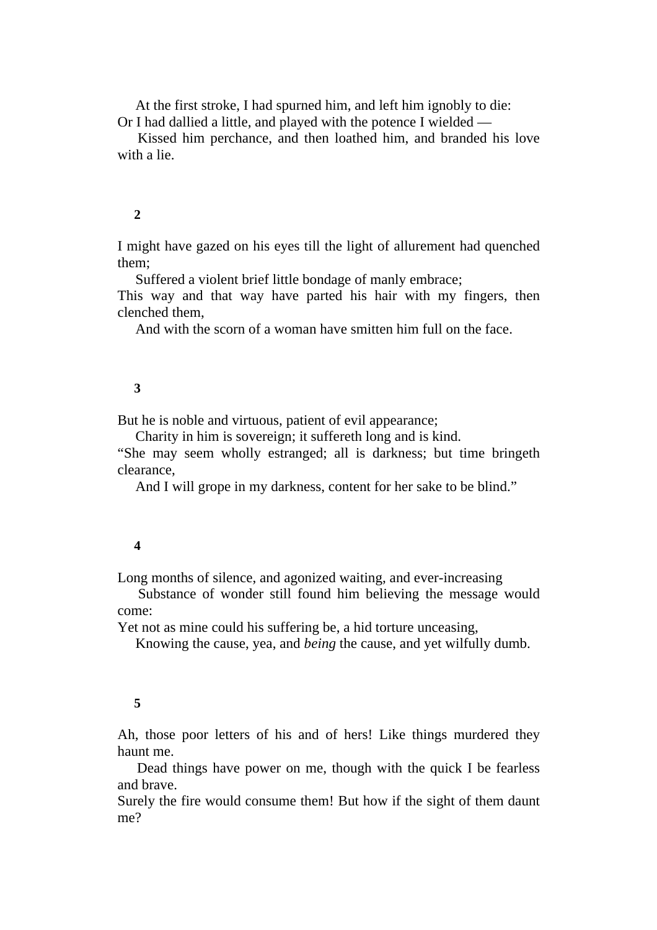At the first stroke, I had spurned him, and left him ignobly to die: Or I had dallied a little, and played with the potence I wielded —

 Kissed him perchance, and then loathed him, and branded his love with a lie.

## **2**

I might have gazed on his eyes till the light of allurement had quenched them;

Suffered a violent brief little bondage of manly embrace;

This way and that way have parted his hair with my fingers, then clenched them,

And with the scorn of a woman have smitten him full on the face.

#### **3**

But he is noble and virtuous, patient of evil appearance;

Charity in him is sovereign; it suffereth long and is kind.

"She may seem wholly estranged; all is darkness; but time bringeth clearance,

And I will grope in my darkness, content for her sake to be blind."

#### **4**

Long months of silence, and agonized waiting, and ever-increasing

 Substance of wonder still found him believing the message would come:

Yet not as mine could his suffering be, a hid torture unceasing,

Knowing the cause, yea, and *being* the cause, and yet wilfully dumb.

#### **5**

Ah, those poor letters of his and of hers! Like things murdered they haunt me.

 Dead things have power on me, though with the quick I be fearless and brave.

Surely the fire would consume them! But how if the sight of them daunt me?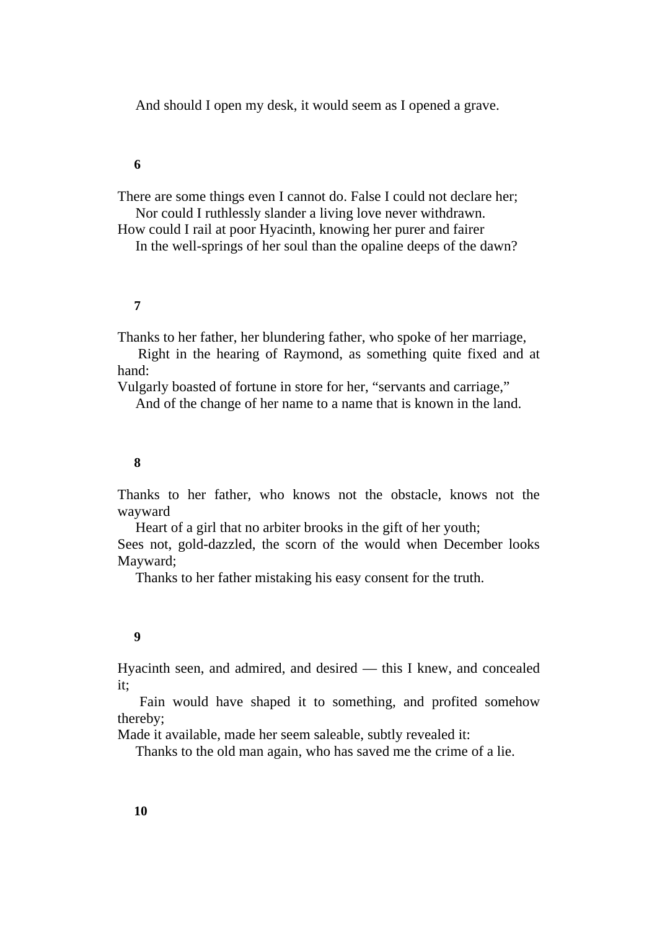And should I open my desk, it would seem as I opened a grave.

## **6**

There are some things even I cannot do. False I could not declare her; Nor could I ruthlessly slander a living love never withdrawn.

How could I rail at poor Hyacinth, knowing her purer and fairer In the well-springs of her soul than the opaline deeps of the dawn?

### **7**

Thanks to her father, her blundering father, who spoke of her marriage,

 Right in the hearing of Raymond, as something quite fixed and at hand:

Vulgarly boasted of fortune in store for her, "servants and carriage,"

And of the change of her name to a name that is known in the land.

#### **8**

Thanks to her father, who knows not the obstacle, knows not the wayward

Heart of a girl that no arbiter brooks in the gift of her youth;

Sees not, gold-dazzled, the scorn of the would when December looks Mayward;

Thanks to her father mistaking his easy consent for the truth.

#### **9**

Hyacinth seen, and admired, and desired — this I knew, and concealed it;

 Fain would have shaped it to something, and profited somehow thereby;

Made it available, made her seem saleable, subtly revealed it:

Thanks to the old man again, who has saved me the crime of a lie.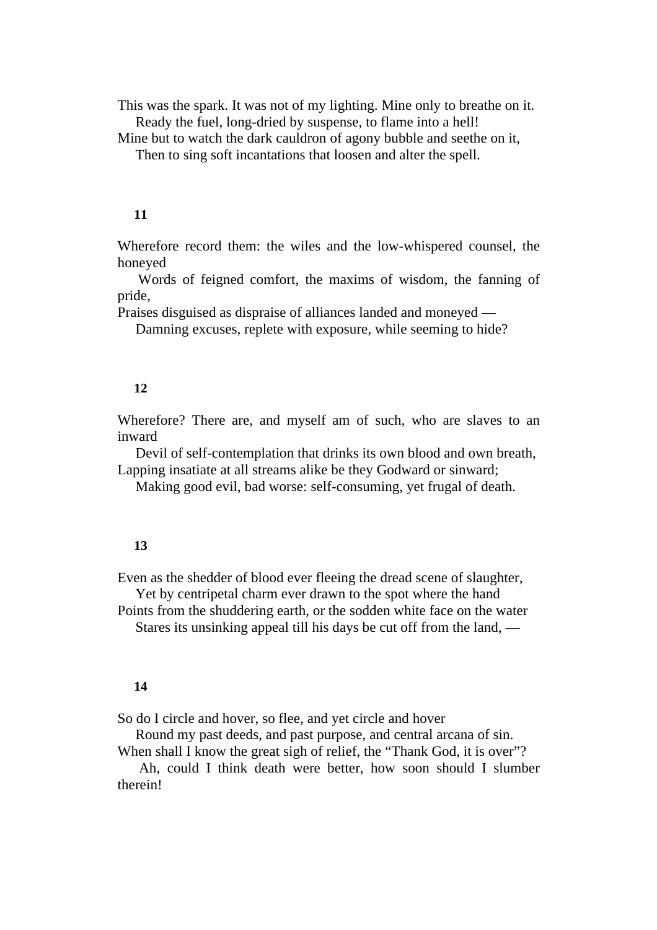This was the spark. It was not of my lighting. Mine only to breathe on it. Ready the fuel, long-dried by suspense, to flame into a hell!

Mine but to watch the dark cauldron of agony bubble and seethe on it,

Then to sing soft incantations that loosen and alter the spell.

## **11**

Wherefore record them: the wiles and the low-whispered counsel, the honeyed

 Words of feigned comfort, the maxims of wisdom, the fanning of pride,

Praises disguised as dispraise of alliances landed and moneyed —

Damning excuses, replete with exposure, while seeming to hide?

### **12**

Wherefore? There are, and myself am of such, who are slaves to an inward

 Devil of self-contemplation that drinks its own blood and own breath, Lapping insatiate at all streams alike be they Godward or sinward;

Making good evil, bad worse: self-consuming, yet frugal of death.

#### **13**

Even as the shedder of blood ever fleeing the dread scene of slaughter, Yet by centripetal charm ever drawn to the spot where the hand

Points from the shuddering earth, or the sodden white face on the water

Stares its unsinking appeal till his days be cut off from the land, —

### **14**

So do I circle and hover, so flee, and yet circle and hover

 Round my past deeds, and past purpose, and central arcana of sin. When shall I know the great sigh of relief, the "Thank God, it is over"?

 Ah, could I think death were better, how soon should I slumber therein!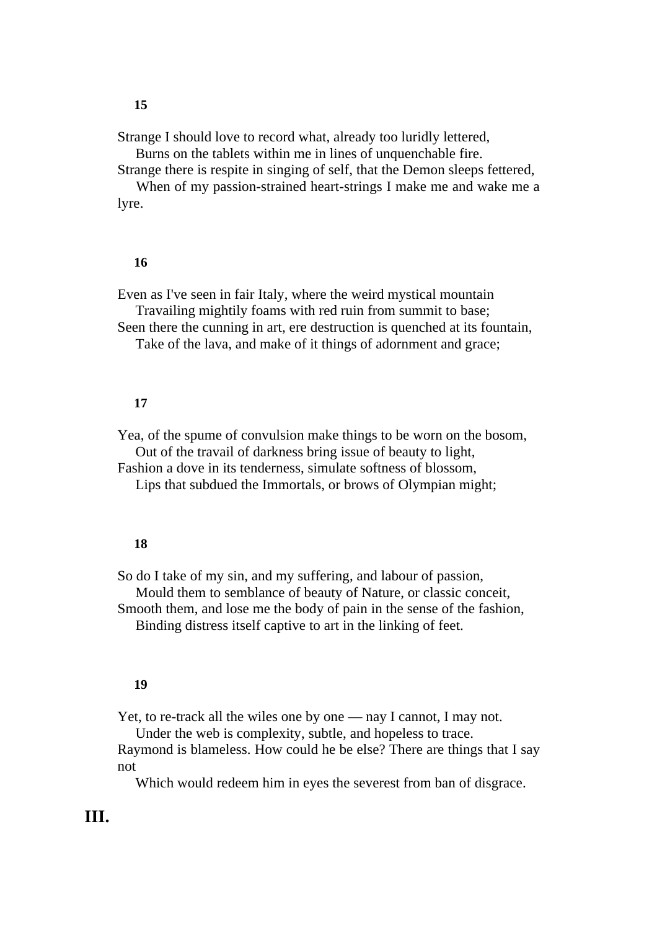Strange I should love to record what, already too luridly lettered,

Burns on the tablets within me in lines of unquenchable fire.

Strange there is respite in singing of self, that the Demon sleeps fettered, When of my passion-strained heart-strings I make me and wake me a

lyre.

## **16**

Even as I've seen in fair Italy, where the weird mystical mountain Travailing mightily foams with red ruin from summit to base;

Seen there the cunning in art, ere destruction is quenched at its fountain, Take of the lava, and make of it things of adornment and grace;

## **17**

Yea, of the spume of convulsion make things to be worn on the bosom, Out of the travail of darkness bring issue of beauty to light,

Fashion a dove in its tenderness, simulate softness of blossom,

Lips that subdued the Immortals, or brows of Olympian might;

#### **18**

So do I take of my sin, and my suffering, and labour of passion,

Mould them to semblance of beauty of Nature, or classic conceit,

Smooth them, and lose me the body of pain in the sense of the fashion, Binding distress itself captive to art in the linking of feet.

#### **19**

Yet, to re-track all the wiles one by one — nay I cannot, I may not.

Under the web is complexity, subtle, and hopeless to trace.

Raymond is blameless. How could he be else? There are things that I say not

Which would redeem him in eyes the severest from ban of disgrace.

# **III.**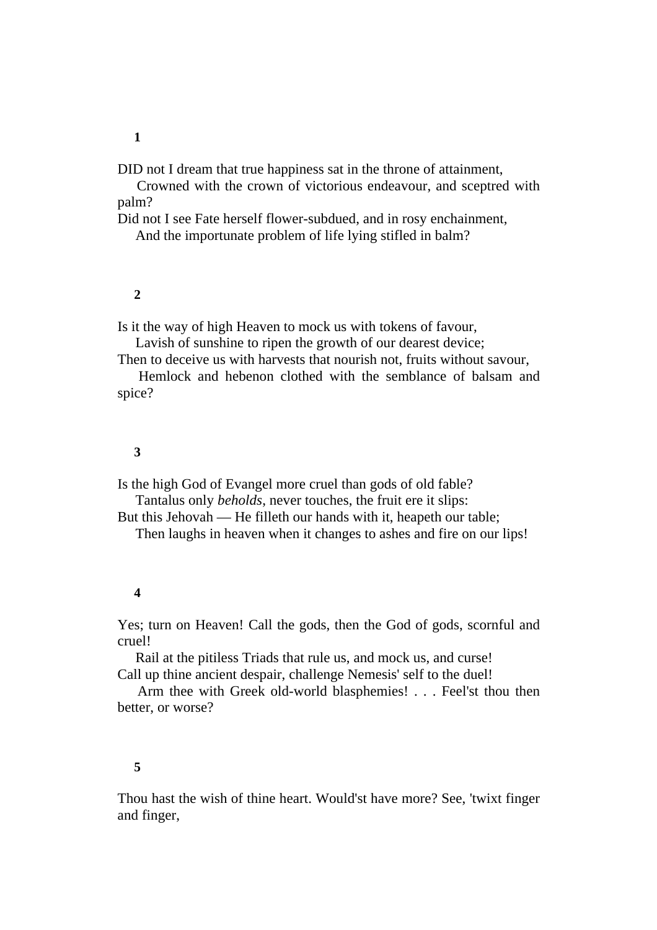DID not I dream that true happiness sat in the throne of attainment,

 Crowned with the crown of victorious endeavour, and sceptred with palm?

Did not I see Fate herself flower-subdued, and in rosy enchainment,

And the importunate problem of life lying stifled in balm?

# **2**

Is it the way of high Heaven to mock us with tokens of favour,

Lavish of sunshine to ripen the growth of our dearest device;

Then to deceive us with harvests that nourish not, fruits without savour, Hemlock and hebenon clothed with the semblance of balsam and spice?

# **3**

Is the high God of Evangel more cruel than gods of old fable? Tantalus only *beholds*, never touches, the fruit ere it slips:

But this Jehovah — He filleth our hands with it, heapeth our table; Then laughs in heaven when it changes to ashes and fire on our lips!

## **4**

Yes; turn on Heaven! Call the gods, then the God of gods, scornful and cruel!

 Rail at the pitiless Triads that rule us, and mock us, and curse! Call up thine ancient despair, challenge Nemesis' self to the duel!

 Arm thee with Greek old-world blasphemies! . . . Feel'st thou then better, or worse?

# **5**

Thou hast the wish of thine heart. Would'st have more? See, 'twixt finger and finger,

## **1**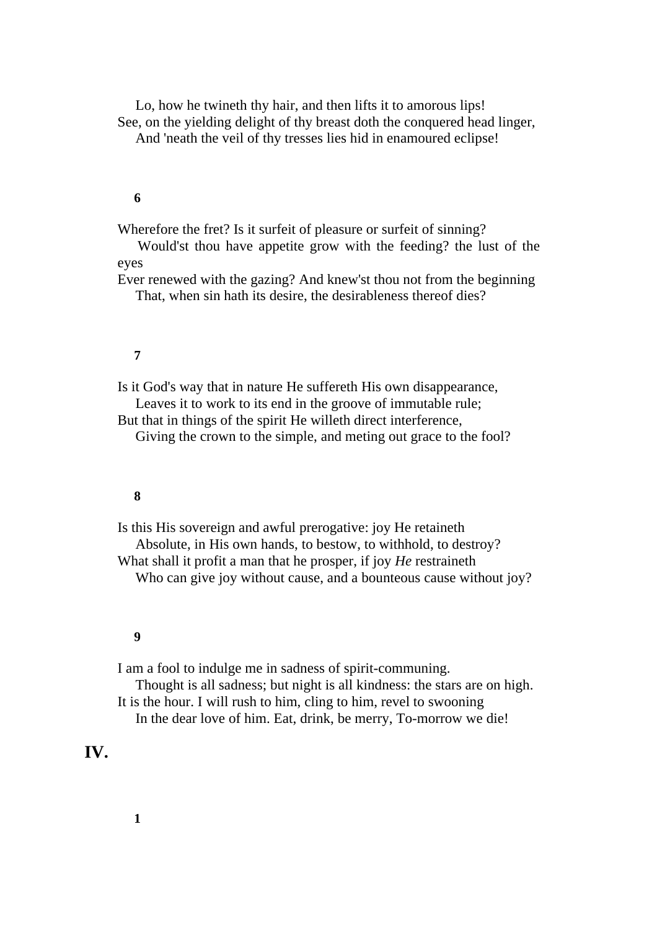Lo, how he twineth thy hair, and then lifts it to amorous lips! See, on the yielding delight of thy breast doth the conquered head linger,

And 'neath the veil of thy tresses lies hid in enamoured eclipse!

# **6**

Wherefore the fret? Is it surfeit of pleasure or surfeit of sinning?

 Would'st thou have appetite grow with the feeding? the lust of the eyes

Ever renewed with the gazing? And knew'st thou not from the beginning That, when sin hath its desire, the desirableness thereof dies?

# **7**

Is it God's way that in nature He suffereth His own disappearance, Leaves it to work to its end in the groove of immutable rule;

But that in things of the spirit He willeth direct interference,

Giving the crown to the simple, and meting out grace to the fool?

## **8**

Is this His sovereign and awful prerogative: joy He retaineth Absolute, in His own hands, to bestow, to withhold, to destroy? What shall it profit a man that he prosper, if joy *He* restraineth Who can give joy without cause, and a bounteous cause without joy?

#### **9**

I am a fool to indulge me in sadness of spirit-communing.

 Thought is all sadness; but night is all kindness: the stars are on high. It is the hour. I will rush to him, cling to him, revel to swooning In the dear love of him. Eat, drink, be merry, To-morrow we die!

# **IV.**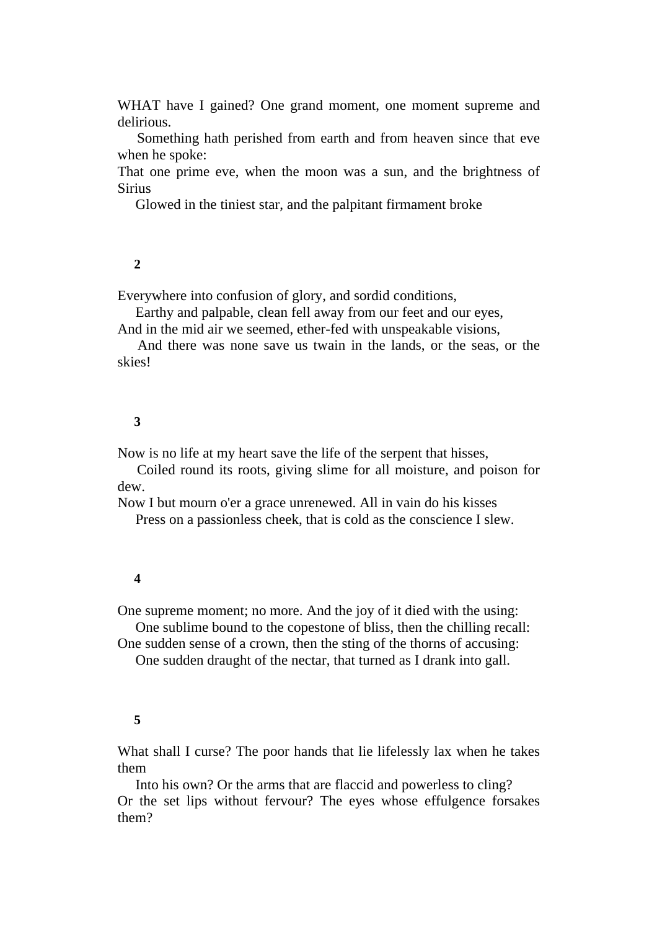WHAT have I gained? One grand moment, one moment supreme and delirious.

 Something hath perished from earth and from heaven since that eve when he spoke:

That one prime eve, when the moon was a sun, and the brightness of Sirius

Glowed in the tiniest star, and the palpitant firmament broke

## **2**

Everywhere into confusion of glory, and sordid conditions,

 Earthy and palpable, clean fell away from our feet and our eyes, And in the mid air we seemed, ether-fed with unspeakable visions,

 And there was none save us twain in the lands, or the seas, or the skies!

# **3**

Now is no life at my heart save the life of the serpent that hisses,

 Coiled round its roots, giving slime for all moisture, and poison for dew.

Now I but mourn o'er a grace unrenewed. All in vain do his kisses Press on a passionless cheek, that is cold as the conscience I slew.

#### **4**

One supreme moment; no more. And the joy of it died with the using:

One sublime bound to the copestone of bliss, then the chilling recall:

One sudden sense of a crown, then the sting of the thorns of accusing:

One sudden draught of the nectar, that turned as I drank into gall.

## **5**

What shall I curse? The poor hands that lie lifelessly lax when he takes them

 Into his own? Or the arms that are flaccid and powerless to cling? Or the set lips without fervour? The eyes whose effulgence forsakes them?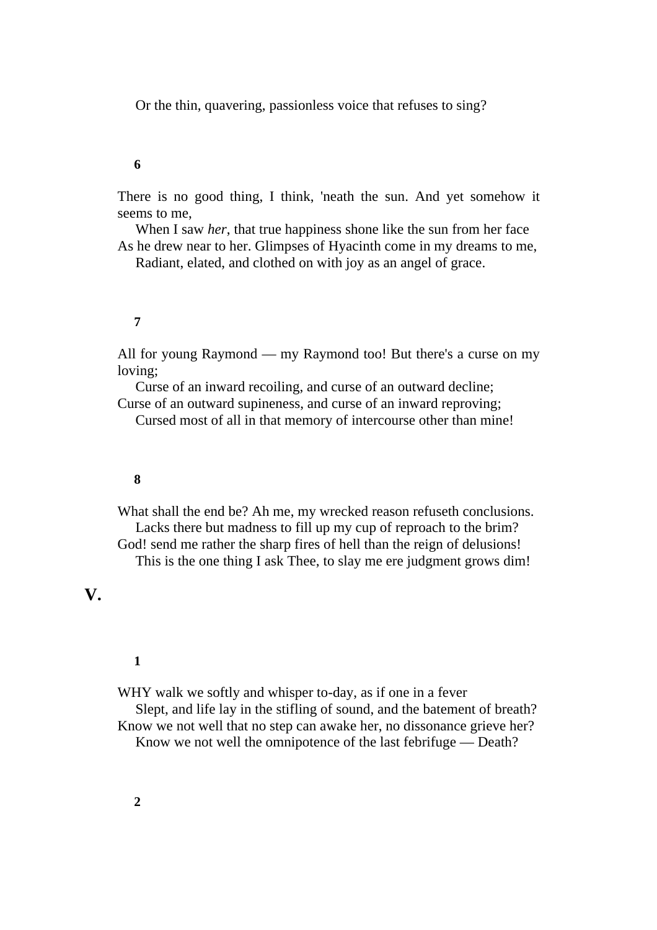Or the thin, quavering, passionless voice that refuses to sing?

## **6**

There is no good thing, I think, 'neath the sun. And yet somehow it seems to me,

 When I saw *her*, that true happiness shone like the sun from her face As he drew near to her. Glimpses of Hyacinth come in my dreams to me,

Radiant, elated, and clothed on with joy as an angel of grace.

# **7**

All for young Raymond — my Raymond too! But there's a curse on my loving;

 Curse of an inward recoiling, and curse of an outward decline; Curse of an outward supineness, and curse of an inward reproving;

Cursed most of all in that memory of intercourse other than mine!

### **8**

What shall the end be? Ah me, my wrecked reason refuseth conclusions. Lacks there but madness to fill up my cup of reproach to the brim? God! send me rather the sharp fires of hell than the reign of delusions! This is the one thing I ask Thee, to slay me ere judgment grows dim!

# **V.**

# **1**

WHY walk we softly and whisper to-day, as if one in a fever Slept, and life lay in the stifling of sound, and the batement of breath? Know we not well that no step can awake her, no dissonance grieve her? Know we not well the omnipotence of the last febrifuge — Death?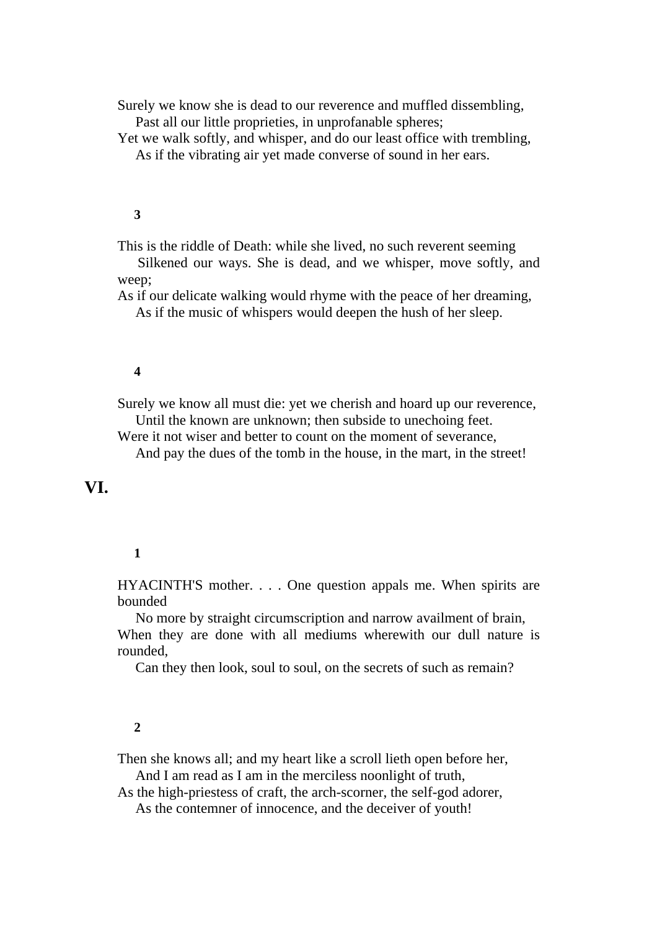Surely we know she is dead to our reverence and muffled dissembling, Past all our little proprieties, in unprofanable spheres;

Yet we walk softly, and whisper, and do our least office with trembling, As if the vibrating air yet made converse of sound in her ears.

# **3**

This is the riddle of Death: while she lived, no such reverent seeming

 Silkened our ways. She is dead, and we whisper, move softly, and weep;

As if our delicate walking would rhyme with the peace of her dreaming, As if the music of whispers would deepen the hush of her sleep.

# **4**

Surely we know all must die: yet we cherish and hoard up our reverence, Until the known are unknown; then subside to unechoing feet.

Were it not wiser and better to count on the moment of severance,

And pay the dues of the tomb in the house, in the mart, in the street!

# **VI.**

# **1**

HYACINTH'S mother. . . . One question appals me. When spirits are bounded

 No more by straight circumscription and narrow availment of brain, When they are done with all mediums wherewith our dull nature is rounded,

Can they then look, soul to soul, on the secrets of such as remain?

## **2**

Then she knows all; and my heart like a scroll lieth open before her, And I am read as I am in the merciless noonlight of truth,

As the high-priestess of craft, the arch-scorner, the self-god adorer, As the contemner of innocence, and the deceiver of youth!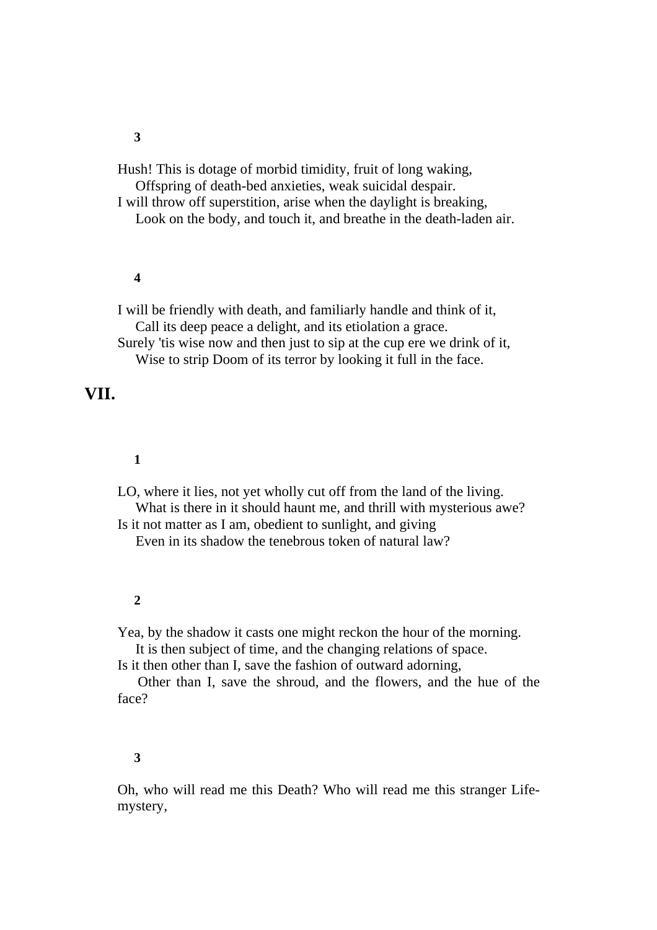Hush! This is dotage of morbid timidity, fruit of long waking, Offspring of death-bed anxieties, weak suicidal despair.

I will throw off superstition, arise when the daylight is breaking, Look on the body, and touch it, and breathe in the death-laden air.

# **4**

I will be friendly with death, and familiarly handle and think of it, Call its deep peace a delight, and its etiolation a grace.

Surely 'tis wise now and then just to sip at the cup ere we drink of it, Wise to strip Doom of its terror by looking it full in the face.

# **VII.**

# **1**

LO, where it lies, not yet wholly cut off from the land of the living. What is there in it should haunt me, and thrill with mysterious awe? Is it not matter as I am, obedient to sunlight, and giving Even in its shadow the tenebrous token of natural law?

## **2**

Yea, by the shadow it casts one might reckon the hour of the morning.

It is then subject of time, and the changing relations of space.

Is it then other than I, save the fashion of outward adorning,

 Other than I, save the shroud, and the flowers, and the hue of the face?

## **3**

Oh, who will read me this Death? Who will read me this stranger Lifemystery,

### **3**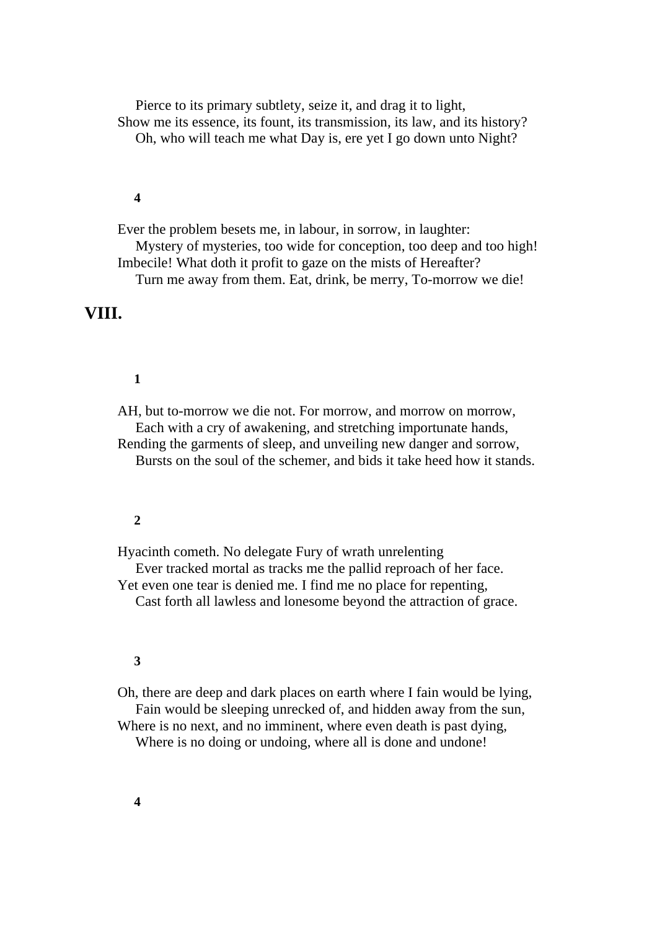Pierce to its primary subtlety, seize it, and drag it to light, Show me its essence, its fount, its transmission, its law, and its history? Oh, who will teach me what Day is, ere yet I go down unto Night?

# **4**

Ever the problem besets me, in labour, in sorrow, in laughter: Mystery of mysteries, too wide for conception, too deep and too high! Imbecile! What doth it profit to gaze on the mists of Hereafter? Turn me away from them. Eat, drink, be merry, To-morrow we die!

# **VIII.**

# **1**

AH, but to-morrow we die not. For morrow, and morrow on morrow, Each with a cry of awakening, and stretching importunate hands,

Rending the garments of sleep, and unveiling new danger and sorrow, Bursts on the soul of the schemer, and bids it take heed how it stands.

## **2**

Hyacinth cometh. No delegate Fury of wrath unrelenting Ever tracked mortal as tracks me the pallid reproach of her face. Yet even one tear is denied me. I find me no place for repenting, Cast forth all lawless and lonesome beyond the attraction of grace.

# **3**

Oh, there are deep and dark places on earth where I fain would be lying, Fain would be sleeping unrecked of, and hidden away from the sun, Where is no next, and no imminent, where even death is past dying,

Where is no doing or undoing, where all is done and undone!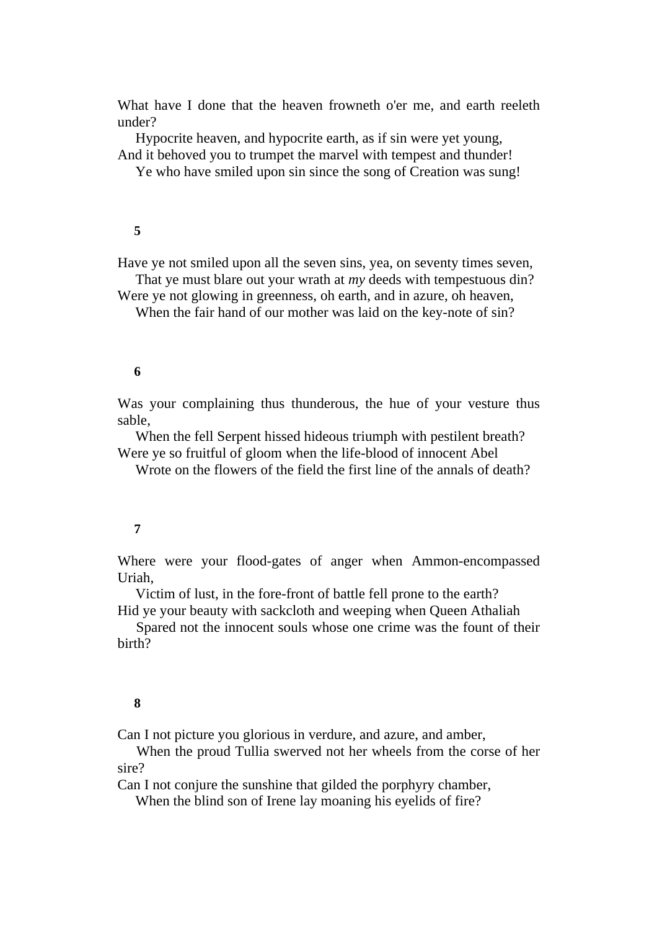What have I done that the heaven frowneth o'er me, and earth reeleth under?

 Hypocrite heaven, and hypocrite earth, as if sin were yet young, And it behoved you to trumpet the marvel with tempest and thunder!

Ye who have smiled upon sin since the song of Creation was sung!

### **5**

Have ye not smiled upon all the seven sins, yea, on seventy times seven, That ye must blare out your wrath at *my* deeds with tempestuous din?

Were ye not glowing in greenness, oh earth, and in azure, oh heaven,

When the fair hand of our mother was laid on the key-note of sin?

# **6**

Was your complaining thus thunderous, the hue of your vesture thus sable,

 When the fell Serpent hissed hideous triumph with pestilent breath? Were ye so fruitful of gloom when the life-blood of innocent Abel

Wrote on the flowers of the field the first line of the annals of death?

## **7**

Where were your flood-gates of anger when Ammon-encompassed Uriah,

 Victim of lust, in the fore-front of battle fell prone to the earth? Hid ye your beauty with sackcloth and weeping when Queen Athaliah

 Spared not the innocent souls whose one crime was the fount of their birth?

## **8**

Can I not picture you glorious in verdure, and azure, and amber,

 When the proud Tullia swerved not her wheels from the corse of her sire?

Can I not conjure the sunshine that gilded the porphyry chamber,

When the blind son of Irene lay moaning his eyelids of fire?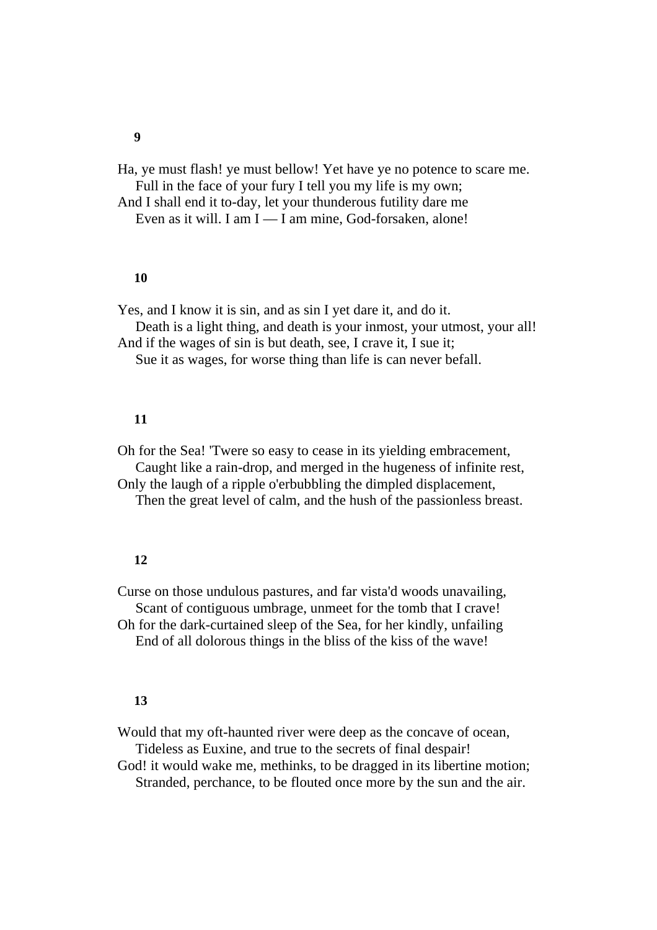Ha, ye must flash! ye must bellow! Yet have ye no potence to scare me. Full in the face of your fury I tell you my life is my own; And I shall end it to-day, let your thunderous futility dare me

Even as it will. I am I — I am mine, God-forsaken, alone!

## **10**

Yes, and I know it is sin, and as sin I yet dare it, and do it.

 Death is a light thing, and death is your inmost, your utmost, your all! And if the wages of sin is but death, see, I crave it, I sue it;

Sue it as wages, for worse thing than life is can never befall.

## **11**

Oh for the Sea! 'Twere so easy to cease in its yielding embracement, Caught like a rain-drop, and merged in the hugeness of infinite rest,

Only the laugh of a ripple o'erbubbling the dimpled displacement, Then the great level of calm, and the hush of the passionless breast.

### **12**

Curse on those undulous pastures, and far vista'd woods unavailing, Scant of contiguous umbrage, unmeet for the tomb that I crave! Oh for the dark-curtained sleep of the Sea, for her kindly, unfailing

End of all dolorous things in the bliss of the kiss of the wave!

### **13**

Would that my oft-haunted river were deep as the concave of ocean,

 Tideless as Euxine, and true to the secrets of final despair! God! it would wake me, methinks, to be dragged in its libertine motion;

Stranded, perchance, to be flouted once more by the sun and the air.

#### **9**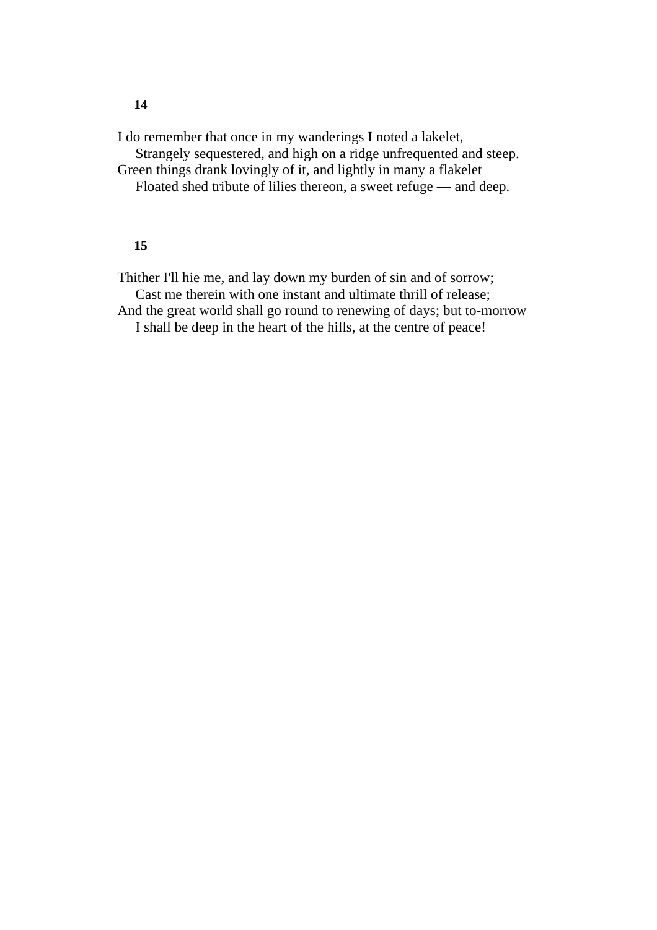I do remember that once in my wanderings I noted a lakelet,

 Strangely sequestered, and high on a ridge unfrequented and steep. Green things drank lovingly of it, and lightly in many a flakelet

Floated shed tribute of lilies thereon, a sweet refuge — and deep.

## **15**

Thither I'll hie me, and lay down my burden of sin and of sorrow;

Cast me therein with one instant and ultimate thrill of release;

And the great world shall go round to renewing of days; but to-morrow I shall be deep in the heart of the hills, at the centre of peace!

# **14**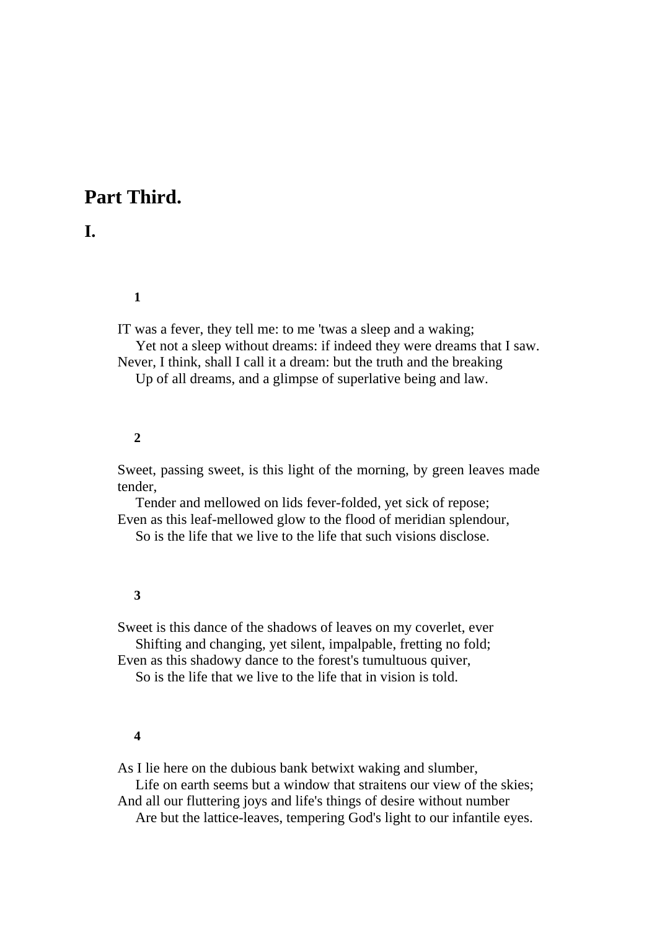# **Part Third.**

# **I.**

# **1**

IT was a fever, they tell me: to me 'twas a sleep and a waking; Yet not a sleep without dreams: if indeed they were dreams that I saw. Never, I think, shall I call it a dream: but the truth and the breaking Up of all dreams, and a glimpse of superlative being and law.

### **2**

Sweet, passing sweet, is this light of the morning, by green leaves made tender,

 Tender and mellowed on lids fever-folded, yet sick of repose; Even as this leaf-mellowed glow to the flood of meridian splendour,

So is the life that we live to the life that such visions disclose.

## **3**

Sweet is this dance of the shadows of leaves on my coverlet, ever Shifting and changing, yet silent, impalpable, fretting no fold;

Even as this shadowy dance to the forest's tumultuous quiver,

So is the life that we live to the life that in vision is told.

# **4**

As I lie here on the dubious bank betwixt waking and slumber,

 Life on earth seems but a window that straitens our view of the skies; And all our fluttering joys and life's things of desire without number

Are but the lattice-leaves, tempering God's light to our infantile eyes.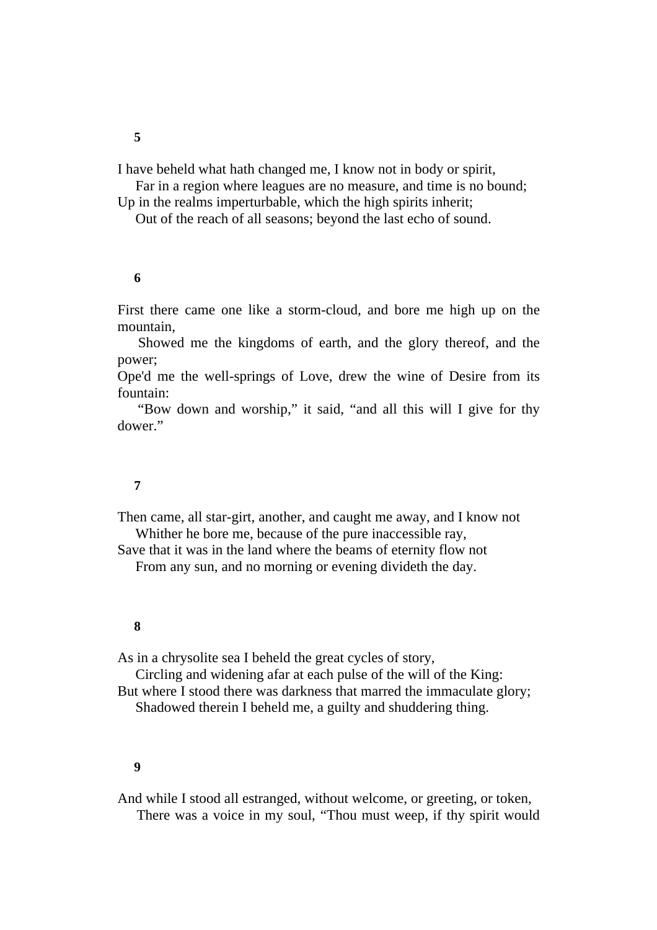Far in a region where leagues are no measure, and time is no bound; Up in the realms imperturbable, which the high spirits inherit;

Out of the reach of all seasons; beyond the last echo of sound.

# **6**

First there came one like a storm-cloud, and bore me high up on the mountain,

 Showed me the kingdoms of earth, and the glory thereof, and the power;

Ope'd me the well-springs of Love, drew the wine of Desire from its fountain:

 "Bow down and worship," it said, "and all this will I give for thy dower."

## **7**

Then came, all star-girt, another, and caught me away, and I know not Whither he bore me, because of the pure inaccessible ray,

Save that it was in the land where the beams of eternity flow not

From any sun, and no morning or evening divideth the day.

# **8**

As in a chrysolite sea I beheld the great cycles of story,

 Circling and widening afar at each pulse of the will of the King: But where I stood there was darkness that marred the immaculate glory; Shadowed therein I beheld me, a guilty and shuddering thing.

# **9**

And while I stood all estranged, without welcome, or greeting, or token, There was a voice in my soul, "Thou must weep, if thy spirit would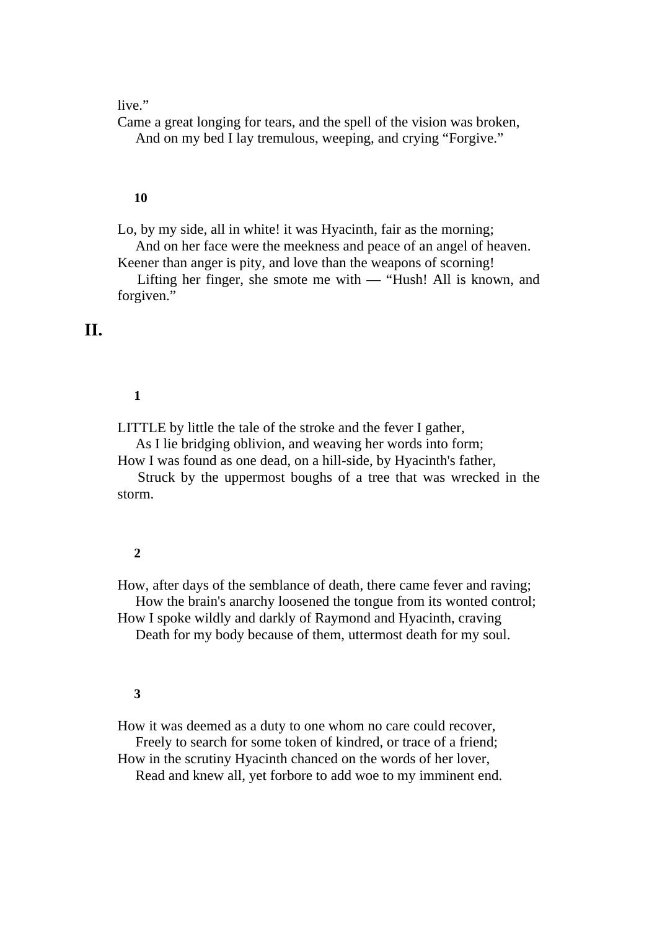## live."

Came a great longing for tears, and the spell of the vision was broken, And on my bed I lay tremulous, weeping, and crying "Forgive."

#### **10**

Lo, by my side, all in white! it was Hyacinth, fair as the morning; And on her face were the meekness and peace of an angel of heaven.

Keener than anger is pity, and love than the weapons of scorning!

 Lifting her finger, she smote me with — "Hush! All is known, and forgiven."

# **II.**

# **1**

LITTLE by little the tale of the stroke and the fever I gather,

As I lie bridging oblivion, and weaving her words into form;

How I was found as one dead, on a hill-side, by Hyacinth's father,

 Struck by the uppermost boughs of a tree that was wrecked in the storm.

#### **2**

How, after days of the semblance of death, there came fever and raving; How the brain's anarchy loosened the tongue from its wonted control;

How I spoke wildly and darkly of Raymond and Hyacinth, craving

Death for my body because of them, uttermost death for my soul.

## **3**

How it was deemed as a duty to one whom no care could recover,

Freely to search for some token of kindred, or trace of a friend;

How in the scrutiny Hyacinth chanced on the words of her lover,

Read and knew all, yet forbore to add woe to my imminent end.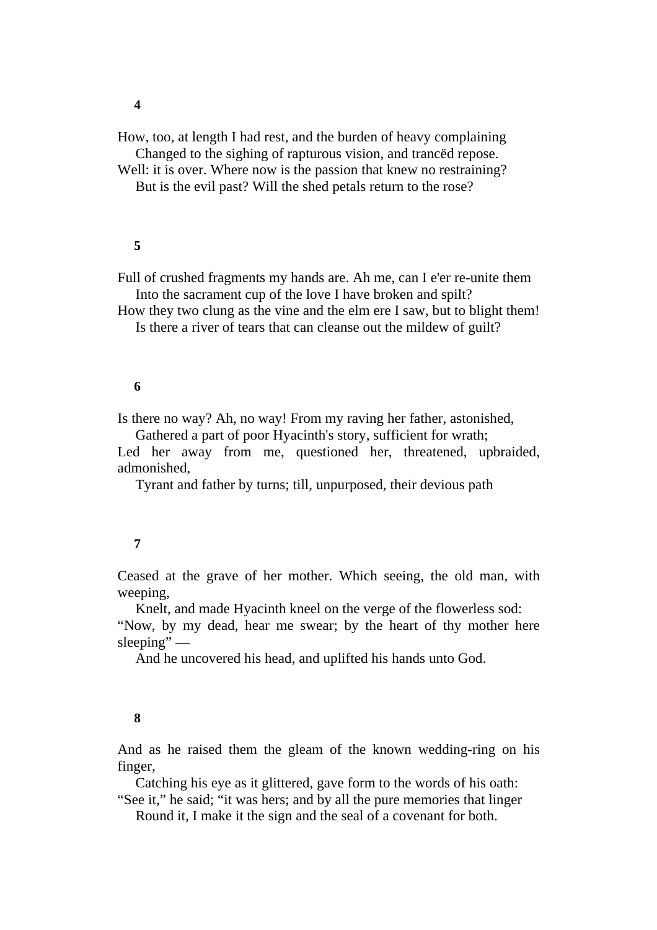**4** 

How, too, at length I had rest, and the burden of heavy complaining Changed to the sighing of rapturous vision, and trancëd repose.

Well: it is over. Where now is the passion that knew no restraining? But is the evil past? Will the shed petals return to the rose?

### **5**

Full of crushed fragments my hands are. Ah me, can I e'er re-unite them Into the sacrament cup of the love I have broken and spilt?

How they two clung as the vine and the elm ere I saw, but to blight them! Is there a river of tears that can cleanse out the mildew of guilt?

#### **6**

Is there no way? Ah, no way! From my raving her father, astonished,

Gathered a part of poor Hyacinth's story, sufficient for wrath;

Led her away from me, questioned her, threatened, upbraided, admonished,

Tyrant and father by turns; till, unpurposed, their devious path

#### **7**

Ceased at the grave of her mother. Which seeing, the old man, with weeping,

 Knelt, and made Hyacinth kneel on the verge of the flowerless sod: "Now, by my dead, hear me swear; by the heart of thy mother here sleeping" —

And he uncovered his head, and uplifted his hands unto God.

#### **8**

And as he raised them the gleam of the known wedding-ring on his finger,

 Catching his eye as it glittered, gave form to the words of his oath: "See it," he said; "it was hers; and by all the pure memories that linger

Round it, I make it the sign and the seal of a covenant for both.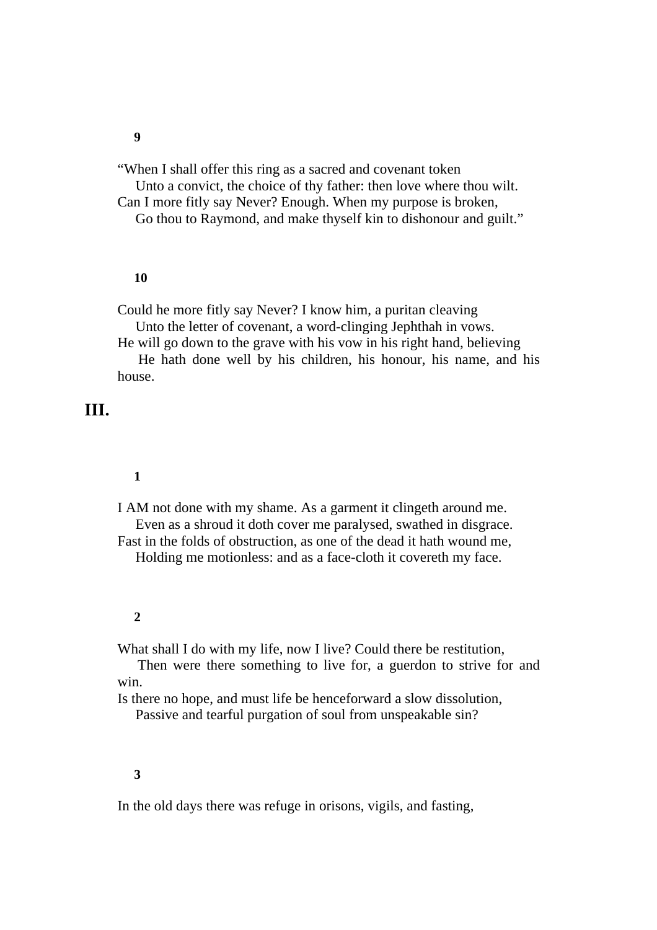"When I shall offer this ring as a sacred and covenant token Unto a convict, the choice of thy father: then love where thou wilt. Can I more fitly say Never? Enough. When my purpose is broken, Go thou to Raymond, and make thyself kin to dishonour and guilt."

# **10**

Could he more fitly say Never? I know him, a puritan cleaving Unto the letter of covenant, a word-clinging Jephthah in vows. He will go down to the grave with his vow in his right hand, believing He hath done well by his children, his honour, his name, and his house.

# **III.**

## **1**

I AM not done with my shame. As a garment it clingeth around me. Even as a shroud it doth cover me paralysed, swathed in disgrace. Fast in the folds of obstruction, as one of the dead it hath wound me, Holding me motionless: and as a face-cloth it covereth my face.

# **2**

What shall I do with my life, now I live? Could there be restitution,

 Then were there something to live for, a guerdon to strive for and win.

Is there no hope, and must life be henceforward a slow dissolution,

Passive and tearful purgation of soul from unspeakable sin?

#### **3**

In the old days there was refuge in orisons, vigils, and fasting,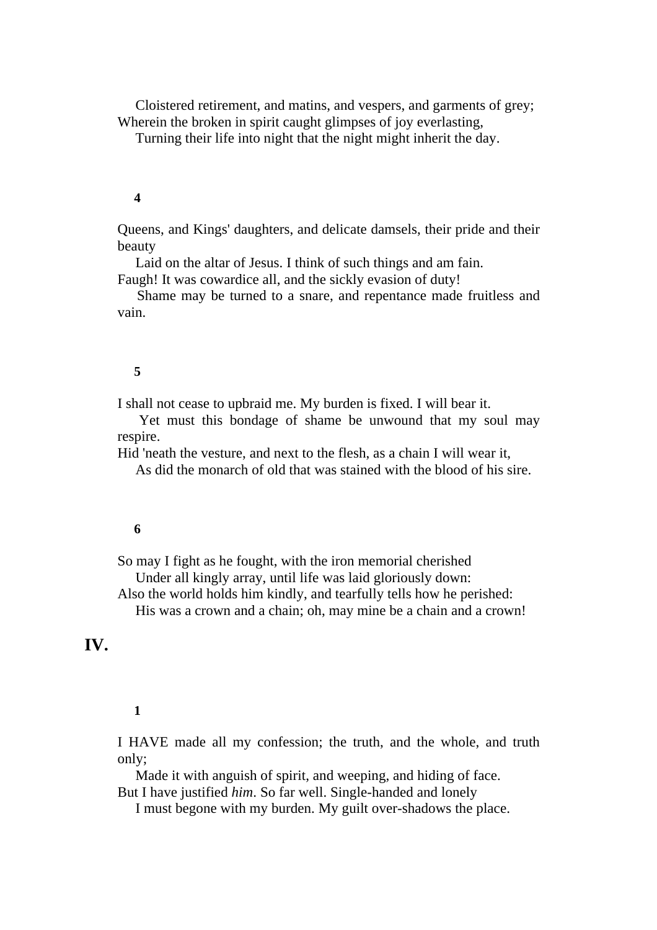Cloistered retirement, and matins, and vespers, and garments of grey; Wherein the broken in spirit caught glimpses of joy everlasting,

Turning their life into night that the night might inherit the day.

## **4**

Queens, and Kings' daughters, and delicate damsels, their pride and their beauty

 Laid on the altar of Jesus. I think of such things and am fain. Faugh! It was cowardice all, and the sickly evasion of duty!

 Shame may be turned to a snare, and repentance made fruitless and vain.

# **5**

I shall not cease to upbraid me. My burden is fixed. I will bear it.

 Yet must this bondage of shame be unwound that my soul may respire.

Hid 'neath the vesture, and next to the flesh, as a chain I will wear it,

As did the monarch of old that was stained with the blood of his sire.

## **6**

So may I fight as he fought, with the iron memorial cherished Under all kingly array, until life was laid gloriously down: Also the world holds him kindly, and tearfully tells how he perished:

His was a crown and a chain; oh, may mine be a chain and a crown!

# **IV.**

## **1**

I HAVE made all my confession; the truth, and the whole, and truth only;

 Made it with anguish of spirit, and weeping, and hiding of face. But I have justified *him*. So far well. Single-handed and lonely

I must begone with my burden. My guilt over-shadows the place.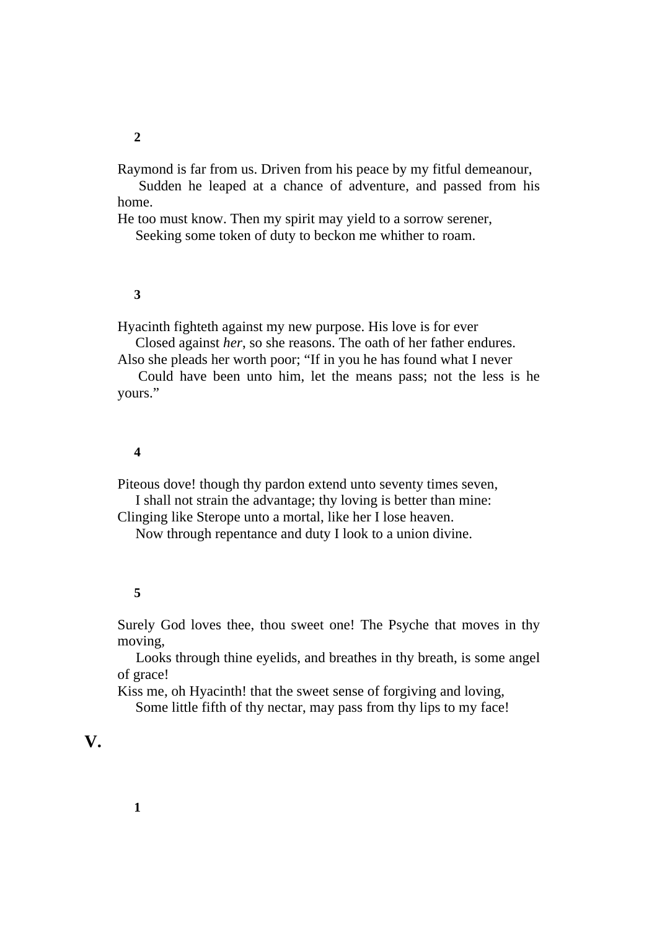Raymond is far from us. Driven from his peace by my fitful demeanour,

 Sudden he leaped at a chance of adventure, and passed from his home.

He too must know. Then my spirit may yield to a sorrow serener,

Seeking some token of duty to beckon me whither to roam.

# **3**

Hyacinth fighteth against my new purpose. His love is for ever

 Closed against *her*, so she reasons. The oath of her father endures. Also she pleads her worth poor; "If in you he has found what I never

 Could have been unto him, let the means pass; not the less is he yours."

#### **4**

Piteous dove! though thy pardon extend unto seventy times seven, I shall not strain the advantage; thy loving is better than mine:

Clinging like Sterope unto a mortal, like her I lose heaven.

Now through repentance and duty I look to a union divine.

## **5**

Surely God loves thee, thou sweet one! The Psyche that moves in thy moving,

 Looks through thine eyelids, and breathes in thy breath, is some angel of grace!

Kiss me, oh Hyacinth! that the sweet sense of forgiving and loving,

Some little fifth of thy nectar, may pass from thy lips to my face!

# **V.**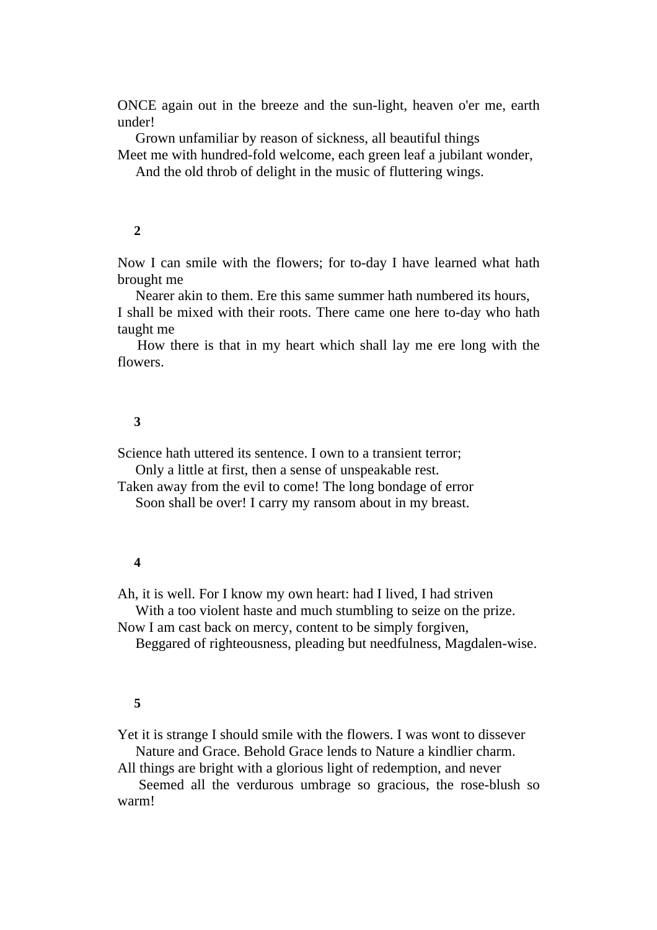ONCE again out in the breeze and the sun-light, heaven o'er me, earth under!

Grown unfamiliar by reason of sickness, all beautiful things

Meet me with hundred-fold welcome, each green leaf a jubilant wonder,

And the old throb of delight in the music of fluttering wings.

## **2**

Now I can smile with the flowers; for to-day I have learned what hath brought me

 Nearer akin to them. Ere this same summer hath numbered its hours, I shall be mixed with their roots. There came one here to-day who hath taught me

 How there is that in my heart which shall lay me ere long with the flowers.

# **3**

Science hath uttered its sentence. I own to a transient terror;

Only a little at first, then a sense of unspeakable rest.

Taken away from the evil to come! The long bondage of error Soon shall be over! I carry my ransom about in my breast.

## **4**

Ah, it is well. For I know my own heart: had I lived, I had striven

With a too violent haste and much stumbling to seize on the prize.

Now I am cast back on mercy, content to be simply forgiven,

Beggared of righteousness, pleading but needfulness, Magdalen-wise.

## **5**

Yet it is strange I should smile with the flowers. I was wont to dissever Nature and Grace. Behold Grace lends to Nature a kindlier charm.

All things are bright with a glorious light of redemption, and never

 Seemed all the verdurous umbrage so gracious, the rose-blush so warm!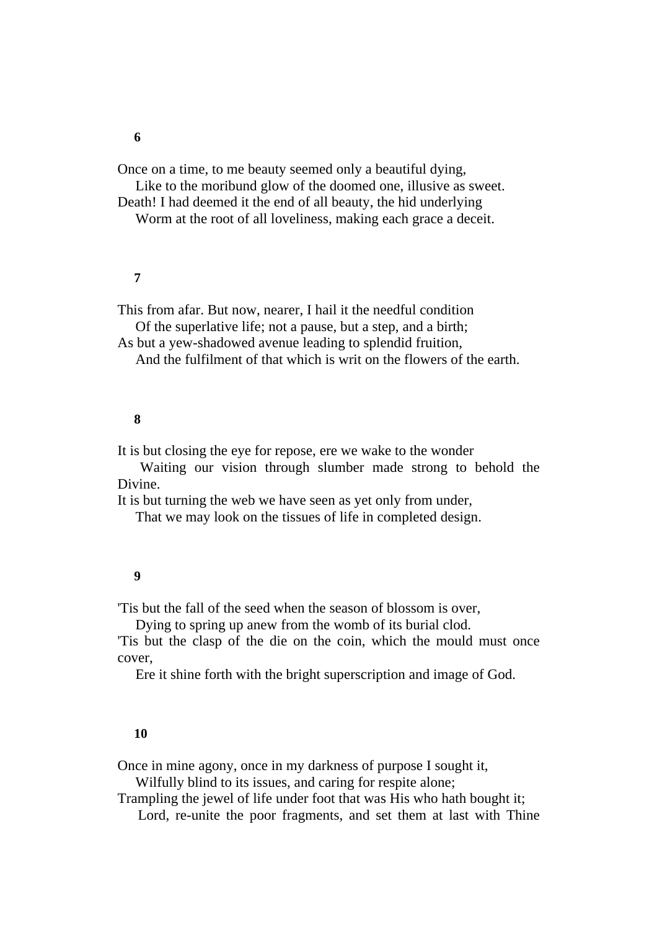Once on a time, to me beauty seemed only a beautiful dying,

 Like to the moribund glow of the doomed one, illusive as sweet. Death! I had deemed it the end of all beauty, the hid underlying

Worm at the root of all loveliness, making each grace a deceit.

# **7**

This from afar. But now, nearer, I hail it the needful condition Of the superlative life; not a pause, but a step, and a birth;

As but a yew-shadowed avenue leading to splendid fruition,

And the fulfilment of that which is writ on the flowers of the earth.

# **8**

It is but closing the eye for repose, ere we wake to the wonder

 Waiting our vision through slumber made strong to behold the Divine.

It is but turning the web we have seen as yet only from under,

That we may look on the tissues of life in completed design.

### **9**

'Tis but the fall of the seed when the season of blossom is over,

Dying to spring up anew from the womb of its burial clod.

'Tis but the clasp of the die on the coin, which the mould must once cover,

Ere it shine forth with the bright superscription and image of God.

# **10**

Once in mine agony, once in my darkness of purpose I sought it,

Wilfully blind to its issues, and caring for respite alone;

Trampling the jewel of life under foot that was His who hath bought it;

Lord, re-unite the poor fragments, and set them at last with Thine

#### **6**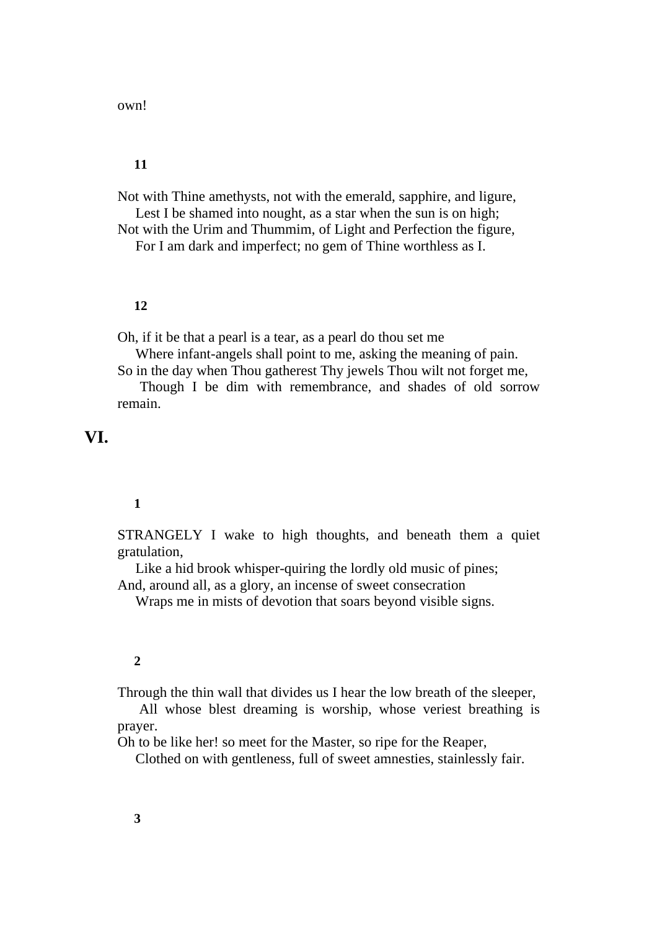## **11**

Not with Thine amethysts, not with the emerald, sapphire, and ligure, Lest I be shamed into nought, as a star when the sun is on high; Not with the Urim and Thummim, of Light and Perfection the figure,

For I am dark and imperfect; no gem of Thine worthless as I.

## **12**

Oh, if it be that a pearl is a tear, as a pearl do thou set me

 Where infant-angels shall point to me, asking the meaning of pain. So in the day when Thou gatherest Thy jewels Thou wilt not forget me,

 Though I be dim with remembrance, and shades of old sorrow remain.

# **VI.**

# **1**

STRANGELY I wake to high thoughts, and beneath them a quiet gratulation,

Like a hid brook whisper-quiring the lordly old music of pines;

And, around all, as a glory, an incense of sweet consecration

Wraps me in mists of devotion that soars beyond visible signs.

# **2**

Through the thin wall that divides us I hear the low breath of the sleeper,

 All whose blest dreaming is worship, whose veriest breathing is prayer.

Oh to be like her! so meet for the Master, so ripe for the Reaper,

Clothed on with gentleness, full of sweet amnesties, stainlessly fair.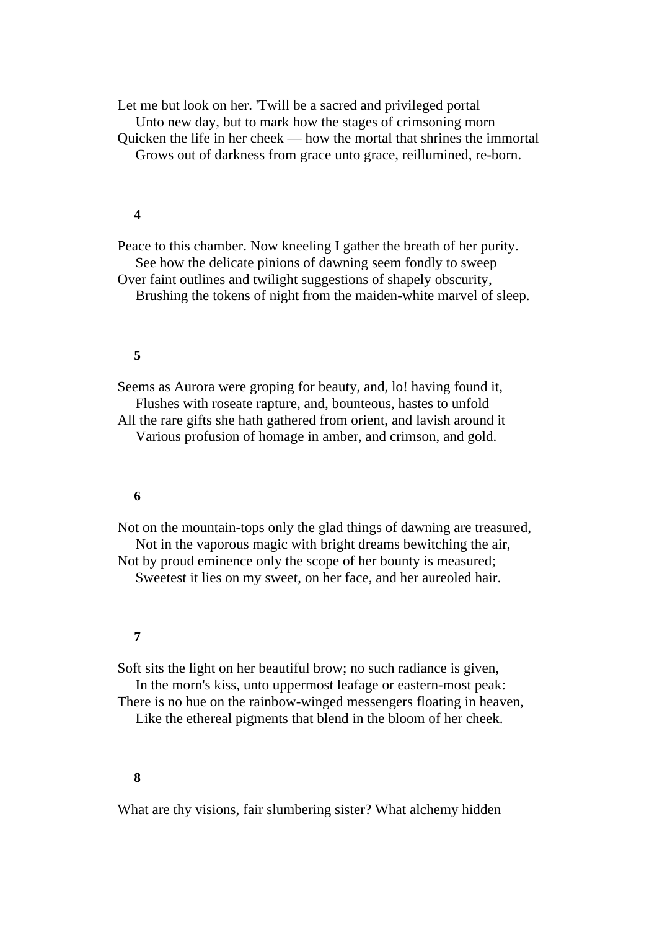Let me but look on her. 'Twill be a sacred and privileged portal

Unto new day, but to mark how the stages of crimsoning morn

Quicken the life in her cheek — how the mortal that shrines the immortal

Grows out of darkness from grace unto grace, reillumined, re-born.

# **4**

Peace to this chamber. Now kneeling I gather the breath of her purity. See how the delicate pinions of dawning seem fondly to sweep Over faint outlines and twilight suggestions of shapely obscurity,

Brushing the tokens of night from the maiden-white marvel of sleep.

# **5**

Seems as Aurora were groping for beauty, and, lo! having found it, Flushes with roseate rapture, and, bounteous, hastes to unfold All the rare gifts she hath gathered from orient, and lavish around it Various profusion of homage in amber, and crimson, and gold.

## **6**

Not on the mountain-tops only the glad things of dawning are treasured, Not in the vaporous magic with bright dreams bewitching the air, Not by proud eminence only the scope of her bounty is measured;

Sweetest it lies on my sweet, on her face, and her aureoled hair.

### **7**

Soft sits the light on her beautiful brow; no such radiance is given, In the morn's kiss, unto uppermost leafage or eastern-most peak: There is no hue on the rainbow-winged messengers floating in heaven, Like the ethereal pigments that blend in the bloom of her cheek.

#### **8**

What are thy visions, fair slumbering sister? What alchemy hidden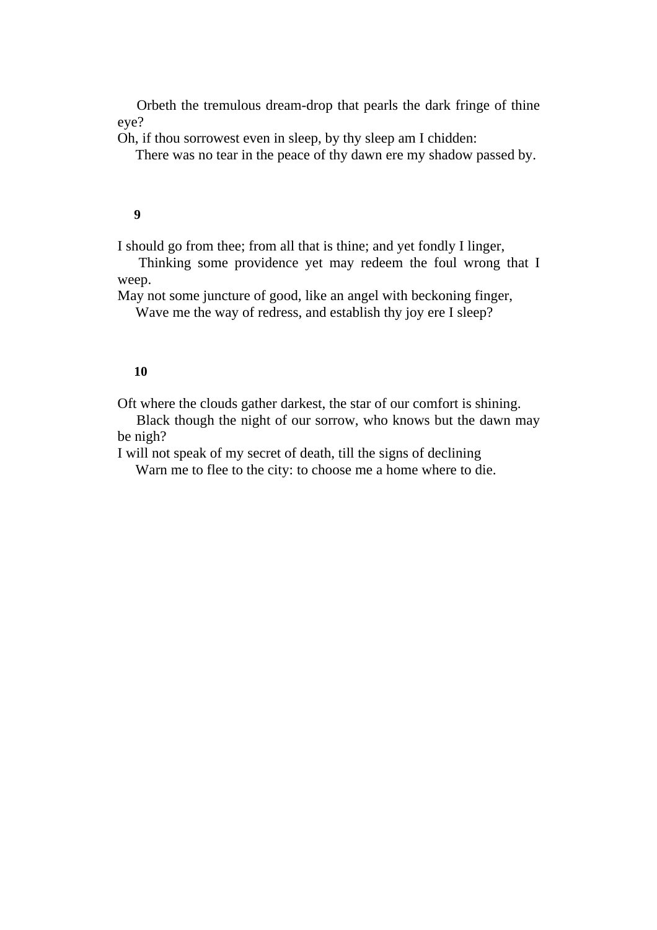Orbeth the tremulous dream-drop that pearls the dark fringe of thine eye?

Oh, if thou sorrowest even in sleep, by thy sleep am I chidden:

There was no tear in the peace of thy dawn ere my shadow passed by.

# **9**

I should go from thee; from all that is thine; and yet fondly I linger,

 Thinking some providence yet may redeem the foul wrong that I weep.

May not some juncture of good, like an angel with beckoning finger,

Wave me the way of redress, and establish thy joy ere I sleep?

# **10**

Oft where the clouds gather darkest, the star of our comfort is shining.

 Black though the night of our sorrow, who knows but the dawn may be nigh?

I will not speak of my secret of death, till the signs of declining

Warn me to flee to the city: to choose me a home where to die.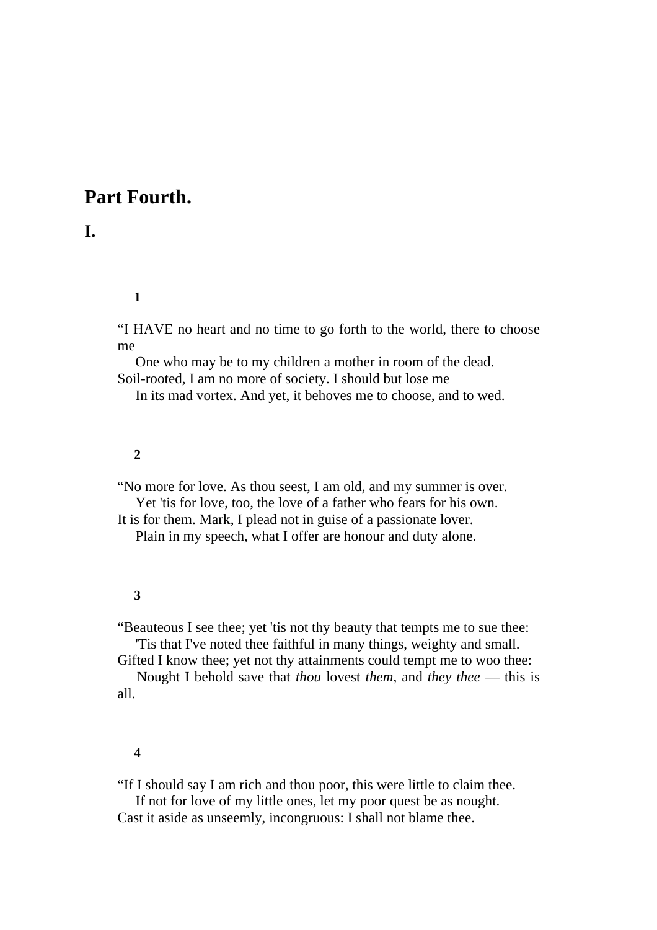# **Part Fourth.**

# **I.**

# **1**

"I HAVE no heart and no time to go forth to the world, there to choose me

 One who may be to my children a mother in room of the dead. Soil-rooted, I am no more of society. I should but lose me

In its mad vortex. And yet, it behoves me to choose, and to wed.

# **2**

"No more for love. As thou seest, I am old, and my summer is over. Yet 'tis for love, too, the love of a father who fears for his own.

It is for them. Mark, I plead not in guise of a passionate lover. Plain in my speech, what I offer are honour and duty alone.

## **3**

"Beauteous I see thee; yet 'tis not thy beauty that tempts me to sue thee: 'Tis that I've noted thee faithful in many things, weighty and small.

Gifted I know thee; yet not thy attainments could tempt me to woo thee:

 Nought I behold save that *thou* lovest *them*, and *they thee* — this is all.

# **4**

"If I should say I am rich and thou poor, this were little to claim thee.

 If not for love of my little ones, let my poor quest be as nought. Cast it aside as unseemly, incongruous: I shall not blame thee.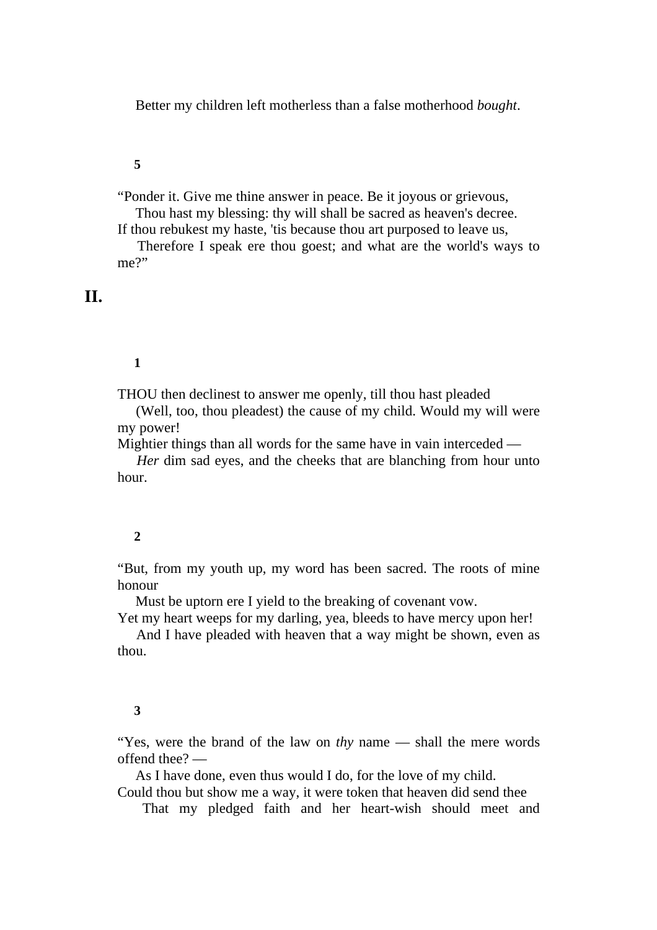Better my children left motherless than a false motherhood *bought*.

### **5**

"Ponder it. Give me thine answer in peace. Be it joyous or grievous,

Thou hast my blessing: thy will shall be sacred as heaven's decree.

If thou rebukest my haste, 'tis because thou art purposed to leave us, Therefore I speak ere thou goest; and what are the world's ways to

me?"

# **II.**

# **1**

THOU then declinest to answer me openly, till thou hast pleaded

 (Well, too, thou pleadest) the cause of my child. Would my will were my power!

Mightier things than all words for the same have in vain interceded —

 *Her* dim sad eyes, and the cheeks that are blanching from hour unto hour.

## **2**

"But, from my youth up, my word has been sacred. The roots of mine honour

Must be uptorn ere I yield to the breaking of covenant vow.

Yet my heart weeps for my darling, yea, bleeds to have mercy upon her!

 And I have pleaded with heaven that a way might be shown, even as thou.

### **3**

"Yes, were the brand of the law on *thy* name — shall the mere words offend thee? —

As I have done, even thus would I do, for the love of my child.

Could thou but show me a way, it were token that heaven did send thee That my pledged faith and her heart-wish should meet and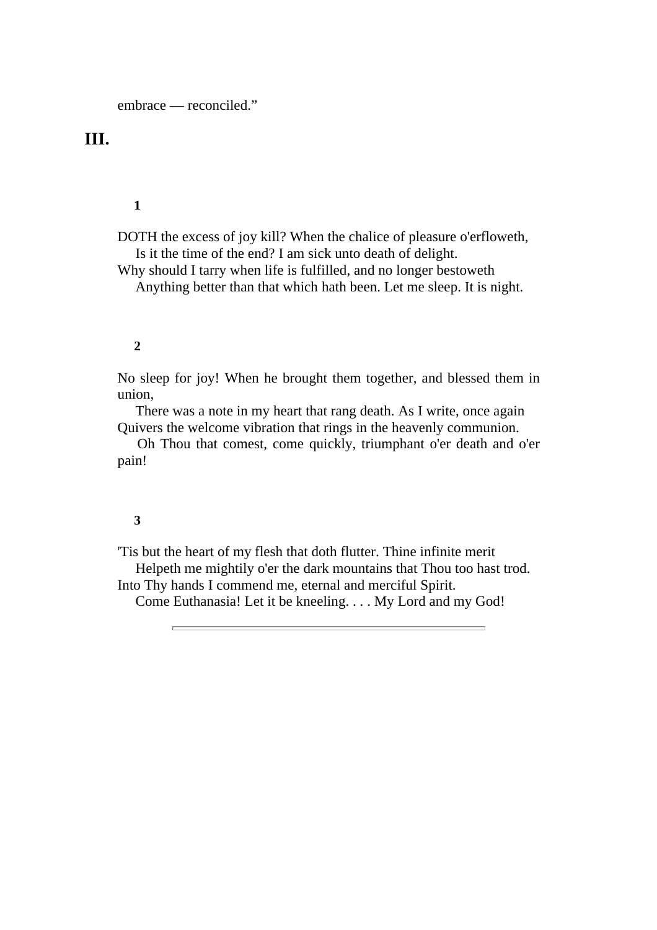embrace — reconciled."

# **III.**

# **1**

DOTH the excess of joy kill? When the chalice of pleasure o'erfloweth, Is it the time of the end? I am sick unto death of delight.

Why should I tarry when life is fulfilled, and no longer bestoweth Anything better than that which hath been. Let me sleep. It is night.

# **2**

No sleep for joy! When he brought them together, and blessed them in union,

 There was a note in my heart that rang death. As I write, once again Quivers the welcome vibration that rings in the heavenly communion.

 Oh Thou that comest, come quickly, triumphant o'er death and o'er pain!

## **3**

'Tis but the heart of my flesh that doth flutter. Thine infinite merit Helpeth me mightily o'er the dark mountains that Thou too hast trod.

Into Thy hands I commend me, eternal and merciful Spirit.

Come Euthanasia! Let it be kneeling. . . . My Lord and my God!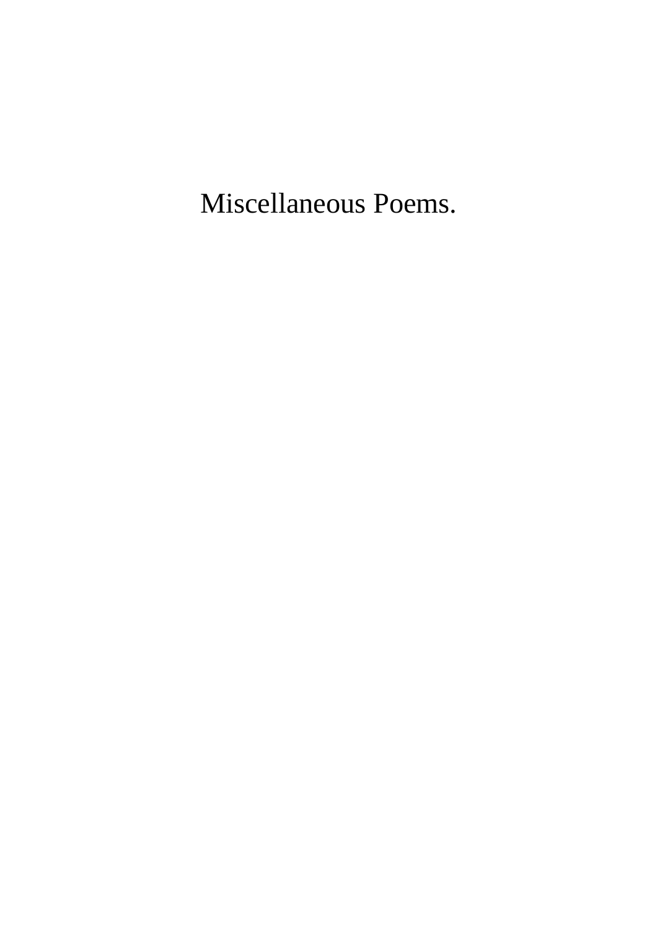Miscellaneous Poems.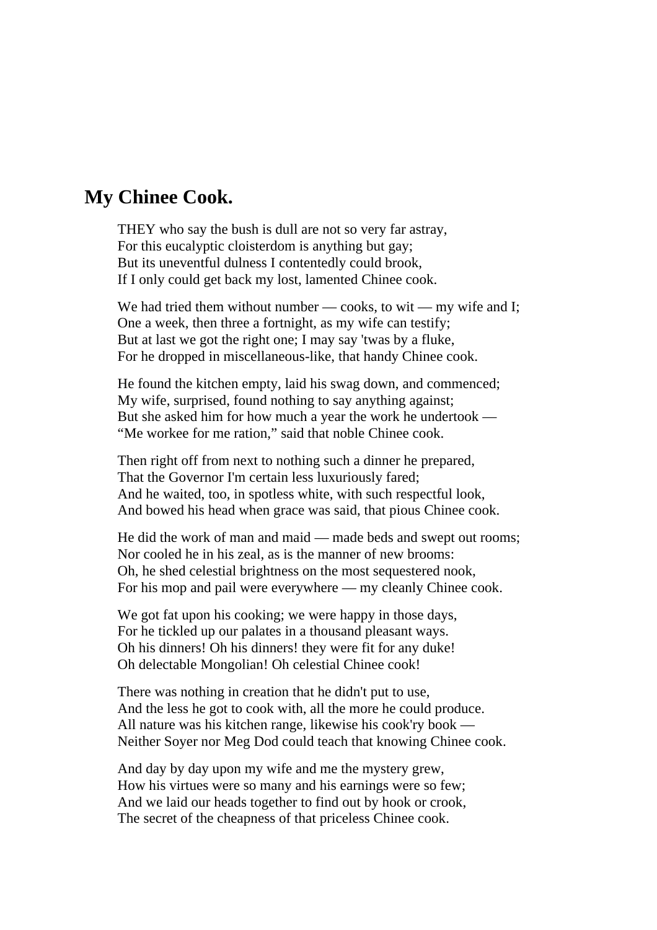# **My Chinee Cook.**

THEY who say the bush is dull are not so very far astray, For this eucalyptic cloisterdom is anything but gay; But its uneventful dulness I contentedly could brook, If I only could get back my lost, lamented Chinee cook.

We had tried them without number — cooks, to wit — my wife and I; One a week, then three a fortnight, as my wife can testify; But at last we got the right one; I may say 'twas by a fluke, For he dropped in miscellaneous-like, that handy Chinee cook.

He found the kitchen empty, laid his swag down, and commenced; My wife, surprised, found nothing to say anything against; But she asked him for how much a year the work he undertook — "Me workee for me ration," said that noble Chinee cook.

Then right off from next to nothing such a dinner he prepared, That the Governor I'm certain less luxuriously fared; And he waited, too, in spotless white, with such respectful look, And bowed his head when grace was said, that pious Chinee cook.

He did the work of man and maid — made beds and swept out rooms; Nor cooled he in his zeal, as is the manner of new brooms: Oh, he shed celestial brightness on the most sequestered nook, For his mop and pail were everywhere — my cleanly Chinee cook.

We got fat upon his cooking; we were happy in those days, For he tickled up our palates in a thousand pleasant ways. Oh his dinners! Oh his dinners! they were fit for any duke! Oh delectable Mongolian! Oh celestial Chinee cook!

There was nothing in creation that he didn't put to use, And the less he got to cook with, all the more he could produce. All nature was his kitchen range, likewise his cook'ry book — Neither Soyer nor Meg Dod could teach that knowing Chinee cook.

And day by day upon my wife and me the mystery grew, How his virtues were so many and his earnings were so few; And we laid our heads together to find out by hook or crook, The secret of the cheapness of that priceless Chinee cook.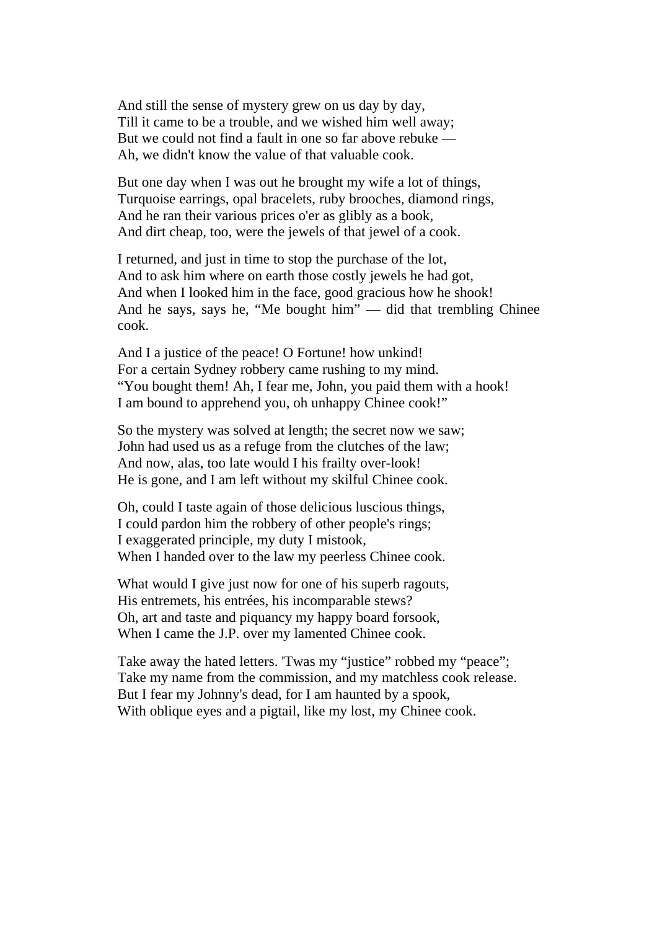And still the sense of mystery grew on us day by day, Till it came to be a trouble, and we wished him well away; But we could not find a fault in one so far above rebuke — Ah, we didn't know the value of that valuable cook.

But one day when I was out he brought my wife a lot of things, Turquoise earrings, opal bracelets, ruby brooches, diamond rings, And he ran their various prices o'er as glibly as a book, And dirt cheap, too, were the jewels of that jewel of a cook.

I returned, and just in time to stop the purchase of the lot, And to ask him where on earth those costly jewels he had got, And when I looked him in the face, good gracious how he shook! And he says, says he, "Me bought him" — did that trembling Chinee cook.

And I a justice of the peace! O Fortune! how unkind! For a certain Sydney robbery came rushing to my mind. "You bought them! Ah, I fear me, John, you paid them with a hook! I am bound to apprehend you, oh unhappy Chinee cook!"

So the mystery was solved at length; the secret now we saw; John had used us as a refuge from the clutches of the law; And now, alas, too late would I his frailty over-look! He is gone, and I am left without my skilful Chinee cook.

Oh, could I taste again of those delicious luscious things, I could pardon him the robbery of other people's rings; I exaggerated principle, my duty I mistook, When I handed over to the law my peerless Chinee cook.

What would I give just now for one of his superb ragouts, His entremets, his entrées, his incomparable stews? Oh, art and taste and piquancy my happy board forsook, When I came the J.P. over my lamented Chinee cook.

Take away the hated letters. 'Twas my "justice" robbed my "peace"; Take my name from the commission, and my matchless cook release. But I fear my Johnny's dead, for I am haunted by a spook, With oblique eyes and a pigtail, like my lost, my Chinee cook.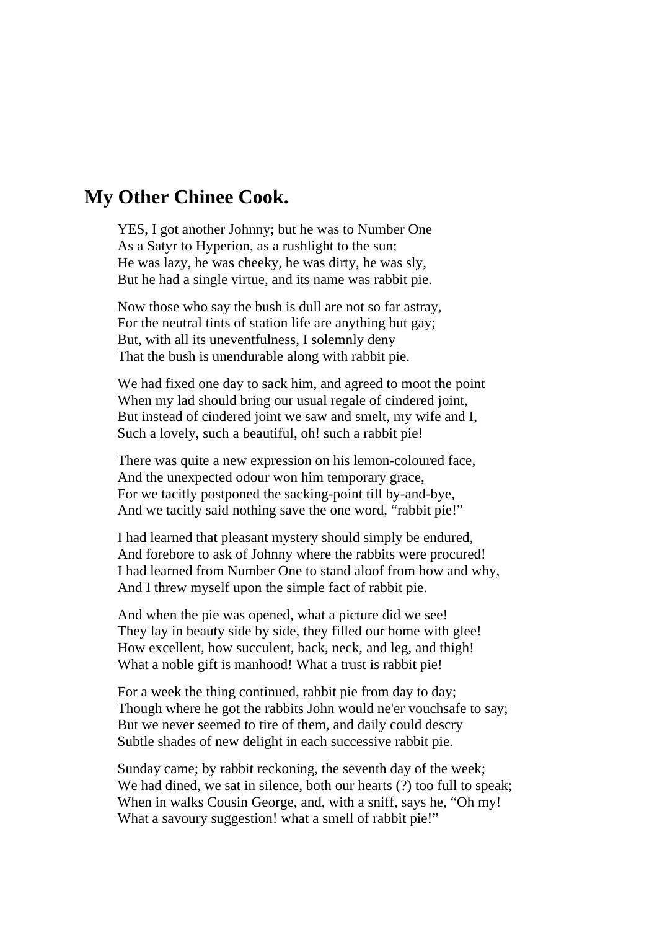# **My Other Chinee Cook.**

YES, I got another Johnny; but he was to Number One As a Satyr to Hyperion, as a rushlight to the sun; He was lazy, he was cheeky, he was dirty, he was sly, But he had a single virtue, and its name was rabbit pie.

Now those who say the bush is dull are not so far astray, For the neutral tints of station life are anything but gay; But, with all its uneventfulness, I solemnly deny That the bush is unendurable along with rabbit pie.

We had fixed one day to sack him, and agreed to moot the point When my lad should bring our usual regale of cindered joint, But instead of cindered joint we saw and smelt, my wife and I, Such a lovely, such a beautiful, oh! such a rabbit pie!

There was quite a new expression on his lemon-coloured face, And the unexpected odour won him temporary grace, For we tacitly postponed the sacking-point till by-and-bye, And we tacitly said nothing save the one word, "rabbit pie!"

I had learned that pleasant mystery should simply be endured, And forebore to ask of Johnny where the rabbits were procured! I had learned from Number One to stand aloof from how and why, And I threw myself upon the simple fact of rabbit pie.

And when the pie was opened, what a picture did we see! They lay in beauty side by side, they filled our home with glee! How excellent, how succulent, back, neck, and leg, and thigh! What a noble gift is manhood! What a trust is rabbit pie!

For a week the thing continued, rabbit pie from day to day; Though where he got the rabbits John would ne'er vouchsafe to say; But we never seemed to tire of them, and daily could descry Subtle shades of new delight in each successive rabbit pie.

Sunday came; by rabbit reckoning, the seventh day of the week; We had dined, we sat in silence, both our hearts (?) too full to speak; When in walks Cousin George, and, with a sniff, says he, "Oh my! What a savoury suggestion! what a smell of rabbit pie!"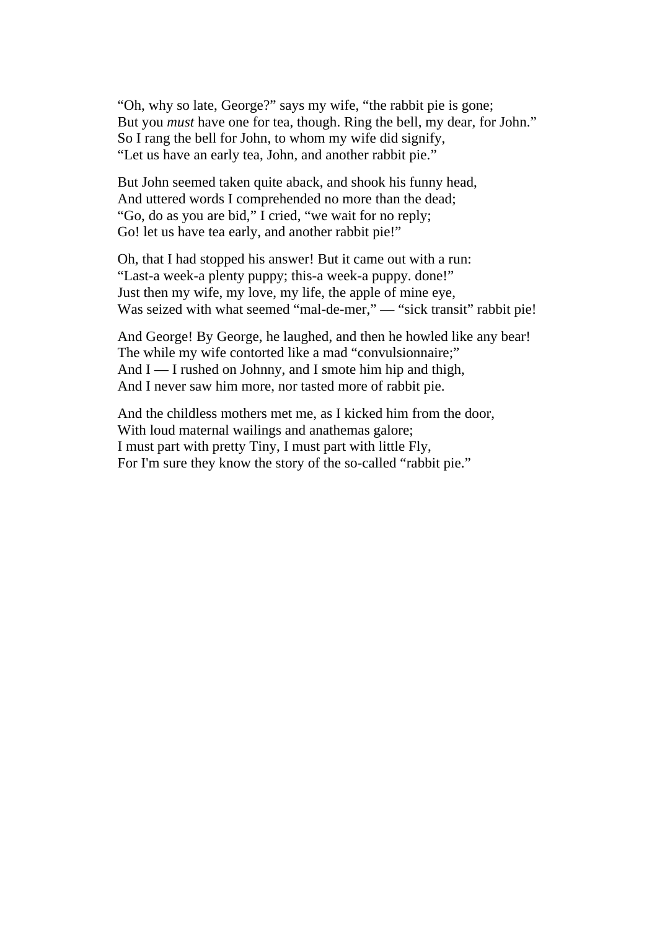"Oh, why so late, George?" says my wife, "the rabbit pie is gone; But you *must* have one for tea, though. Ring the bell, my dear, for John." So I rang the bell for John, to whom my wife did signify, "Let us have an early tea, John, and another rabbit pie."

But John seemed taken quite aback, and shook his funny head, And uttered words I comprehended no more than the dead; "Go, do as you are bid," I cried, "we wait for no reply; Go! let us have tea early, and another rabbit pie!"

Oh, that I had stopped his answer! But it came out with a run: "Last-a week-a plenty puppy; this-a week-a puppy. done!" Just then my wife, my love, my life, the apple of mine eye, Was seized with what seemed "mal-de-mer," — "sick transit" rabbit pie!

And George! By George, he laughed, and then he howled like any bear! The while my wife contorted like a mad "convulsionnaire;" And  $I - I$  rushed on Johnny, and I smote him hip and thigh, And I never saw him more, nor tasted more of rabbit pie.

And the childless mothers met me, as I kicked him from the door, With loud maternal wailings and anathemas galore; I must part with pretty Tiny, I must part with little Fly, For I'm sure they know the story of the so-called "rabbit pie."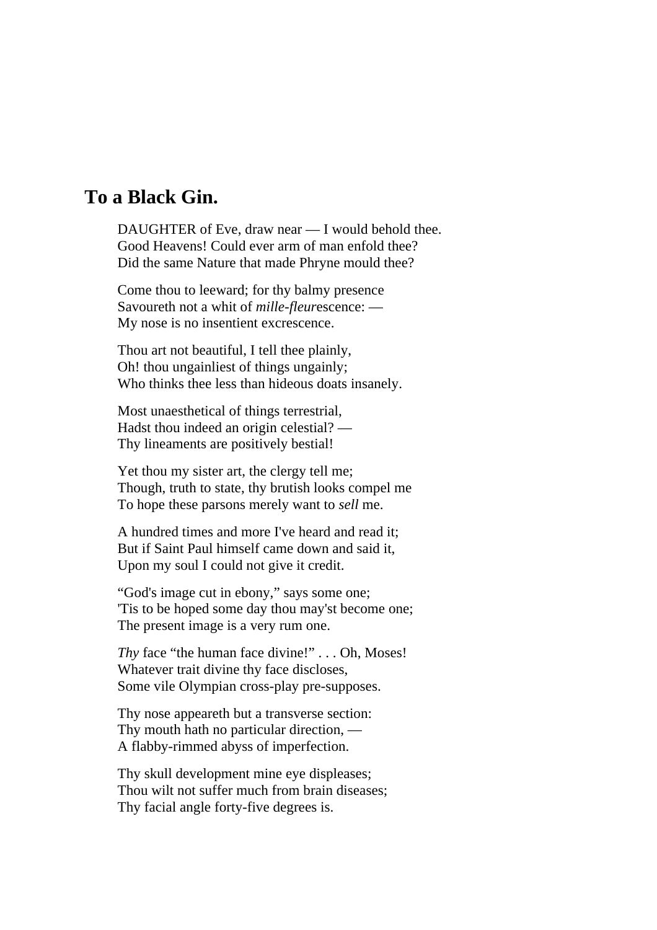# **To a Black Gin.**

DAUGHTER of Eve, draw near — I would behold thee. Good Heavens! Could ever arm of man enfold thee? Did the same Nature that made Phryne mould thee?

Come thou to leeward; for thy balmy presence Savoureth not a whit of *mille-fleur*escence: — My nose is no insentient excrescence.

Thou art not beautiful, I tell thee plainly, Oh! thou ungainliest of things ungainly; Who thinks thee less than hideous doats insanely.

Most unaesthetical of things terrestrial, Hadst thou indeed an origin celestial? — Thy lineaments are positively bestial!

Yet thou my sister art, the clergy tell me; Though, truth to state, thy brutish looks compel me To hope these parsons merely want to *sell* me.

A hundred times and more I've heard and read it; But if Saint Paul himself came down and said it, Upon my soul I could not give it credit.

"God's image cut in ebony," says some one; 'Tis to be hoped some day thou may'st become one; The present image is a very rum one.

*Thy* face "the human face divine!" . . . Oh, Moses! Whatever trait divine thy face discloses, Some vile Olympian cross-play pre-supposes.

Thy nose appeareth but a transverse section: Thy mouth hath no particular direction, — A flabby-rimmed abyss of imperfection.

Thy skull development mine eye displeases; Thou wilt not suffer much from brain diseases; Thy facial angle forty-five degrees is.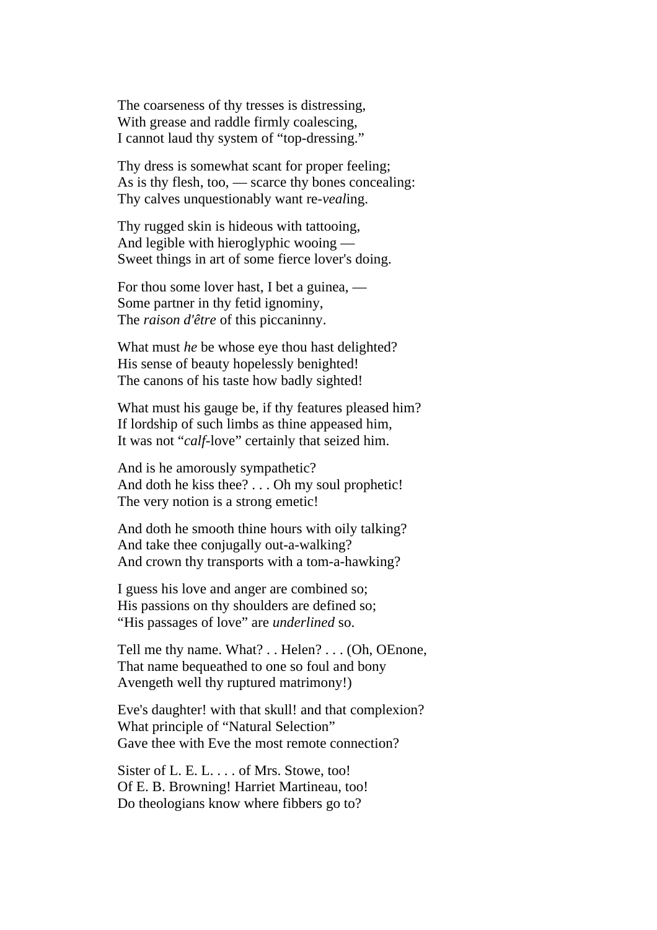The coarseness of thy tresses is distressing, With grease and raddle firmly coalescing, I cannot laud thy system of "top-dressing."

Thy dress is somewhat scant for proper feeling; As is thy flesh, too, — scarce thy bones concealing: Thy calves unquestionably want re-*veal*ing.

Thy rugged skin is hideous with tattooing, And legible with hieroglyphic wooing — Sweet things in art of some fierce lover's doing.

For thou some lover hast, I bet a guinea, — Some partner in thy fetid ignominy, The *raison d'être* of this piccaninny.

What must *he* be whose eye thou hast delighted? His sense of beauty hopelessly benighted! The canons of his taste how badly sighted!

What must his gauge be, if thy features pleased him? If lordship of such limbs as thine appeased him, It was not "*calf*-love" certainly that seized him.

And is he amorously sympathetic? And doth he kiss thee? . . . Oh my soul prophetic! The very notion is a strong emetic!

And doth he smooth thine hours with oily talking? And take thee conjugally out-a-walking? And crown thy transports with a tom-a-hawking?

I guess his love and anger are combined so; His passions on thy shoulders are defined so; "His passages of love" are *underlined* so.

Tell me thy name. What? . . Helen? . . . (Oh, OEnone, That name bequeathed to one so foul and bony Avengeth well thy ruptured matrimony!)

Eve's daughter! with that skull! and that complexion? What principle of "Natural Selection" Gave thee with Eve the most remote connection?

Sister of L. E. L. . . . of Mrs. Stowe, too! Of E. B. Browning! Harriet Martineau, too! Do theologians know where fibbers go to?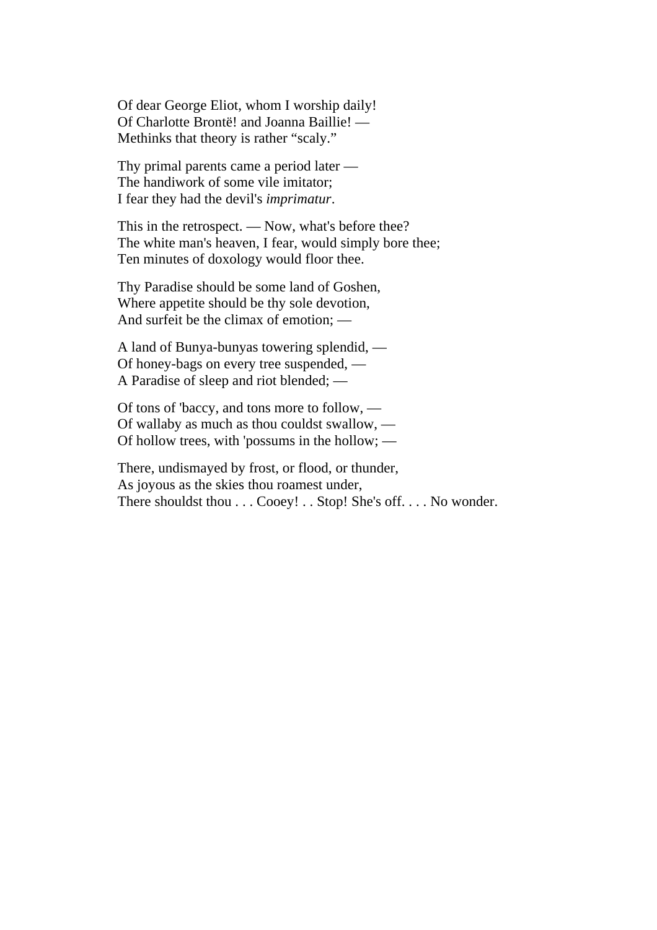Of dear George Eliot, whom I worship daily! Of Charlotte Brontë! and Joanna Baillie! — Methinks that theory is rather "scaly."

Thy primal parents came a period later — The handiwork of some vile imitator; I fear they had the devil's *imprimatur*.

This in the retrospect. — Now, what's before thee? The white man's heaven, I fear, would simply bore thee; Ten minutes of doxology would floor thee.

Thy Paradise should be some land of Goshen, Where appetite should be thy sole devotion, And surfeit be the climax of emotion; —

A land of Bunya-bunyas towering splendid, — Of honey-bags on every tree suspended, — A Paradise of sleep and riot blended; —

Of tons of 'baccy, and tons more to follow, — Of wallaby as much as thou couldst swallow, — Of hollow trees, with 'possums in the hollow; —

There, undismayed by frost, or flood, or thunder, As joyous as the skies thou roamest under, There shouldst thou . . . Cooey! . . Stop! She's off. . . . No wonder.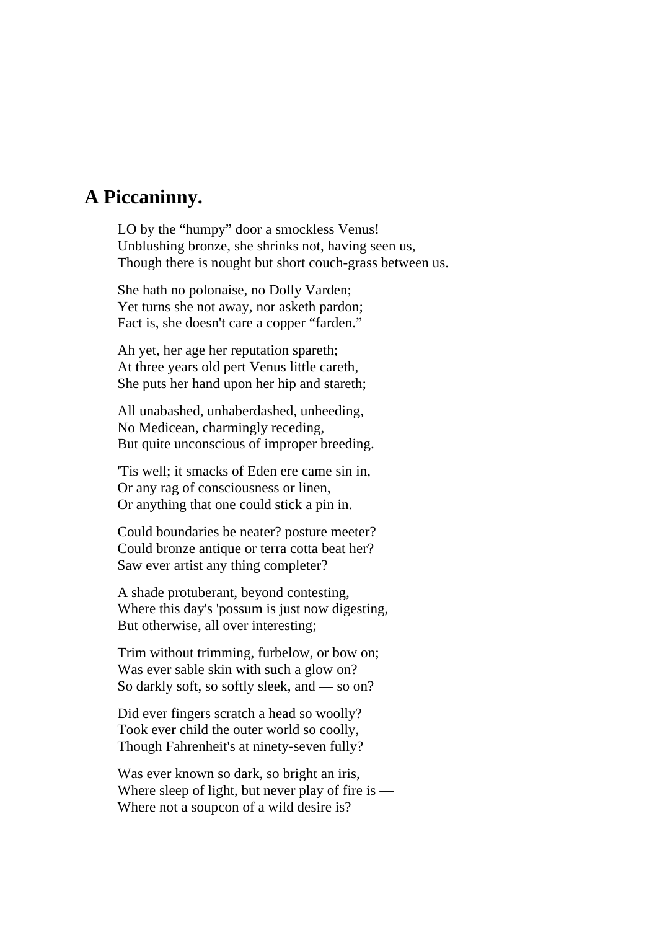# **A Piccaninny.**

LO by the "humpy" door a smockless Venus! Unblushing bronze, she shrinks not, having seen us, Though there is nought but short couch-grass between us.

She hath no polonaise, no Dolly Varden; Yet turns she not away, nor asketh pardon; Fact is, she doesn't care a copper "farden."

Ah yet, her age her reputation spareth; At three years old pert Venus little careth, She puts her hand upon her hip and stareth;

All unabashed, unhaberdashed, unheeding, No Medicean, charmingly receding, But quite unconscious of improper breeding.

'Tis well; it smacks of Eden ere came sin in, Or any rag of consciousness or linen, Or anything that one could stick a pin in.

Could boundaries be neater? posture meeter? Could bronze antique or terra cotta beat her? Saw ever artist any thing completer?

A shade protuberant, beyond contesting, Where this day's 'possum is just now digesting, But otherwise, all over interesting;

Trim without trimming, furbelow, or bow on; Was ever sable skin with such a glow on? So darkly soft, so softly sleek, and — so on?

Did ever fingers scratch a head so woolly? Took ever child the outer world so coolly, Though Fahrenheit's at ninety-seven fully?

Was ever known so dark, so bright an iris, Where sleep of light, but never play of fire is  $-$ Where not a soupcon of a wild desire is?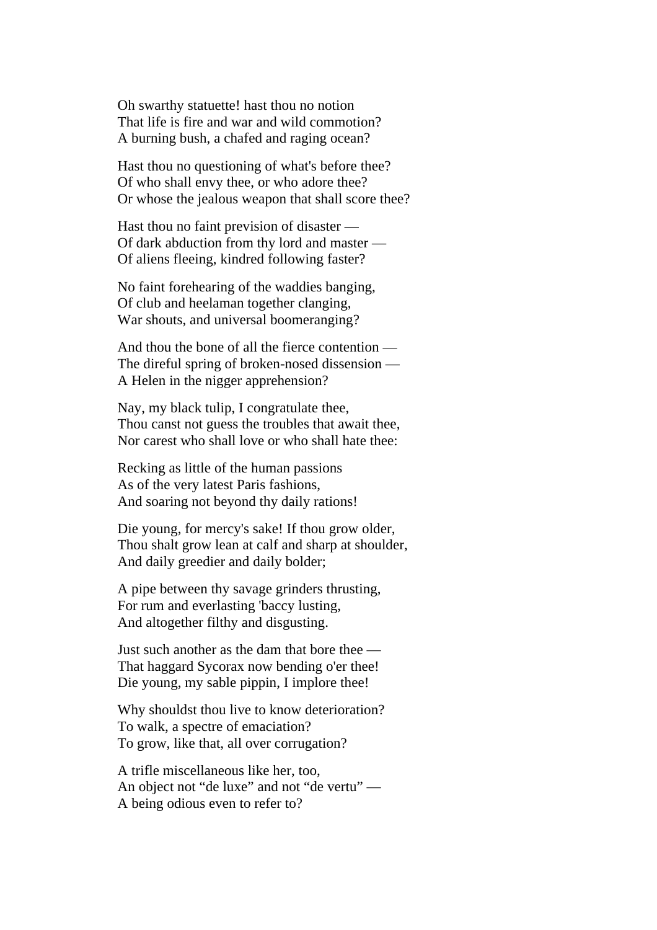Oh swarthy statuette! hast thou no notion That life is fire and war and wild commotion? A burning bush, a chafed and raging ocean?

Hast thou no questioning of what's before thee? Of who shall envy thee, or who adore thee? Or whose the jealous weapon that shall score thee?

Hast thou no faint prevision of disaster — Of dark abduction from thy lord and master — Of aliens fleeing, kindred following faster?

No faint forehearing of the waddies banging, Of club and heelaman together clanging, War shouts, and universal boomeranging?

And thou the bone of all the fierce contention — The direful spring of broken-nosed dissension — A Helen in the nigger apprehension?

Nay, my black tulip, I congratulate thee, Thou canst not guess the troubles that await thee, Nor carest who shall love or who shall hate thee:

Recking as little of the human passions As of the very latest Paris fashions, And soaring not beyond thy daily rations!

Die young, for mercy's sake! If thou grow older, Thou shalt grow lean at calf and sharp at shoulder, And daily greedier and daily bolder;

A pipe between thy savage grinders thrusting, For rum and everlasting 'baccy lusting, And altogether filthy and disgusting.

Just such another as the dam that bore thee — That haggard Sycorax now bending o'er thee! Die young, my sable pippin, I implore thee!

Why shouldst thou live to know deterioration? To walk, a spectre of emaciation? To grow, like that, all over corrugation?

A trifle miscellaneous like her, too, An object not "de luxe" and not "de vertu" — A being odious even to refer to?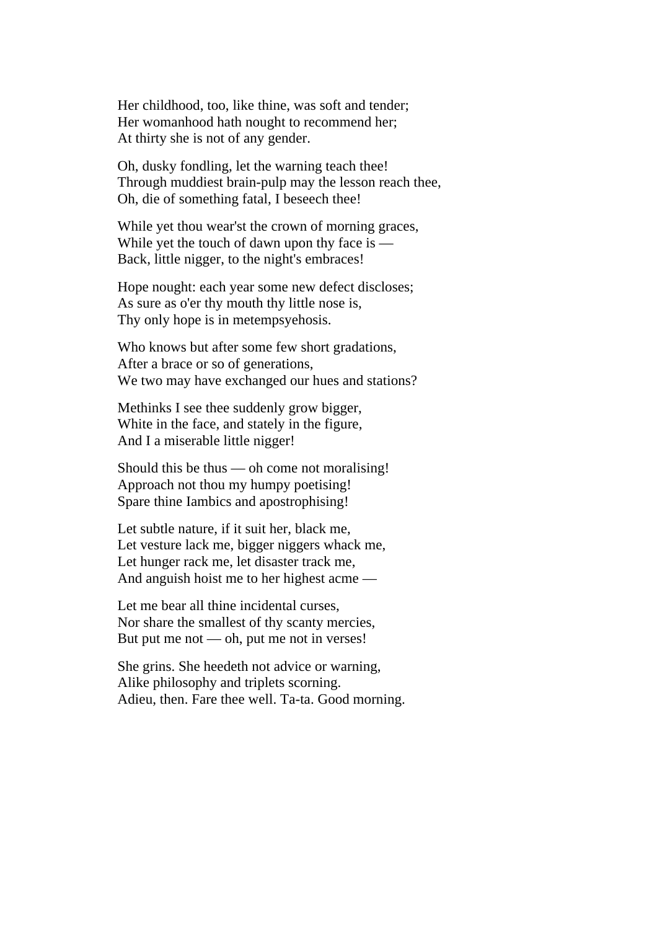Her childhood, too, like thine, was soft and tender; Her womanhood hath nought to recommend her; At thirty she is not of any gender.

Oh, dusky fondling, let the warning teach thee! Through muddiest brain-pulp may the lesson reach thee, Oh, die of something fatal, I beseech thee!

While yet thou wear'st the crown of morning graces, While yet the touch of dawn upon thy face is — Back, little nigger, to the night's embraces!

Hope nought: each year some new defect discloses; As sure as o'er thy mouth thy little nose is, Thy only hope is in metempsyehosis.

Who knows but after some few short gradations, After a brace or so of generations, We two may have exchanged our hues and stations?

Methinks I see thee suddenly grow bigger, White in the face, and stately in the figure, And I a miserable little nigger!

Should this be thus — oh come not moralising! Approach not thou my humpy poetising! Spare thine Iambics and apostrophising!

Let subtle nature, if it suit her, black me, Let vesture lack me, bigger niggers whack me, Let hunger rack me, let disaster track me, And anguish hoist me to her highest acme —

Let me bear all thine incidental curses, Nor share the smallest of thy scanty mercies, But put me not — oh, put me not in verses!

She grins. She heedeth not advice or warning, Alike philosophy and triplets scorning. Adieu, then. Fare thee well. Ta-ta. Good morning.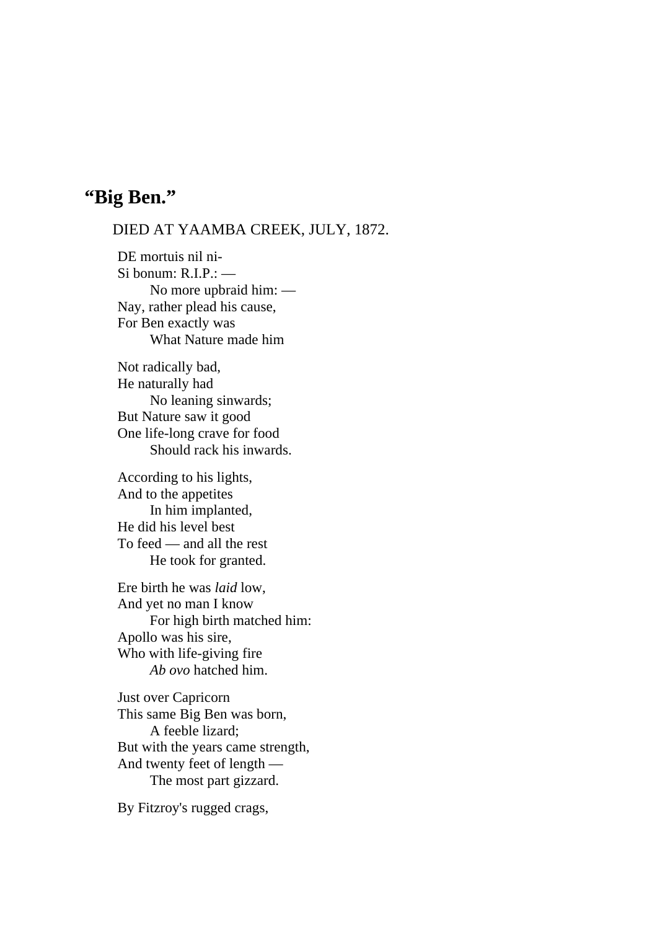## **"Big Ben."**

#### DIED AT YAAMBA CREEK, JULY, 1872.

DE mortuis nil ni-Si bonum: R.I.P.: — No more upbraid him: — Nay, rather plead his cause, For Ben exactly was What Nature made him

Not radically bad, He naturally had No leaning sinwards; But Nature saw it good One life-long crave for food Should rack his inwards.

According to his lights, And to the appetites In him implanted, He did his level best To feed — and all the rest He took for granted.

Ere birth he was *laid* low, And yet no man I know For high birth matched him: Apollo was his sire, Who with life-giving fire *Ab ovo* hatched him.

Just over Capricorn This same Big Ben was born, A feeble lizard; But with the years came strength, And twenty feet of length — The most part gizzard.

By Fitzroy's rugged crags,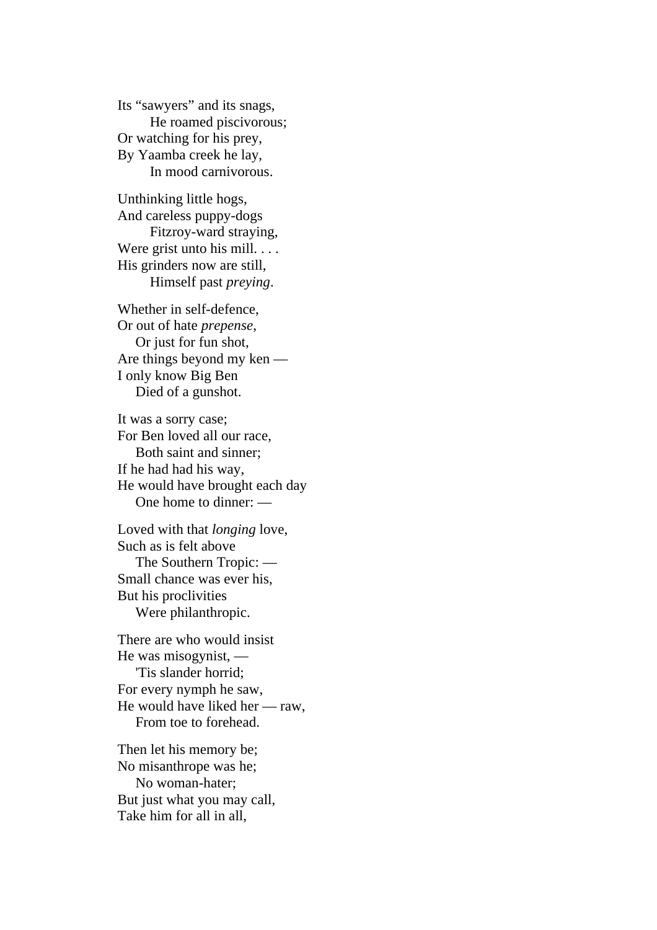Its "sawyers" and its snags, He roamed piscivorous; Or watching for his prey, By Yaamba creek he lay, In mood carnivorous.

Unthinking little hogs, And careless puppy-dogs Fitzroy-ward straying, Were grist unto his mill. . . . His grinders now are still, Himself past *preying*.

Whether in self-defence, Or out of hate *prepense*, Or just for fun shot, Are things beyond my ken — I only know Big Ben Died of a gunshot.

It was a sorry case; For Ben loved all our race, Both saint and sinner; If he had had his way, He would have brought each day One home to dinner: —

Loved with that *longing* love, Such as is felt above The Southern Tropic: — Small chance was ever his, But his proclivities Were philanthropic.

There are who would insist He was misogynist, — 'Tis slander horrid; For every nymph he saw, He would have liked her — raw, From toe to forehead.

Then let his memory be; No misanthrope was he; No woman-hater; But just what you may call, Take him for all in all,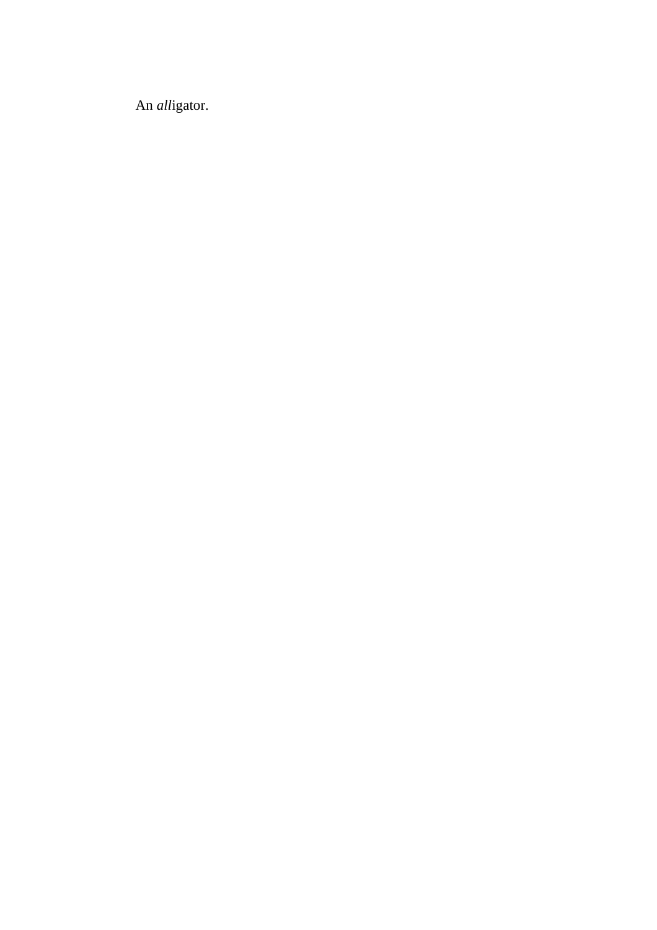An *all*igator.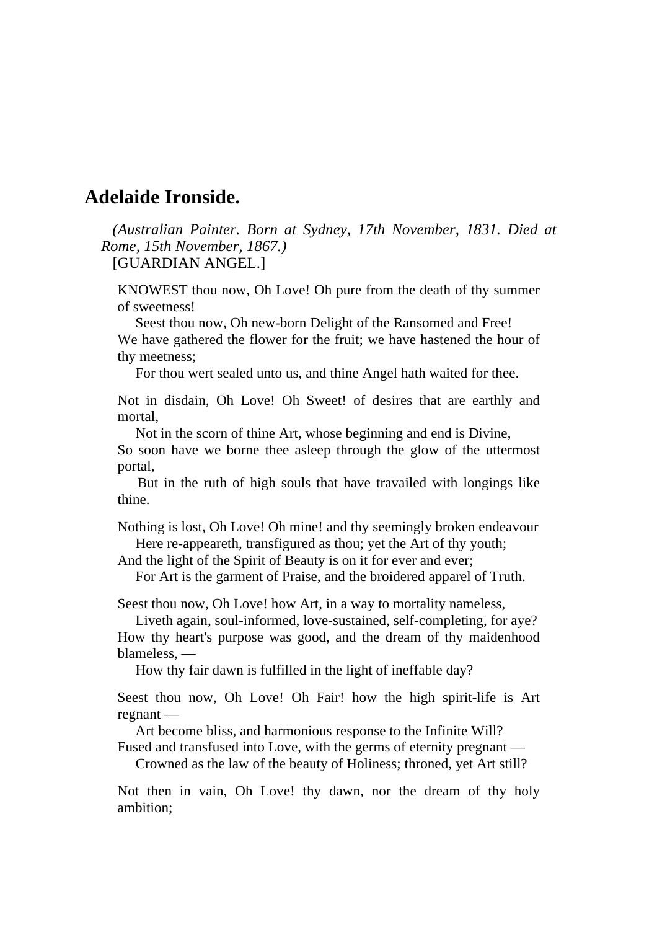# **Adelaide Ironside.**

 *(Australian Painter. Born at Sydney, 17th November, 1831. Died at Rome, 15th November, 1867.)* [GUARDIAN ANGEL.]

KNOWEST thou now, Oh Love! Oh pure from the death of thy summer of sweetness!

 Seest thou now, Oh new-born Delight of the Ransomed and Free! We have gathered the flower for the fruit; we have hastened the hour of thy meetness;

For thou wert sealed unto us, and thine Angel hath waited for thee.

Not in disdain, Oh Love! Oh Sweet! of desires that are earthly and mortal,

 Not in the scorn of thine Art, whose beginning and end is Divine, So soon have we borne thee asleep through the glow of the uttermost portal,

 But in the ruth of high souls that have travailed with longings like thine.

Nothing is lost, Oh Love! Oh mine! and thy seemingly broken endeavour Here re-appeareth, transfigured as thou; yet the Art of thy youth;

And the light of the Spirit of Beauty is on it for ever and ever;

For Art is the garment of Praise, and the broidered apparel of Truth.

Seest thou now, Oh Love! how Art, in a way to mortality nameless,

 Liveth again, soul-informed, love-sustained, self-completing, for aye? How thy heart's purpose was good, and the dream of thy maidenhood blameless, —

How thy fair dawn is fulfilled in the light of ineffable day?

Seest thou now, Oh Love! Oh Fair! how the high spirit-life is Art regnant —

 Art become bliss, and harmonious response to the Infinite Will? Fused and transfused into Love, with the germs of eternity pregnant —

Crowned as the law of the beauty of Holiness; throned, yet Art still?

Not then in vain, Oh Love! thy dawn, nor the dream of thy holy ambition;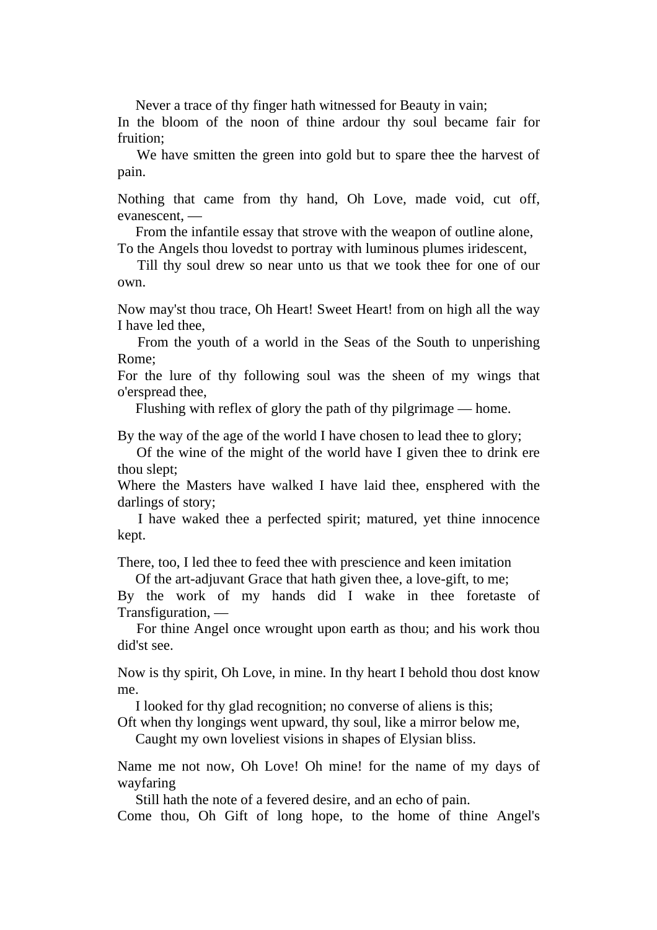Never a trace of thy finger hath witnessed for Beauty in vain;

In the bloom of the noon of thine ardour thy soul became fair for fruition;

We have smitten the green into gold but to spare thee the harvest of pain.

Nothing that came from thy hand, Oh Love, made void, cut off, evanescent, —

 From the infantile essay that strove with the weapon of outline alone, To the Angels thou lovedst to portray with luminous plumes iridescent,

 Till thy soul drew so near unto us that we took thee for one of our own.

Now may'st thou trace, Oh Heart! Sweet Heart! from on high all the way I have led thee,

 From the youth of a world in the Seas of the South to unperishing Rome;

For the lure of thy following soul was the sheen of my wings that o'erspread thee,

Flushing with reflex of glory the path of thy pilgrimage — home.

By the way of the age of the world I have chosen to lead thee to glory;

 Of the wine of the might of the world have I given thee to drink ere thou slept;

Where the Masters have walked I have laid thee, ensphered with the darlings of story;

 I have waked thee a perfected spirit; matured, yet thine innocence kept.

There, too, I led thee to feed thee with prescience and keen imitation

Of the art-adjuvant Grace that hath given thee, a love-gift, to me;

By the work of my hands did I wake in thee foretaste of Transfiguration, —

 For thine Angel once wrought upon earth as thou; and his work thou did'st see.

Now is thy spirit, Oh Love, in mine. In thy heart I behold thou dost know me.

I looked for thy glad recognition; no converse of aliens is this;

Oft when thy longings went upward, thy soul, like a mirror below me,

Caught my own loveliest visions in shapes of Elysian bliss.

Name me not now, Oh Love! Oh mine! for the name of my days of wayfaring

Still hath the note of a fevered desire, and an echo of pain.

Come thou, Oh Gift of long hope, to the home of thine Angel's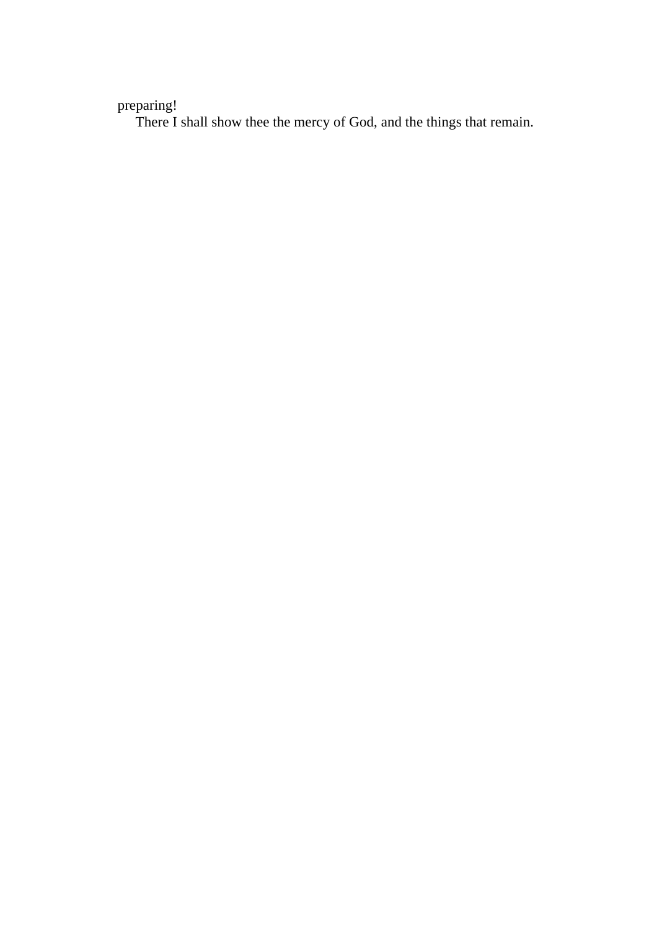preparing!

There I shall show thee the mercy of God, and the things that remain.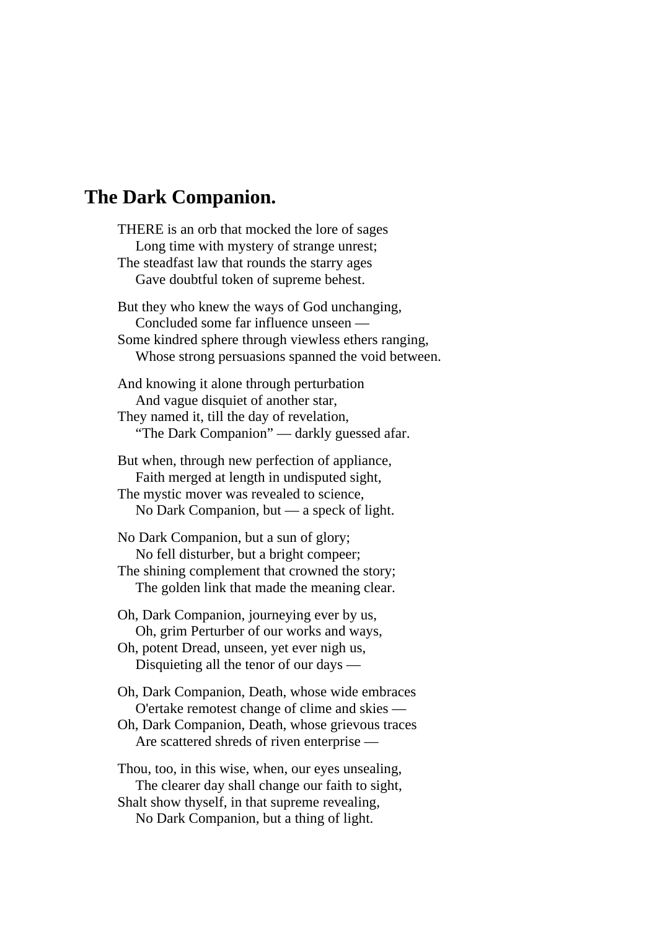## **The Dark Companion.**

THERE is an orb that mocked the lore of sages Long time with mystery of strange unrest; The steadfast law that rounds the starry ages Gave doubtful token of supreme behest. But they who knew the ways of God unchanging, Concluded some far influence unseen — Some kindred sphere through viewless ethers ranging, Whose strong persuasions spanned the void between. And knowing it alone through perturbation And vague disquiet of another star, They named it, till the day of revelation, "The Dark Companion" — darkly guessed afar. But when, through new perfection of appliance, Faith merged at length in undisputed sight, The mystic mover was revealed to science, No Dark Companion, but — a speck of light. No Dark Companion, but a sun of glory; No fell disturber, but a bright compeer; The shining complement that crowned the story; The golden link that made the meaning clear. Oh, Dark Companion, journeying ever by us, Oh, grim Perturber of our works and ways, Oh, potent Dread, unseen, yet ever nigh us, Disquieting all the tenor of our days — Oh, Dark Companion, Death, whose wide embraces O'ertake remotest change of clime and skies — Oh, Dark Companion, Death, whose grievous traces Are scattered shreds of riven enterprise — Thou, too, in this wise, when, our eyes unsealing, The clearer day shall change our faith to sight, Shalt show thyself, in that supreme revealing, No Dark Companion, but a thing of light.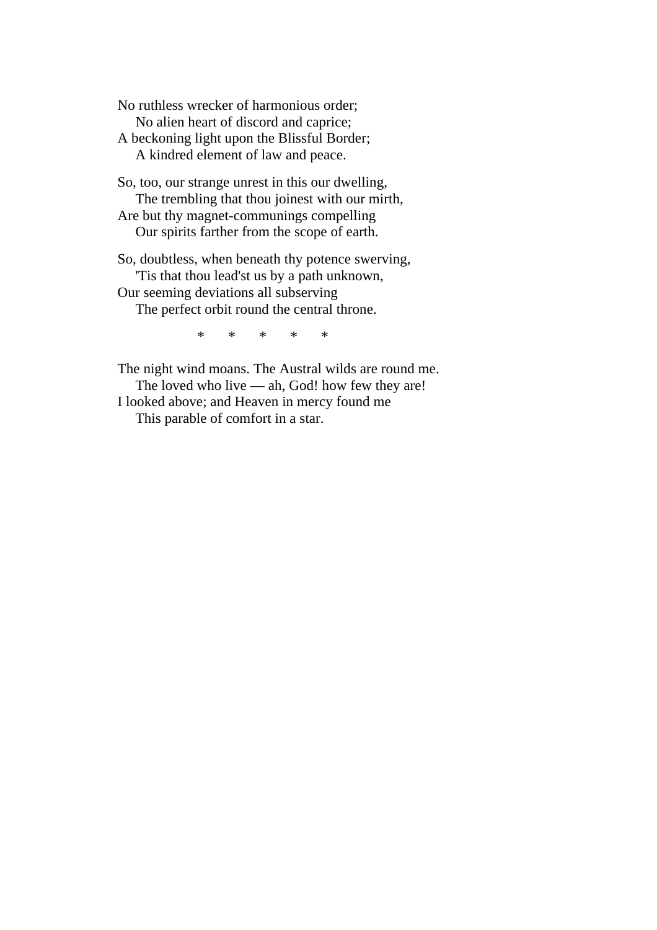No ruthless wrecker of harmonious order; No alien heart of discord and caprice; A beckoning light upon the Blissful Border; A kindred element of law and peace.

So, too, our strange unrest in this our dwelling, The trembling that thou joinest with our mirth, Are but thy magnet-communings compelling Our spirits farther from the scope of earth.

So, doubtless, when beneath thy potence swerving, 'Tis that thou lead'st us by a path unknown, Our seeming deviations all subserving

The perfect orbit round the central throne.

\* \* \* \* \*

The night wind moans. The Austral wilds are round me. The loved who live — ah, God! how few they are! I looked above; and Heaven in mercy found me

This parable of comfort in a star.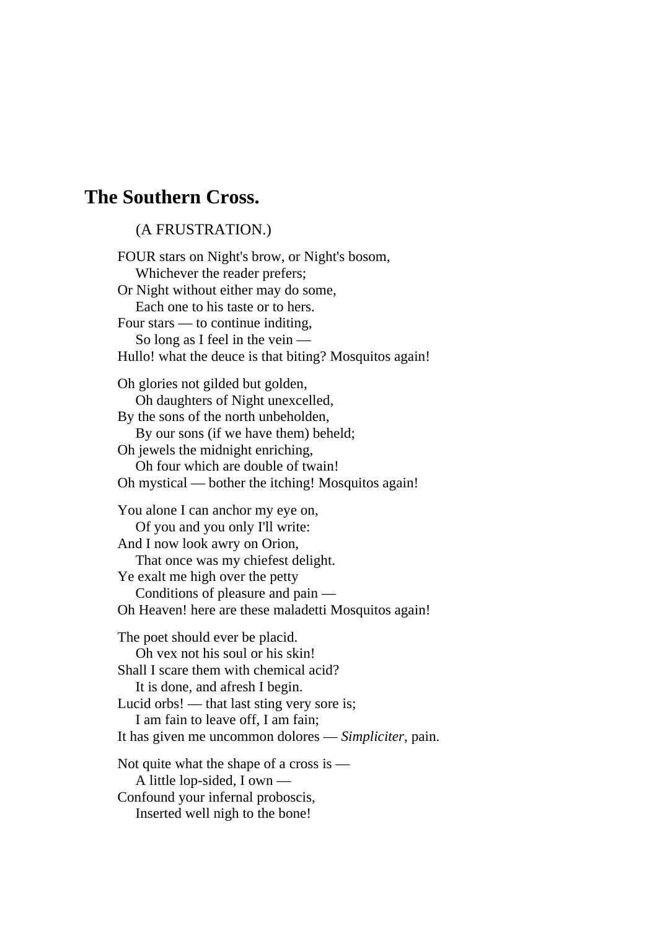### **The Southern Cross.**

#### (A FRUSTRATION.)

FOUR stars on Night's brow, or Night's bosom, Whichever the reader prefers; Or Night without either may do some, Each one to his taste or to hers. Four stars — to continue inditing, So long as I feel in the vein — Hullo! what the deuce is that biting? Mosquitos again! Oh glories not gilded but golden, Oh daughters of Night unexcelled, By the sons of the north unbeholden, By our sons (if we have them) beheld; Oh jewels the midnight enriching, Oh four which are double of twain! Oh mystical — bother the itching! Mosquitos again! You alone I can anchor my eye on, Of you and you only I'll write: And I now look awry on Orion, That once was my chiefest delight. Ye exalt me high over the petty Conditions of pleasure and pain — Oh Heaven! here are these maladetti Mosquitos again! The poet should ever be placid. Oh vex not his soul or his skin! Shall I scare them with chemical acid? It is done, and afresh I begin. Lucid orbs! — that last sting very sore is; I am fain to leave off, I am fain; It has given me uncommon dolores — *Simpliciter*, pain. Not quite what the shape of a cross is — A little lop-sided, I own — Confound your infernal proboscis, Inserted well nigh to the bone!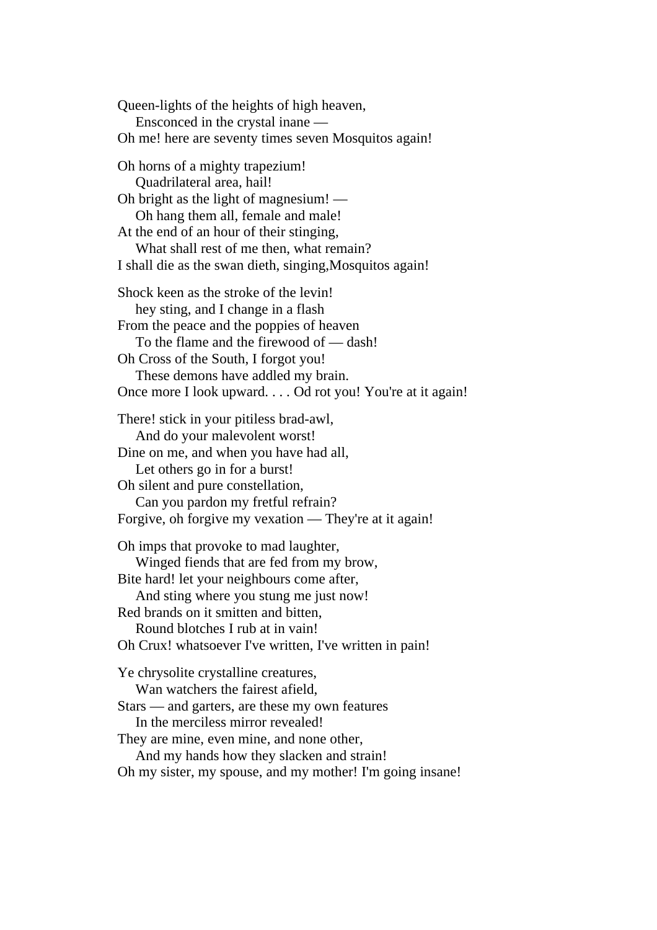Queen-lights of the heights of high heaven, Ensconced in the crystal inane — Oh me! here are seventy times seven Mosquitos again! Oh horns of a mighty trapezium! Quadrilateral area, hail! Oh bright as the light of magnesium! — Oh hang them all, female and male! At the end of an hour of their stinging, What shall rest of me then, what remain? I shall die as the swan dieth, singing,Mosquitos again! Shock keen as the stroke of the levin! hey sting, and I change in a flash From the peace and the poppies of heaven To the flame and the firewood of — dash! Oh Cross of the South, I forgot you! These demons have addled my brain. Once more I look upward. . . . Od rot you! You're at it again! There! stick in your pitiless brad-awl, And do your malevolent worst! Dine on me, and when you have had all, Let others go in for a burst! Oh silent and pure constellation, Can you pardon my fretful refrain? Forgive, oh forgive my vexation — They're at it again! Oh imps that provoke to mad laughter, Winged fiends that are fed from my brow, Bite hard! let your neighbours come after, And sting where you stung me just now! Red brands on it smitten and bitten, Round blotches I rub at in vain! Oh Crux! whatsoever I've written, I've written in pain! Ye chrysolite crystalline creatures, Wan watchers the fairest afield, Stars — and garters, are these my own features In the merciless mirror revealed! They are mine, even mine, and none other, And my hands how they slacken and strain! Oh my sister, my spouse, and my mother! I'm going insane!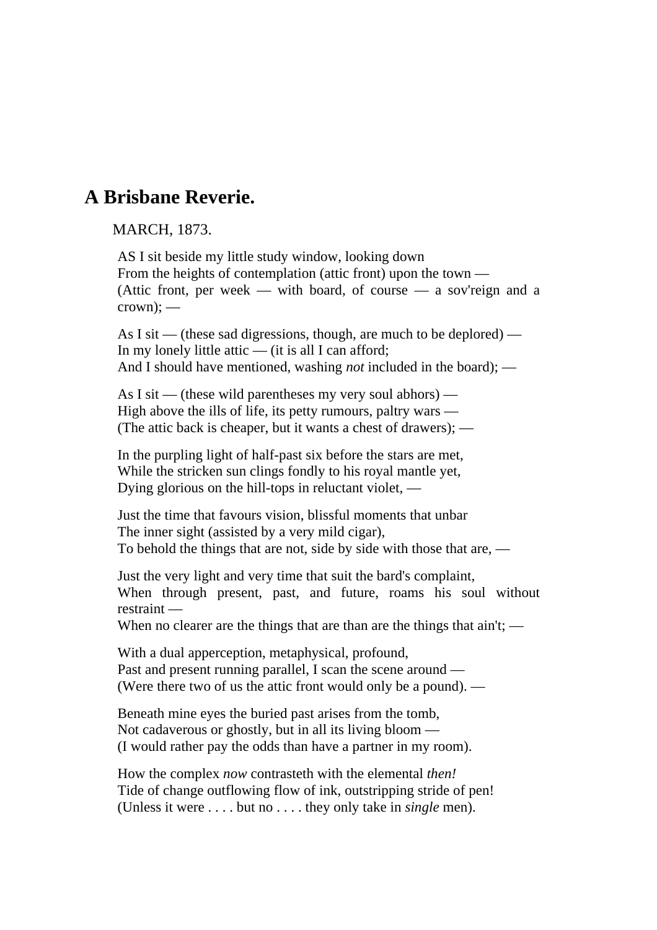# **A Brisbane Reverie.**

#### MARCH, 1873.

AS I sit beside my little study window, looking down From the heights of contemplation (attic front) upon the town — (Attic front, per week — with board, of course — a sov'reign and a  $crown$ ); —

As I sit — (these sad digressions, though, are much to be deplored) — In my lonely little attic  $-$  (it is all I can afford; And I should have mentioned, washing *not* included in the board); —

As I sit — (these wild parentheses my very soul abhors) — High above the ills of life, its petty rumours, paltry wars — (The attic back is cheaper, but it wants a chest of drawers); —

In the purpling light of half-past six before the stars are met, While the stricken sun clings fondly to his royal mantle yet, Dying glorious on the hill-tops in reluctant violet, —

Just the time that favours vision, blissful moments that unbar The inner sight (assisted by a very mild cigar), To behold the things that are not, side by side with those that are, —

Just the very light and very time that suit the bard's complaint, When through present, past, and future, roams his soul without restraint —

When no clearer are the things that are than are the things that ain't; —

With a dual apperception, metaphysical, profound, Past and present running parallel, I scan the scene around — (Were there two of us the attic front would only be a pound). —

Beneath mine eyes the buried past arises from the tomb, Not cadaverous or ghostly, but in all its living bloom — (I would rather pay the odds than have a partner in my room).

How the complex *now* contrasteth with the elemental *then!* Tide of change outflowing flow of ink, outstripping stride of pen! (Unless it were . . . . but no . . . . they only take in *single* men).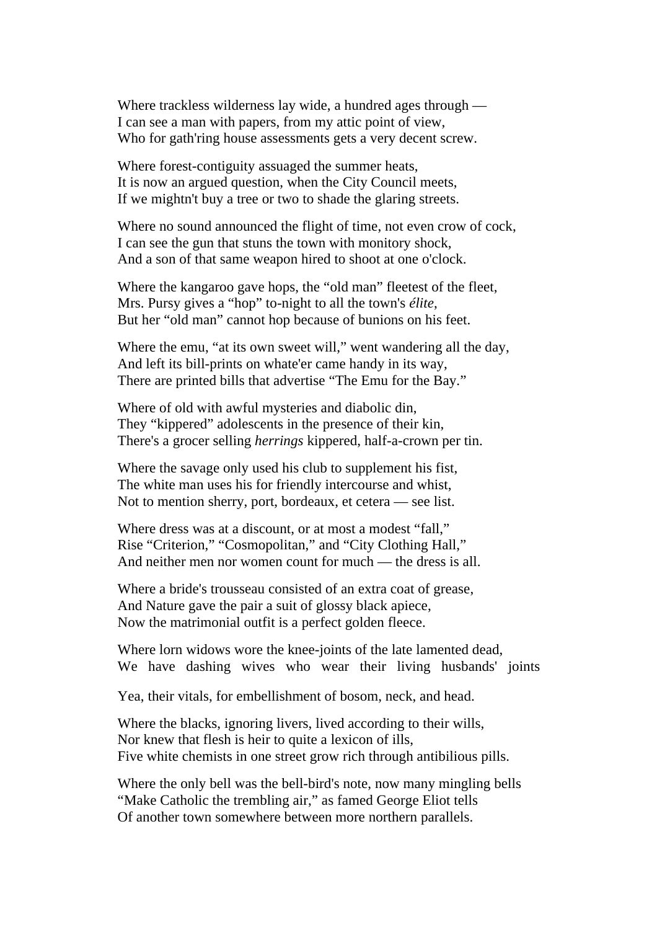Where trackless wilderness lay wide, a hundred ages through — I can see a man with papers, from my attic point of view, Who for gath'ring house assessments gets a very decent screw.

Where forest-contiguity assuaged the summer heats, It is now an argued question, when the City Council meets, If we mightn't buy a tree or two to shade the glaring streets.

Where no sound announced the flight of time, not even crow of cock, I can see the gun that stuns the town with monitory shock, And a son of that same weapon hired to shoot at one o'clock.

Where the kangaroo gave hops, the "old man" fleetest of the fleet, Mrs. Pursy gives a "hop" to-night to all the town's *élite*, But her "old man" cannot hop because of bunions on his feet.

Where the emu, "at its own sweet will," went wandering all the day, And left its bill-prints on whate'er came handy in its way, There are printed bills that advertise "The Emu for the Bay."

Where of old with awful mysteries and diabolic din, They "kippered" adolescents in the presence of their kin, There's a grocer selling *herrings* kippered, half-a-crown per tin.

Where the savage only used his club to supplement his fist, The white man uses his for friendly intercourse and whist, Not to mention sherry, port, bordeaux, et cetera — see list.

Where dress was at a discount, or at most a modest "fall," Rise "Criterion," "Cosmopolitan," and "City Clothing Hall," And neither men nor women count for much — the dress is all.

Where a bride's trousseau consisted of an extra coat of grease, And Nature gave the pair a suit of glossy black apiece, Now the matrimonial outfit is a perfect golden fleece.

Where lorn widows wore the knee-joints of the late lamented dead, We have dashing wives who wear their living husbands' joints

Yea, their vitals, for embellishment of bosom, neck, and head.

Where the blacks, ignoring livers, lived according to their wills, Nor knew that flesh is heir to quite a lexicon of ills, Five white chemists in one street grow rich through antibilious pills.

Where the only bell was the bell-bird's note, now many mingling bells "Make Catholic the trembling air," as famed George Eliot tells Of another town somewhere between more northern parallels.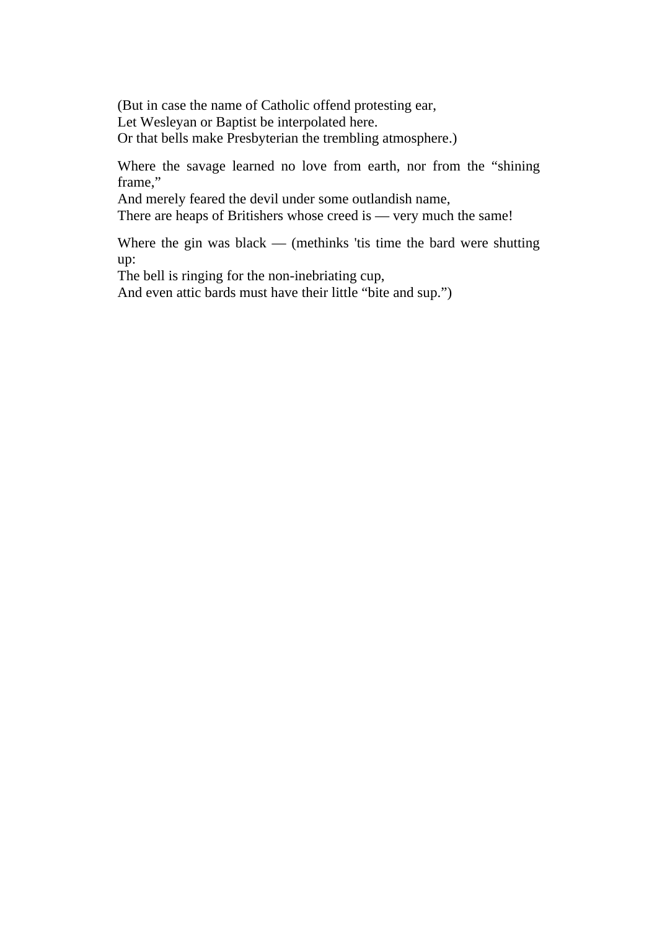(But in case the name of Catholic offend protesting ear, Let Wesleyan or Baptist be interpolated here. Or that bells make Presbyterian the trembling atmosphere.)

Where the savage learned no love from earth, nor from the "shining frame,"

And merely feared the devil under some outlandish name,

There are heaps of Britishers whose creed is — very much the same!

Where the gin was black — (methinks 'tis time the bard were shutting up:

The bell is ringing for the non-inebriating cup,

And even attic bards must have their little "bite and sup.")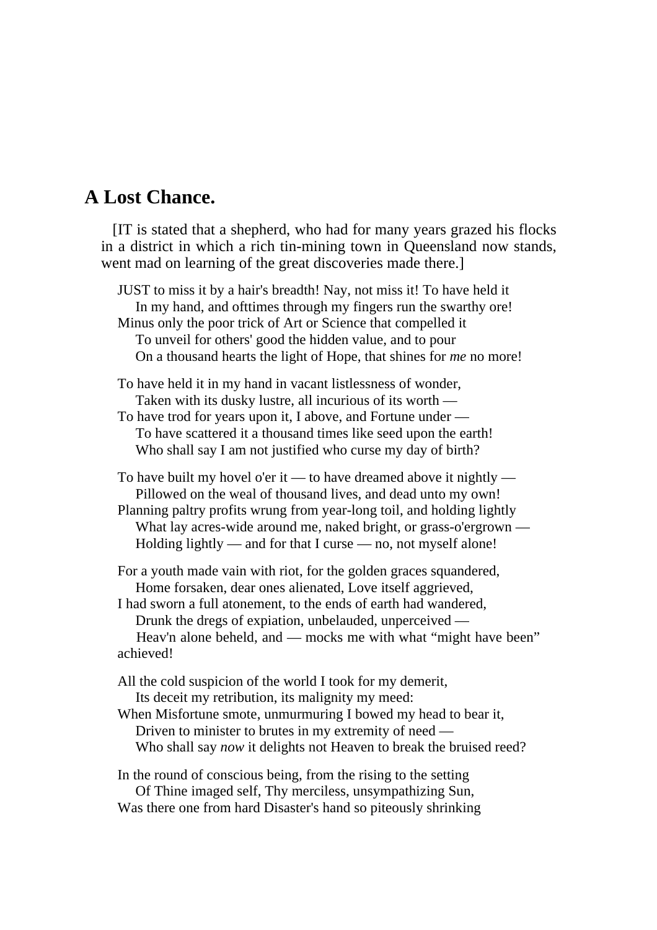# **A Lost Chance.**

 [IT is stated that a shepherd, who had for many years grazed his flocks in a district in which a rich tin-mining town in Queensland now stands, went mad on learning of the great discoveries made there.]

JUST to miss it by a hair's breadth! Nay, not miss it! To have held it In my hand, and ofttimes through my fingers run the swarthy ore! Minus only the poor trick of Art or Science that compelled it To unveil for others' good the hidden value, and to pour On a thousand hearts the light of Hope, that shines for *me* no more! To have held it in my hand in vacant listlessness of wonder, Taken with its dusky lustre, all incurious of its worth — To have trod for years upon it, I above, and Fortune under — To have scattered it a thousand times like seed upon the earth! Who shall say I am not justified who curse my day of birth? To have built my hovel o'er it — to have dreamed above it nightly — Pillowed on the weal of thousand lives, and dead unto my own! Planning paltry profits wrung from year-long toil, and holding lightly What lay acres-wide around me, naked bright, or grass-o'ergrown — Holding lightly — and for that I curse — no, not myself alone! For a youth made vain with riot, for the golden graces squandered, Home forsaken, dear ones alienated, Love itself aggrieved, I had sworn a full atonement, to the ends of earth had wandered, Drunk the dregs of expiation, unbelauded, unperceived — Heav'n alone beheld, and — mocks me with what "might have been" achieved! All the cold suspicion of the world I took for my demerit, Its deceit my retribution, its malignity my meed: When Misfortune smote, unmurmuring I bowed my head to bear it, Driven to minister to brutes in my extremity of need — Who shall say *now* it delights not Heaven to break the bruised reed? In the round of conscious being, from the rising to the setting

Of Thine imaged self, Thy merciless, unsympathizing Sun,

Was there one from hard Disaster's hand so piteously shrinking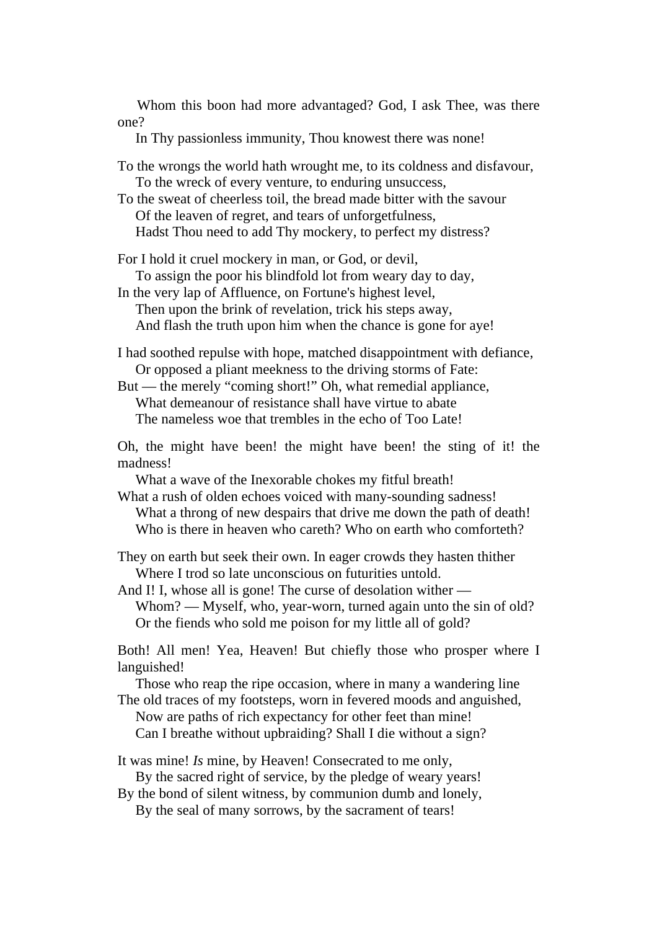Whom this boon had more advantaged? God, I ask Thee, was there one?

In Thy passionless immunity, Thou knowest there was none!

To the wrongs the world hath wrought me, to its coldness and disfavour, To the wreck of every venture, to enduring unsuccess,

To the sweat of cheerless toil, the bread made bitter with the savour Of the leaven of regret, and tears of unforgetfulness, Hadst Thou need to add Thy mockery, to perfect my distress?

For I hold it cruel mockery in man, or God, or devil, To assign the poor his blindfold lot from weary day to day,

In the very lap of Affluence, on Fortune's highest level, Then upon the brink of revelation, trick his steps away, And flash the truth upon him when the chance is gone for aye!

I had soothed repulse with hope, matched disappointment with defiance, Or opposed a pliant meekness to the driving storms of Fate:

But — the merely "coming short!" Oh, what remedial appliance, What demeanour of resistance shall have virtue to abate The nameless woe that trembles in the echo of Too Late!

Oh, the might have been! the might have been! the sting of it! the madness!

What a wave of the Inexorable chokes my fitful breath!

What a rush of olden echoes voiced with many-sounding sadness! What a throng of new despairs that drive me down the path of death! Who is there in heaven who careth? Who on earth who comforteth?

They on earth but seek their own. In eager crowds they hasten thither Where I trod so late unconscious on futurities untold.

And I! I, whose all is gone! The curse of desolation wither — Whom? — Myself, who, year-worn, turned again unto the sin of old? Or the fiends who sold me poison for my little all of gold?

Both! All men! Yea, Heaven! But chiefly those who prosper where I languished!

 Those who reap the ripe occasion, where in many a wandering line The old traces of my footsteps, worn in fevered moods and anguished,

 Now are paths of rich expectancy for other feet than mine! Can I breathe without upbraiding? Shall I die without a sign?

It was mine! *Is* mine, by Heaven! Consecrated to me only, By the sacred right of service, by the pledge of weary years!

By the bond of silent witness, by communion dumb and lonely, By the seal of many sorrows, by the sacrament of tears!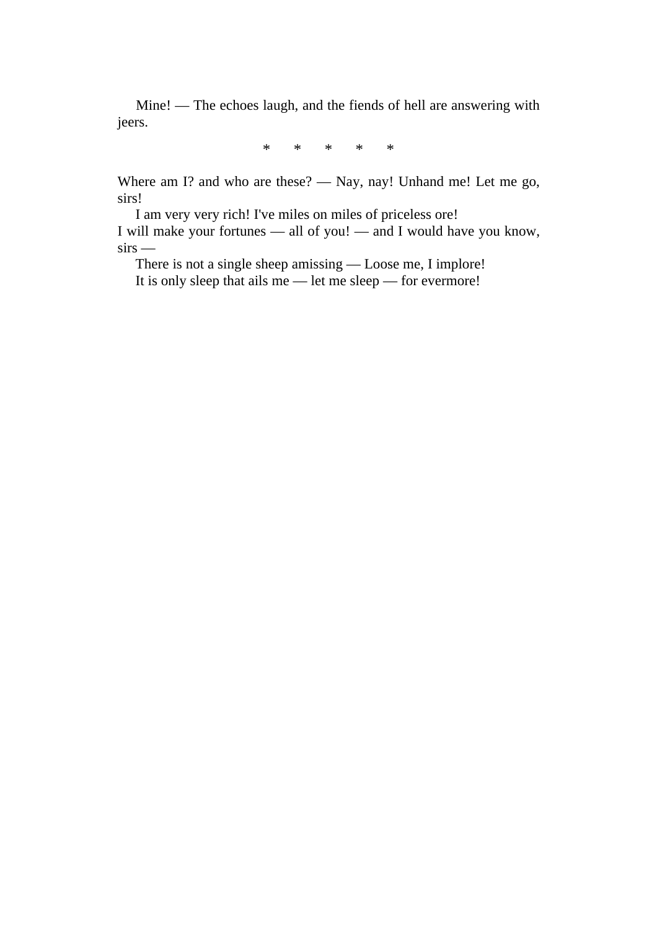Mine! — The echoes laugh, and the fiends of hell are answering with jeers.

\* \* \* \* \*

Where am I? and who are these? — Nay, nay! Unhand me! Let me go, sirs!

 I am very very rich! I've miles on miles of priceless ore! I will make your fortunes — all of you! — and I would have you know, sirs —

 There is not a single sheep amissing — Loose me, I implore! It is only sleep that ails me — let me sleep — for evermore!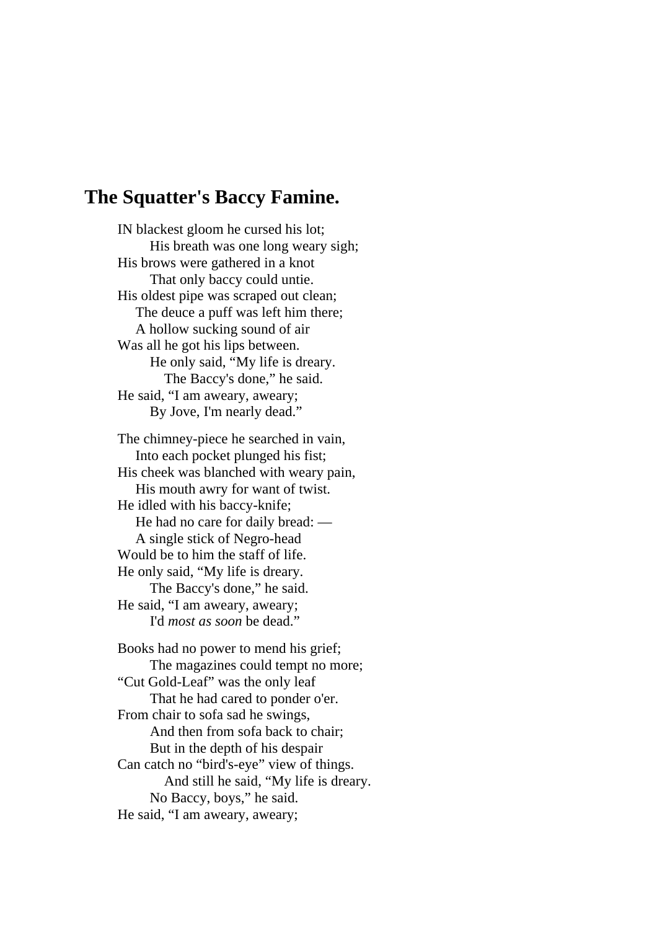### **The Squatter's Baccy Famine.**

IN blackest gloom he cursed his lot; His breath was one long weary sigh; His brows were gathered in a knot That only baccy could untie. His oldest pipe was scraped out clean; The deuce a puff was left him there; A hollow sucking sound of air Was all he got his lips between. He only said, "My life is dreary. The Baccy's done," he said. He said, "I am aweary, aweary; By Jove, I'm nearly dead." The chimney-piece he searched in vain, Into each pocket plunged his fist;

His cheek was blanched with weary pain, His mouth awry for want of twist. He idled with his baccy-knife; He had no care for daily bread: — A single stick of Negro-head Would be to him the staff of life. He only said, "My life is dreary. The Baccy's done," he said. He said, "I am aweary, aweary; I'd *most as soon* be dead."

Books had no power to mend his grief; The magazines could tempt no more; "Cut Gold-Leaf" was the only leaf That he had cared to ponder o'er. From chair to sofa sad he swings, And then from sofa back to chair; But in the depth of his despair Can catch no "bird's-eye" view of things. And still he said, "My life is dreary. No Baccy, boys," he said. He said, "I am aweary, aweary;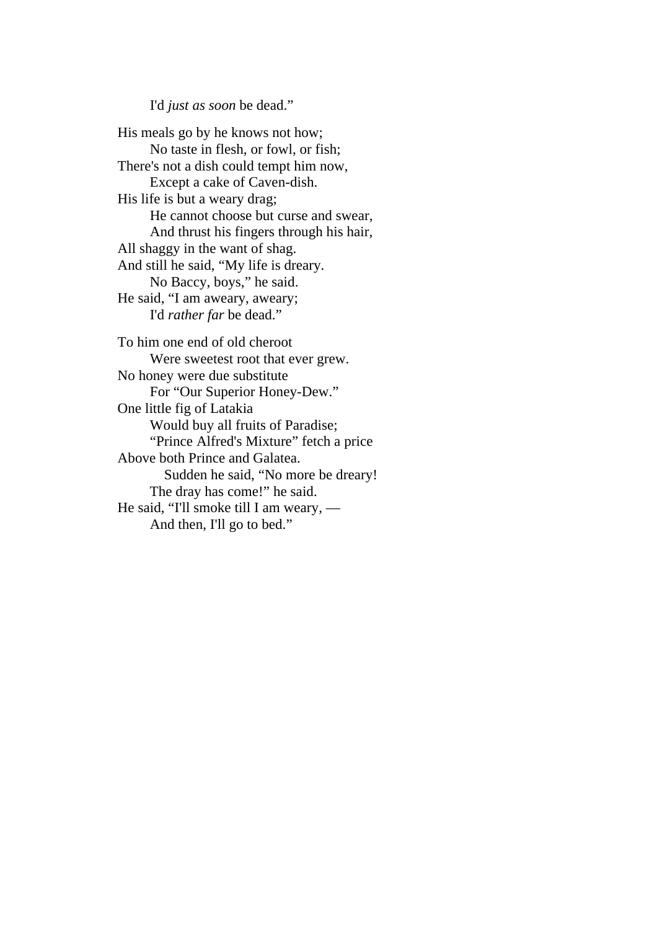I'd *just as soon* be dead."

His meals go by he knows not how; No taste in flesh, or fowl, or fish; There's not a dish could tempt him now, Except a cake of Caven-dish. His life is but a weary drag; He cannot choose but curse and swear, And thrust his fingers through his hair, All shaggy in the want of shag. And still he said, "My life is dreary. No Baccy, boys," he said. He said, "I am aweary, aweary; I'd *rather far* be dead." To him one end of old cheroot Were sweetest root that ever grew. No honey were due substitute For "Our Superior Honey-Dew." One little fig of Latakia Would buy all fruits of Paradise; "Prince Alfred's Mixture" fetch a price Above both Prince and Galatea. Sudden he said, "No more be dreary! The dray has come!" he said. He said, "I'll smoke till I am weary, — And then, I'll go to bed."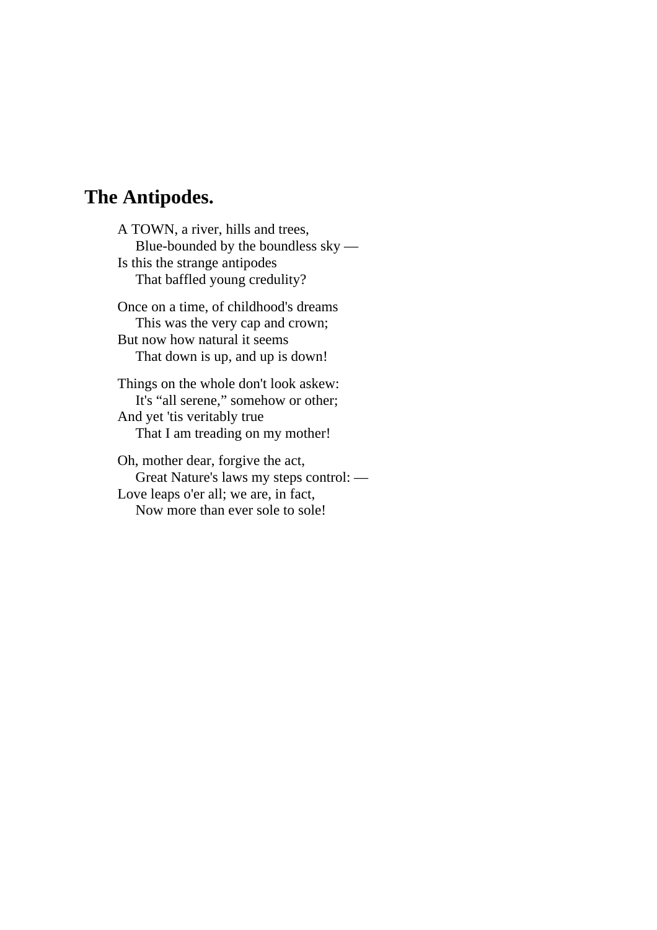# **The Antipodes.**

A TOWN, a river, hills and trees, Blue-bounded by the boundless sky — Is this the strange antipodes That baffled young credulity?

Once on a time, of childhood's dreams This was the very cap and crown; But now how natural it seems That down is up, and up is down!

Things on the whole don't look askew: It's "all serene," somehow or other; And yet 'tis veritably true That I am treading on my mother!

Oh, mother dear, forgive the act, Great Nature's laws my steps control: — Love leaps o'er all; we are, in fact, Now more than ever sole to sole!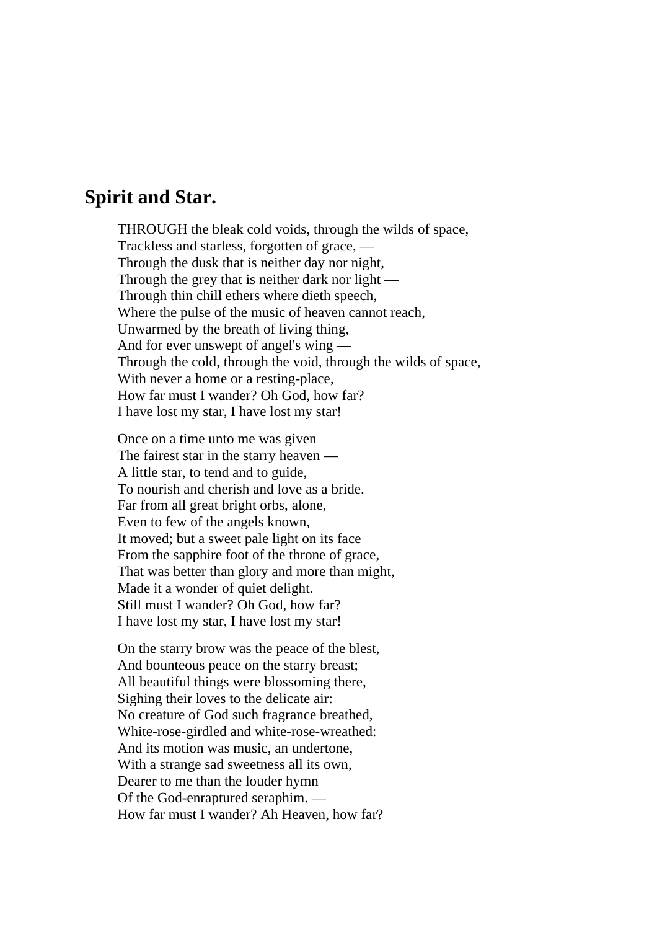### **Spirit and Star.**

THROUGH the bleak cold voids, through the wilds of space, Trackless and starless, forgotten of grace, — Through the dusk that is neither day nor night, Through the grey that is neither dark nor light  $-$ Through thin chill ethers where dieth speech, Where the pulse of the music of heaven cannot reach, Unwarmed by the breath of living thing, And for ever unswept of angel's wing — Through the cold, through the void, through the wilds of space, With never a home or a resting-place, How far must I wander? Oh God, how far? I have lost my star, I have lost my star!

Once on a time unto me was given The fairest star in the starry heaven — A little star, to tend and to guide, To nourish and cherish and love as a bride. Far from all great bright orbs, alone, Even to few of the angels known, It moved; but a sweet pale light on its face From the sapphire foot of the throne of grace, That was better than glory and more than might, Made it a wonder of quiet delight. Still must I wander? Oh God, how far? I have lost my star, I have lost my star!

On the starry brow was the peace of the blest, And bounteous peace on the starry breast; All beautiful things were blossoming there, Sighing their loves to the delicate air: No creature of God such fragrance breathed, White-rose-girdled and white-rose-wreathed: And its motion was music, an undertone, With a strange sad sweetness all its own, Dearer to me than the louder hymn Of the God-enraptured seraphim. — How far must I wander? Ah Heaven, how far?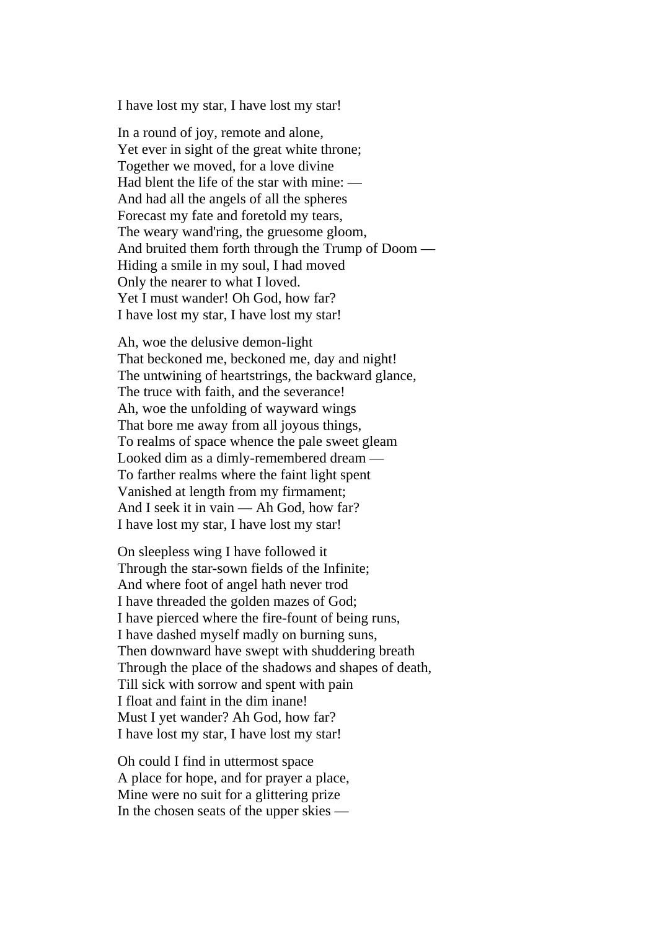I have lost my star, I have lost my star!

In a round of joy, remote and alone, Yet ever in sight of the great white throne; Together we moved, for a love divine Had blent the life of the star with mine: — And had all the angels of all the spheres Forecast my fate and foretold my tears, The weary wand'ring, the gruesome gloom, And bruited them forth through the Trump of Doom — Hiding a smile in my soul, I had moved Only the nearer to what I loved. Yet I must wander! Oh God, how far? I have lost my star, I have lost my star!

Ah, woe the delusive demon-light That beckoned me, beckoned me, day and night! The untwining of heartstrings, the backward glance, The truce with faith, and the severance! Ah, woe the unfolding of wayward wings That bore me away from all joyous things, To realms of space whence the pale sweet gleam Looked dim as a dimly-remembered dream -To farther realms where the faint light spent Vanished at length from my firmament; And I seek it in vain — Ah God, how far? I have lost my star, I have lost my star!

On sleepless wing I have followed it Through the star-sown fields of the Infinite; And where foot of angel hath never trod I have threaded the golden mazes of God; I have pierced where the fire-fount of being runs, I have dashed myself madly on burning suns, Then downward have swept with shuddering breath Through the place of the shadows and shapes of death, Till sick with sorrow and spent with pain I float and faint in the dim inane! Must I yet wander? Ah God, how far? I have lost my star, I have lost my star!

Oh could I find in uttermost space A place for hope, and for prayer a place, Mine were no suit for a glittering prize In the chosen seats of the upper skies —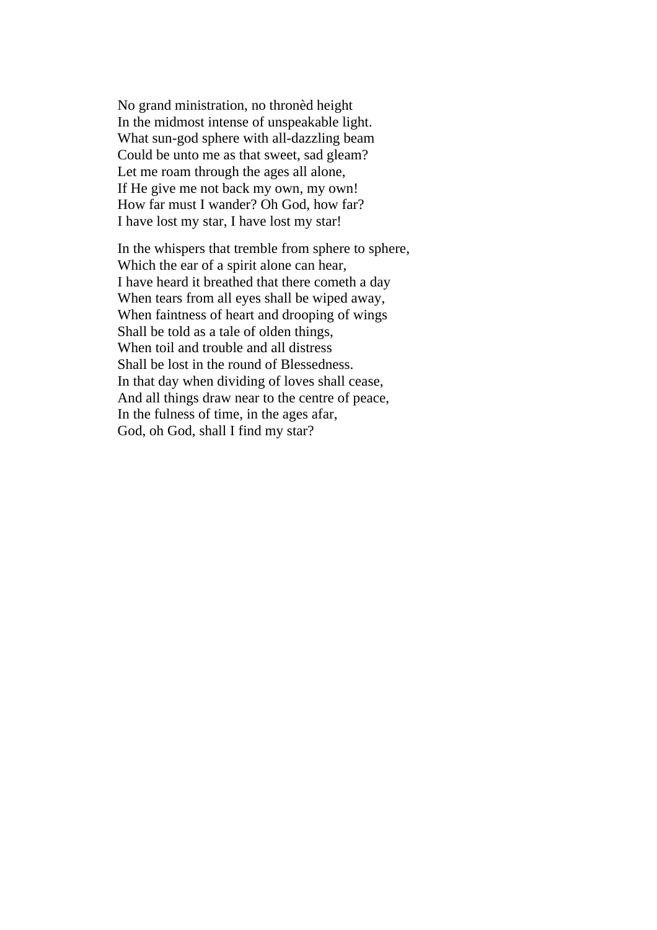No grand ministration, no thronèd height In the midmost intense of unspeakable light. What sun-god sphere with all-dazzling beam Could be unto me as that sweet, sad gleam? Let me roam through the ages all alone, If He give me not back my own, my own! How far must I wander? Oh God, how far? I have lost my star, I have lost my star!

In the whispers that tremble from sphere to sphere, Which the ear of a spirit alone can hear, I have heard it breathed that there cometh a day When tears from all eyes shall be wiped away, When faintness of heart and drooping of wings Shall be told as a tale of olden things, When toil and trouble and all distress Shall be lost in the round of Blessedness. In that day when dividing of loves shall cease, And all things draw near to the centre of peace, In the fulness of time, in the ages afar, God, oh God, shall I find my star?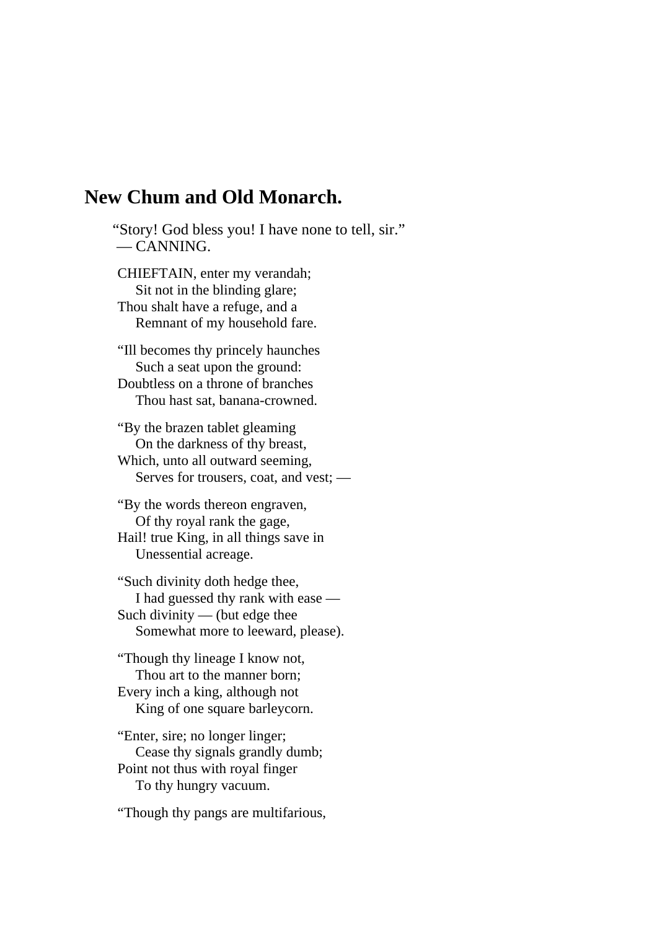# **New Chum and Old Monarch.**

 "Story! God bless you! I have none to tell, sir." — CANNING.

CHIEFTAIN, enter my verandah; Sit not in the blinding glare; Thou shalt have a refuge, and a Remnant of my household fare.

"Ill becomes thy princely haunches Such a seat upon the ground: Doubtless on a throne of branches Thou hast sat, banana-crowned.

"By the brazen tablet gleaming On the darkness of thy breast, Which, unto all outward seeming, Serves for trousers, coat, and vest; —

"By the words thereon engraven, Of thy royal rank the gage, Hail! true King, in all things save in Unessential acreage.

"Such divinity doth hedge thee, I had guessed thy rank with ease — Such divinity — (but edge thee Somewhat more to leeward, please).

"Though thy lineage I know not, Thou art to the manner born; Every inch a king, although not King of one square barleycorn.

"Enter, sire; no longer linger; Cease thy signals grandly dumb; Point not thus with royal finger To thy hungry vacuum.

"Though thy pangs are multifarious,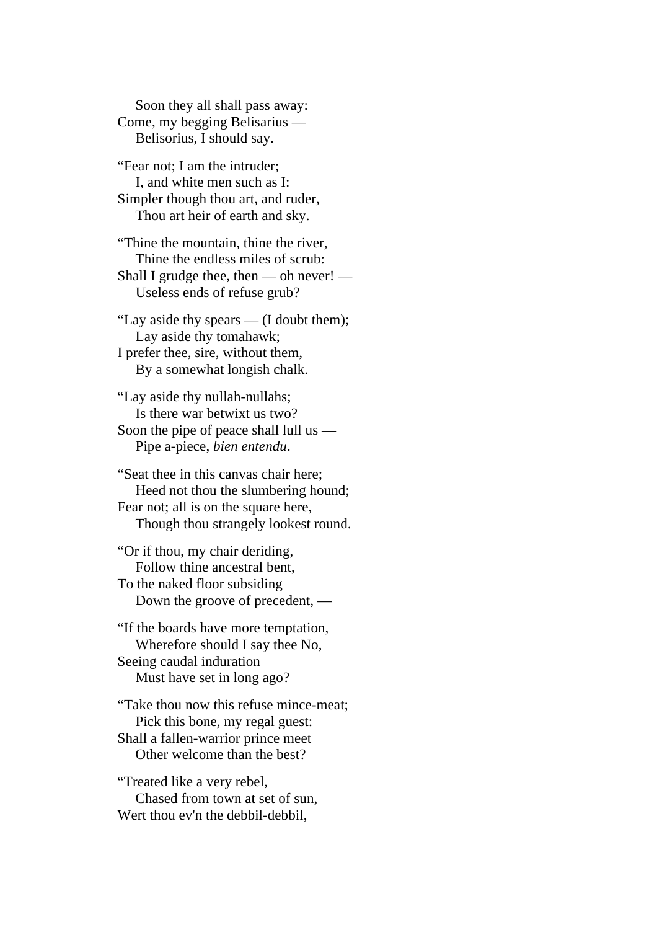Soon they all shall pass away: Come, my begging Belisarius — Belisorius, I should say.

"Fear not; I am the intruder; I, and white men such as I: Simpler though thou art, and ruder, Thou art heir of earth and sky.

"Thine the mountain, thine the river, Thine the endless miles of scrub: Shall I grudge thee, then — oh never! — Useless ends of refuse grub?

"Lay aside thy spears — (I doubt them); Lay aside thy tomahawk; I prefer thee, sire, without them, By a somewhat longish chalk.

"Lay aside thy nullah-nullahs; Is there war betwixt us two? Soon the pipe of peace shall lull us — Pipe a-piece, *bien entendu*.

"Seat thee in this canvas chair here; Heed not thou the slumbering hound; Fear not; all is on the square here, Though thou strangely lookest round.

"Or if thou, my chair deriding, Follow thine ancestral bent, To the naked floor subsiding Down the groove of precedent, —

"If the boards have more temptation, Wherefore should I say thee No, Seeing caudal induration Must have set in long ago?

"Take thou now this refuse mince-meat; Pick this bone, my regal guest: Shall a fallen-warrior prince meet Other welcome than the best?

"Treated like a very rebel, Chased from town at set of sun, Wert thou ev'n the debbil-debbil,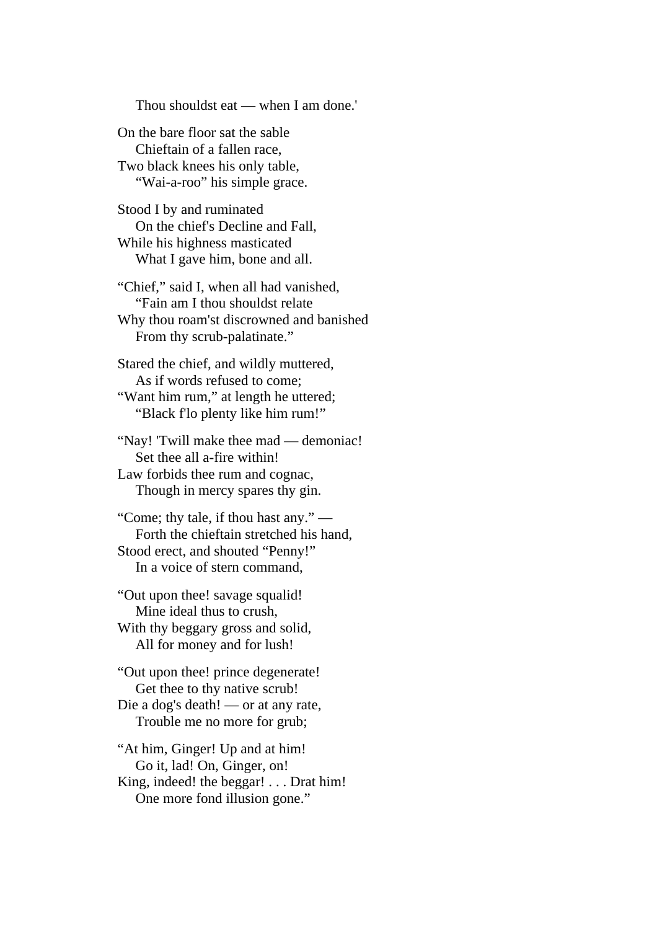On the bare floor sat the sable Chieftain of a fallen race, Two black knees his only table,

Thou shouldst eat — when I am done.'

"Wai-a-roo" his simple grace.

Stood I by and ruminated On the chief's Decline and Fall, While his highness masticated What I gave him, bone and all.

"Chief," said I, when all had vanished, "Fain am I thou shouldst relate Why thou roam'st discrowned and banished From thy scrub-palatinate."

Stared the chief, and wildly muttered, As if words refused to come; "Want him rum," at length he uttered; "Black f'lo plenty like him rum!"

"Nay! 'Twill make thee mad — demoniac! Set thee all a-fire within! Law forbids thee rum and cognac, Though in mercy spares thy gin.

"Come; thy tale, if thou hast any." — Forth the chieftain stretched his hand, Stood erect, and shouted "Penny!" In a voice of stern command,

"Out upon thee! savage squalid! Mine ideal thus to crush, With thy beggary gross and solid, All for money and for lush!

"Out upon thee! prince degenerate! Get thee to thy native scrub! Die a dog's death! — or at any rate, Trouble me no more for grub;

"At him, Ginger! Up and at him! Go it, lad! On, Ginger, on! King, indeed! the beggar! . . . Drat him! One more fond illusion gone."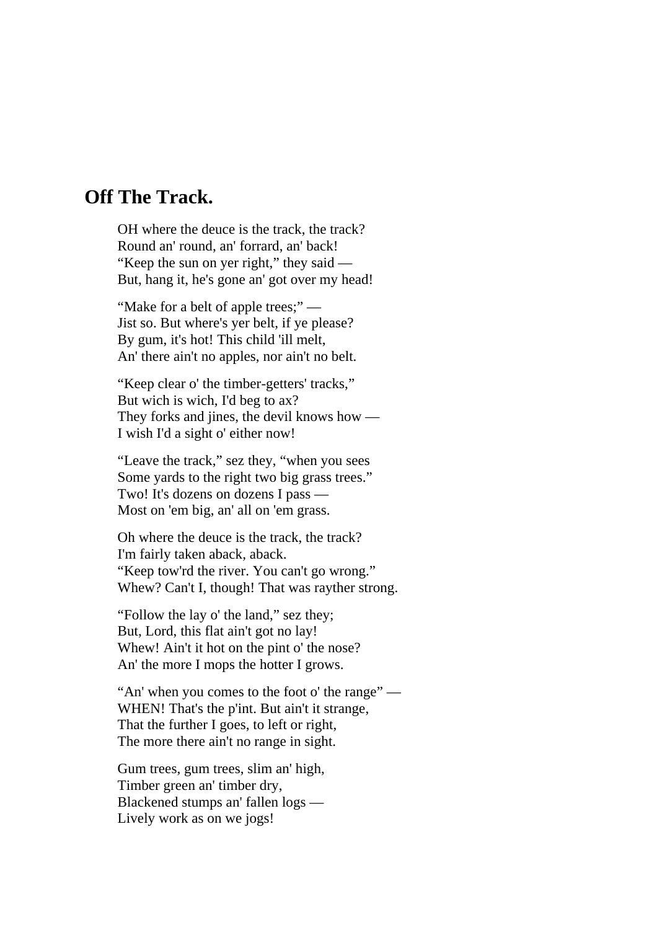## **Off The Track.**

OH where the deuce is the track, the track? Round an' round, an' forrard, an' back! "Keep the sun on yer right," they said — But, hang it, he's gone an' got over my head!

"Make for a belt of apple trees;" Jist so. But where's yer belt, if ye please? By gum, it's hot! This child 'ill melt, An' there ain't no apples, nor ain't no belt.

"Keep clear o' the timber-getters' tracks," But wich is wich, I'd beg to ax? They forks and jines, the devil knows how — I wish I'd a sight o' either now!

"Leave the track," sez they, "when you sees Some yards to the right two big grass trees." Two! It's dozens on dozens I pass — Most on 'em big, an' all on 'em grass.

Oh where the deuce is the track, the track? I'm fairly taken aback, aback. "Keep tow'rd the river. You can't go wrong." Whew? Can't I, though! That was rayther strong.

"Follow the lay o' the land," sez they; But, Lord, this flat ain't got no lay! Whew! Ain't it hot on the pint o' the nose? An' the more I mops the hotter I grows.

"An' when you comes to the foot o' the range" — WHEN! That's the p'int. But ain't it strange, That the further I goes, to left or right, The more there ain't no range in sight.

Gum trees, gum trees, slim an' high, Timber green an' timber dry, Blackened stumps an' fallen logs — Lively work as on we jogs!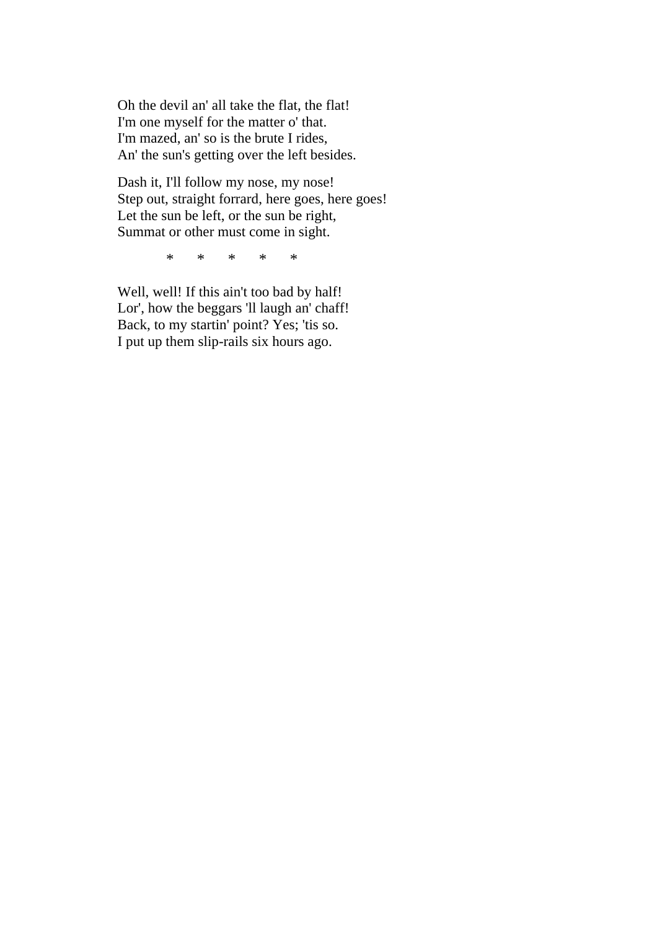Oh the devil an' all take the flat, the flat! I'm one myself for the matter o' that. I'm mazed, an' so is the brute I rides, An' the sun's getting over the left besides.

Dash it, I'll follow my nose, my nose! Step out, straight forrard, here goes, here goes! Let the sun be left, or the sun be right, Summat or other must come in sight.

\* \* \* \* \*

Well, well! If this ain't too bad by half! Lor', how the beggars 'll laugh an' chaff! Back, to my startin' point? Yes; 'tis so. I put up them slip-rails six hours ago.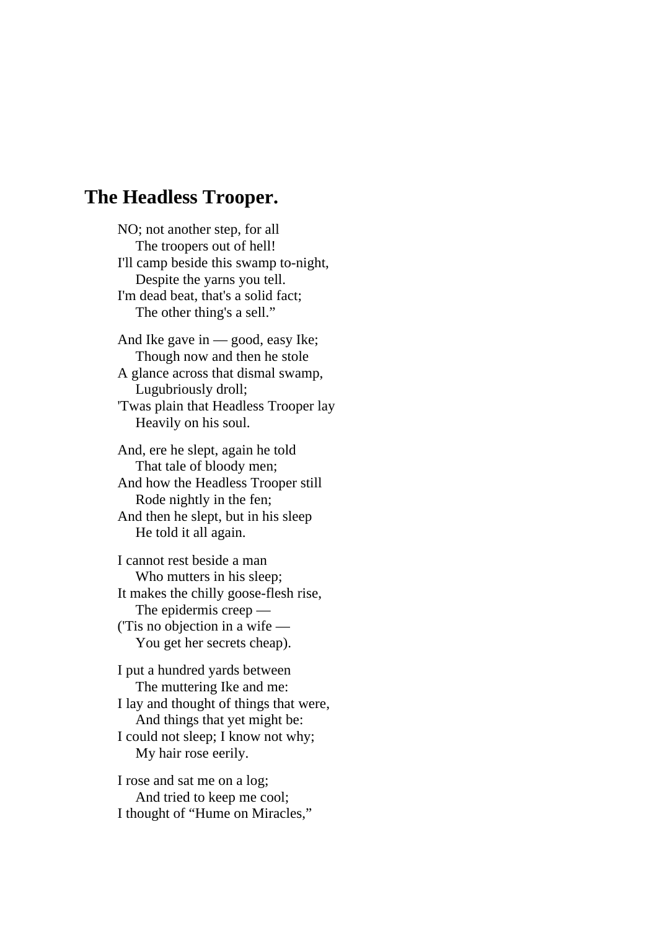## **The Headless Trooper.**

NO; not another step, for all The troopers out of hell! I'll camp beside this swamp to-night, Despite the yarns you tell. I'm dead beat, that's a solid fact; The other thing's a sell." And Ike gave in — good, easy Ike; Though now and then he stole A glance across that dismal swamp, Lugubriously droll; 'Twas plain that Headless Trooper lay Heavily on his soul.

And, ere he slept, again he told That tale of bloody men; And how the Headless Trooper still Rode nightly in the fen; And then he slept, but in his sleep He told it all again.

I cannot rest beside a man Who mutters in his sleep; It makes the chilly goose-flesh rise, The epidermis creep — ('Tis no objection in a wife — You get her secrets cheap).

I put a hundred yards between The muttering Ike and me: I lay and thought of things that were, And things that yet might be: I could not sleep; I know not why; My hair rose eerily.

I rose and sat me on a log; And tried to keep me cool; I thought of "Hume on Miracles,"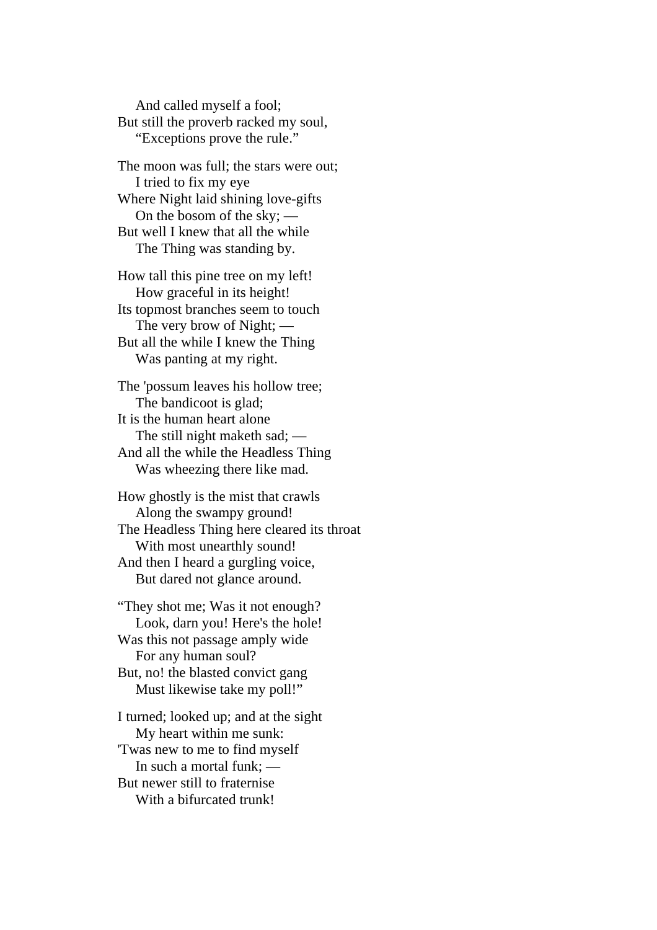And called myself a fool; But still the proverb racked my soul, "Exceptions prove the rule."

The moon was full; the stars were out; I tried to fix my eye Where Night laid shining love-gifts On the bosom of the sky; —

But well I knew that all the while The Thing was standing by.

How tall this pine tree on my left! How graceful in its height! Its topmost branches seem to touch The very brow of Night; — But all the while I knew the Thing Was panting at my right.

The 'possum leaves his hollow tree; The bandicoot is glad; It is the human heart alone The still night maketh sad; — And all the while the Headless Thing Was wheezing there like mad.

How ghostly is the mist that crawls Along the swampy ground! The Headless Thing here cleared its throat With most unearthly sound! And then I heard a gurgling voice, But dared not glance around.

"They shot me; Was it not enough? Look, darn you! Here's the hole! Was this not passage amply wide For any human soul? But, no! the blasted convict gang Must likewise take my poll!"

I turned; looked up; and at the sight My heart within me sunk: 'Twas new to me to find myself In such a mortal funk; — But newer still to fraternise With a bifurcated trunk!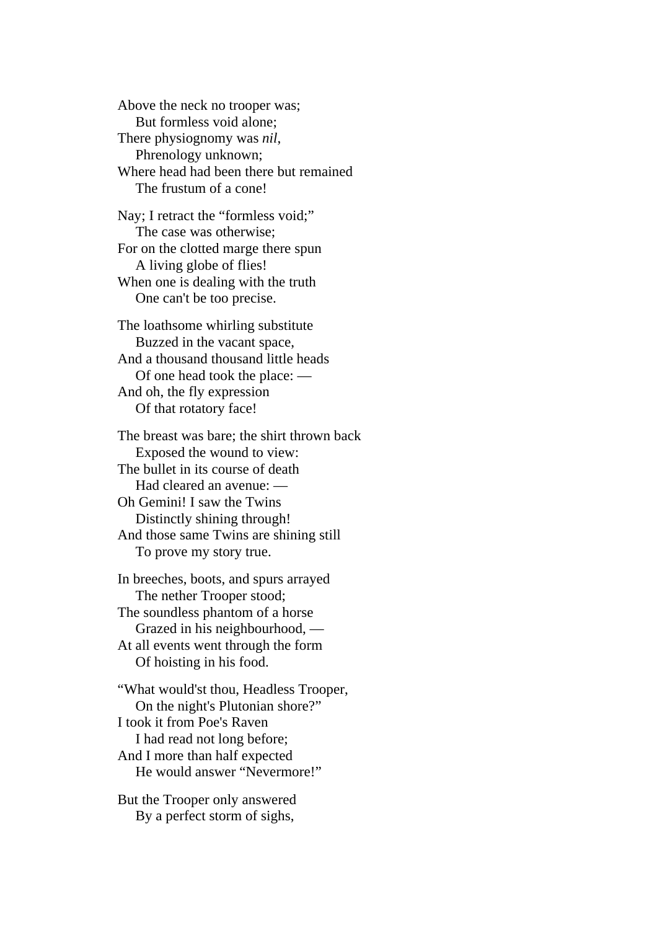Above the neck no trooper was; But formless void alone; There physiognomy was *nil*, Phrenology unknown; Where head had been there but remained The frustum of a cone!

Nay; I retract the "formless void;" The case was otherwise; For on the clotted marge there spun A living globe of flies! When one is dealing with the truth One can't be too precise.

The loathsome whirling substitute Buzzed in the vacant space, And a thousand thousand little heads Of one head took the place: — And oh, the fly expression Of that rotatory face!

The breast was bare; the shirt thrown back Exposed the wound to view: The bullet in its course of death Had cleared an avenue: — Oh Gemini! I saw the Twins Distinctly shining through! And those same Twins are shining still To prove my story true.

In breeches, boots, and spurs arrayed The nether Trooper stood; The soundless phantom of a horse Grazed in his neighbourhood, — At all events went through the form Of hoisting in his food.

"What would'st thou, Headless Trooper, On the night's Plutonian shore?" I took it from Poe's Raven I had read not long before; And I more than half expected He would answer "Nevermore!"

But the Trooper only answered By a perfect storm of sighs,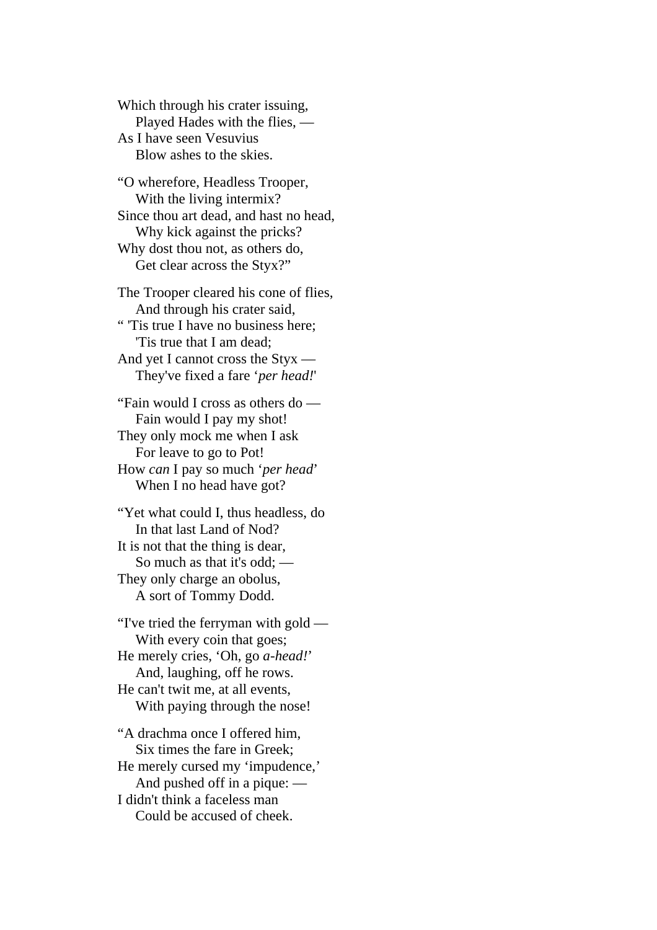Which through his crater issuing, Played Hades with the flies, — As I have seen Vesuvius Blow ashes to the skies.

"O wherefore, Headless Trooper, With the living intermix? Since thou art dead, and hast no head, Why kick against the pricks? Why dost thou not, as others do, Get clear across the Styx?"

The Trooper cleared his cone of flies, And through his crater said, " 'Tis true I have no business here; 'Tis true that I am dead; And yet I cannot cross the Styx — They've fixed a fare '*per head!*'

"Fain would I cross as others do — Fain would I pay my shot! They only mock me when I ask For leave to go to Pot! How *can* I pay so much '*per head*' When I no head have got?

"Yet what could I, thus headless, do In that last Land of Nod? It is not that the thing is dear, So much as that it's odd; — They only charge an obolus, A sort of Tommy Dodd.

"I've tried the ferryman with gold — With every coin that goes; He merely cries, 'Oh, go *a-head!*' And, laughing, off he rows. He can't twit me, at all events, With paying through the nose!

"A drachma once I offered him, Six times the fare in Greek; He merely cursed my 'impudence,' And pushed off in a pique: — I didn't think a faceless man Could be accused of cheek.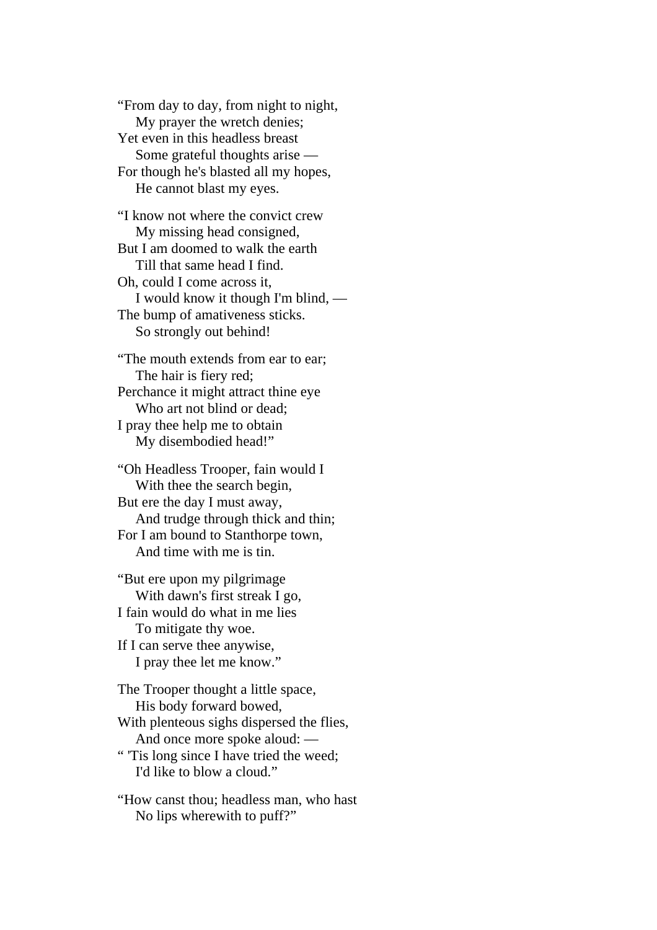"From day to day, from night to night, My prayer the wretch denies; Yet even in this headless breast Some grateful thoughts arise — For though he's blasted all my hopes, He cannot blast my eyes.

"I know not where the convict crew My missing head consigned, But I am doomed to walk the earth Till that same head I find. Oh, could I come across it, I would know it though I'm blind, — The bump of amativeness sticks. So strongly out behind!

"The mouth extends from ear to ear; The hair is fiery red; Perchance it might attract thine eye Who art not blind or dead; I pray thee help me to obtain My disembodied head!"

"Oh Headless Trooper, fain would I With thee the search begin, But ere the day I must away, And trudge through thick and thin; For I am bound to Stanthorpe town, And time with me is tin.

"But ere upon my pilgrimage With dawn's first streak I go, I fain would do what in me lies To mitigate thy woe. If I can serve thee anywise, I pray thee let me know."

The Trooper thought a little space, His body forward bowed, With plenteous sighs dispersed the flies, And once more spoke aloud: — " 'Tis long since I have tried the weed;

I'd like to blow a cloud."

"How canst thou; headless man, who hast No lips wherewith to puff?"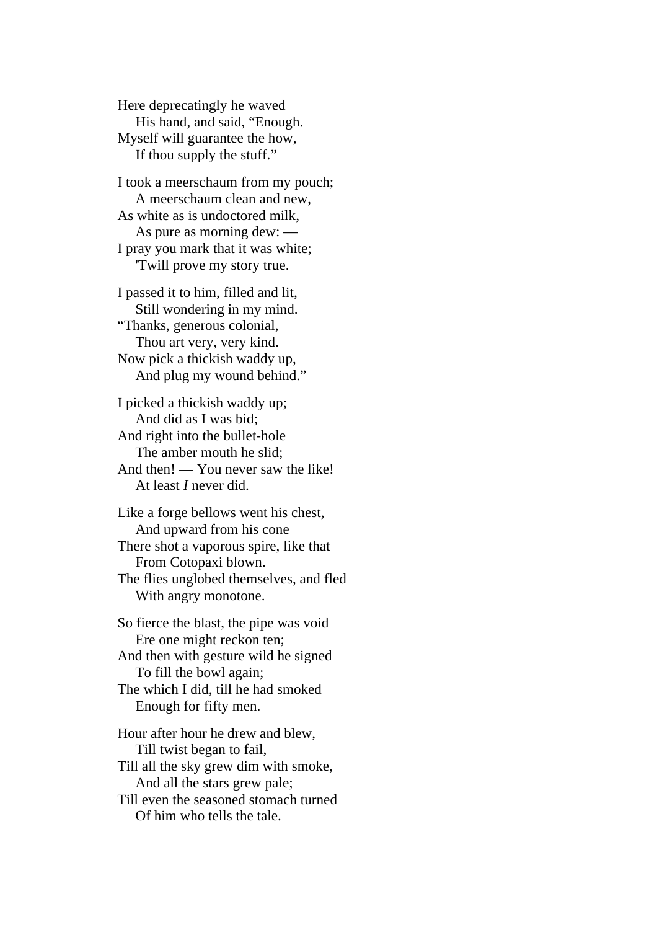Here deprecatingly he waved His hand, and said, "Enough. Myself will guarantee the how, If thou supply the stuff."

I took a meerschaum from my pouch; A meerschaum clean and new, As white as is undoctored milk, As pure as morning dew: — I pray you mark that it was white; 'Twill prove my story true.

I passed it to him, filled and lit, Still wondering in my mind. "Thanks, generous colonial, Thou art very, very kind. Now pick a thickish waddy up, And plug my wound behind."

I picked a thickish waddy up; And did as I was bid; And right into the bullet-hole The amber mouth he slid; And then! — You never saw the like! At least *I* never did.

Like a forge bellows went his chest, And upward from his cone There shot a vaporous spire, like that From Cotopaxi blown. The flies unglobed themselves, and fled

With angry monotone.

So fierce the blast, the pipe was void Ere one might reckon ten; And then with gesture wild he signed

 To fill the bowl again; The which I did, till he had smoked

Enough for fifty men.

Hour after hour he drew and blew, Till twist began to fail, Till all the sky grew dim with smoke, And all the stars grew pale; Till even the seasoned stomach turned Of him who tells the tale.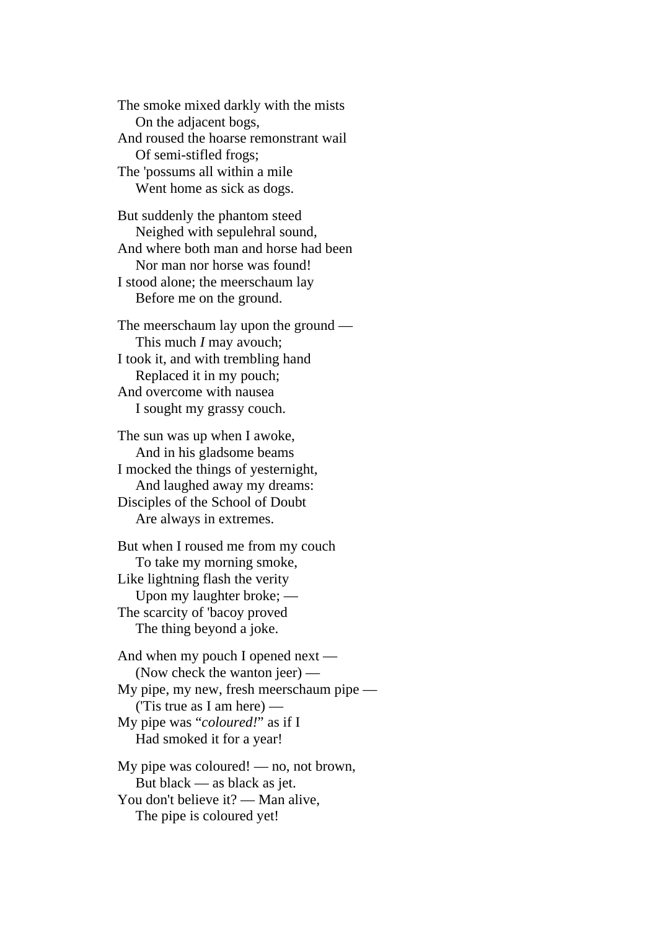The smoke mixed darkly with the mists On the adjacent bogs, And roused the hoarse remonstrant wail Of semi-stifled frogs; The 'possums all within a mile Went home as sick as dogs.

But suddenly the phantom steed Neighed with sepulehral sound, And where both man and horse had been Nor man nor horse was found! I stood alone; the meerschaum lay Before me on the ground.

The meerschaum lay upon the ground — This much *I* may avouch; I took it, and with trembling hand Replaced it in my pouch; And overcome with nausea I sought my grassy couch.

The sun was up when I awoke, And in his gladsome beams I mocked the things of yesternight, And laughed away my dreams: Disciples of the School of Doubt Are always in extremes.

But when I roused me from my couch To take my morning smoke, Like lightning flash the verity Upon my laughter broke; — The scarcity of 'bacoy proved The thing beyond a joke.

And when my pouch I opened next — (Now check the wanton jeer) — My pipe, my new, fresh meerschaum pipe — ('Tis true as I am here) — My pipe was "*coloured!*" as if I Had smoked it for a year!

My pipe was coloured! — no, not brown, But black — as black as jet. You don't believe it? — Man alive, The pipe is coloured yet!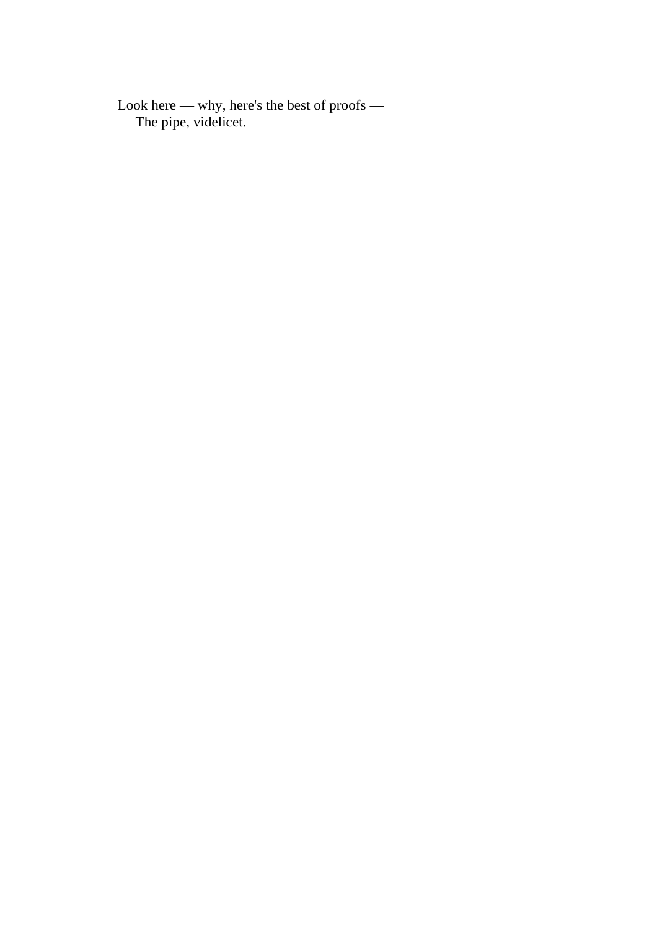Look here — why, here's the best of proofs — The pipe, videlicet.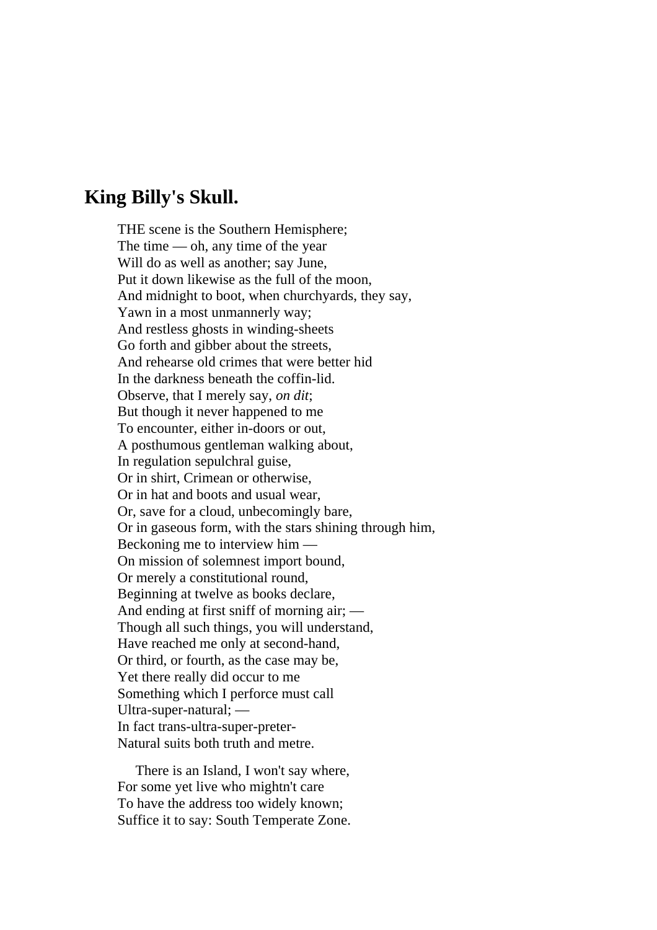#### **King Billy's Skull.**

THE scene is the Southern Hemisphere; The time  $\sim$  oh, any time of the year Will do as well as another; say June, Put it down likewise as the full of the moon, And midnight to boot, when churchyards, they say, Yawn in a most unmannerly way; And restless ghosts in winding-sheets Go forth and gibber about the streets, And rehearse old crimes that were better hid In the darkness beneath the coffin-lid. Observe, that I merely say, *on dit*; But though it never happened to me To encounter, either in-doors or out, A posthumous gentleman walking about, In regulation sepulchral guise, Or in shirt, Crimean or otherwise, Or in hat and boots and usual wear, Or, save for a cloud, unbecomingly bare, Or in gaseous form, with the stars shining through him, Beckoning me to interview him — On mission of solemnest import bound, Or merely a constitutional round, Beginning at twelve as books declare, And ending at first sniff of morning air; — Though all such things, you will understand, Have reached me only at second-hand, Or third, or fourth, as the case may be, Yet there really did occur to me Something which I perforce must call Ultra-super-natural; — In fact trans-ultra-super-preter-Natural suits both truth and metre.

 There is an Island, I won't say where, For some yet live who mightn't care To have the address too widely known; Suffice it to say: South Temperate Zone.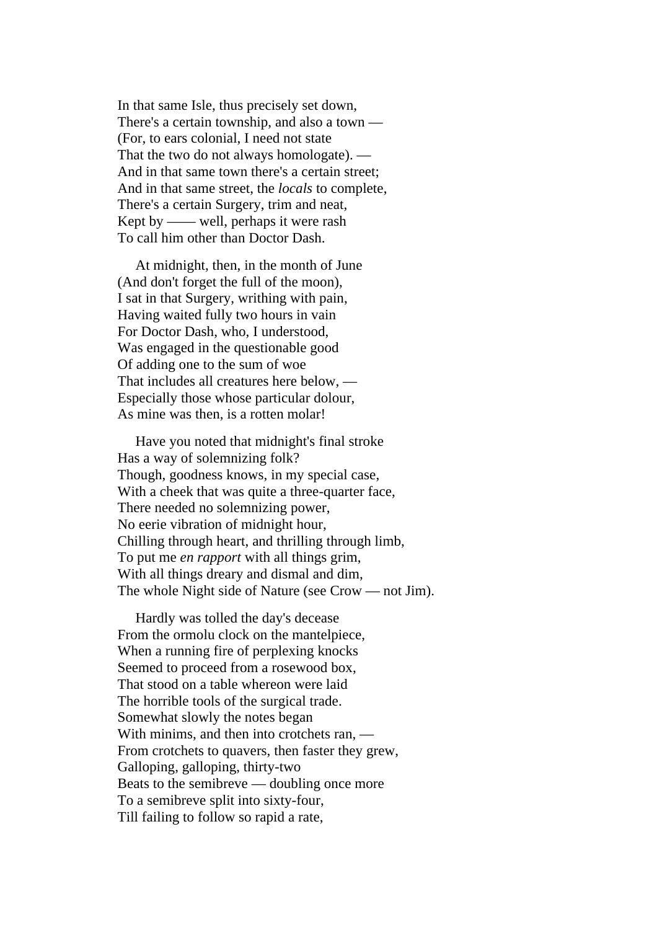In that same Isle, thus precisely set down, There's a certain township, and also a town — (For, to ears colonial, I need not state That the two do not always homologate). — And in that same town there's a certain street; And in that same street, the *locals* to complete, There's a certain Surgery, trim and neat, Kept by —— well, perhaps it were rash To call him other than Doctor Dash.

 At midnight, then, in the month of June (And don't forget the full of the moon), I sat in that Surgery, writhing with pain, Having waited fully two hours in vain For Doctor Dash, who, I understood, Was engaged in the questionable good Of adding one to the sum of woe That includes all creatures here below, — Especially those whose particular dolour, As mine was then, is a rotten molar!

 Have you noted that midnight's final stroke Has a way of solemnizing folk? Though, goodness knows, in my special case, With a cheek that was quite a three-quarter face, There needed no solemnizing power, No eerie vibration of midnight hour, Chilling through heart, and thrilling through limb, To put me *en rapport* with all things grim, With all things dreary and dismal and dim, The whole Night side of Nature (see Crow — not Jim).

 Hardly was tolled the day's decease From the ormolu clock on the mantelpiece, When a running fire of perplexing knocks Seemed to proceed from a rosewood box, That stood on a table whereon were laid The horrible tools of the surgical trade. Somewhat slowly the notes began With minims, and then into crotchets ran, — From crotchets to quavers, then faster they grew, Galloping, galloping, thirty-two Beats to the semibreve — doubling once more To a semibreve split into sixty-four, Till failing to follow so rapid a rate,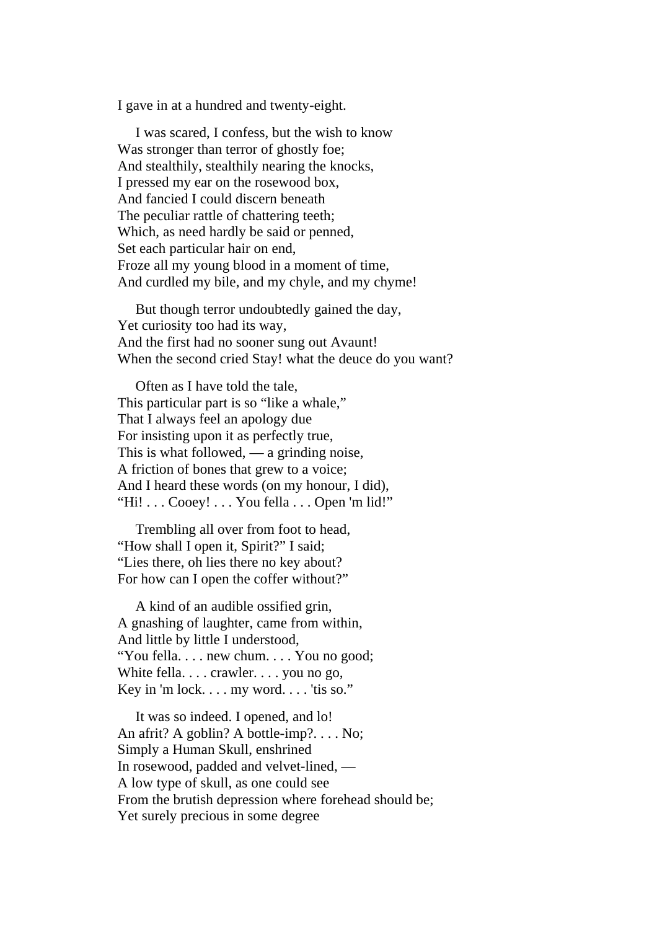I gave in at a hundred and twenty-eight.

 I was scared, I confess, but the wish to know Was stronger than terror of ghostly foe; And stealthily, stealthily nearing the knocks, I pressed my ear on the rosewood box, And fancied I could discern beneath The peculiar rattle of chattering teeth; Which, as need hardly be said or penned, Set each particular hair on end, Froze all my young blood in a moment of time, And curdled my bile, and my chyle, and my chyme!

 But though terror undoubtedly gained the day, Yet curiosity too had its way, And the first had no sooner sung out Avaunt! When the second cried Stay! what the deuce do you want?

 Often as I have told the tale, This particular part is so "like a whale," That I always feel an apology due For insisting upon it as perfectly true, This is what followed, — a grinding noise, A friction of bones that grew to a voice; And I heard these words (on my honour, I did), "Hi! . . . Cooey! . . . You fella . . . Open 'm lid!"

 Trembling all over from foot to head, "How shall I open it, Spirit?" I said; "Lies there, oh lies there no key about? For how can I open the coffer without?"

 A kind of an audible ossified grin, A gnashing of laughter, came from within, And little by little I understood, "You fella. . . . new chum. . . . You no good; White fella. . . . crawler. . . . you no go, Key in 'm lock. . . . my word. . . . 'tis so."

 It was so indeed. I opened, and lo! An afrit? A goblin? A bottle-imp?. . . . No; Simply a Human Skull, enshrined In rosewood, padded and velvet-lined, — A low type of skull, as one could see From the brutish depression where forehead should be; Yet surely precious in some degree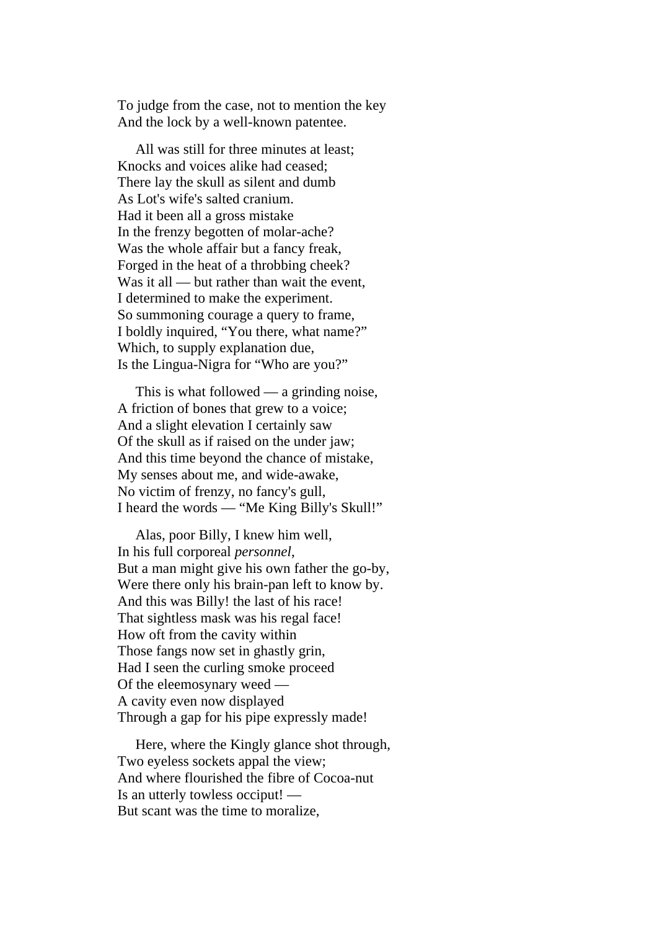To judge from the case, not to mention the key And the lock by a well-known patentee.

 All was still for three minutes at least; Knocks and voices alike had ceased; There lay the skull as silent and dumb As Lot's wife's salted cranium. Had it been all a gross mistake In the frenzy begotten of molar-ache? Was the whole affair but a fancy freak, Forged in the heat of a throbbing cheek? Was it all — but rather than wait the event, I determined to make the experiment. So summoning courage a query to frame, I boldly inquired, "You there, what name?" Which, to supply explanation due, Is the Lingua-Nigra for "Who are you?"

 This is what followed — a grinding noise, A friction of bones that grew to a voice; And a slight elevation I certainly saw Of the skull as if raised on the under jaw; And this time beyond the chance of mistake, My senses about me, and wide-awake, No victim of frenzy, no fancy's gull, I heard the words — "Me King Billy's Skull!"

 Alas, poor Billy, I knew him well, In his full corporeal *personnel*, But a man might give his own father the go-by, Were there only his brain-pan left to know by. And this was Billy! the last of his race! That sightless mask was his regal face! How oft from the cavity within Those fangs now set in ghastly grin, Had I seen the curling smoke proceed Of the eleemosynary weed — A cavity even now displayed Through a gap for his pipe expressly made!

 Here, where the Kingly glance shot through, Two eyeless sockets appal the view; And where flourished the fibre of Cocoa-nut Is an utterly towless occiput! — But scant was the time to moralize,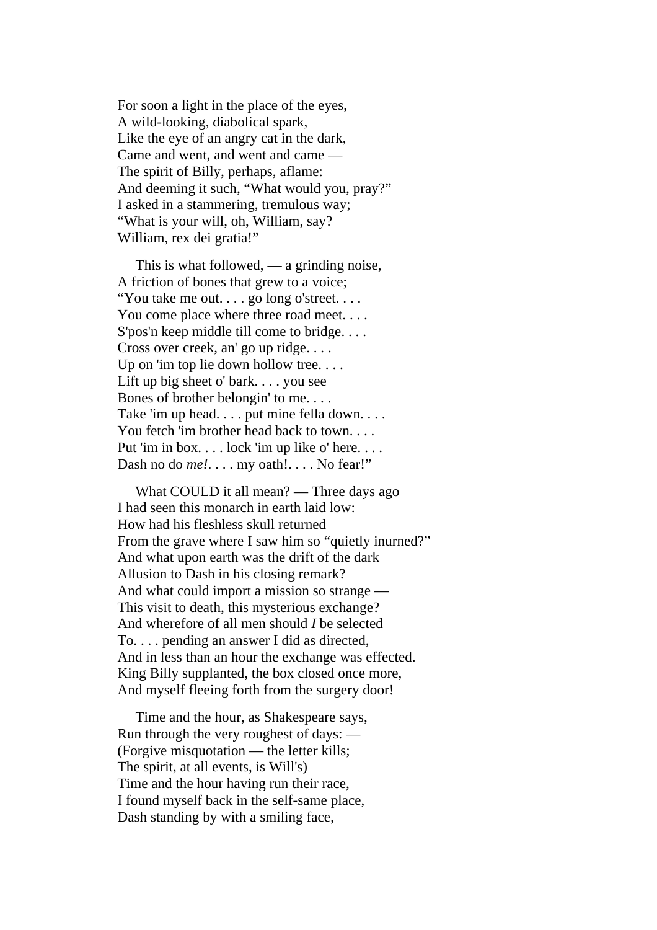For soon a light in the place of the eyes, A wild-looking, diabolical spark, Like the eye of an angry cat in the dark, Came and went, and went and came — The spirit of Billy, perhaps, aflame: And deeming it such, "What would you, pray?" I asked in a stammering, tremulous way; "What is your will, oh, William, say? William, rex dei gratia!"

 This is what followed, — a grinding noise, A friction of bones that grew to a voice; "You take me out. . . . go long o'street. . . . You come place where three road meet.... S'pos'n keep middle till come to bridge. . . . Cross over creek, an' go up ridge. . . . Up on 'im top lie down hollow tree.... Lift up big sheet o' bark. . . . you see Bones of brother belongin' to me. . . . Take 'im up head. . . . put mine fella down. . . . You fetch 'im brother head back to town. . . . Put 'im in box. . . . lock 'im up like o' here. . . . Dash no do *me!*.... my oath!.... No fear!"

 What COULD it all mean? — Three days ago I had seen this monarch in earth laid low: How had his fleshless skull returned From the grave where I saw him so "quietly inurned?" And what upon earth was the drift of the dark Allusion to Dash in his closing remark? And what could import a mission so strange — This visit to death, this mysterious exchange? And wherefore of all men should *I* be selected To. . . . pending an answer I did as directed, And in less than an hour the exchange was effected. King Billy supplanted, the box closed once more, And myself fleeing forth from the surgery door!

 Time and the hour, as Shakespeare says, Run through the very roughest of days: — (Forgive misquotation — the letter kills; The spirit, at all events, is Will's) Time and the hour having run their race, I found myself back in the self-same place, Dash standing by with a smiling face,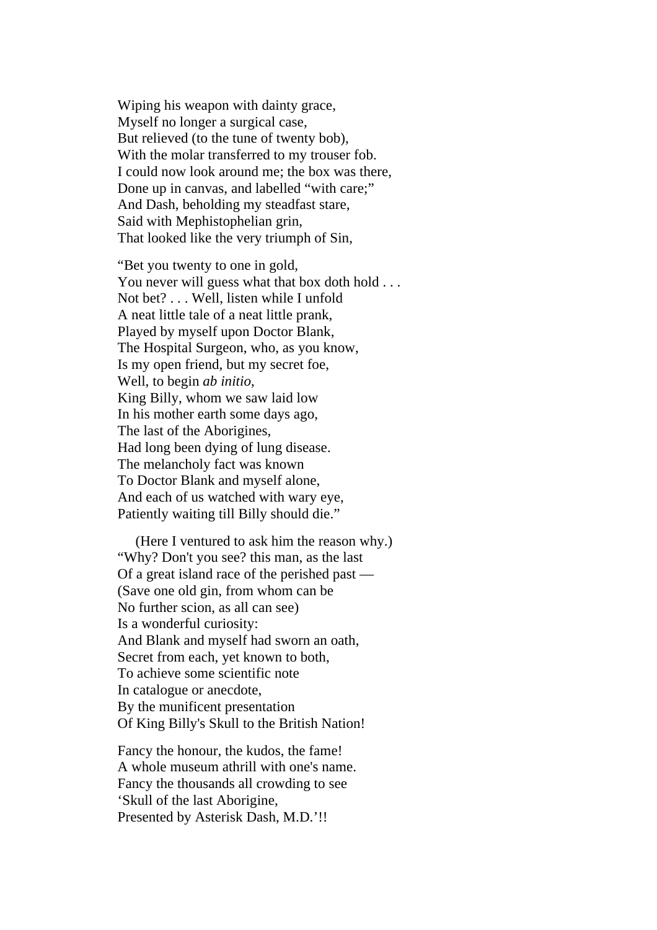Wiping his weapon with dainty grace, Myself no longer a surgical case, But relieved (to the tune of twenty bob), With the molar transferred to my trouser fob. I could now look around me; the box was there, Done up in canvas, and labelled "with care;" And Dash, beholding my steadfast stare, Said with Mephistophelian grin, That looked like the very triumph of Sin,

"Bet you twenty to one in gold, You never will guess what that box doth hold . . . Not bet? . . . Well, listen while I unfold A neat little tale of a neat little prank, Played by myself upon Doctor Blank, The Hospital Surgeon, who, as you know, Is my open friend, but my secret foe, Well, to begin *ab initio*, King Billy, whom we saw laid low In his mother earth some days ago, The last of the Aborigines, Had long been dying of lung disease. The melancholy fact was known To Doctor Blank and myself alone, And each of us watched with wary eye, Patiently waiting till Billy should die."

 (Here I ventured to ask him the reason why.) "Why? Don't you see? this man, as the last Of a great island race of the perished past — (Save one old gin, from whom can be No further scion, as all can see) Is a wonderful curiosity: And Blank and myself had sworn an oath, Secret from each, yet known to both, To achieve some scientific note In catalogue or anecdote, By the munificent presentation Of King Billy's Skull to the British Nation!

Fancy the honour, the kudos, the fame! A whole museum athrill with one's name. Fancy the thousands all crowding to see 'Skull of the last Aborigine, Presented by Asterisk Dash, M.D.'!!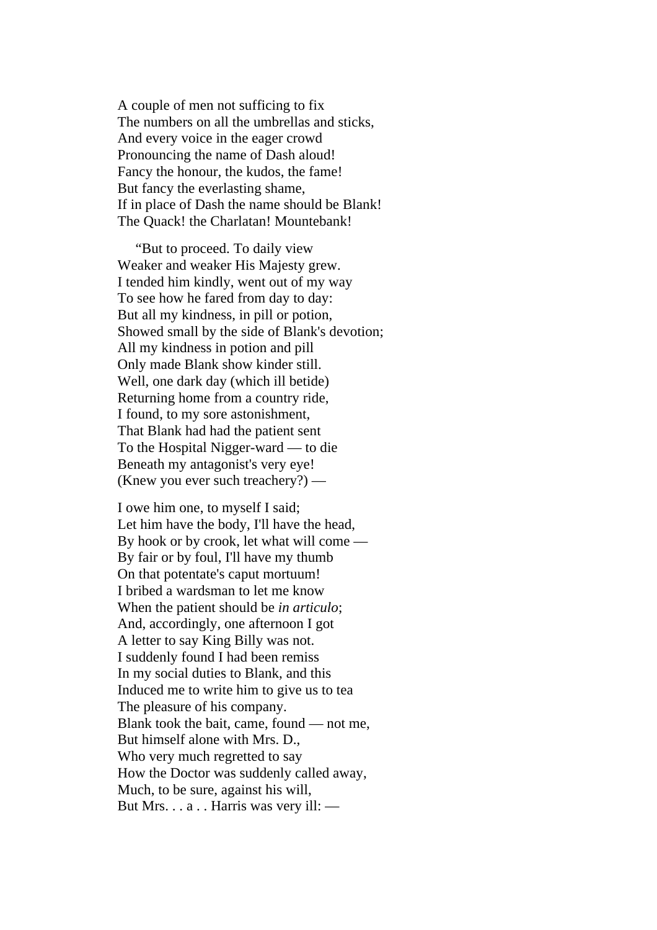A couple of men not sufficing to fix The numbers on all the umbrellas and sticks, And every voice in the eager crowd Pronouncing the name of Dash aloud! Fancy the honour, the kudos, the fame! But fancy the everlasting shame, If in place of Dash the name should be Blank! The Quack! the Charlatan! Mountebank!

 "But to proceed. To daily view Weaker and weaker His Majesty grew. I tended him kindly, went out of my way To see how he fared from day to day: But all my kindness, in pill or potion, Showed small by the side of Blank's devotion; All my kindness in potion and pill Only made Blank show kinder still. Well, one dark day (which ill betide) Returning home from a country ride, I found, to my sore astonishment, That Blank had had the patient sent To the Hospital Nigger-ward — to die Beneath my antagonist's very eye! (Knew you ever such treachery?) —

I owe him one, to myself I said; Let him have the body, I'll have the head, By hook or by crook, let what will come — By fair or by foul, I'll have my thumb On that potentate's caput mortuum! I bribed a wardsman to let me know When the patient should be *in articulo*; And, accordingly, one afternoon I got A letter to say King Billy was not. I suddenly found I had been remiss In my social duties to Blank, and this Induced me to write him to give us to tea The pleasure of his company. Blank took the bait, came, found — not me, But himself alone with Mrs. D., Who very much regretted to say How the Doctor was suddenly called away, Much, to be sure, against his will, But Mrs. . . a . . Harris was very ill: —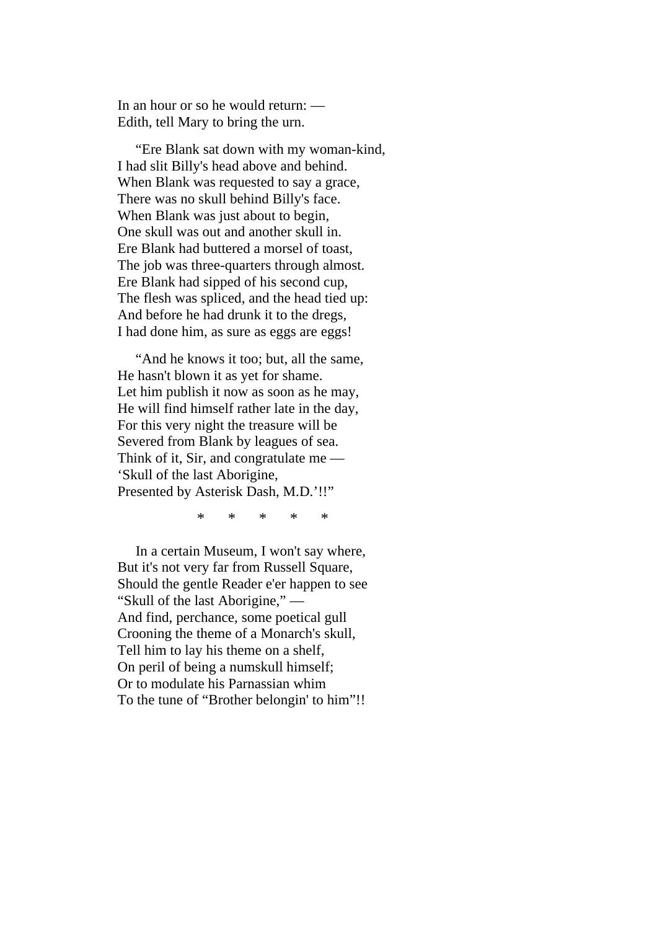In an hour or so he would return: — Edith, tell Mary to bring the urn.

 "Ere Blank sat down with my woman-kind, I had slit Billy's head above and behind. When Blank was requested to say a grace, There was no skull behind Billy's face. When Blank was just about to begin, One skull was out and another skull in. Ere Blank had buttered a morsel of toast, The job was three-quarters through almost. Ere Blank had sipped of his second cup, The flesh was spliced, and the head tied up: And before he had drunk it to the dregs, I had done him, as sure as eggs are eggs!

 "And he knows it too; but, all the same, He hasn't blown it as yet for shame. Let him publish it now as soon as he may, He will find himself rather late in the day, For this very night the treasure will be Severed from Blank by leagues of sea. Think of it, Sir, and congratulate me — 'Skull of the last Aborigine, Presented by Asterisk Dash, M.D.'!!"

\* \* \* \* \*

 In a certain Museum, I won't say where, But it's not very far from Russell Square, Should the gentle Reader e'er happen to see "Skull of the last Aborigine," — And find, perchance, some poetical gull Crooning the theme of a Monarch's skull, Tell him to lay his theme on a shelf, On peril of being a numskull himself; Or to modulate his Parnassian whim To the tune of "Brother belongin' to him"!!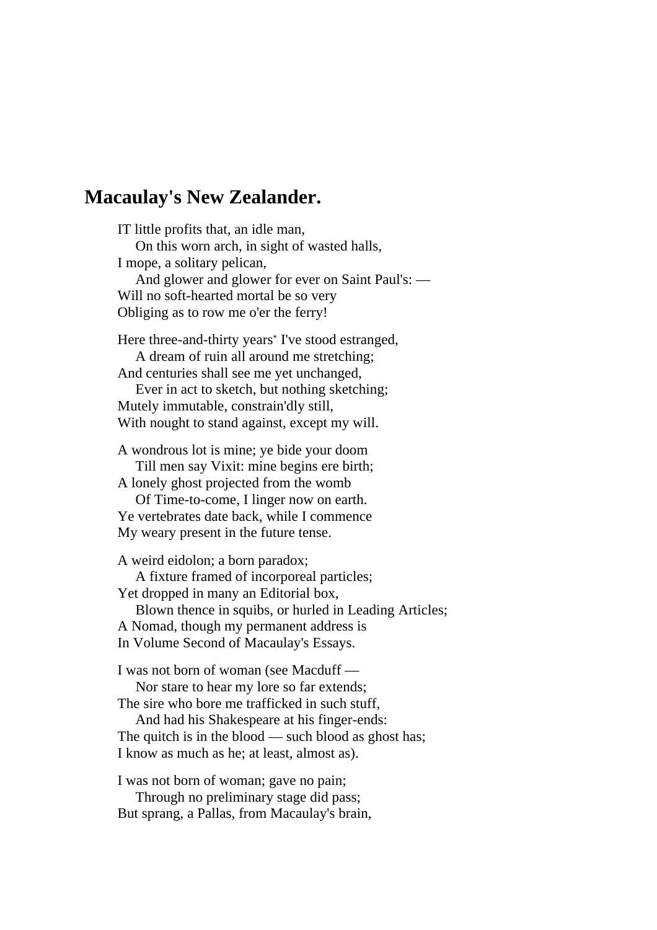#### **Macaulay's New Zealander.**

IT little profits that, an idle man, On this worn arch, in sight of wasted halls, I mope, a solitary pelican, And glower and glower for ever on Saint Paul's: — Will no soft-hearted mortal be so very Obliging as to row me o'er the ferry! Here three-and-thirty years<sup>\*</sup> I've stood estranged, A dream of ruin all around me stretching; And centuries shall see me yet unchanged, Ever in act to sketch, but nothing sketching; Mutely immutable, constrain'dly still, With nought to stand against, except my will. A wondrous lot is mine; ye bide your doom Till men say Vixit: mine begins ere birth; A lonely ghost projected from the womb Of Time-to-come, I linger now on earth. Ye vertebrates date back, while I commence My weary present in the future tense. A weird eidolon; a born paradox; A fixture framed of incorporeal particles; Yet dropped in many an Editorial box, Blown thence in squibs, or hurled in Leading Articles; A Nomad, though my permanent address is In Volume Second of Macaulay's Essays. I was not born of woman (see Macduff — Nor stare to hear my lore so far extends; The sire who bore me trafficked in such stuff, And had his Shakespeare at his finger-ends: The quitch is in the blood — such blood as ghost has;

I know as much as he; at least, almost as).

I was not born of woman; gave no pain;

 Through no preliminary stage did pass; But sprang, a Pallas, from Macaulay's brain,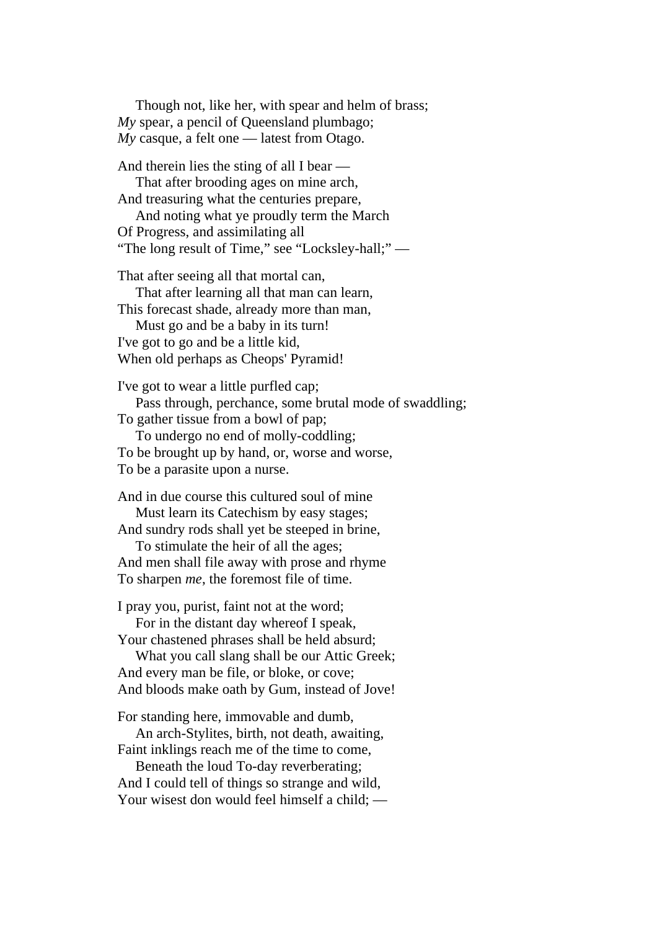Though not, like her, with spear and helm of brass; *My* spear, a pencil of Queensland plumbago; *My* casque, a felt one — latest from Otago.

And therein lies the sting of all I bear —

 That after brooding ages on mine arch, And treasuring what the centuries prepare,

 And noting what ye proudly term the March Of Progress, and assimilating all "The long result of Time," see "Locksley-hall;" —

That after seeing all that mortal can,

 That after learning all that man can learn, This forecast shade, already more than man,

 Must go and be a baby in its turn! I've got to go and be a little kid,

When old perhaps as Cheops' Pyramid!

I've got to wear a little purfled cap; Pass through, perchance, some brutal mode of swaddling;

To gather tissue from a bowl of pap;

 To undergo no end of molly-coddling; To be brought up by hand, or, worse and worse, To be a parasite upon a nurse.

And in due course this cultured soul of mine Must learn its Catechism by easy stages;

And sundry rods shall yet be steeped in brine,

 To stimulate the heir of all the ages; And men shall file away with prose and rhyme To sharpen *me*, the foremost file of time.

I pray you, purist, faint not at the word; For in the distant day whereof I speak,

Your chastened phrases shall be held absurd;

 What you call slang shall be our Attic Greek; And every man be file, or bloke, or cove; And bloods make oath by Gum, instead of Jove!

For standing here, immovable and dumb, An arch-Stylites, birth, not death, awaiting,

Faint inklings reach me of the time to come, Beneath the loud To-day reverberating;

And I could tell of things so strange and wild, Your wisest don would feel himself a child; —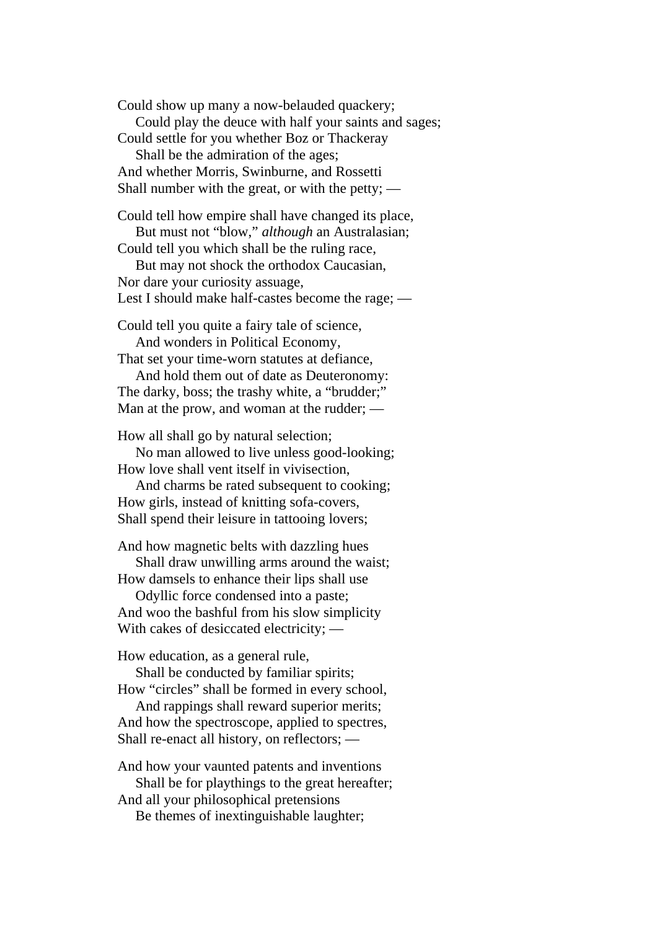Could show up many a now-belauded quackery;

 Could play the deuce with half your saints and sages; Could settle for you whether Boz or Thackeray

 Shall be the admiration of the ages; And whether Morris, Swinburne, and Rossetti Shall number with the great, or with the petty; —

Could tell how empire shall have changed its place, But must not "blow," *although* an Australasian;

Could tell you which shall be the ruling race, But may not shock the orthodox Caucasian, Nor dare your curiosity assuage,

Lest I should make half-castes become the rage; —

Could tell you quite a fairy tale of science, And wonders in Political Economy,

That set your time-worn statutes at defiance,

 And hold them out of date as Deuteronomy: The darky, boss; the trashy white, a "brudder;" Man at the prow, and woman at the rudder; —

How all shall go by natural selection;

 No man allowed to live unless good-looking; How love shall vent itself in vivisection,

 And charms be rated subsequent to cooking; How girls, instead of knitting sofa-covers, Shall spend their leisure in tattooing lovers;

And how magnetic belts with dazzling hues Shall draw unwilling arms around the waist;

How damsels to enhance their lips shall use Odyllic force condensed into a paste;

And woo the bashful from his slow simplicity With cakes of desiccated electricity; —

How education, as a general rule, Shall be conducted by familiar spirits;

How "circles" shall be formed in every school,

 And rappings shall reward superior merits; And how the spectroscope, applied to spectres, Shall re-enact all history, on reflectors; —

And how your vaunted patents and inventions Shall be for playthings to the great hereafter; And all your philosophical pretensions

Be themes of inextinguishable laughter;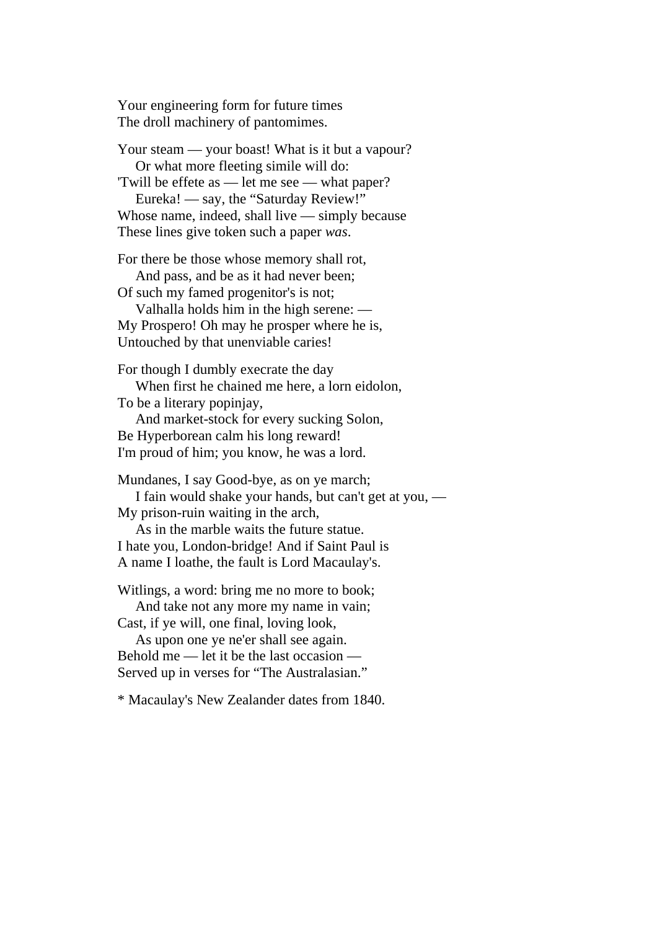Your engineering form for future times The droll machinery of pantomimes.

Your steam — your boast! What is it but a vapour? Or what more fleeting simile will do: 'Twill be effete as — let me see — what paper? Eureka! — say, the "Saturday Review!" Whose name, indeed, shall live — simply because These lines give token such a paper *was*.

For there be those whose memory shall rot, And pass, and be as it had never been;

Of such my famed progenitor's is not;

 Valhalla holds him in the high serene: — My Prospero! Oh may he prosper where he is, Untouched by that unenviable caries!

For though I dumbly execrate the day When first he chained me here, a lorn eidolon,

To be a literary popinjay,

 And market-stock for every sucking Solon, Be Hyperborean calm his long reward! I'm proud of him; you know, he was a lord.

Mundanes, I say Good-bye, as on ye march;

 I fain would shake your hands, but can't get at you, — My prison-ruin waiting in the arch,

 As in the marble waits the future statue. I hate you, London-bridge! And if Saint Paul is A name I loathe, the fault is Lord Macaulay's.

Witlings, a word: bring me no more to book;

 And take not any more my name in vain; Cast, if ye will, one final, loving look,

 As upon one ye ne'er shall see again. Behold me — let it be the last occasion — Served up in verses for "The Australasian."

\* Macaulay's New Zealander dates from 1840.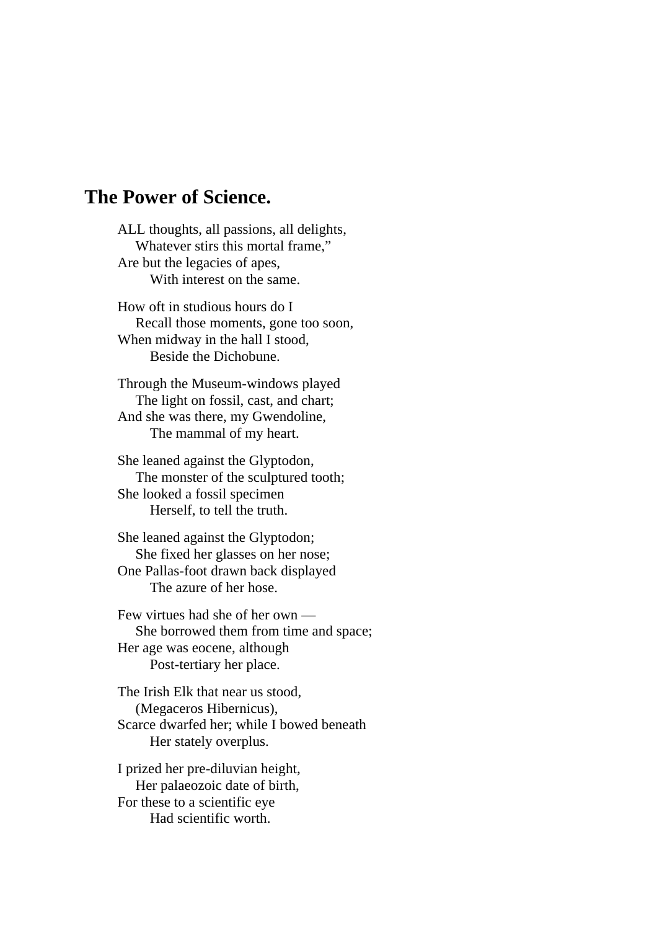## **The Power of Science.**

ALL thoughts, all passions, all delights, Whatever stirs this mortal frame," Are but the legacies of apes, With interest on the same.

How oft in studious hours do I Recall those moments, gone too soon, When midway in the hall I stood, Beside the Dichobune.

Through the Museum-windows played The light on fossil, cast, and chart; And she was there, my Gwendoline, The mammal of my heart.

She leaned against the Glyptodon, The monster of the sculptured tooth; She looked a fossil specimen Herself, to tell the truth.

She leaned against the Glyptodon; She fixed her glasses on her nose; One Pallas-foot drawn back displayed The azure of her hose.

Few virtues had she of her own — She borrowed them from time and space; Her age was eocene, although Post-tertiary her place.

The Irish Elk that near us stood, (Megaceros Hibernicus), Scarce dwarfed her; while I bowed beneath Her stately overplus.

I prized her pre-diluvian height, Her palaeozoic date of birth, For these to a scientific eye Had scientific worth.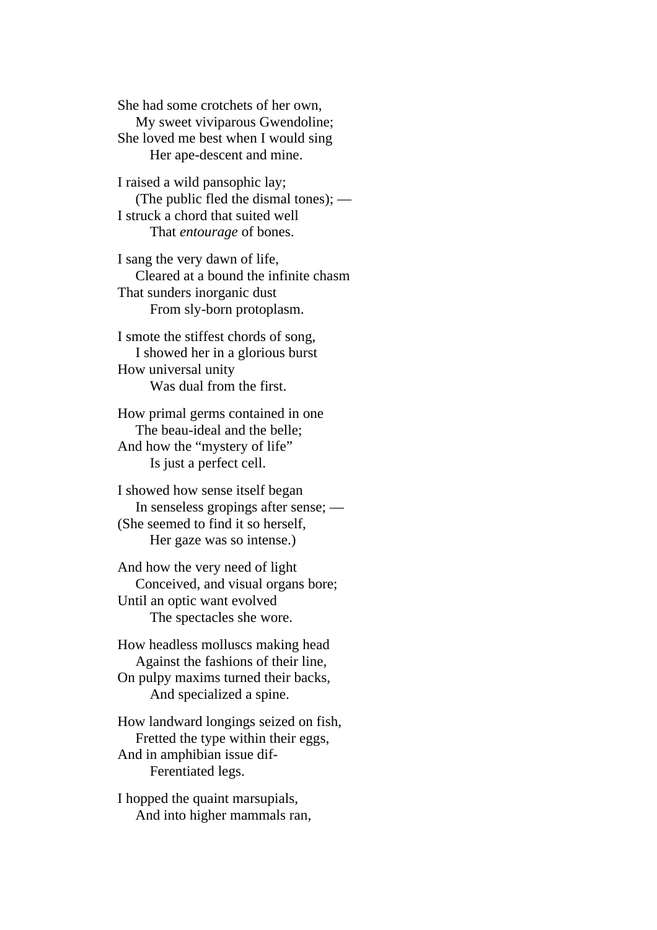She had some crotchets of her own, My sweet viviparous Gwendoline; She loved me best when I would sing Her ape-descent and mine.

I raised a wild pansophic lay; (The public fled the dismal tones); — I struck a chord that suited well That *entourage* of bones.

I sang the very dawn of life, Cleared at a bound the infinite chasm That sunders inorganic dust From sly-born protoplasm.

I smote the stiffest chords of song, I showed her in a glorious burst How universal unity Was dual from the first.

How primal germs contained in one The beau-ideal and the belle; And how the "mystery of life" Is just a perfect cell.

I showed how sense itself began In senseless gropings after sense; — (She seemed to find it so herself, Her gaze was so intense.)

And how the very need of light Conceived, and visual organs bore; Until an optic want evolved The spectacles she wore.

How headless molluscs making head Against the fashions of their line, On pulpy maxims turned their backs, And specialized a spine.

How landward longings seized on fish, Fretted the type within their eggs, And in amphibian issue dif- Ferentiated legs.

I hopped the quaint marsupials, And into higher mammals ran,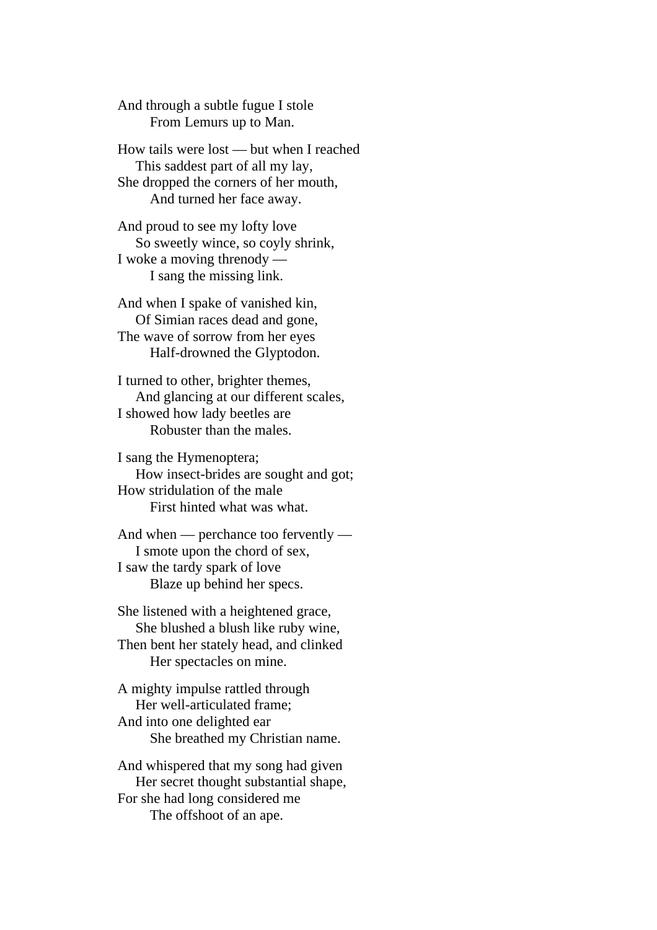And through a subtle fugue I stole From Lemurs up to Man.

How tails were lost — but when I reached This saddest part of all my lay, She dropped the corners of her mouth, And turned her face away.

And proud to see my lofty love So sweetly wince, so coyly shrink, I woke a moving threnody — I sang the missing link.

And when I spake of vanished kin, Of Simian races dead and gone, The wave of sorrow from her eyes Half-drowned the Glyptodon.

I turned to other, brighter themes, And glancing at our different scales, I showed how lady beetles are Robuster than the males.

I sang the Hymenoptera; How insect-brides are sought and got; How stridulation of the male First hinted what was what.

And when — perchance too fervently — I smote upon the chord of sex, I saw the tardy spark of love Blaze up behind her specs.

She listened with a heightened grace, She blushed a blush like ruby wine, Then bent her stately head, and clinked Her spectacles on mine.

A mighty impulse rattled through Her well-articulated frame; And into one delighted ear She breathed my Christian name.

And whispered that my song had given Her secret thought substantial shape, For she had long considered me The offshoot of an ape.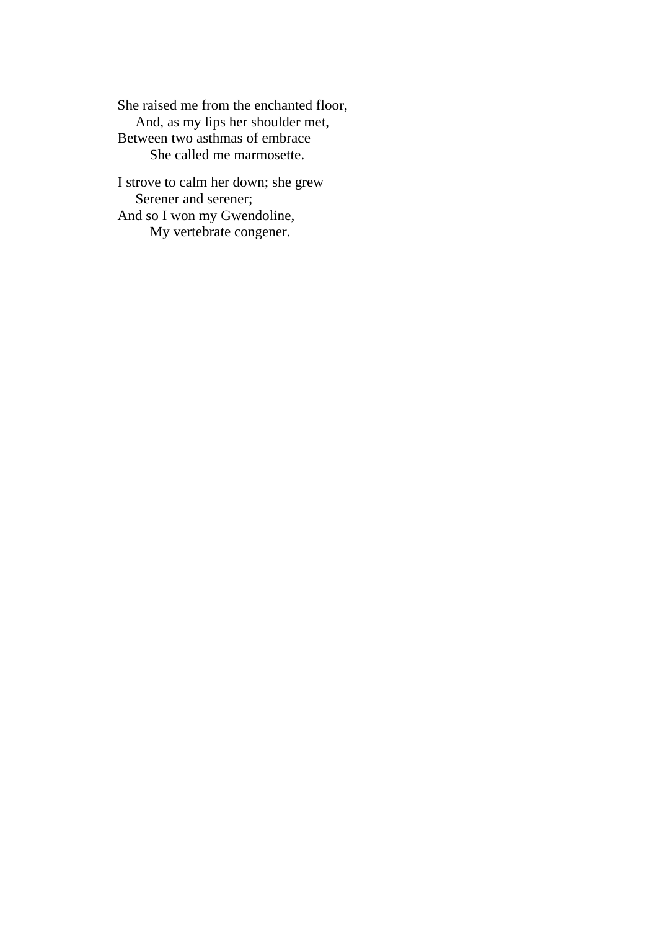She raised me from the enchanted floor, And, as my lips her shoulder met, Between two asthmas of embrace She called me marmosette.

I strove to calm her down; she grew Serener and serener; And so I won my Gwendoline, My vertebrate congener.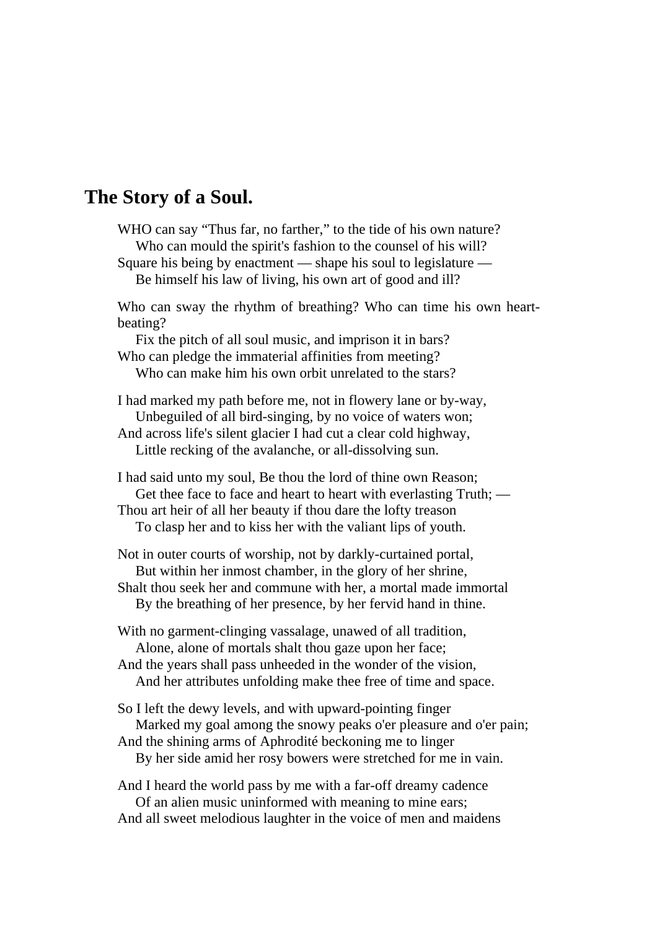## **The Story of a Soul.**

WHO can say "Thus far, no farther," to the tide of his own nature? Who can mould the spirit's fashion to the counsel of his will? Square his being by enactment — shape his soul to legislature — Be himself his law of living, his own art of good and ill? Who can sway the rhythm of breathing? Who can time his own heartbeating? Fix the pitch of all soul music, and imprison it in bars? Who can pledge the immaterial affinities from meeting? Who can make him his own orbit unrelated to the stars? I had marked my path before me, not in flowery lane or by-way, Unbeguiled of all bird-singing, by no voice of waters won; And across life's silent glacier I had cut a clear cold highway, Little recking of the avalanche, or all-dissolving sun. I had said unto my soul, Be thou the lord of thine own Reason; Get thee face to face and heart to heart with everlasting Truth; — Thou art heir of all her beauty if thou dare the lofty treason To clasp her and to kiss her with the valiant lips of youth. Not in outer courts of worship, not by darkly-curtained portal, But within her inmost chamber, in the glory of her shrine, Shalt thou seek her and commune with her, a mortal made immortal By the breathing of her presence, by her fervid hand in thine. With no garment-clinging vassalage, unawed of all tradition, Alone, alone of mortals shalt thou gaze upon her face; And the years shall pass unheeded in the wonder of the vision, And her attributes unfolding make thee free of time and space. So I left the dewy levels, and with upward-pointing finger Marked my goal among the snowy peaks o'er pleasure and o'er pain; And the shining arms of Aphrodité beckoning me to linger By her side amid her rosy bowers were stretched for me in vain. And I heard the world pass by me with a far-off dreamy cadence Of an alien music uninformed with meaning to mine ears; And all sweet melodious laughter in the voice of men and maidens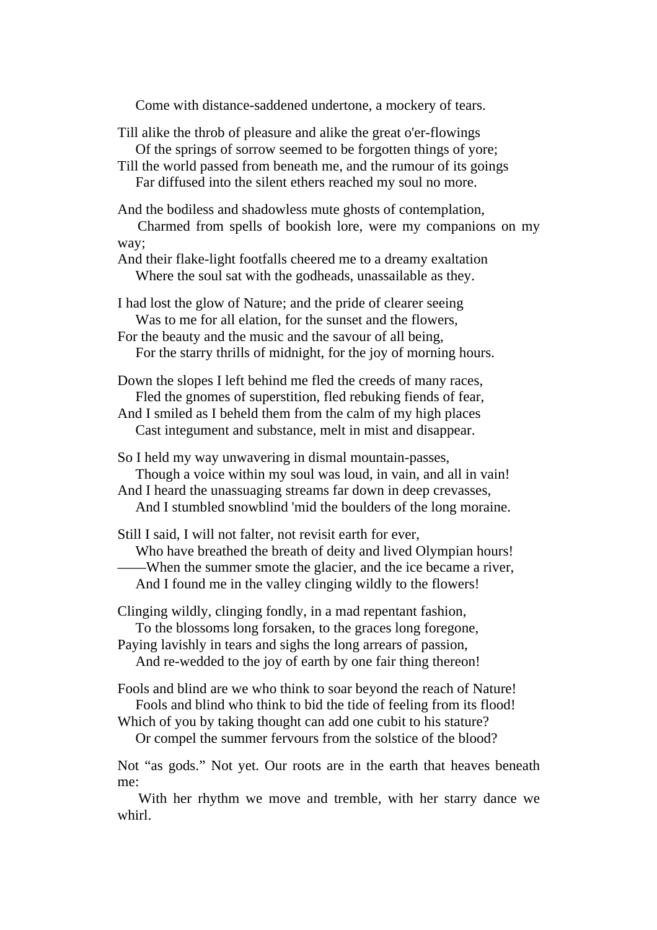Come with distance-saddened undertone, a mockery of tears.

Till alike the throb of pleasure and alike the great o'er-flowings Of the springs of sorrow seemed to be forgotten things of yore; Till the world passed from beneath me, and the rumour of its goings Far diffused into the silent ethers reached my soul no more. And the bodiless and shadowless mute ghosts of contemplation, Charmed from spells of bookish lore, were my companions on my way; And their flake-light footfalls cheered me to a dreamy exaltation Where the soul sat with the godheads, unassailable as they. I had lost the glow of Nature; and the pride of clearer seeing Was to me for all elation, for the sunset and the flowers, For the beauty and the music and the savour of all being, For the starry thrills of midnight, for the joy of morning hours. Down the slopes I left behind me fled the creeds of many races, Fled the gnomes of superstition, fled rebuking fiends of fear, And I smiled as I beheld them from the calm of my high places Cast integument and substance, melt in mist and disappear. So I held my way unwavering in dismal mountain-passes, Though a voice within my soul was loud, in vain, and all in vain! And I heard the unassuaging streams far down in deep crevasses, And I stumbled snowblind 'mid the boulders of the long moraine. Still I said, I will not falter, not revisit earth for ever, Who have breathed the breath of deity and lived Olympian hours! ——When the summer smote the glacier, and the ice became a river, And I found me in the valley clinging wildly to the flowers! Clinging wildly, clinging fondly, in a mad repentant fashion, To the blossoms long forsaken, to the graces long foregone, Paying lavishly in tears and sighs the long arrears of passion, And re-wedded to the joy of earth by one fair thing thereon! Fools and blind are we who think to soar beyond the reach of Nature! Fools and blind who think to bid the tide of feeling from its flood! Which of you by taking thought can add one cubit to his stature? Or compel the summer fervours from the solstice of the blood? Not "as gods." Not yet. Our roots are in the earth that heaves beneath me: With her rhythm we move and tremble, with her starry dance we

whirl.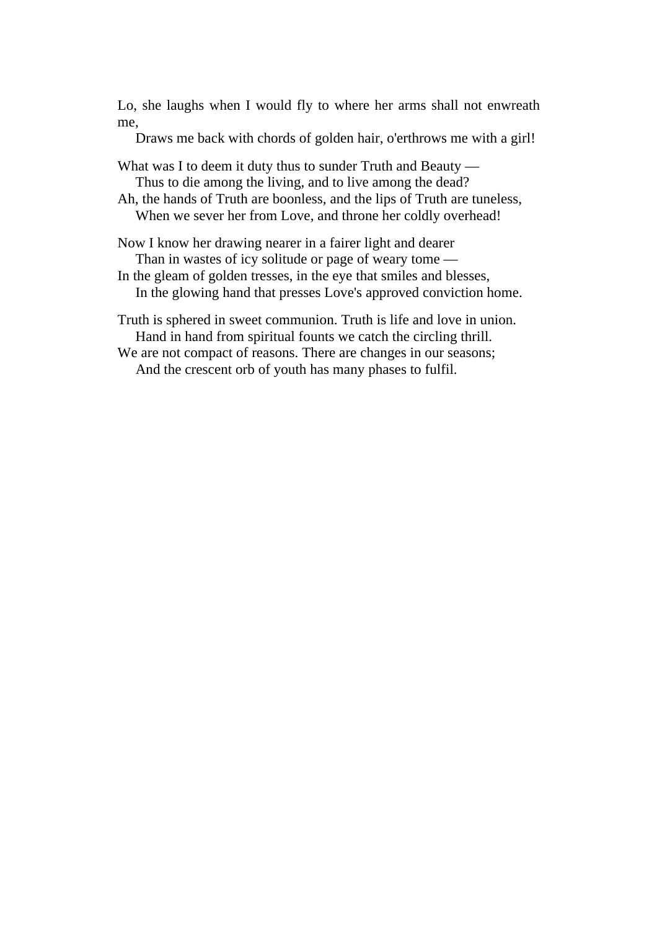Lo, she laughs when I would fly to where her arms shall not enwreath me,

Draws me back with chords of golden hair, o'erthrows me with a girl!

What was I to deem it duty thus to sunder Truth and Beauty — Thus to die among the living, and to live among the dead?

Ah, the hands of Truth are boonless, and the lips of Truth are tuneless, When we sever her from Love, and throne her coldly overhead!

Now I know her drawing nearer in a fairer light and dearer Than in wastes of icy solitude or page of weary tome —

In the gleam of golden tresses, in the eye that smiles and blesses, In the glowing hand that presses Love's approved conviction home.

Truth is sphered in sweet communion. Truth is life and love in union. Hand in hand from spiritual founts we catch the circling thrill.

We are not compact of reasons. There are changes in our seasons; And the crescent orb of youth has many phases to fulfil.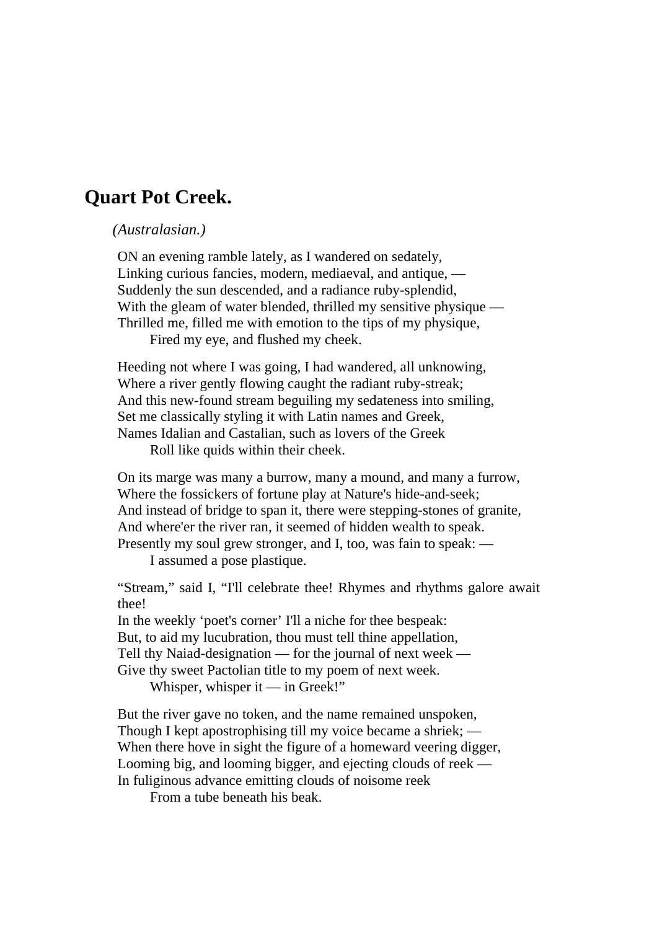# **Quart Pot Creek.**

#### *(Australasian.)*

ON an evening ramble lately, as I wandered on sedately, Linking curious fancies, modern, mediaeval, and antique, — Suddenly the sun descended, and a radiance ruby-splendid, With the gleam of water blended, thrilled my sensitive physique — Thrilled me, filled me with emotion to the tips of my physique,

Fired my eye, and flushed my cheek.

Heeding not where I was going, I had wandered, all unknowing, Where a river gently flowing caught the radiant ruby-streak; And this new-found stream beguiling my sedateness into smiling, Set me classically styling it with Latin names and Greek, Names Idalian and Castalian, such as lovers of the Greek

Roll like quids within their cheek.

On its marge was many a burrow, many a mound, and many a furrow, Where the fossickers of fortune play at Nature's hide-and-seek; And instead of bridge to span it, there were stepping-stones of granite, And where'er the river ran, it seemed of hidden wealth to speak. Presently my soul grew stronger, and I, too, was fain to speak: —

I assumed a pose plastique.

"Stream," said I, "I'll celebrate thee! Rhymes and rhythms galore await thee!

In the weekly 'poet's corner' I'll a niche for thee bespeak: But, to aid my lucubration, thou must tell thine appellation, Tell thy Naiad-designation — for the journal of next week — Give thy sweet Pactolian title to my poem of next week.

Whisper, whisper it — in Greek!"

But the river gave no token, and the name remained unspoken, Though I kept apostrophising till my voice became a shriek; — When there hove in sight the figure of a homeward veering digger, Looming big, and looming bigger, and ejecting clouds of reek — In fuliginous advance emitting clouds of noisome reek

From a tube beneath his beak.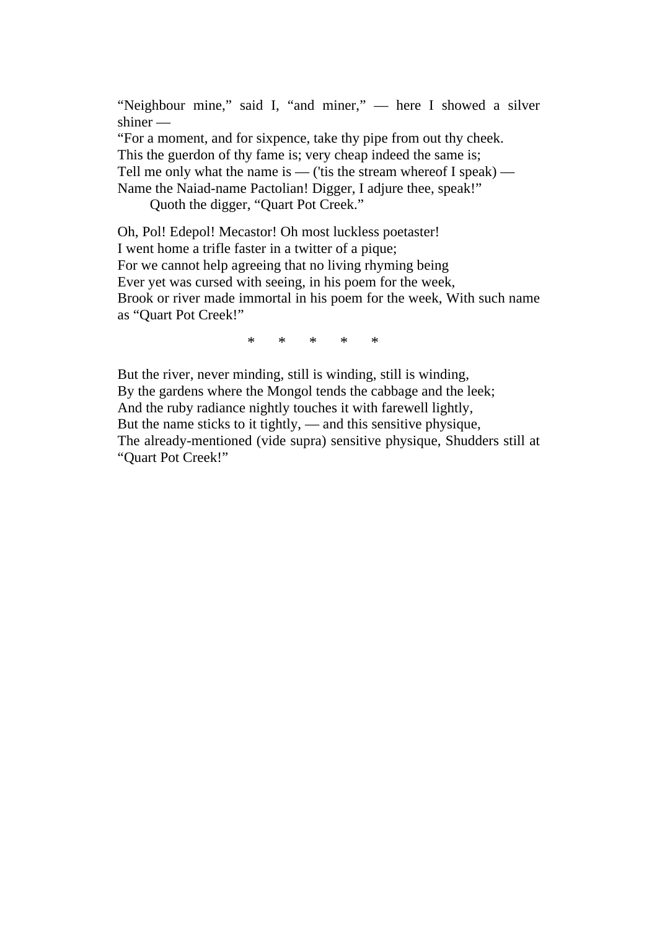"Neighbour mine," said I, "and miner," — here I showed a silver shiner —

"For a moment, and for sixpence, take thy pipe from out thy cheek. This the guerdon of thy fame is; very cheap indeed the same is; Tell me only what the name is — ('tis the stream whereof I speak) — Name the Naiad-name Pactolian! Digger, I adjure thee, speak!"

Quoth the digger, "Quart Pot Creek."

Oh, Pol! Edepol! Mecastor! Oh most luckless poetaster! I went home a trifle faster in a twitter of a pique; For we cannot help agreeing that no living rhyming being Ever yet was cursed with seeing, in his poem for the week, Brook or river made immortal in his poem for the week, With such name as "Quart Pot Creek!"

\* \* \* \* \*

But the river, never minding, still is winding, still is winding, By the gardens where the Mongol tends the cabbage and the leek; And the ruby radiance nightly touches it with farewell lightly, But the name sticks to it tightly, — and this sensitive physique, The already-mentioned (vide supra) sensitive physique, Shudders still at "Quart Pot Creek!"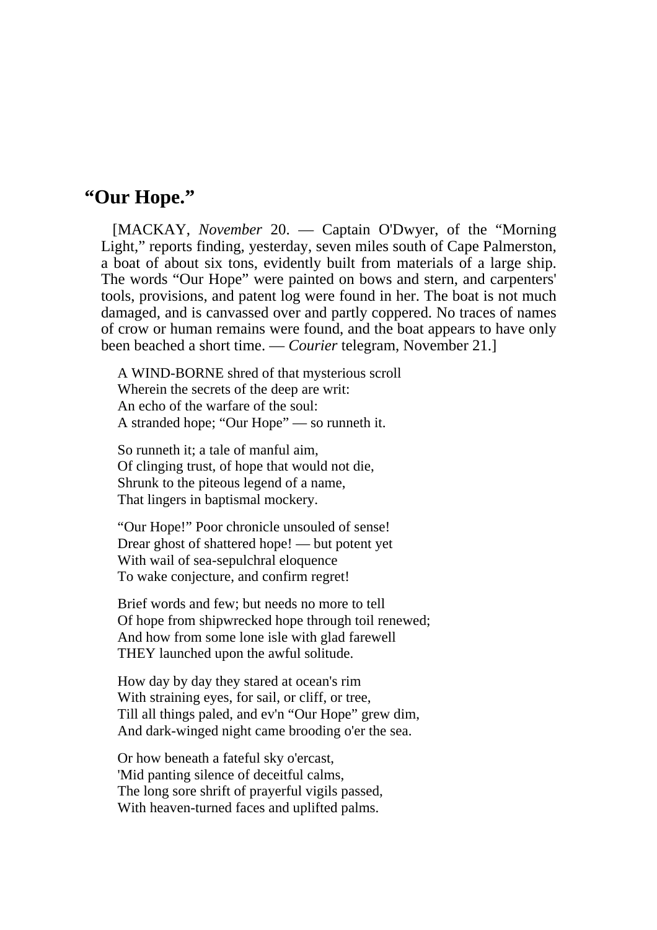#### **"Our Hope."**

 [MACKAY, *November* 20. — Captain O'Dwyer, of the "Morning Light," reports finding, yesterday, seven miles south of Cape Palmerston, a boat of about six tons, evidently built from materials of a large ship. The words "Our Hope" were painted on bows and stern, and carpenters' tools, provisions, and patent log were found in her. The boat is not much damaged, and is canvassed over and partly coppered. No traces of names of crow or human remains were found, and the boat appears to have only been beached a short time. — *Courier* telegram, November 21.]

A WIND-BORNE shred of that mysterious scroll Wherein the secrets of the deep are writ: An echo of the warfare of the soul: A stranded hope; "Our Hope" — so runneth it.

So runneth it; a tale of manful aim, Of clinging trust, of hope that would not die, Shrunk to the piteous legend of a name, That lingers in baptismal mockery.

"Our Hope!" Poor chronicle unsouled of sense! Drear ghost of shattered hope! — but potent yet With wail of sea-sepulchral eloquence To wake conjecture, and confirm regret!

Brief words and few; but needs no more to tell Of hope from shipwrecked hope through toil renewed; And how from some lone isle with glad farewell THEY launched upon the awful solitude.

How day by day they stared at ocean's rim With straining eyes, for sail, or cliff, or tree, Till all things paled, and ev'n "Our Hope" grew dim, And dark-winged night came brooding o'er the sea.

Or how beneath a fateful sky o'ercast, 'Mid panting silence of deceitful calms, The long sore shrift of prayerful vigils passed, With heaven-turned faces and uplifted palms.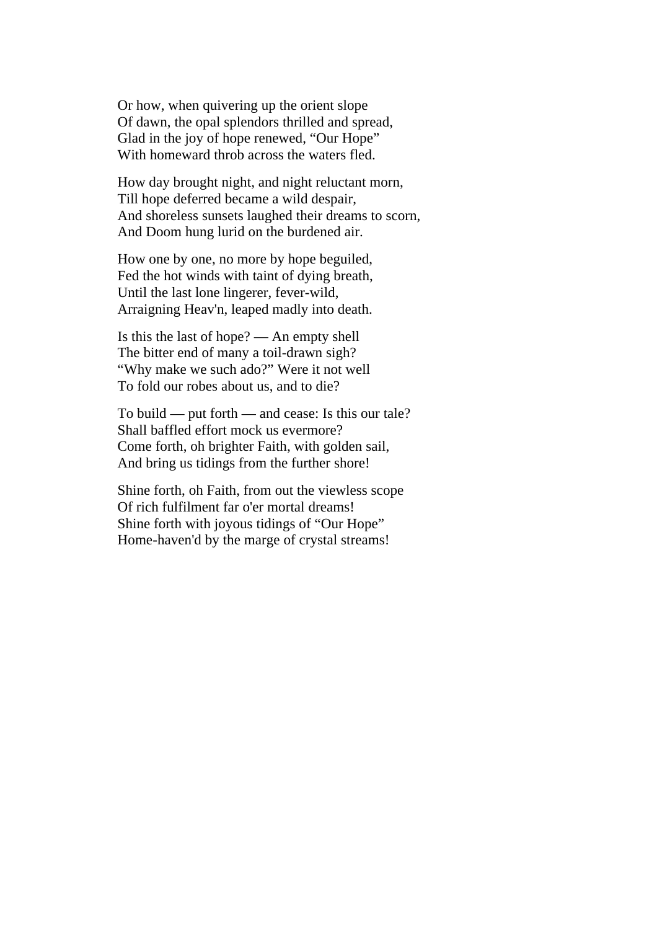Or how, when quivering up the orient slope Of dawn, the opal splendors thrilled and spread, Glad in the joy of hope renewed, "Our Hope" With homeward throb across the waters fled.

How day brought night, and night reluctant morn, Till hope deferred became a wild despair, And shoreless sunsets laughed their dreams to scorn, And Doom hung lurid on the burdened air.

How one by one, no more by hope beguiled, Fed the hot winds with taint of dying breath, Until the last lone lingerer, fever-wild, Arraigning Heav'n, leaped madly into death.

Is this the last of hope? — An empty shell The bitter end of many a toil-drawn sigh? "Why make we such ado?" Were it not well To fold our robes about us, and to die?

To build — put forth — and cease: Is this our tale? Shall baffled effort mock us evermore? Come forth, oh brighter Faith, with golden sail, And bring us tidings from the further shore!

Shine forth, oh Faith, from out the viewless scope Of rich fulfilment far o'er mortal dreams! Shine forth with joyous tidings of "Our Hope" Home-haven'd by the marge of crystal streams!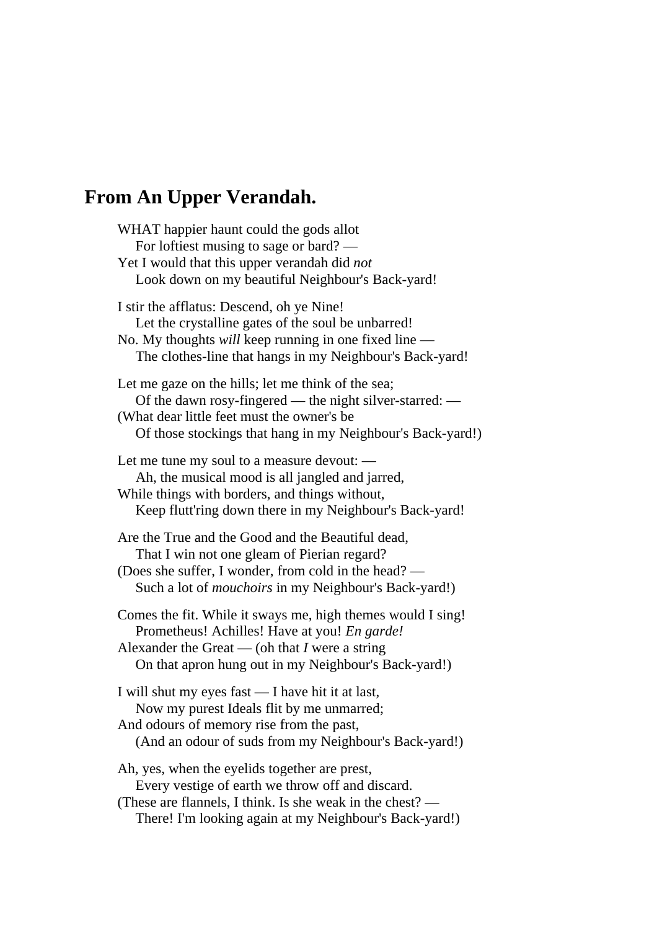## **From An Upper Verandah.**

WHAT happier haunt could the gods allot For loftiest musing to sage or bard? — Yet I would that this upper verandah did *not* Look down on my beautiful Neighbour's Back-yard! I stir the afflatus: Descend, oh ye Nine! Let the crystalline gates of the soul be unbarred! No. My thoughts *will* keep running in one fixed line — The clothes-line that hangs in my Neighbour's Back-yard! Let me gaze on the hills; let me think of the sea; Of the dawn rosy-fingered — the night silver-starred: — (What dear little feet must the owner's be Of those stockings that hang in my Neighbour's Back-yard!) Let me tune my soul to a measure devout: — Ah, the musical mood is all jangled and jarred, While things with borders, and things without, Keep flutt'ring down there in my Neighbour's Back-yard! Are the True and the Good and the Beautiful dead, That I win not one gleam of Pierian regard? (Does she suffer, I wonder, from cold in the head? — Such a lot of *mouchoirs* in my Neighbour's Back-yard!) Comes the fit. While it sways me, high themes would I sing! Prometheus! Achilles! Have at you! *En garde!* Alexander the Great — (oh that *I* were a string On that apron hung out in my Neighbour's Back-yard!) I will shut my eyes fast — I have hit it at last, Now my purest Ideals flit by me unmarred; And odours of memory rise from the past, (And an odour of suds from my Neighbour's Back-yard!) Ah, yes, when the eyelids together are prest, Every vestige of earth we throw off and discard. (These are flannels, I think. Is she weak in the chest? — There! I'm looking again at my Neighbour's Back-yard!)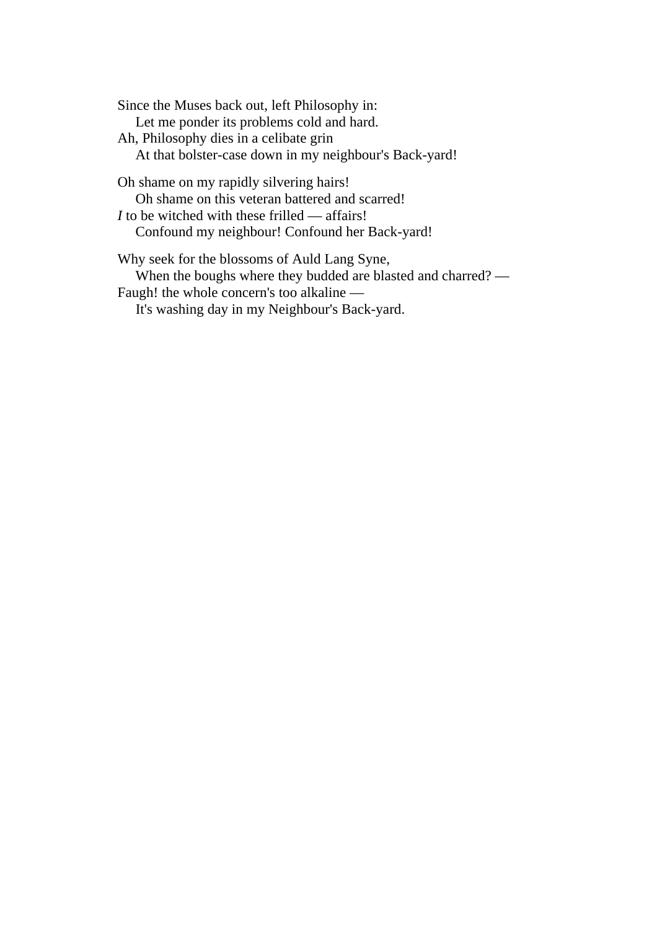Since the Muses back out, left Philosophy in: Let me ponder its problems cold and hard. Ah, Philosophy dies in a celibate grin At that bolster-case down in my neighbour's Back-yard! Oh shame on my rapidly silvering hairs! Oh shame on this veteran battered and scarred!

*I* to be witched with these frilled — affairs! Confound my neighbour! Confound her Back-yard!

Why seek for the blossoms of Auld Lang Syne, When the boughs where they budded are blasted and charred? — Faugh! the whole concern's too alkaline —

It's washing day in my Neighbour's Back-yard.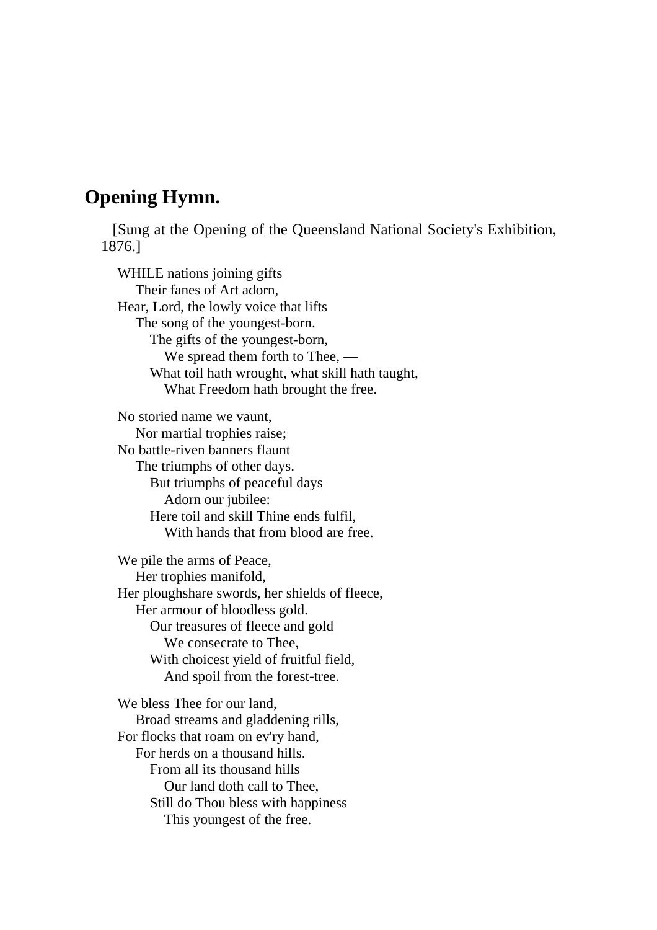## **Opening Hymn.**

 [Sung at the Opening of the Queensland National Society's Exhibition, 1876.]

WHILE nations joining gifts Their fanes of Art adorn, Hear, Lord, the lowly voice that lifts The song of the youngest-born. The gifts of the youngest-born, We spread them forth to Thee, — What toil hath wrought, what skill hath taught, What Freedom hath brought the free. No storied name we vaunt, Nor martial trophies raise; No battle-riven banners flaunt The triumphs of other days. But triumphs of peaceful days Adorn our jubilee: Here toil and skill Thine ends fulfil, With hands that from blood are free. We pile the arms of Peace, Her trophies manifold, Her ploughshare swords, her shields of fleece, Her armour of bloodless gold. Our treasures of fleece and gold We consecrate to Thee, With choicest yield of fruitful field, And spoil from the forest-tree.

We bless Thee for our land, Broad streams and gladdening rills, For flocks that roam on ev'ry hand, For herds on a thousand hills. From all its thousand hills Our land doth call to Thee, Still do Thou bless with happiness This youngest of the free.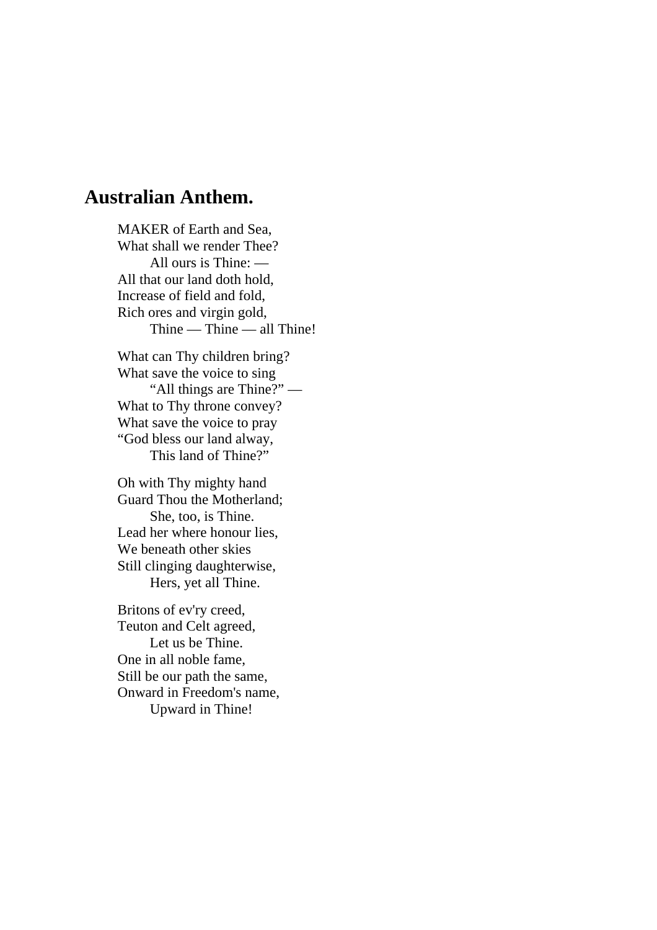## **Australian Anthem.**

MAKER of Earth and Sea, What shall we render Thee? All ours is Thine: — All that our land doth hold, Increase of field and fold, Rich ores and virgin gold, Thine — Thine — all Thine! What can Thy children bring? What save the voice to sing "All things are Thine?" — What to Thy throne convey? What save the voice to pray "God bless our land alway, This land of Thine?"

Oh with Thy mighty hand Guard Thou the Motherland; She, too, is Thine. Lead her where honour lies, We beneath other skies Still clinging daughterwise, Hers, yet all Thine.

Britons of ev'ry creed, Teuton and Celt agreed, Let us be Thine. One in all noble fame, Still be our path the same, Onward in Freedom's name, Upward in Thine!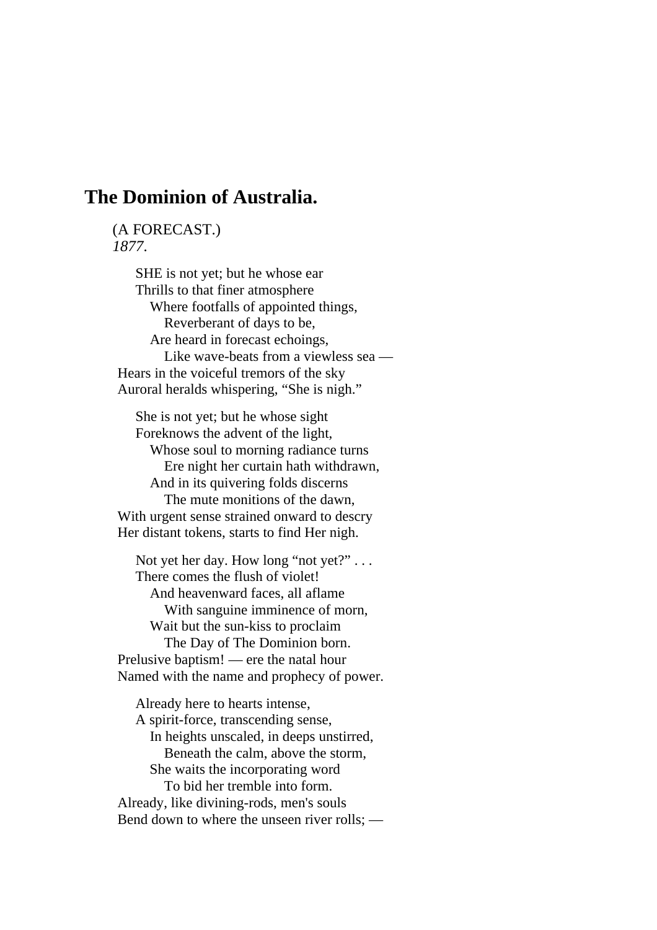## **The Dominion of Australia.**

#### (A FORECAST.) *1877*.

 SHE is not yet; but he whose ear Thrills to that finer atmosphere Where footfalls of appointed things, Reverberant of days to be, Are heard in forecast echoings, Like wave-beats from a viewless sea — Hears in the voiceful tremors of the sky Auroral heralds whispering, "She is nigh."

 She is not yet; but he whose sight Foreknows the advent of the light, Whose soul to morning radiance turns Ere night her curtain hath withdrawn, And in its quivering folds discerns The mute monitions of the dawn, With urgent sense strained onward to descry Her distant tokens, starts to find Her nigh.

Not yet her day. How long "not yet?" ... There comes the flush of violet! And heavenward faces, all aflame With sanguine imminence of morn, Wait but the sun-kiss to proclaim The Day of The Dominion born. Prelusive baptism! — ere the natal hour Named with the name and prophecy of power.

 Already here to hearts intense, A spirit-force, transcending sense, In heights unscaled, in deeps unstirred, Beneath the calm, above the storm, She waits the incorporating word To bid her tremble into form. Already, like divining-rods, men's souls Bend down to where the unseen river rolls; —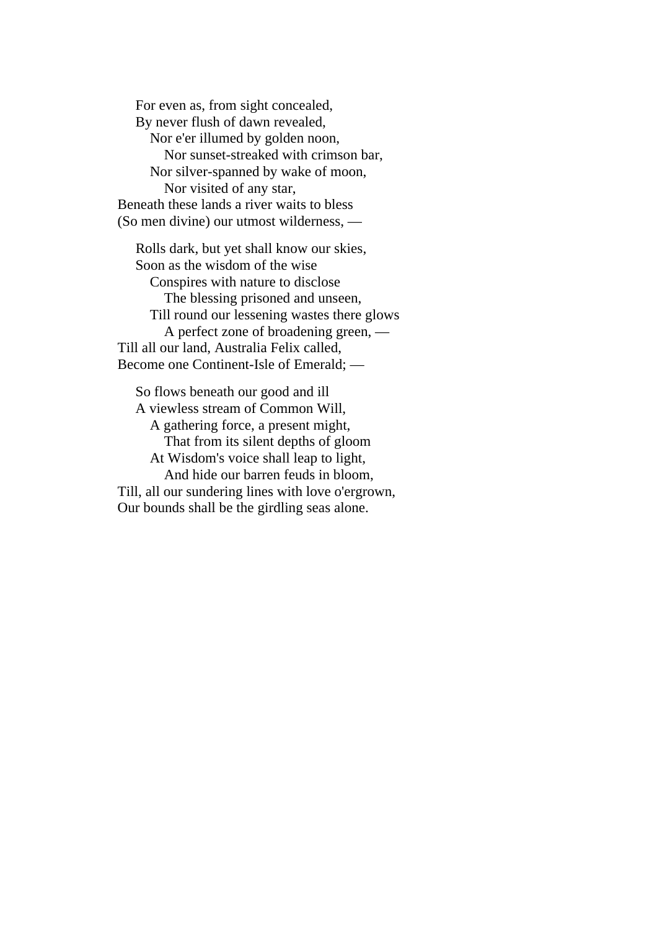For even as, from sight concealed, By never flush of dawn revealed, Nor e'er illumed by golden noon, Nor sunset-streaked with crimson bar, Nor silver-spanned by wake of moon, Nor visited of any star, Beneath these lands a river waits to bless (So men divine) our utmost wilderness, —

 Rolls dark, but yet shall know our skies, Soon as the wisdom of the wise Conspires with nature to disclose The blessing prisoned and unseen, Till round our lessening wastes there glows A perfect zone of broadening green, — Till all our land, Australia Felix called, Become one Continent-Isle of Emerald; —

 So flows beneath our good and ill A viewless stream of Common Will, A gathering force, a present might, That from its silent depths of gloom At Wisdom's voice shall leap to light, And hide our barren feuds in bloom, Till, all our sundering lines with love o'ergrown, Our bounds shall be the girdling seas alone.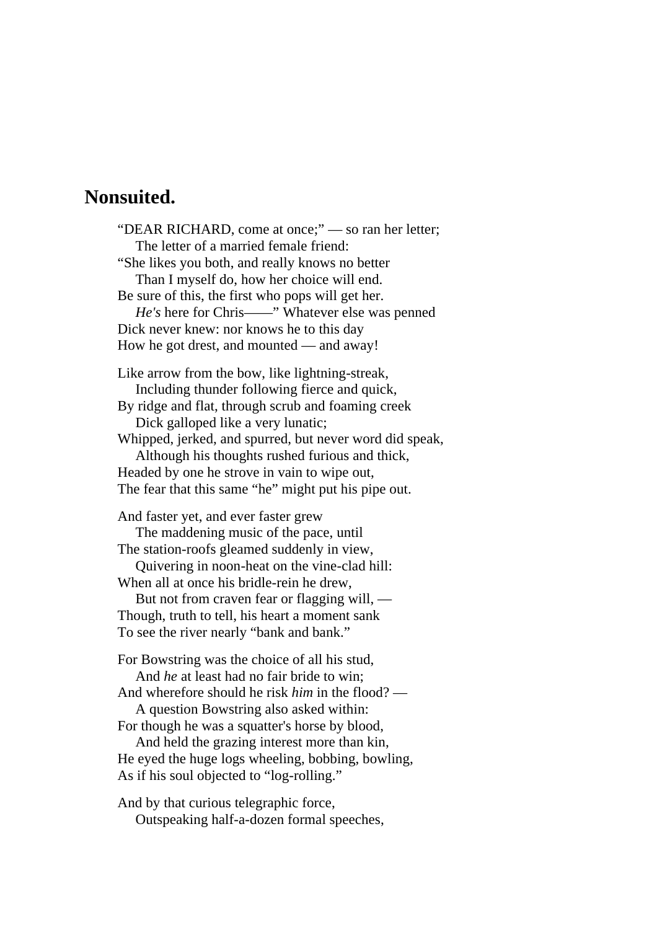#### **Nonsuited.**

"DEAR RICHARD, come at once;" — so ran her letter; The letter of a married female friend: "She likes you both, and really knows no better Than I myself do, how her choice will end. Be sure of this, the first who pops will get her. *He's* here for Chris——" Whatever else was penned Dick never knew: nor knows he to this day How he got drest, and mounted — and away! Like arrow from the bow, like lightning-streak, Including thunder following fierce and quick, By ridge and flat, through scrub and foaming creek Dick galloped like a very lunatic; Whipped, jerked, and spurred, but never word did speak, Although his thoughts rushed furious and thick, Headed by one he strove in vain to wipe out, The fear that this same "he" might put his pipe out. And faster yet, and ever faster grew The maddening music of the pace, until The station-roofs gleamed suddenly in view, Quivering in noon-heat on the vine-clad hill: When all at once his bridle-rein he drew, But not from craven fear or flagging will, — Though, truth to tell, his heart a moment sank To see the river nearly "bank and bank." For Bowstring was the choice of all his stud, And *he* at least had no fair bride to win; And wherefore should he risk *him* in the flood? — A question Bowstring also asked within: For though he was a squatter's horse by blood, And held the grazing interest more than kin,

He eyed the huge logs wheeling, bobbing, bowling, As if his soul objected to "log-rolling."

And by that curious telegraphic force, Outspeaking half-a-dozen formal speeches,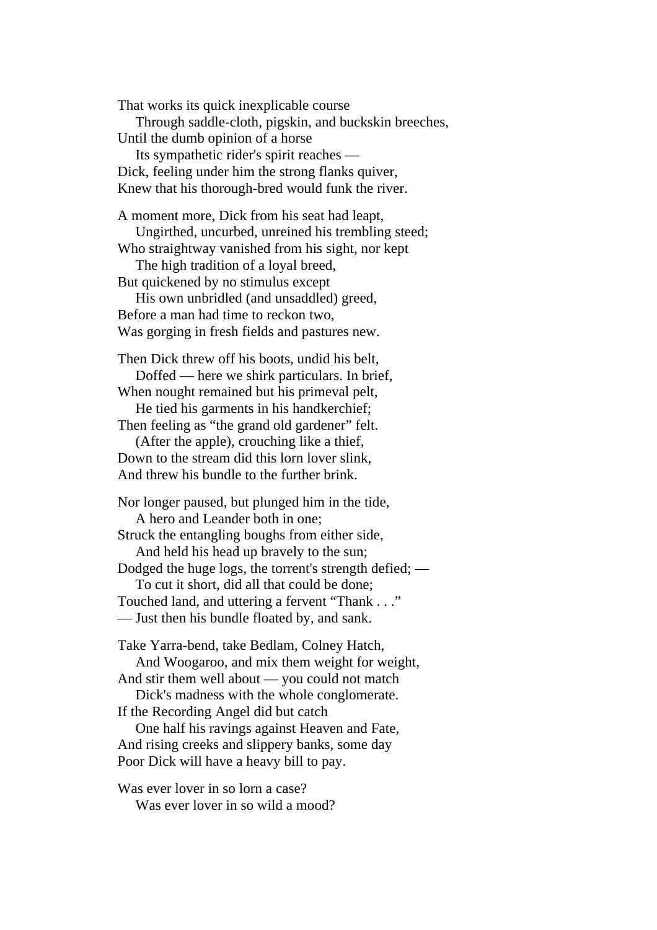That works its quick inexplicable course

 Through saddle-cloth, pigskin, and buckskin breeches, Until the dumb opinion of a horse

 Its sympathetic rider's spirit reaches — Dick, feeling under him the strong flanks quiver, Knew that his thorough-bred would funk the river.

A moment more, Dick from his seat had leapt,

 Ungirthed, uncurbed, unreined his trembling steed; Who straightway vanished from his sight, nor kept

The high tradition of a loyal breed,

But quickened by no stimulus except

 His own unbridled (and unsaddled) greed, Before a man had time to reckon two, Was gorging in fresh fields and pastures new.

Then Dick threw off his boots, undid his belt, Doffed — here we shirk particulars. In brief,

When nought remained but his primeval pelt, He tied his garments in his handkerchief;

Then feeling as "the grand old gardener" felt. (After the apple), crouching like a thief,

Down to the stream did this lorn lover slink. And threw his bundle to the further brink.

Nor longer paused, but plunged him in the tide, A hero and Leander both in one;

Struck the entangling boughs from either side, And held his head up bravely to the sun;

Dodged the huge logs, the torrent's strength defied; —

 To cut it short, did all that could be done; Touched land, and uttering a fervent "Thank . . ." — Just then his bundle floated by, and sank.

Take Yarra-bend, take Bedlam, Colney Hatch, And Woogaroo, and mix them weight for weight,

And stir them well about — you could not match Dick's madness with the whole conglomerate.

If the Recording Angel did but catch

 One half his ravings against Heaven and Fate, And rising creeks and slippery banks, some day Poor Dick will have a heavy bill to pay.

Was ever lover in so lorn a case? Was ever lover in so wild a mood?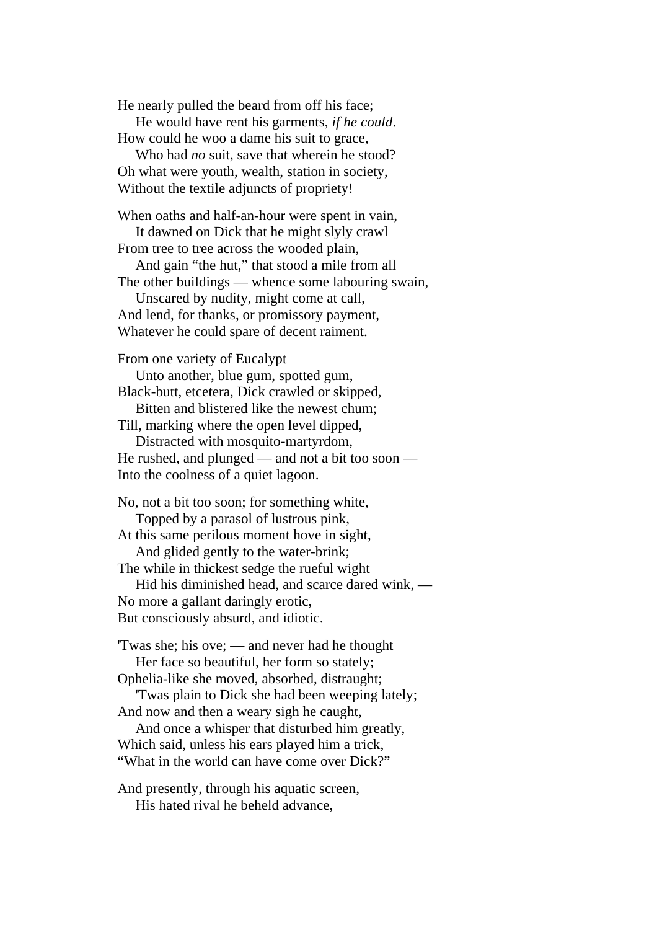He nearly pulled the beard from off his face;

 He would have rent his garments, *if he could*. How could he woo a dame his suit to grace,

 Who had *no* suit, save that wherein he stood? Oh what were youth, wealth, station in society, Without the textile adjuncts of propriety!

When oaths and half-an-hour were spent in vain, It dawned on Dick that he might slyly crawl

From tree to tree across the wooded plain, And gain "the hut," that stood a mile from all

The other buildings — whence some labouring swain,

 Unscared by nudity, might come at call, And lend, for thanks, or promissory payment, Whatever he could spare of decent raiment.

From one variety of Eucalypt

 Unto another, blue gum, spotted gum, Black-butt, etcetera, Dick crawled or skipped,

 Bitten and blistered like the newest chum; Till, marking where the open level dipped, Distracted with mosquito-martyrdom,

He rushed, and plunged — and not a bit too soon — Into the coolness of a quiet lagoon.

No, not a bit too soon; for something white, Topped by a parasol of lustrous pink,

At this same perilous moment hove in sight, And glided gently to the water-brink;

The while in thickest sedge the rueful wight

 Hid his diminished head, and scarce dared wink, — No more a gallant daringly erotic, But consciously absurd, and idiotic.

'Twas she; his ove; — and never had he thought Her face so beautiful, her form so stately;

Ophelia-like she moved, absorbed, distraught; 'Twas plain to Dick she had been weeping lately;

And now and then a weary sigh he caught,

 And once a whisper that disturbed him greatly, Which said, unless his ears played him a trick, "What in the world can have come over Dick?"

And presently, through his aquatic screen, His hated rival he beheld advance,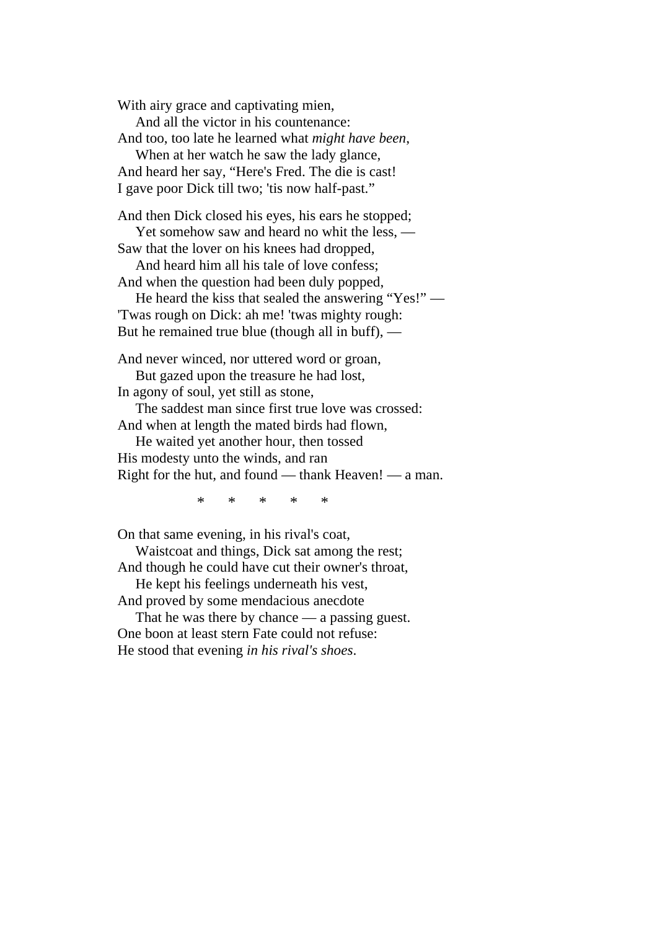With airy grace and captivating mien,

 And all the victor in his countenance: And too, too late he learned what *might have been*, When at her watch he saw the lady glance,

And heard her say, "Here's Fred. The die is cast! I gave poor Dick till two; 'tis now half-past."

And then Dick closed his eyes, his ears he stopped; Yet somehow saw and heard no whit the less, —

Saw that the lover on his knees had dropped, And heard him all his tale of love confess;

And when the question had been duly popped,

 He heard the kiss that sealed the answering "Yes!" — 'Twas rough on Dick: ah me! 'twas mighty rough: But he remained true blue (though all in buff), —

And never winced, nor uttered word or groan,

 But gazed upon the treasure he had lost, In agony of soul, yet still as stone,

 The saddest man since first true love was crossed: And when at length the mated birds had flown,

He waited yet another hour, then tossed

His modesty unto the winds, and ran Right for the hut, and found — thank Heaven! — a man.

\* \* \* \* \*

On that same evening, in his rival's coat,

 Waistcoat and things, Dick sat among the rest; And though he could have cut their owner's throat,

 He kept his feelings underneath his vest, And proved by some mendacious anecdote

 That he was there by chance — a passing guest. One boon at least stern Fate could not refuse: He stood that evening *in his rival's shoes*.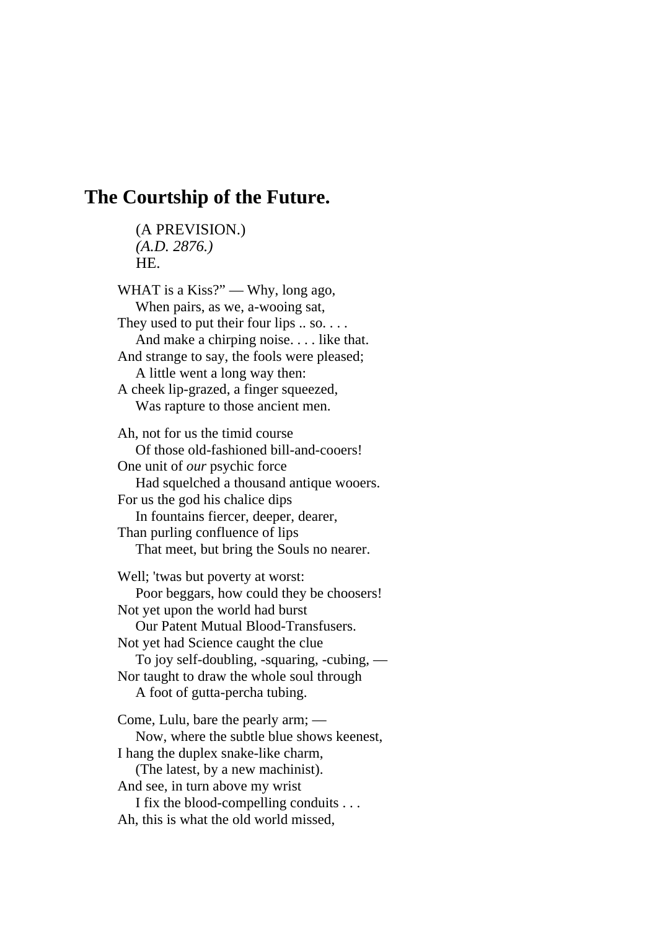#### **The Courtship of the Future.**

 (A PREVISION.) *(A.D. 2876.)* HE.

WHAT is a Kiss?" — Why, long ago, When pairs, as we, a-wooing sat, They used to put their four lips .. so. . . . And make a chirping noise. . . . like that. And strange to say, the fools were pleased; A little went a long way then: A cheek lip-grazed, a finger squeezed, Was rapture to those ancient men. Ah, not for us the timid course Of those old-fashioned bill-and-cooers! One unit of *our* psychic force Had squelched a thousand antique wooers. For us the god his chalice dips In fountains fiercer, deeper, dearer, Than purling confluence of lips That meet, but bring the Souls no nearer. Well; 'twas but poverty at worst: Poor beggars, how could they be choosers! Not yet upon the world had burst Our Patent Mutual Blood-Transfusers. Not yet had Science caught the clue To joy self-doubling, -squaring, -cubing, — Nor taught to draw the whole soul through A foot of gutta-percha tubing. Come, Lulu, bare the pearly arm; — Now, where the subtle blue shows keenest, I hang the duplex snake-like charm, (The latest, by a new machinist). And see, in turn above my wrist I fix the blood-compelling conduits . . . Ah, this is what the old world missed,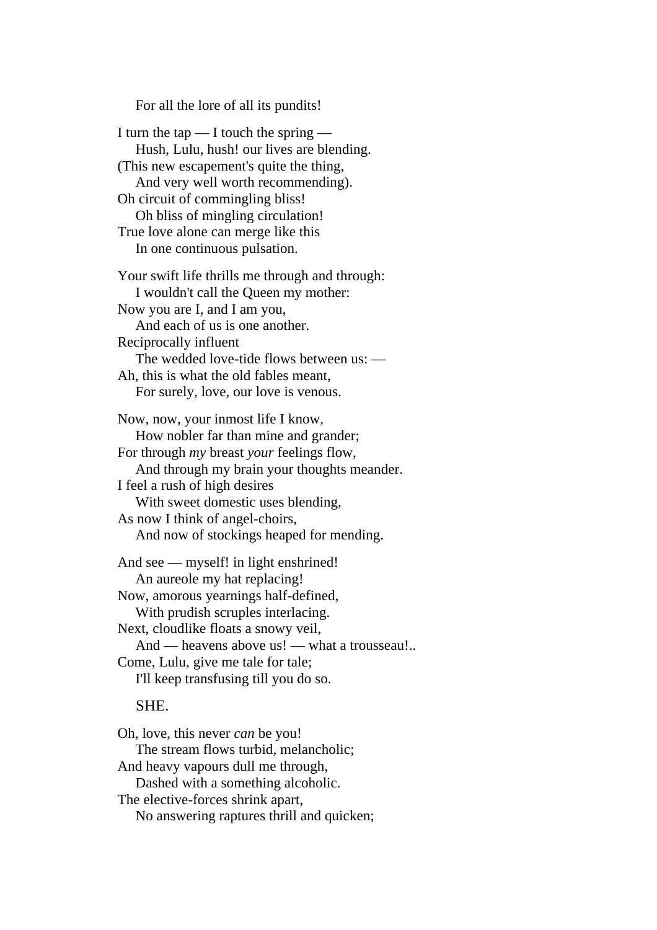For all the lore of all its pundits!

I turn the tap  $-$  I touch the spring  $-$  Hush, Lulu, hush! our lives are blending. (This new escapement's quite the thing, And very well worth recommending). Oh circuit of commingling bliss! Oh bliss of mingling circulation! True love alone can merge like this In one continuous pulsation. Your swift life thrills me through and through: I wouldn't call the Queen my mother: Now you are I, and I am you, And each of us is one another. Reciprocally influent The wedded love-tide flows between us: — Ah, this is what the old fables meant, For surely, love, our love is venous. Now, now, your inmost life I know, How nobler far than mine and grander; For through *my* breast *your* feelings flow, And through my brain your thoughts meander. I feel a rush of high desires With sweet domestic uses blending, As now I think of angel-choirs, And now of stockings heaped for mending. And see — myself! in light enshrined! An aureole my hat replacing! Now, amorous yearnings half-defined, With prudish scruples interlacing. Next, cloudlike floats a snowy veil, And — heavens above us! — what a trousseau!.. Come, Lulu, give me tale for tale; I'll keep transfusing till you do so. SHE.

Oh, love, this never *can* be you! The stream flows turbid, melancholic; And heavy vapours dull me through, Dashed with a something alcoholic. The elective-forces shrink apart, No answering raptures thrill and quicken;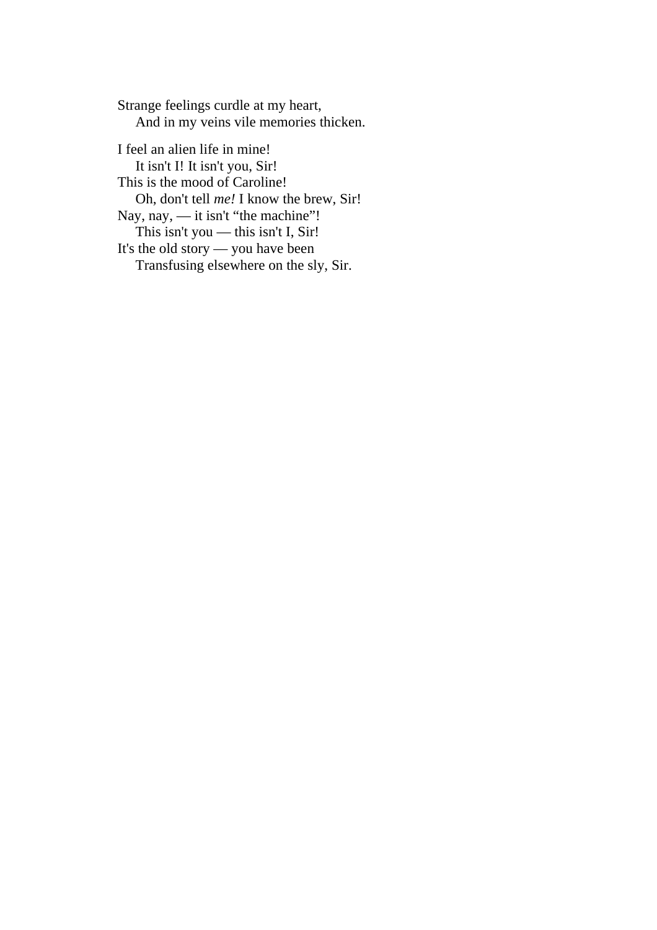Strange feelings curdle at my heart, And in my veins vile memories thicken.

I feel an alien life in mine! It isn't I! It isn't you, Sir! This is the mood of Caroline! Oh, don't tell *me!* I know the brew, Sir! Nay, nay, — it isn't "the machine"! This isn't you — this isn't I, Sir! It's the old story — you have been Transfusing elsewhere on the sly, Sir.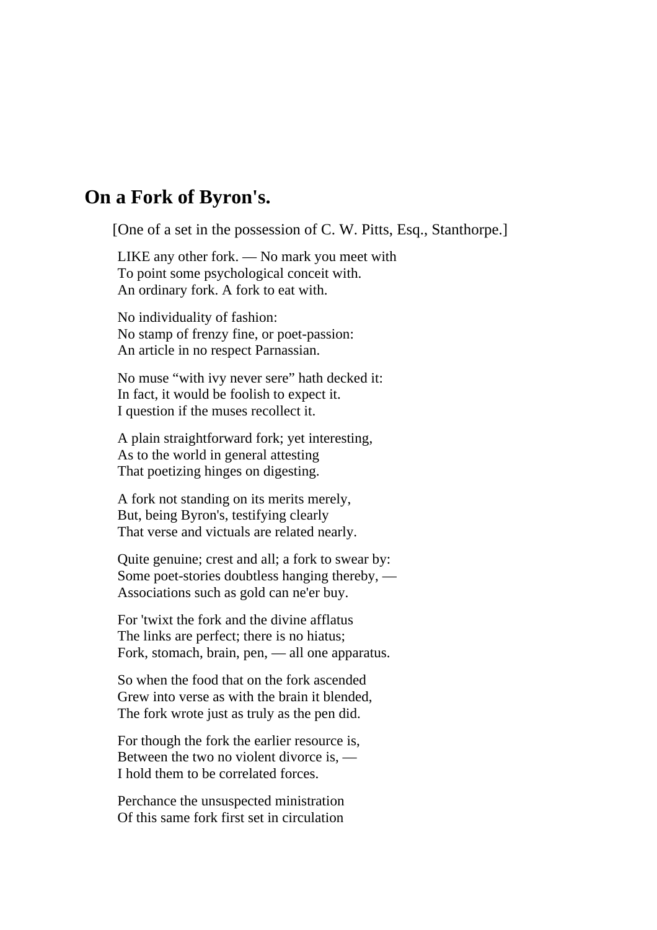# **On a Fork of Byron's.**

[One of a set in the possession of C. W. Pitts, Esq., Stanthorpe.]

LIKE any other fork. — No mark you meet with To point some psychological conceit with. An ordinary fork. A fork to eat with.

No individuality of fashion: No stamp of frenzy fine, or poet-passion: An article in no respect Parnassian.

No muse "with ivy never sere" hath decked it: In fact, it would be foolish to expect it. I question if the muses recollect it.

A plain straightforward fork; yet interesting, As to the world in general attesting That poetizing hinges on digesting.

A fork not standing on its merits merely, But, being Byron's, testifying clearly That verse and victuals are related nearly.

Quite genuine; crest and all; a fork to swear by: Some poet-stories doubtless hanging thereby, — Associations such as gold can ne'er buy.

For 'twixt the fork and the divine afflatus The links are perfect; there is no hiatus; Fork, stomach, brain, pen, — all one apparatus.

So when the food that on the fork ascended Grew into verse as with the brain it blended, The fork wrote just as truly as the pen did.

For though the fork the earlier resource is, Between the two no violent divorce is, — I hold them to be correlated forces.

Perchance the unsuspected ministration Of this same fork first set in circulation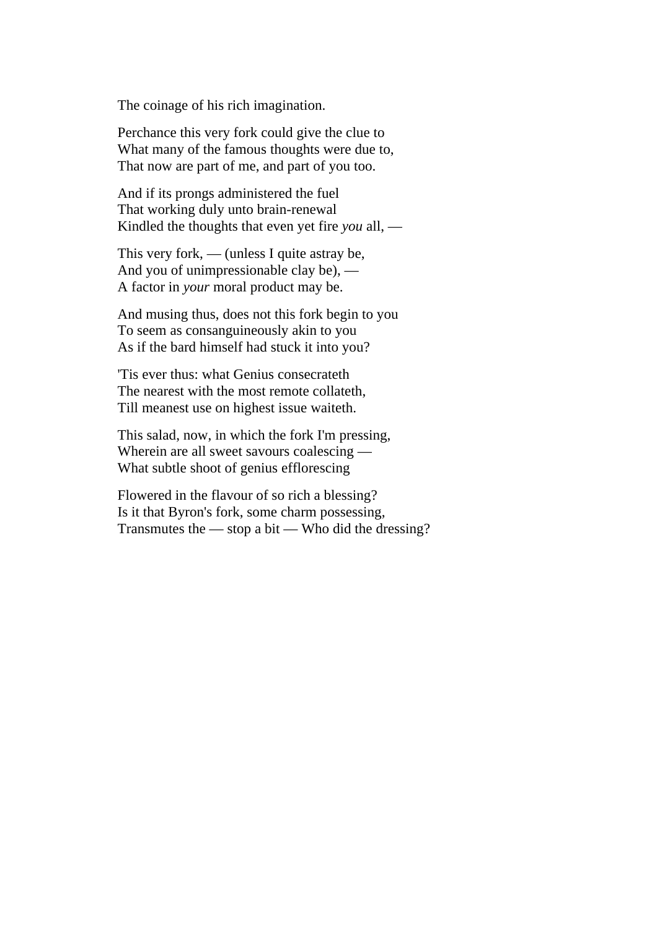The coinage of his rich imagination.

Perchance this very fork could give the clue to What many of the famous thoughts were due to, That now are part of me, and part of you too.

And if its prongs administered the fuel That working duly unto brain-renewal Kindled the thoughts that even yet fire *you* all, —

This very fork, — (unless I quite astray be, And you of unimpressionable clay be), — A factor in *your* moral product may be.

And musing thus, does not this fork begin to you To seem as consanguineously akin to you As if the bard himself had stuck it into you?

'Tis ever thus: what Genius consecrateth The nearest with the most remote collateth, Till meanest use on highest issue waiteth.

This salad, now, in which the fork I'm pressing, Wherein are all sweet savours coalescing — What subtle shoot of genius efflorescing

Flowered in the flavour of so rich a blessing? Is it that Byron's fork, some charm possessing, Transmutes the  $-$  stop a bit  $-$  Who did the dressing?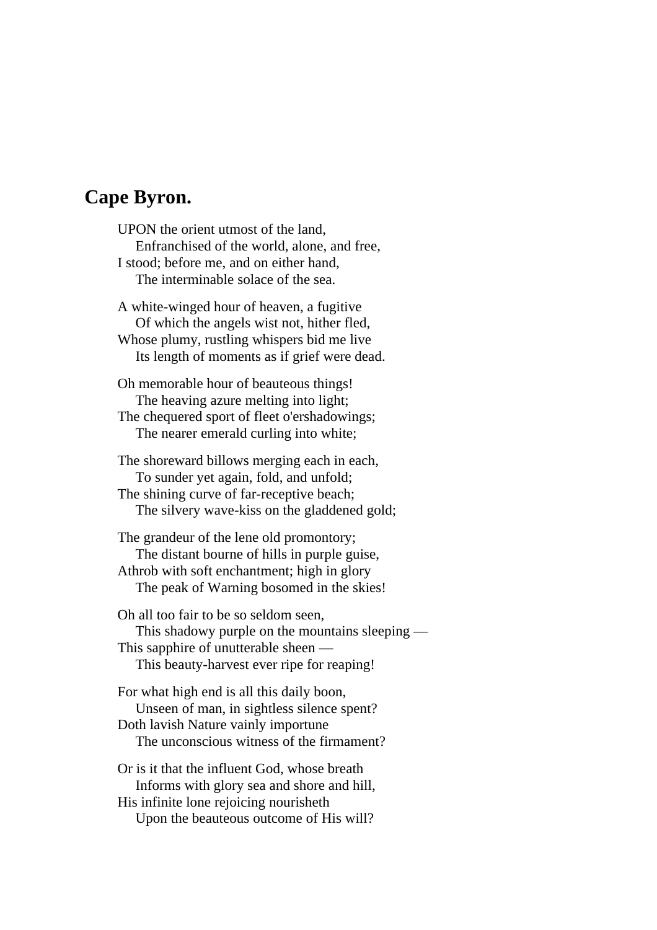# **Cape Byron.**

UPON the orient utmost of the land, Enfranchised of the world, alone, and free, I stood; before me, and on either hand, The interminable solace of the sea. A white-winged hour of heaven, a fugitive Of which the angels wist not, hither fled, Whose plumy, rustling whispers bid me live Its length of moments as if grief were dead. Oh memorable hour of beauteous things! The heaving azure melting into light; The chequered sport of fleet o'ershadowings; The nearer emerald curling into white; The shoreward billows merging each in each, To sunder yet again, fold, and unfold; The shining curve of far-receptive beach; The silvery wave-kiss on the gladdened gold; The grandeur of the lene old promontory; The distant bourne of hills in purple guise, Athrob with soft enchantment; high in glory The peak of Warning bosomed in the skies! Oh all too fair to be so seldom seen, This shadowy purple on the mountains sleeping — This sapphire of unutterable sheen — This beauty-harvest ever ripe for reaping! For what high end is all this daily boon, Unseen of man, in sightless silence spent? Doth lavish Nature vainly importune The unconscious witness of the firmament? Or is it that the influent God, whose breath Informs with glory sea and shore and hill,

His infinite lone rejoicing nourisheth Upon the beauteous outcome of His will?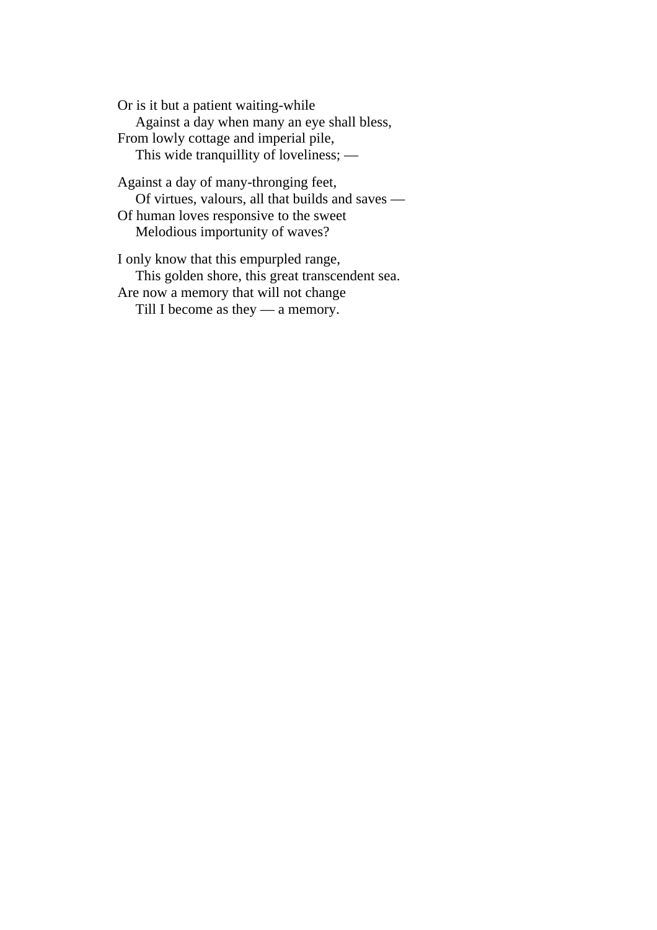Or is it but a patient waiting-while Against a day when many an eye shall bless, From lowly cottage and imperial pile, This wide tranquillity of loveliness; —

Against a day of many-thronging feet, Of virtues, valours, all that builds and saves — Of human loves responsive to the sweet Melodious importunity of waves?

I only know that this empurpled range, This golden shore, this great transcendent sea. Are now a memory that will not change Till I become as they — a memory.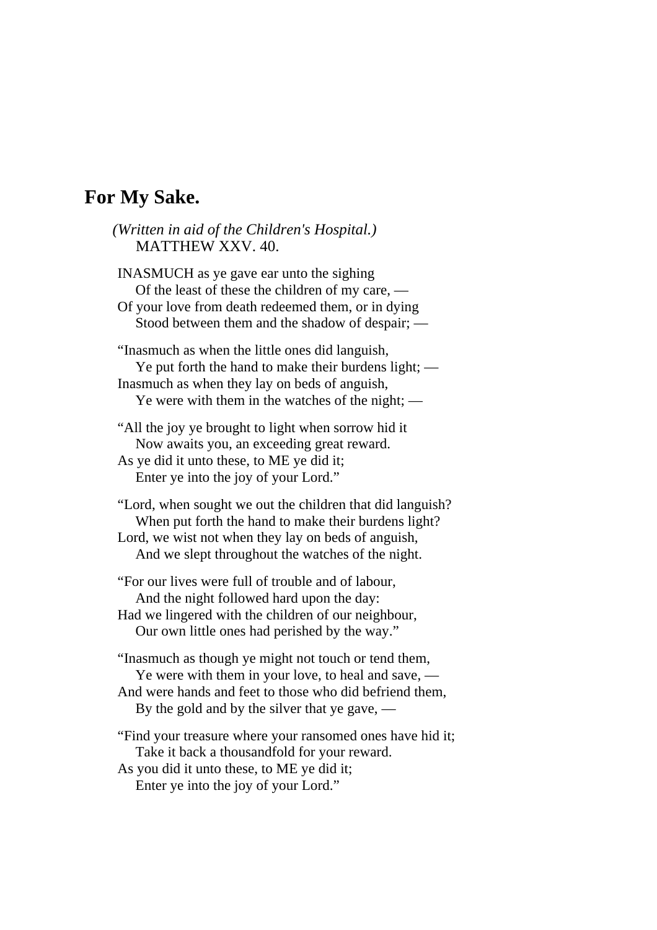# **For My Sake.**

| (Written in aid of the Children's Hospital.) |
|----------------------------------------------|
| <b>MATTHEW XXV. 40.</b>                      |

INASMUCH as ye gave ear unto the sighing Of the least of these the children of my care, — Of your love from death redeemed them, or in dying Stood between them and the shadow of despair; — "Inasmuch as when the little ones did languish, Ye put forth the hand to make their burdens light; — Inasmuch as when they lay on beds of anguish,

Ye were with them in the watches of the night; —

"All the joy ye brought to light when sorrow hid it Now awaits you, an exceeding great reward. As ye did it unto these, to ME ye did it; Enter ye into the joy of your Lord."

"Lord, when sought we out the children that did languish? When put forth the hand to make their burdens light? Lord, we wist not when they lay on beds of anguish, And we slept throughout the watches of the night.

"For our lives were full of trouble and of labour, And the night followed hard upon the day: Had we lingered with the children of our neighbour, Our own little ones had perished by the way."

"Inasmuch as though ye might not touch or tend them, Ye were with them in your love, to heal and save, — And were hands and feet to those who did befriend them, By the gold and by the silver that ye gave, —

"Find your treasure where your ransomed ones have hid it; Take it back a thousandfold for your reward. As you did it unto these, to ME ye did it; Enter ye into the joy of your Lord."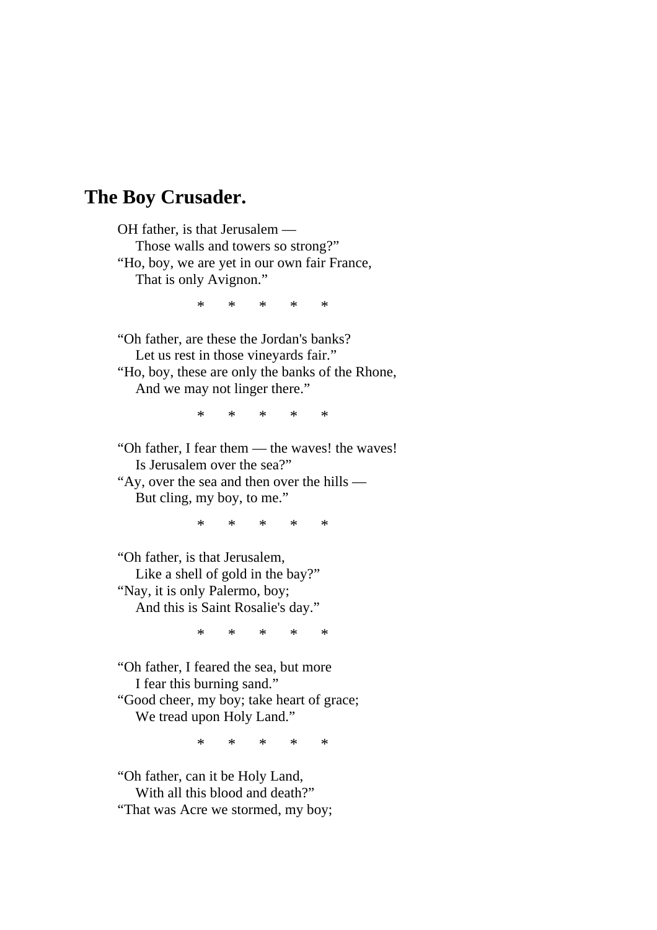# **The Boy Crusader.**

OH father, is that Jerusalem — Those walls and towers so strong?" "Ho, boy, we are yet in our own fair France, That is only Avignon." \* \* \* \* \* "Oh father, are these the Jordan's banks?

 Let us rest in those vineyards fair." "Ho, boy, these are only the banks of the Rhone, And we may not linger there."

\* \* \* \* \*

"Oh father, I fear them — the waves! the waves! Is Jerusalem over the sea?" "Ay, over the sea and then over the hills — But cling, my boy, to me."

\* \* \* \* \*

"Oh father, is that Jerusalem, Like a shell of gold in the bay?" "Nay, it is only Palermo, boy;

And this is Saint Rosalie's day."

\* \* \* \* \*

"Oh father, I feared the sea, but more I fear this burning sand." "Good cheer, my boy; take heart of grace; We tread upon Holy Land."

\* \* \* \* \*

"Oh father, can it be Holy Land, With all this blood and death?" "That was Acre we stormed, my boy;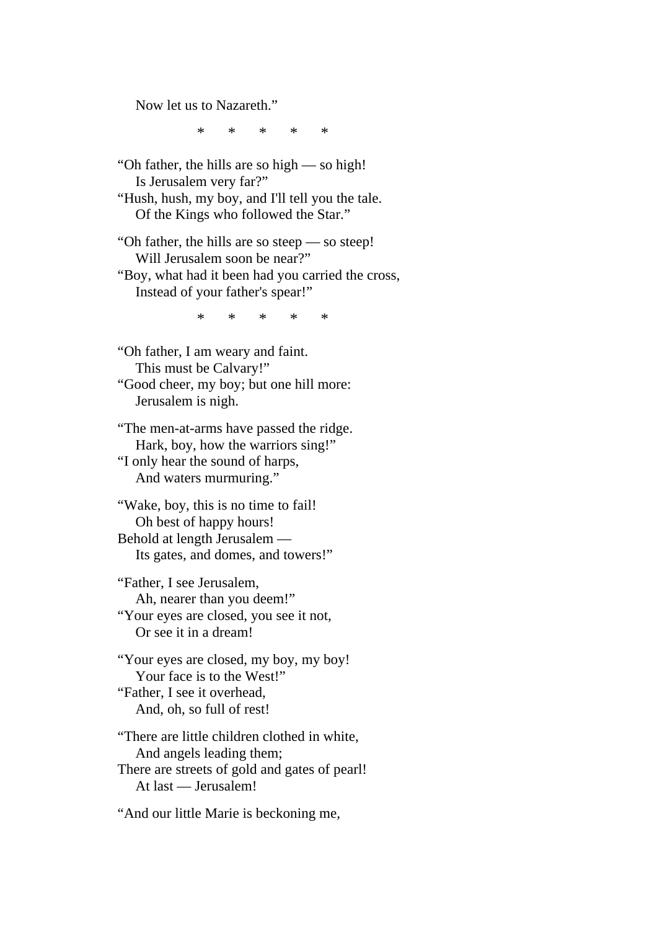Now let us to Nazareth."

\* \* \* \* \*

"Oh father, the hills are so high — so high! Is Jerusalem very far?" "Hush, hush, my boy, and I'll tell you the tale. Of the Kings who followed the Star."

"Oh father, the hills are so steep — so steep! Will Jerusalem soon be near?" "Boy, what had it been had you carried the cross, Instead of your father's spear!"

\* \* \* \* \*

"Oh father, I am weary and faint. This must be Calvary!" "Good cheer, my boy; but one hill more: Jerusalem is nigh.

"The men-at-arms have passed the ridge. Hark, boy, how the warriors sing!" "I only hear the sound of harps, And waters murmuring."

"Wake, boy, this is no time to fail! Oh best of happy hours! Behold at length Jerusalem — Its gates, and domes, and towers!"

"Father, I see Jerusalem, Ah, nearer than you deem!" "Your eyes are closed, you see it not, Or see it in a dream!

"Your eyes are closed, my boy, my boy! Your face is to the West!" "Father, I see it overhead, And, oh, so full of rest!

"There are little children clothed in white, And angels leading them; There are streets of gold and gates of pearl! At last — Jerusalem!

"And our little Marie is beckoning me,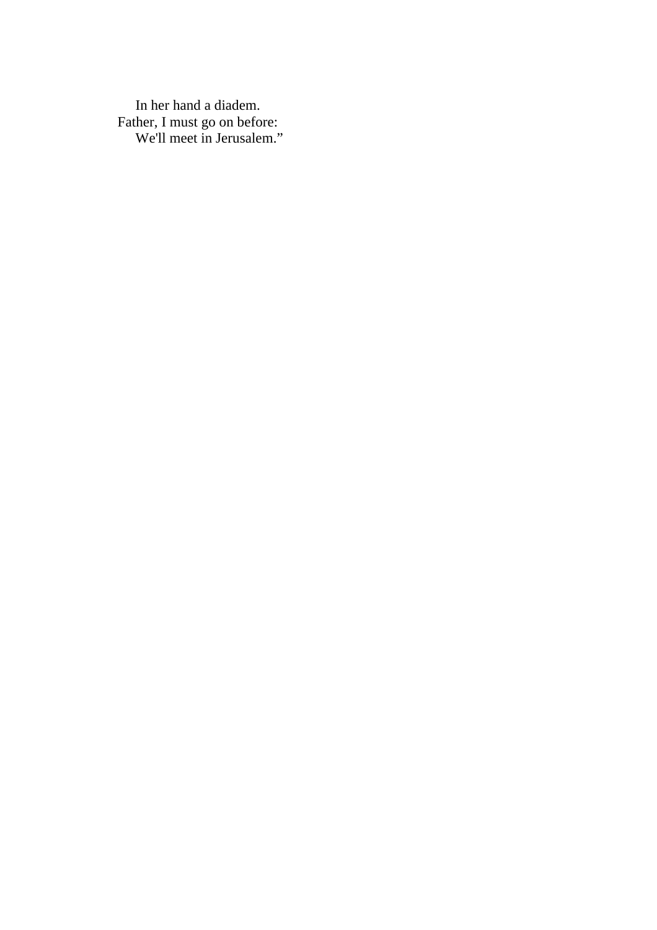In her hand a diadem. Father, I must go on before: We'll meet in Jerusalem."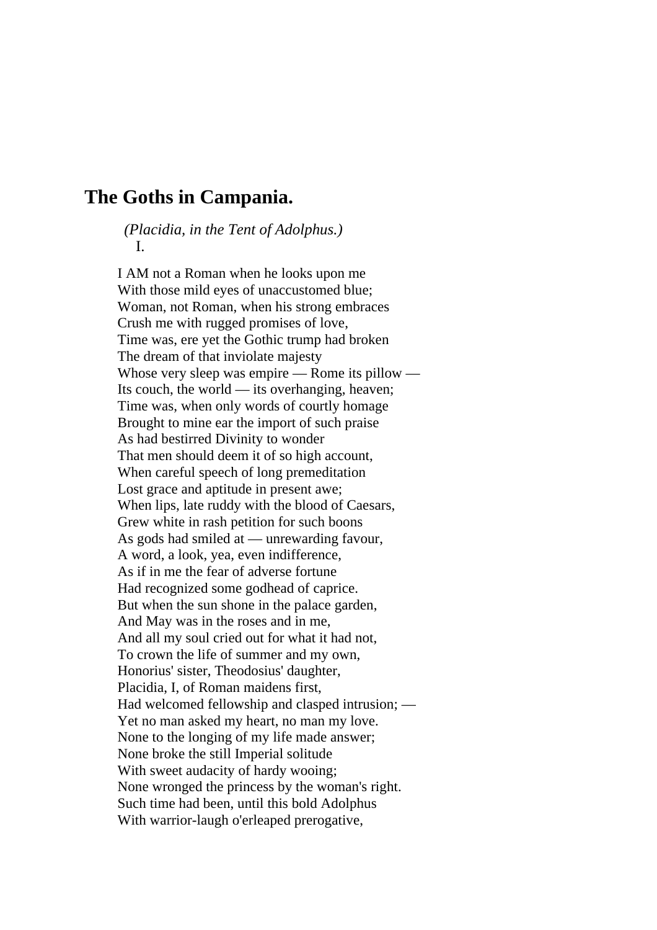# **The Goths in Campania.**

 *(Placidia, in the Tent of Adolphus.)* I.

I AM not a Roman when he looks upon me With those mild eyes of unaccustomed blue; Woman, not Roman, when his strong embraces Crush me with rugged promises of love, Time was, ere yet the Gothic trump had broken The dream of that inviolate majesty Whose very sleep was empire — Rome its pillow — Its couch, the world — its overhanging, heaven; Time was, when only words of courtly homage Brought to mine ear the import of such praise As had bestirred Divinity to wonder That men should deem it of so high account, When careful speech of long premeditation Lost grace and aptitude in present awe; When lips, late ruddy with the blood of Caesars, Grew white in rash petition for such boons As gods had smiled at — unrewarding favour, A word, a look, yea, even indifference, As if in me the fear of adverse fortune Had recognized some godhead of caprice. But when the sun shone in the palace garden, And May was in the roses and in me, And all my soul cried out for what it had not, To crown the life of summer and my own, Honorius' sister, Theodosius' daughter, Placidia, I, of Roman maidens first, Had welcomed fellowship and clasped intrusion; — Yet no man asked my heart, no man my love. None to the longing of my life made answer; None broke the still Imperial solitude With sweet audacity of hardy wooing; None wronged the princess by the woman's right. Such time had been, until this bold Adolphus With warrior-laugh o'erleaped prerogative,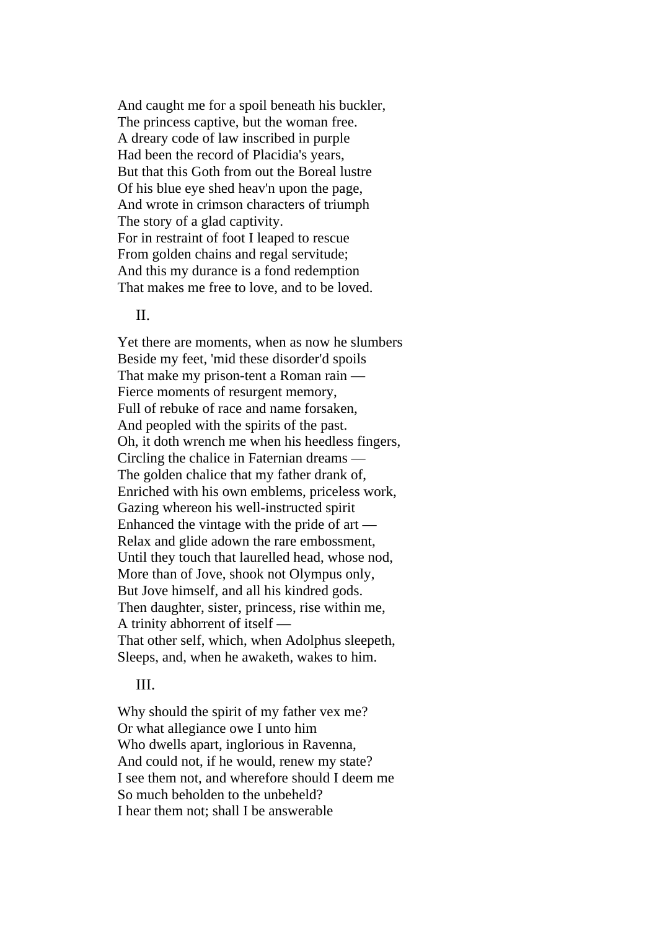And caught me for a spoil beneath his buckler, The princess captive, but the woman free. A dreary code of law inscribed in purple Had been the record of Placidia's years, But that this Goth from out the Boreal lustre Of his blue eye shed heav'n upon the page, And wrote in crimson characters of triumph The story of a glad captivity. For in restraint of foot I leaped to rescue From golden chains and regal servitude; And this my durance is a fond redemption That makes me free to love, and to be loved.

 $II$ .

Yet there are moments, when as now he slumbers Beside my feet, 'mid these disorder'd spoils That make my prison-tent a Roman rain — Fierce moments of resurgent memory, Full of rebuke of race and name forsaken, And peopled with the spirits of the past. Oh, it doth wrench me when his heedless fingers, Circling the chalice in Faternian dreams — The golden chalice that my father drank of, Enriched with his own emblems, priceless work, Gazing whereon his well-instructed spirit Enhanced the vintage with the pride of art — Relax and glide adown the rare embossment, Until they touch that laurelled head, whose nod, More than of Jove, shook not Olympus only, But Jove himself, and all his kindred gods. Then daughter, sister, princess, rise within me, A trinity abhorrent of itself — That other self, which, when Adolphus sleepeth, Sleeps, and, when he awaketh, wakes to him.

#### III.

Why should the spirit of my father vex me? Or what allegiance owe I unto him Who dwells apart, inglorious in Ravenna, And could not, if he would, renew my state? I see them not, and wherefore should I deem me So much beholden to the unbeheld? I hear them not; shall I be answerable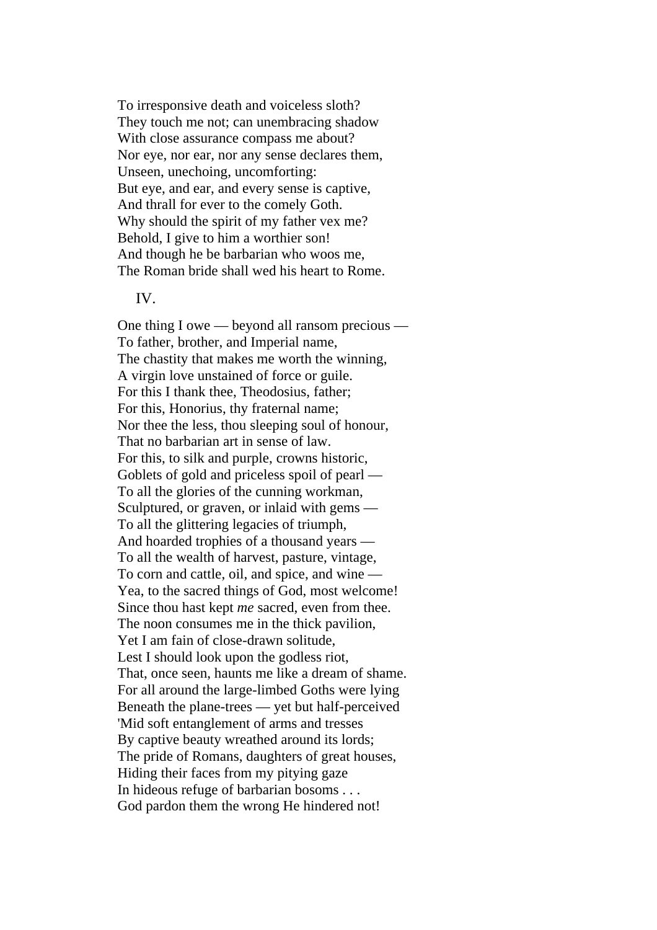To irresponsive death and voiceless sloth? They touch me not; can unembracing shadow With close assurance compass me about? Nor eye, nor ear, nor any sense declares them, Unseen, unechoing, uncomforting: But eye, and ear, and every sense is captive, And thrall for ever to the comely Goth. Why should the spirit of my father vex me? Behold, I give to him a worthier son! And though he be barbarian who woos me, The Roman bride shall wed his heart to Rome.

#### IV.

One thing I owe — beyond all ransom precious — To father, brother, and Imperial name, The chastity that makes me worth the winning, A virgin love unstained of force or guile. For this I thank thee, Theodosius, father; For this, Honorius, thy fraternal name; Nor thee the less, thou sleeping soul of honour, That no barbarian art in sense of law. For this, to silk and purple, crowns historic, Goblets of gold and priceless spoil of pearl — To all the glories of the cunning workman, Sculptured, or graven, or inlaid with gems — To all the glittering legacies of triumph, And hoarded trophies of a thousand years — To all the wealth of harvest, pasture, vintage, To corn and cattle, oil, and spice, and wine — Yea, to the sacred things of God, most welcome! Since thou hast kept *me* sacred, even from thee. The noon consumes me in the thick pavilion, Yet I am fain of close-drawn solitude, Lest I should look upon the godless riot, That, once seen, haunts me like a dream of shame. For all around the large-limbed Goths were lying Beneath the plane-trees — yet but half-perceived 'Mid soft entanglement of arms and tresses By captive beauty wreathed around its lords; The pride of Romans, daughters of great houses, Hiding their faces from my pitying gaze In hideous refuge of barbarian bosoms . . . God pardon them the wrong He hindered not!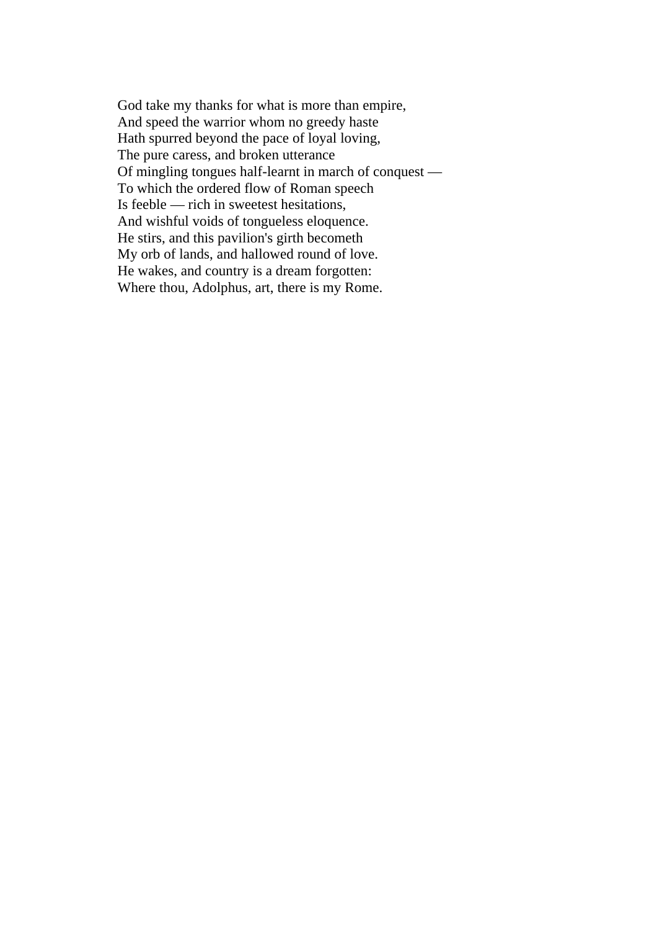God take my thanks for what is more than empire, And speed the warrior whom no greedy haste Hath spurred beyond the pace of loyal loving, The pure caress, and broken utterance Of mingling tongues half-learnt in march of conquest — To which the ordered flow of Roman speech Is feeble — rich in sweetest hesitations, And wishful voids of tongueless eloquence. He stirs, and this pavilion's girth becometh My orb of lands, and hallowed round of love. He wakes, and country is a dream forgotten: Where thou, Adolphus, art, there is my Rome.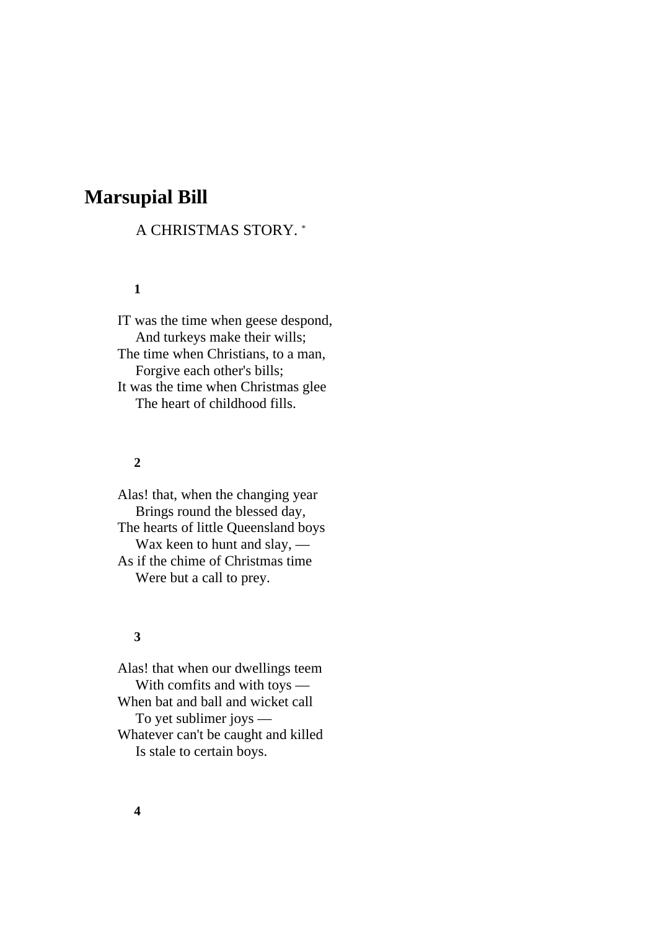# **Marsupial Bill**

# A CHRISTMAS STORY. \*

## **1**

IT was the time when geese despond, And turkeys make their wills; The time when Christians, to a man, Forgive each other's bills; It was the time when Christmas glee The heart of childhood fills.

# **2**

Alas! that, when the changing year Brings round the blessed day, The hearts of little Queensland boys Wax keen to hunt and slay, — As if the chime of Christmas time Were but a call to prey.

## **3**

Alas! that when our dwellings teem With comfits and with toys — When bat and ball and wicket call To yet sublimer joys — Whatever can't be caught and killed Is stale to certain boys.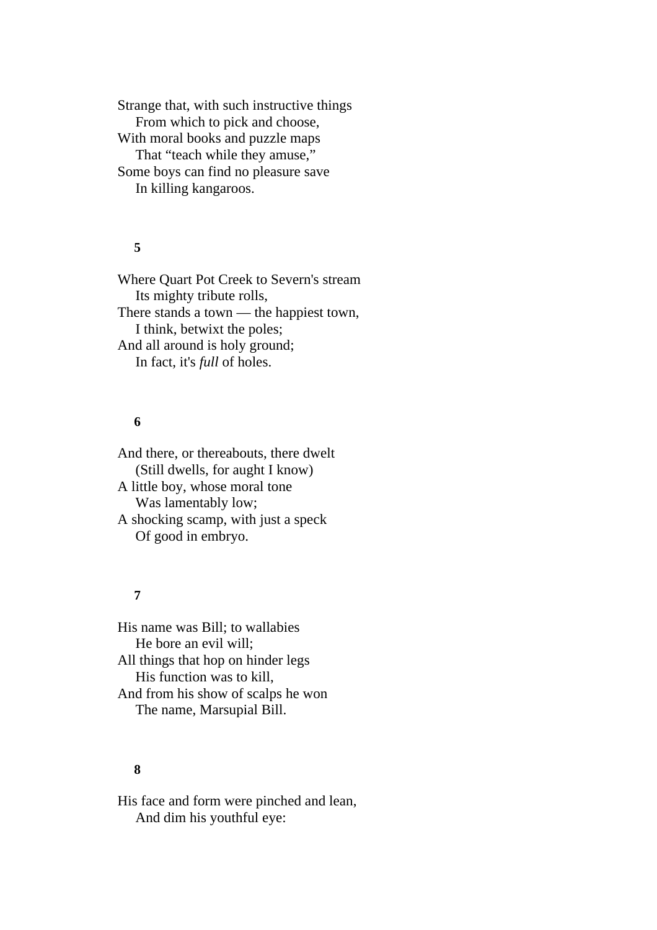Strange that, with such instructive things From which to pick and choose, With moral books and puzzle maps That "teach while they amuse," Some boys can find no pleasure save In killing kangaroos.

#### **5**

Where Quart Pot Creek to Severn's stream Its mighty tribute rolls, There stands a town — the happiest town, I think, betwixt the poles; And all around is holy ground; In fact, it's *full* of holes.

# **6**

And there, or thereabouts, there dwelt (Still dwells, for aught I know) A little boy, whose moral tone Was lamentably low; A shocking scamp, with just a speck Of good in embryo.

## **7**

His name was Bill; to wallabies He bore an evil will; All things that hop on hinder legs His function was to kill, And from his show of scalps he won The name, Marsupial Bill.

# **8**

His face and form were pinched and lean, And dim his youthful eye: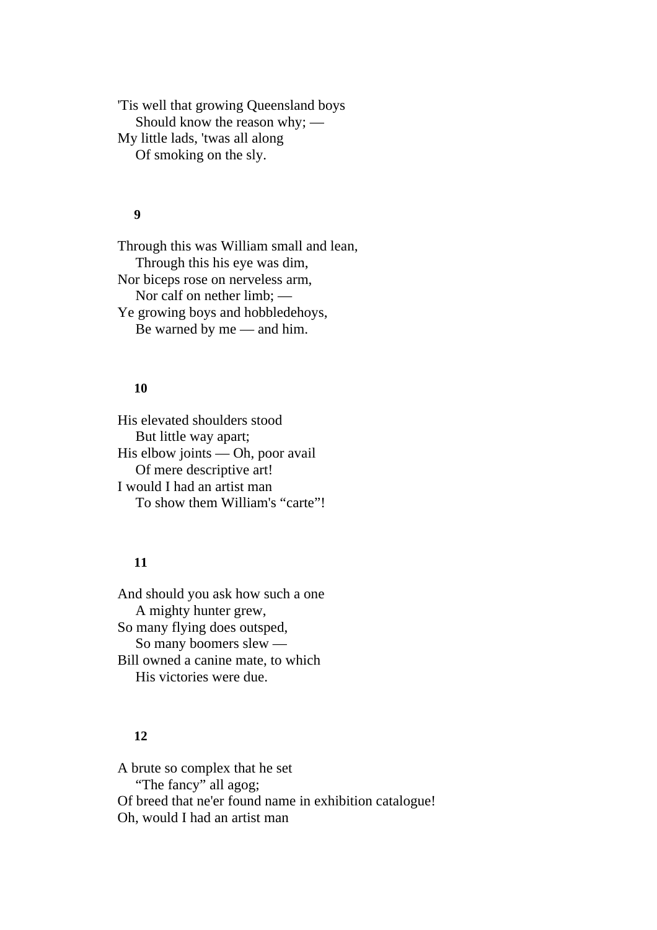'Tis well that growing Queensland boys Should know the reason why; — My little lads, 'twas all along Of smoking on the sly.

## **9**

Through this was William small and lean, Through this his eye was dim, Nor biceps rose on nerveless arm, Nor calf on nether limb; — Ye growing boys and hobbledehoys, Be warned by me — and him.

#### **10**

His elevated shoulders stood But little way apart; His elbow joints — Oh, poor avail Of mere descriptive art! I would I had an artist man To show them William's "carte"!

## **11**

And should you ask how such a one A mighty hunter grew, So many flying does outsped, So many boomers slew — Bill owned a canine mate, to which His victories were due.

# **12**

A brute so complex that he set "The fancy" all agog; Of breed that ne'er found name in exhibition catalogue! Oh, would I had an artist man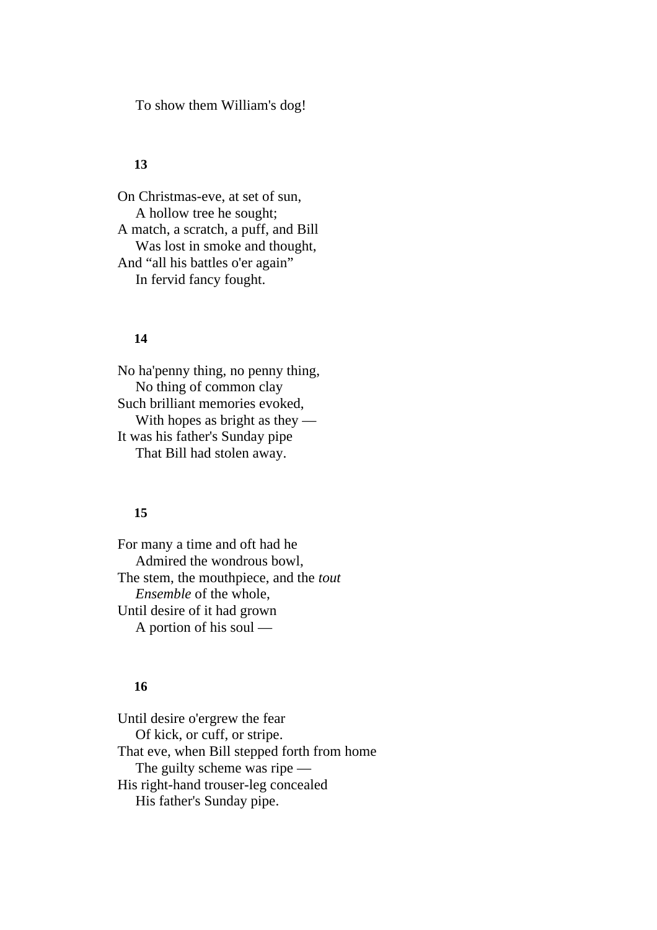To show them William's dog!

#### **13**

On Christmas-eve, at set of sun, A hollow tree he sought; A match, a scratch, a puff, and Bill Was lost in smoke and thought, And "all his battles o'er again" In fervid fancy fought.

#### **14**

No ha'penny thing, no penny thing, No thing of common clay Such brilliant memories evoked, With hopes as bright as they — It was his father's Sunday pipe That Bill had stolen away.

#### **15**

For many a time and oft had he Admired the wondrous bowl, The stem, the mouthpiece, and the *tout Ensemble* of the whole, Until desire of it had grown A portion of his soul —

## **16**

Until desire o'ergrew the fear Of kick, or cuff, or stripe. That eve, when Bill stepped forth from home The guilty scheme was ripe — His right-hand trouser-leg concealed His father's Sunday pipe.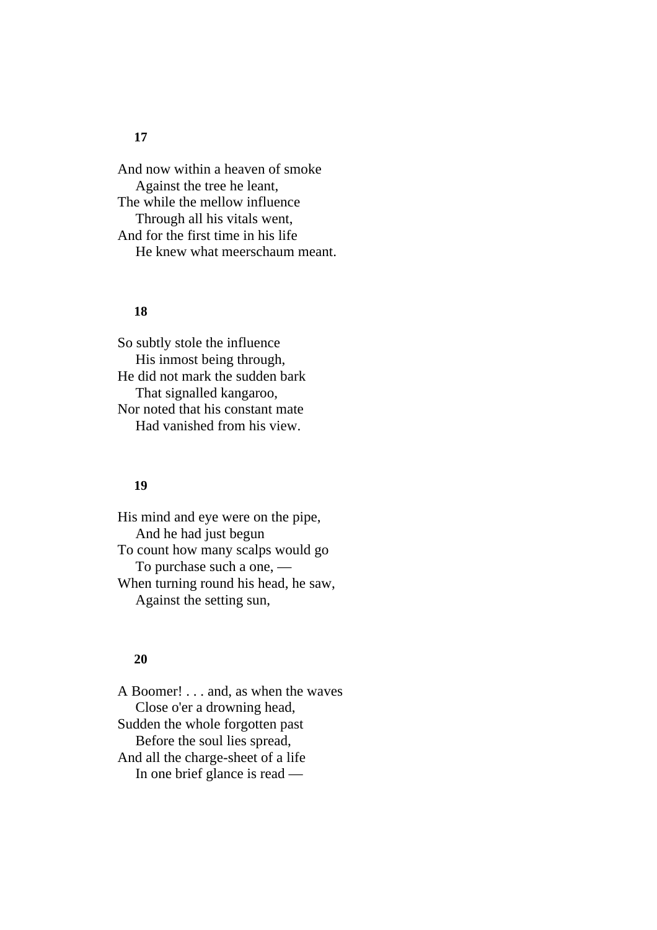And now within a heaven of smoke Against the tree he leant, The while the mellow influence Through all his vitals went, And for the first time in his life He knew what meerschaum meant.

## **18**

So subtly stole the influence His inmost being through, He did not mark the sudden bark That signalled kangaroo, Nor noted that his constant mate Had vanished from his view.

#### **19**

His mind and eye were on the pipe, And he had just begun To count how many scalps would go To purchase such a one, — When turning round his head, he saw, Against the setting sun,

## **20**

A Boomer! . . . and, as when the waves Close o'er a drowning head, Sudden the whole forgotten past Before the soul lies spread, And all the charge-sheet of a life In one brief glance is read —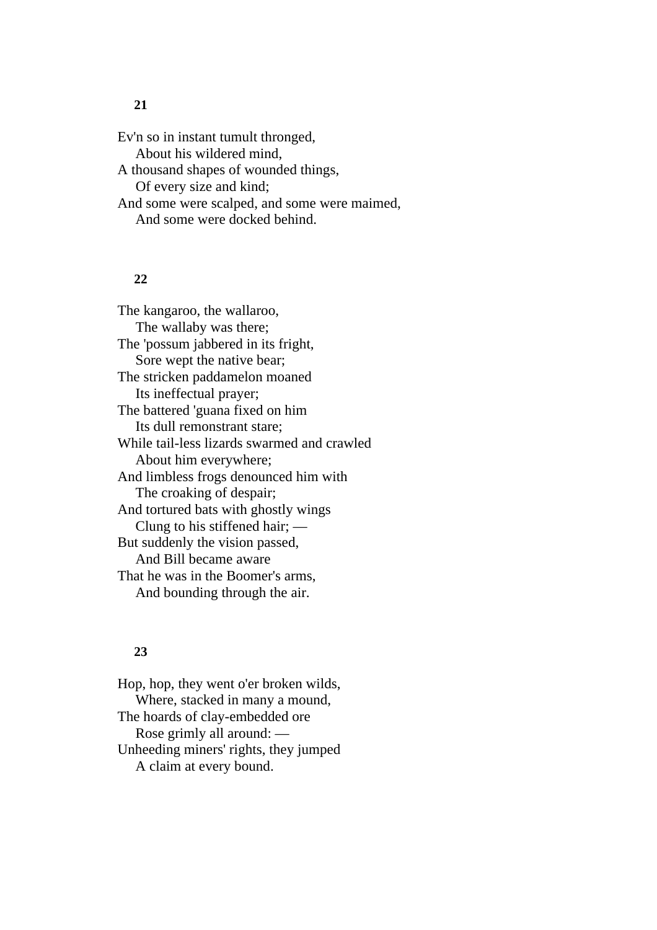Ev'n so in instant tumult thronged, About his wildered mind, A thousand shapes of wounded things, Of every size and kind; And some were scalped, and some were maimed, And some were docked behind.

## **22**

The kangaroo, the wallaroo, The wallaby was there; The 'possum jabbered in its fright, Sore wept the native bear; The stricken paddamelon moaned Its ineffectual prayer; The battered 'guana fixed on him Its dull remonstrant stare; While tail-less lizards swarmed and crawled About him everywhere; And limbless frogs denounced him with The croaking of despair; And tortured bats with ghostly wings Clung to his stiffened hair; — But suddenly the vision passed, And Bill became aware That he was in the Boomer's arms, And bounding through the air.

## **23**

Hop, hop, they went o'er broken wilds, Where, stacked in many a mound, The hoards of clay-embedded ore Rose grimly all around: — Unheeding miners' rights, they jumped A claim at every bound.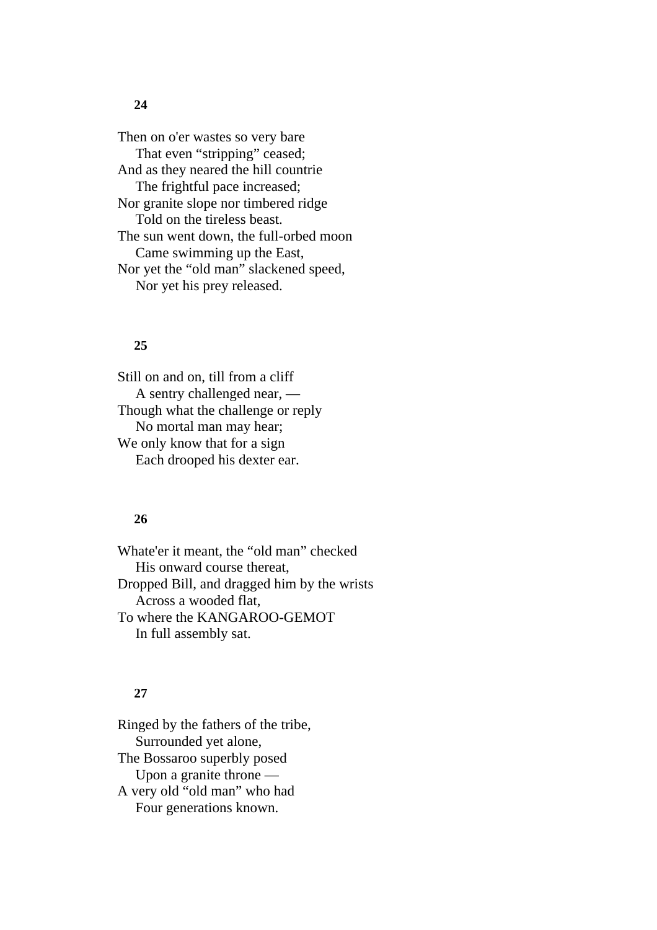Then on o'er wastes so very bare That even "stripping" ceased; And as they neared the hill countrie The frightful pace increased; Nor granite slope nor timbered ridge Told on the tireless beast. The sun went down, the full-orbed moon Came swimming up the East, Nor yet the "old man" slackened speed, Nor yet his prey released.

## **25**

Still on and on, till from a cliff A sentry challenged near, — Though what the challenge or reply No mortal man may hear; We only know that for a sign Each drooped his dexter ear.

### **26**

Whate'er it meant, the "old man" checked His onward course thereat, Dropped Bill, and dragged him by the wrists Across a wooded flat, To where the KANGAROO-GEMOT In full assembly sat.

#### **27**

Ringed by the fathers of the tribe, Surrounded yet alone, The Bossaroo superbly posed Upon a granite throne — A very old "old man" who had Four generations known.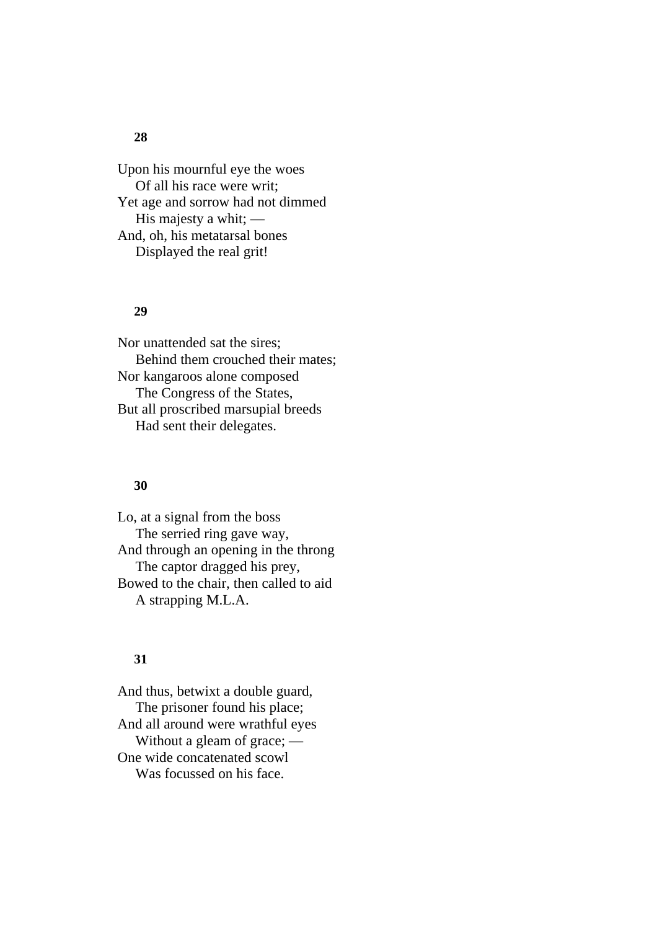# Upon his mournful eye the woes Of all his race were writ; Yet age and sorrow had not dimmed His majesty a whit; — And, oh, his metatarsal bones Displayed the real grit!

## **29**

Nor unattended sat the sires; Behind them crouched their mates; Nor kangaroos alone composed The Congress of the States, But all proscribed marsupial breeds Had sent their delegates.

#### **30**

Lo, at a signal from the boss The serried ring gave way, And through an opening in the throng The captor dragged his prey, Bowed to the chair, then called to aid A strapping M.L.A.

## **31**

And thus, betwixt a double guard, The prisoner found his place; And all around were wrathful eyes Without a gleam of grace; — One wide concatenated scowl Was focussed on his face.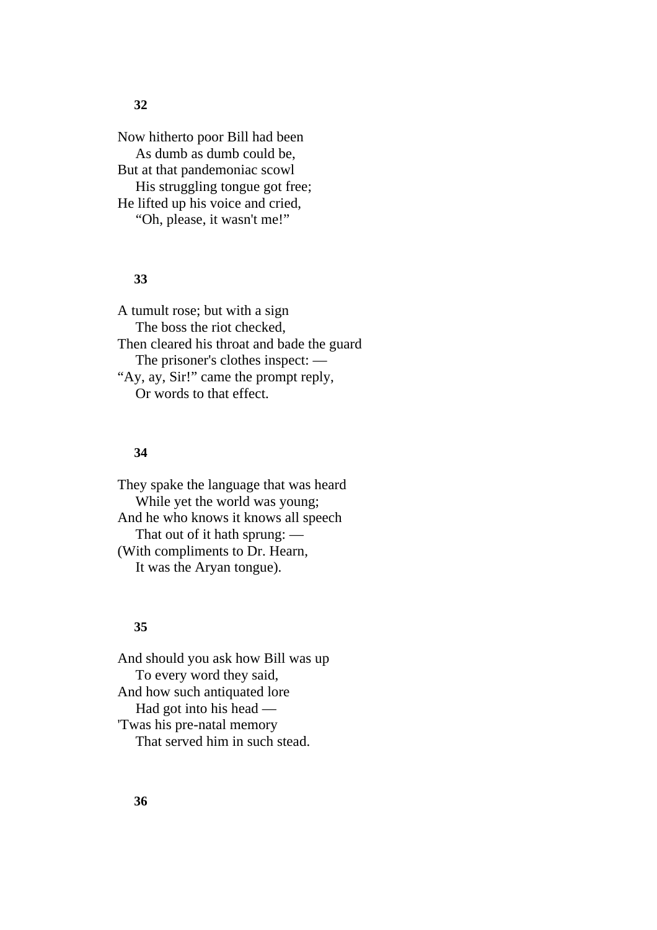Now hitherto poor Bill had been As dumb as dumb could be, But at that pandemoniac scowl His struggling tongue got free; He lifted up his voice and cried, "Oh, please, it wasn't me!"

## **33**

A tumult rose; but with a sign The boss the riot checked, Then cleared his throat and bade the guard The prisoner's clothes inspect: — "Ay, ay, Sir!" came the prompt reply, Or words to that effect.

## **34**

They spake the language that was heard While yet the world was young; And he who knows it knows all speech That out of it hath sprung: — (With compliments to Dr. Hearn, It was the Aryan tongue).

### **35**

And should you ask how Bill was up To every word they said, And how such antiquated lore Had got into his head — 'Twas his pre-natal memory That served him in such stead.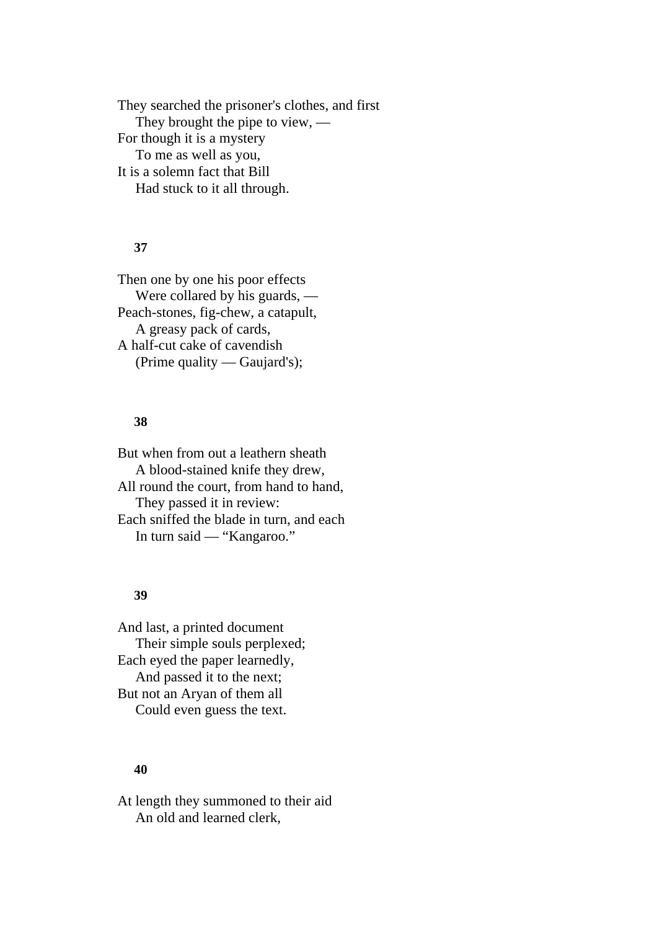They searched the prisoner's clothes, and first They brought the pipe to view, — For though it is a mystery To me as well as you, It is a solemn fact that Bill Had stuck to it all through.

#### **37**

Then one by one his poor effects Were collared by his guards, — Peach-stones, fig-chew, a catapult, A greasy pack of cards, A half-cut cake of cavendish (Prime quality — Gaujard's);

## **38**

But when from out a leathern sheath A blood-stained knife they drew, All round the court, from hand to hand, They passed it in review: Each sniffed the blade in turn, and each In turn said — "Kangaroo."

#### **39**

And last, a printed document Their simple souls perplexed; Each eyed the paper learnedly, And passed it to the next; But not an Aryan of them all Could even guess the text.

## **40**

At length they summoned to their aid An old and learned clerk,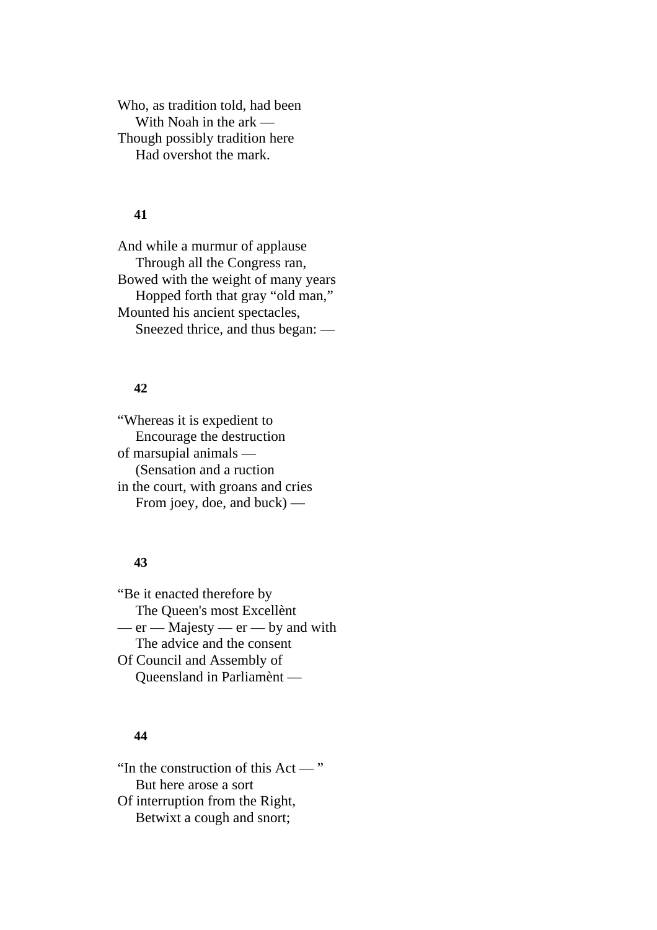Who, as tradition told, had been With Noah in the ark — Though possibly tradition here Had overshot the mark.

## **41**

And while a murmur of applause Through all the Congress ran, Bowed with the weight of many years Hopped forth that gray "old man," Mounted his ancient spectacles, Sneezed thrice, and thus began: —

#### **42**

"Whereas it is expedient to Encourage the destruction of marsupial animals — (Sensation and a ruction in the court, with groans and cries From joey, doe, and buck) —

## **43**

"Be it enacted therefore by The Queen's most Excellènt  $-$  er  $-$  Majesty  $-$  er  $-$  by and with The advice and the consent Of Council and Assembly of Queensland in Parliamènt —

# **44**

"In the construction of this Act — " But here arose a sort Of interruption from the Right, Betwixt a cough and snort;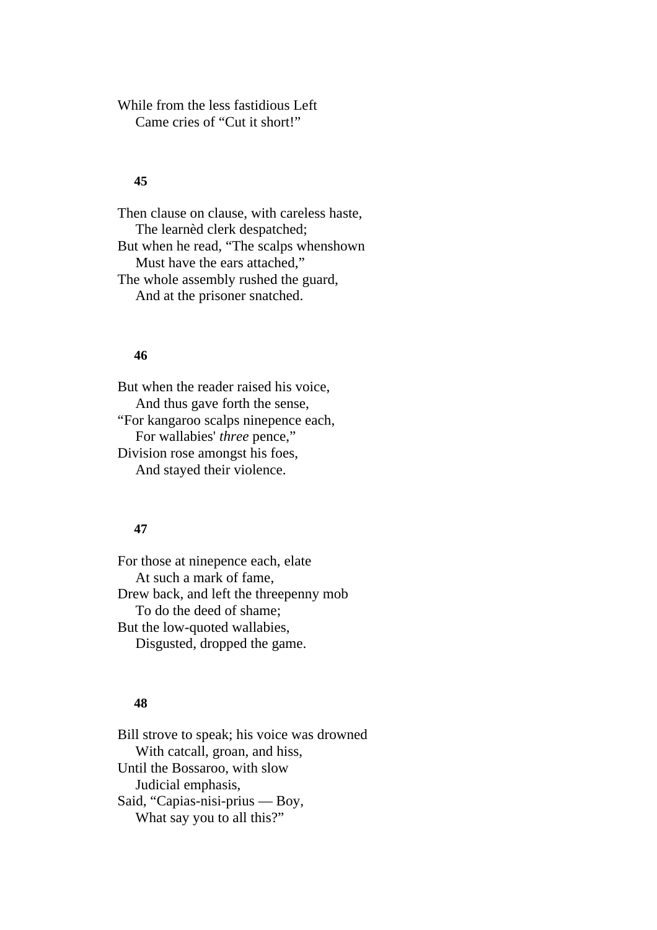While from the less fastidious Left Came cries of "Cut it short!"

#### **45**

Then clause on clause, with careless haste, The learnèd clerk despatched; But when he read, "The scalps whenshown Must have the ears attached," The whole assembly rushed the guard, And at the prisoner snatched.

## **46**

But when the reader raised his voice, And thus gave forth the sense, "For kangaroo scalps ninepence each, For wallabies' *three* pence," Division rose amongst his foes, And stayed their violence.

## **47**

For those at ninepence each, elate At such a mark of fame, Drew back, and left the threepenny mob To do the deed of shame; But the low-quoted wallabies, Disgusted, dropped the game.

#### **48**

Bill strove to speak; his voice was drowned With catcall, groan, and hiss, Until the Bossaroo, with slow Judicial emphasis, Said, "Capias-nisi-prius — Boy, What say you to all this?"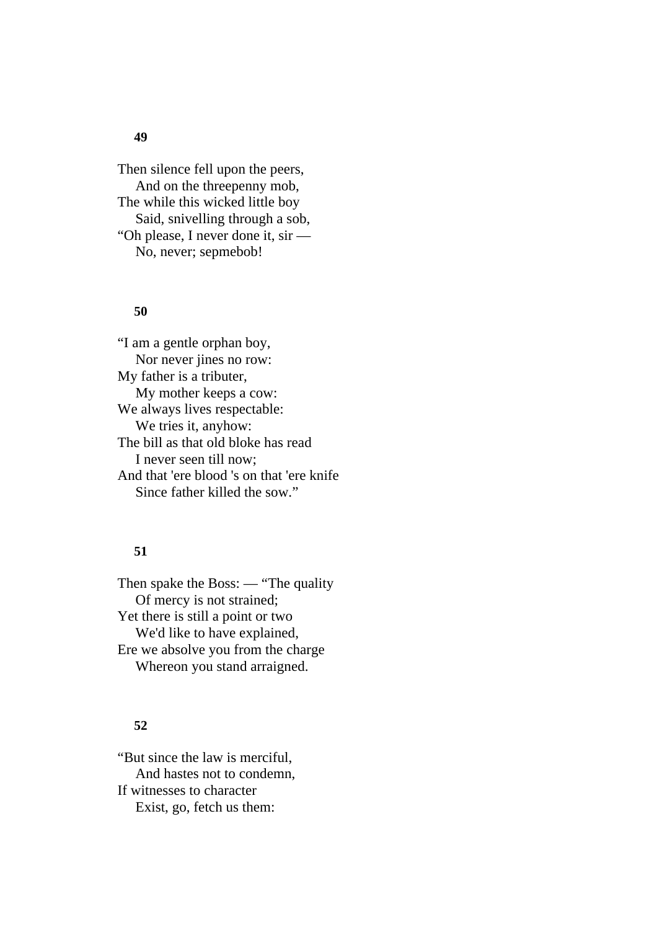Then silence fell upon the peers, And on the threepenny mob, The while this wicked little boy Said, snivelling through a sob, "Oh please, I never done it, sir — No, never; sepmebob!

## **50**

"I am a gentle orphan boy, Nor never jines no row: My father is a tributer, My mother keeps a cow: We always lives respectable: We tries it, anyhow: The bill as that old bloke has read I never seen till now; And that 'ere blood 's on that 'ere knife Since father killed the sow."

## **51**

Then spake the Boss: — "The quality Of mercy is not strained; Yet there is still a point or two We'd like to have explained, Ere we absolve you from the charge Whereon you stand arraigned.

## **52**

"But since the law is merciful, And hastes not to condemn, If witnesses to character Exist, go, fetch us them: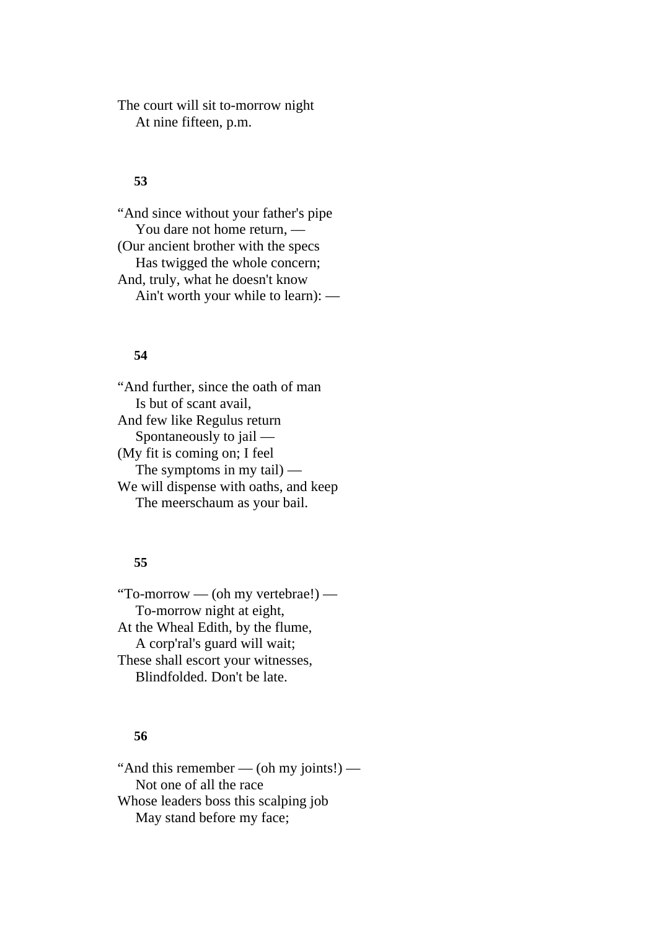The court will sit to-morrow night At nine fifteen, p.m.

## **53**

"And since without your father's pipe You dare not home return, — (Our ancient brother with the specs Has twigged the whole concern; And, truly, what he doesn't know Ain't worth your while to learn): —

## **54**

"And further, since the oath of man Is but of scant avail, And few like Regulus return Spontaneously to jail — (My fit is coming on; I feel The symptoms in my tail)  $-$ We will dispense with oaths, and keep The meerschaum as your bail.

## **55**

"To-morrow — (oh my vertebrae!) — To-morrow night at eight, At the Wheal Edith, by the flume, A corp'ral's guard will wait; These shall escort your witnesses, Blindfolded. Don't be late.

## **56**

"And this remember — (oh my joints!) — Not one of all the race Whose leaders boss this scalping job May stand before my face;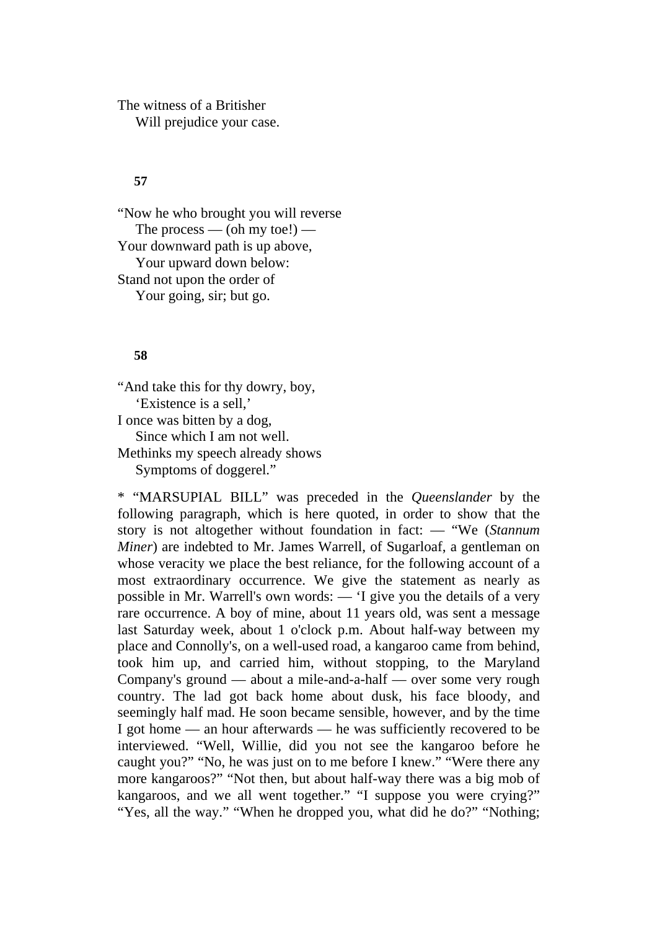The witness of a Britisher Will prejudice your case.

#### **57**

"Now he who brought you will reverse The process — (oh my toe!) — Your downward path is up above, Your upward down below: Stand not upon the order of Your going, sir; but go.

#### **58**

"And take this for thy dowry, boy, 'Existence is a sell,' I once was bitten by a dog, Since which I am not well. Methinks my speech already shows Symptoms of doggerel."

\* "MARSUPIAL BILL" was preceded in the *Queenslander* by the following paragraph, which is here quoted, in order to show that the story is not altogether without foundation in fact: — "We (*Stannum Miner*) are indebted to Mr. James Warrell, of Sugarloaf, a gentleman on whose veracity we place the best reliance, for the following account of a most extraordinary occurrence. We give the statement as nearly as possible in Mr. Warrell's own words: — 'I give you the details of a very rare occurrence. A boy of mine, about 11 years old, was sent a message last Saturday week, about 1 o'clock p.m. About half-way between my place and Connolly's, on a well-used road, a kangaroo came from behind, took him up, and carried him, without stopping, to the Maryland Company's ground — about a mile-and-a-half — over some very rough country. The lad got back home about dusk, his face bloody, and seemingly half mad. He soon became sensible, however, and by the time I got home — an hour afterwards — he was sufficiently recovered to be interviewed. "Well, Willie, did you not see the kangaroo before he caught you?" "No, he was just on to me before I knew." "Were there any more kangaroos?" "Not then, but about half-way there was a big mob of kangaroos, and we all went together." "I suppose you were crying?" "Yes, all the way." "When he dropped you, what did he do?" "Nothing;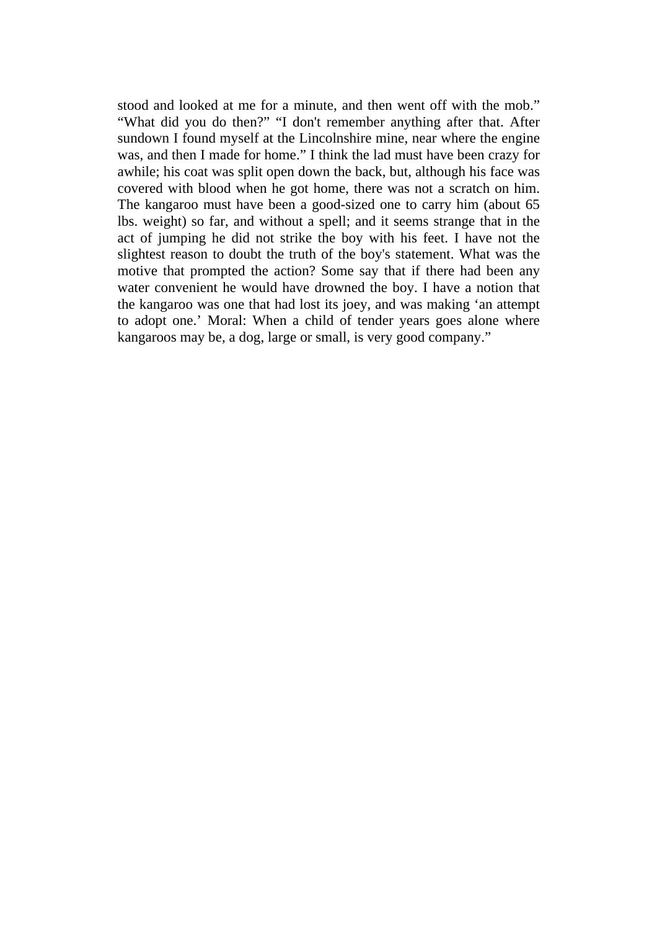stood and looked at me for a minute, and then went off with the mob." "What did you do then?" "I don't remember anything after that. After sundown I found myself at the Lincolnshire mine, near where the engine was, and then I made for home." I think the lad must have been crazy for awhile; his coat was split open down the back, but, although his face was covered with blood when he got home, there was not a scratch on him. The kangaroo must have been a good-sized one to carry him (about 65 lbs. weight) so far, and without a spell; and it seems strange that in the act of jumping he did not strike the boy with his feet. I have not the slightest reason to doubt the truth of the boy's statement. What was the motive that prompted the action? Some say that if there had been any water convenient he would have drowned the boy. I have a notion that the kangaroo was one that had lost its joey, and was making 'an attempt to adopt one.' Moral: When a child of tender years goes alone where kangaroos may be, a dog, large or small, is very good company."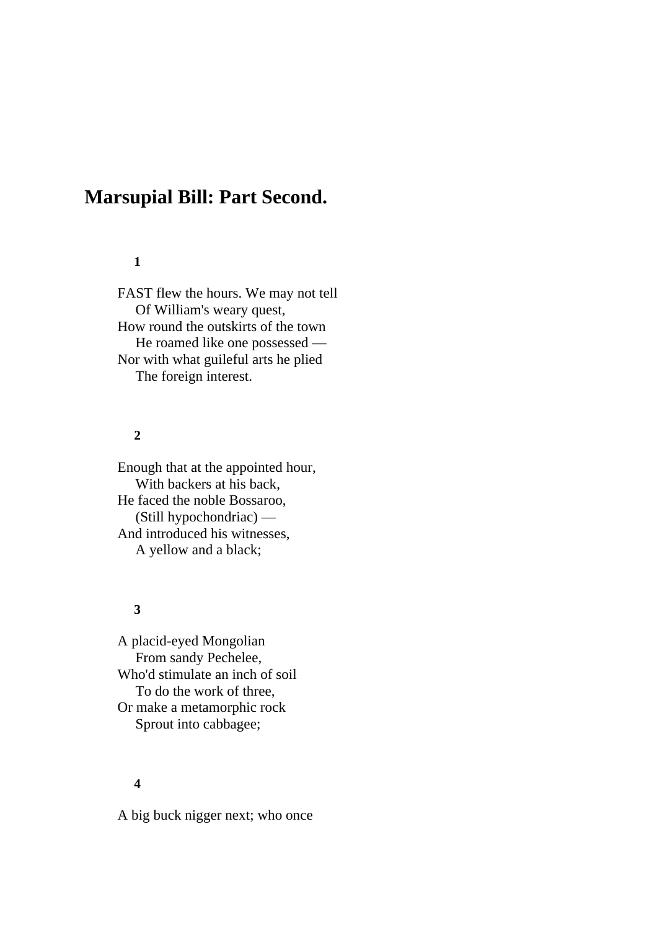# **Marsupial Bill: Part Second.**

# **1**

FAST flew the hours. We may not tell Of William's weary quest, How round the outskirts of the town He roamed like one possessed — Nor with what guileful arts he plied The foreign interest.

## **2**

Enough that at the appointed hour, With backers at his back, He faced the noble Bossaroo, (Still hypochondriac) — And introduced his witnesses, A yellow and a black;

## **3**

A placid-eyed Mongolian From sandy Pechelee, Who'd stimulate an inch of soil To do the work of three, Or make a metamorphic rock Sprout into cabbagee;

# **4**

A big buck nigger next; who once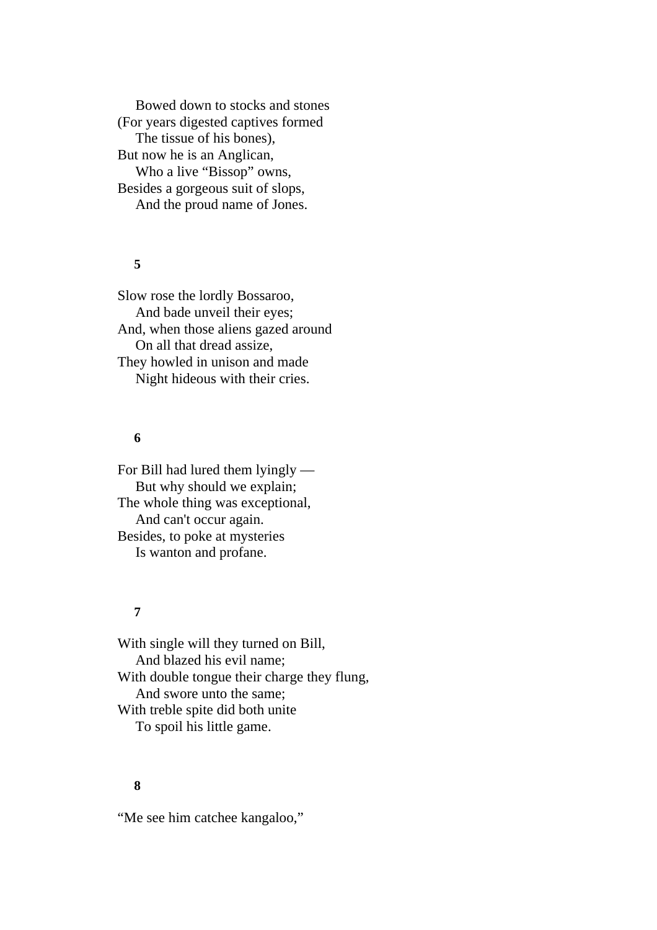Bowed down to stocks and stones (For years digested captives formed The tissue of his bones), But now he is an Anglican, Who a live "Bissop" owns, Besides a gorgeous suit of slops, And the proud name of Jones.

## **5**

Slow rose the lordly Bossaroo, And bade unveil their eyes; And, when those aliens gazed around On all that dread assize, They howled in unison and made Night hideous with their cries.

# **6**

For Bill had lured them lyingly — But why should we explain; The whole thing was exceptional, And can't occur again. Besides, to poke at mysteries Is wanton and profane.

# **7**

With single will they turned on Bill, And blazed his evil name; With double tongue their charge they flung, And swore unto the same; With treble spite did both unite To spoil his little game.

## **8**

"Me see him catchee kangaloo,"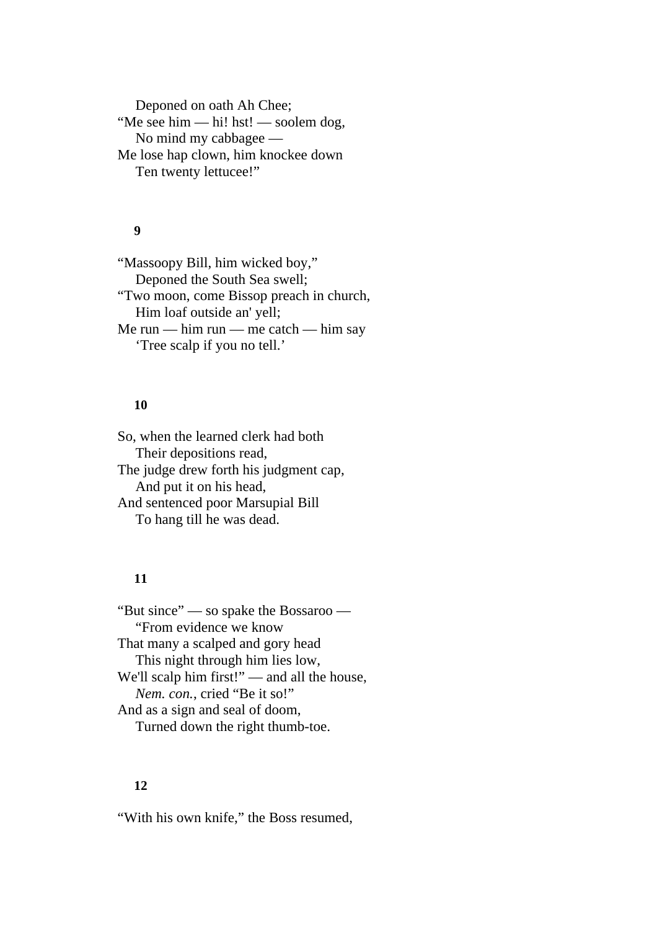Deponed on oath Ah Chee; "Me see him — hi! hst! — soolem dog, No mind my cabbagee — Me lose hap clown, him knockee down Ten twenty lettucee!"

#### **9**

"Massoopy Bill, him wicked boy," Deponed the South Sea swell; "Two moon, come Bissop preach in church, Him loaf outside an' yell; Me run — him run — me catch — him say 'Tree scalp if you no tell.'

## **10**

So, when the learned clerk had both Their depositions read, The judge drew forth his judgment cap, And put it on his head, And sentenced poor Marsupial Bill To hang till he was dead.

## **11**

"But since" — so spake the Bossaroo — "From evidence we know That many a scalped and gory head This night through him lies low, We'll scalp him first!" — and all the house, *Nem. con.*, cried "Be it so!" And as a sign and seal of doom, Turned down the right thumb-toe.

#### **12**

"With his own knife," the Boss resumed,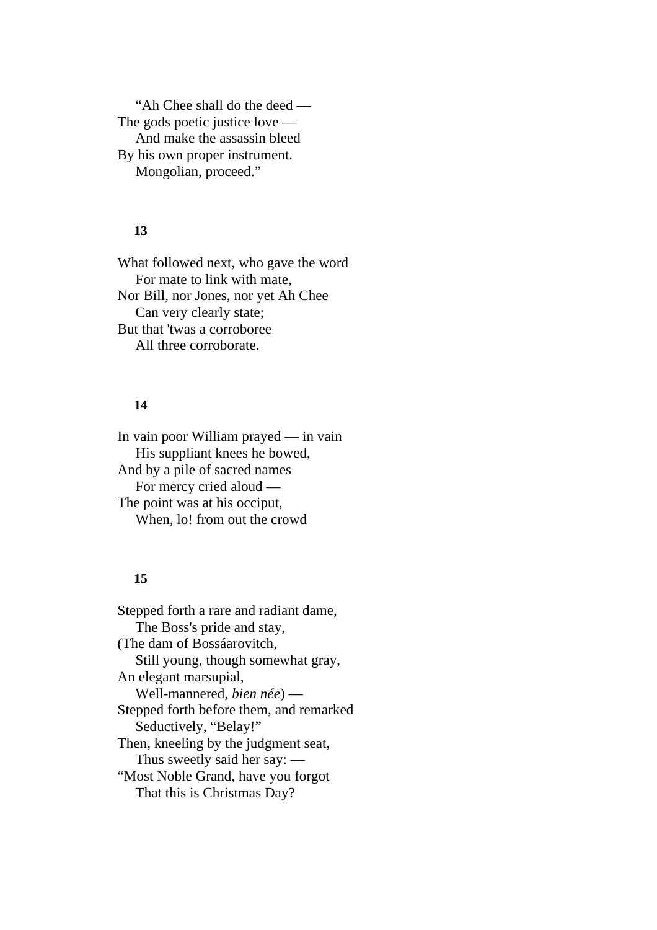"Ah Chee shall do the deed — The gods poetic justice love — And make the assassin bleed By his own proper instrument. Mongolian, proceed."

#### **13**

What followed next, who gave the word For mate to link with mate, Nor Bill, nor Jones, nor yet Ah Chee Can very clearly state; But that 'twas a corroboree All three corroborate.

## **14**

In vain poor William prayed — in vain His suppliant knees he bowed, And by a pile of sacred names For mercy cried aloud — The point was at his occiput, When, lo! from out the crowd

## **15**

Stepped forth a rare and radiant dame, The Boss's pride and stay, (The dam of Bossáarovitch, Still young, though somewhat gray, An elegant marsupial, Well-mannered, *bien née*) — Stepped forth before them, and remarked Seductively, "Belay!" Then, kneeling by the judgment seat, Thus sweetly said her say: — "Most Noble Grand, have you forgot That this is Christmas Day?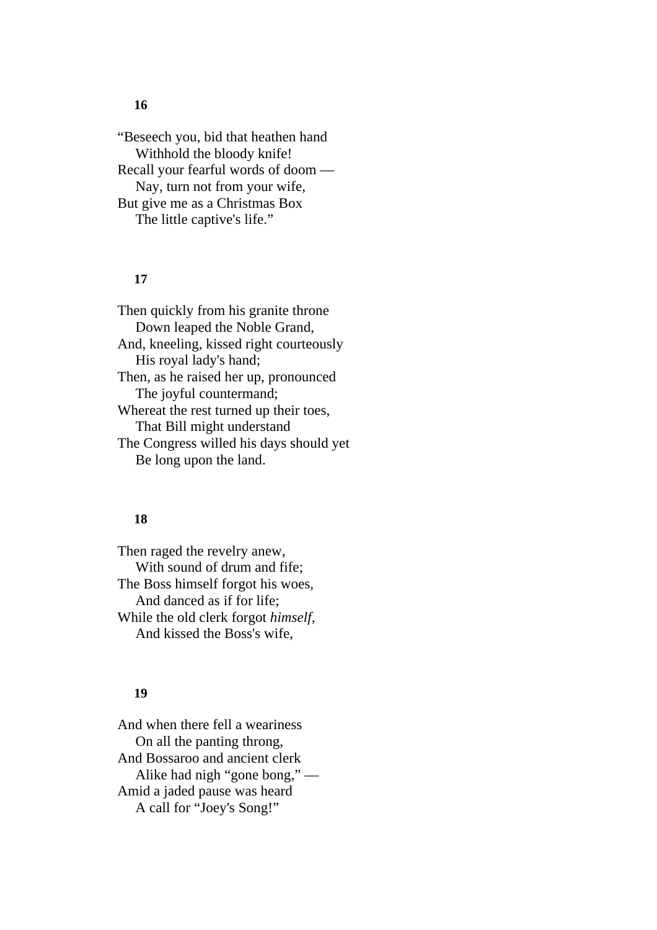"Beseech you, bid that heathen hand Withhold the bloody knife! Recall your fearful words of doom — Nay, turn not from your wife, But give me as a Christmas Box The little captive's life."

# **17**

Then quickly from his granite throne Down leaped the Noble Grand, And, kneeling, kissed right courteously His royal lady's hand; Then, as he raised her up, pronounced The joyful countermand; Whereat the rest turned up their toes, That Bill might understand The Congress willed his days should yet Be long upon the land.

### **18**

Then raged the revelry anew, With sound of drum and fife; The Boss himself forgot his woes, And danced as if for life; While the old clerk forgot *himself*, And kissed the Boss's wife,

#### **19**

And when there fell a weariness On all the panting throng, And Bossaroo and ancient clerk Alike had nigh "gone bong," — Amid a jaded pause was heard A call for "Joey's Song!"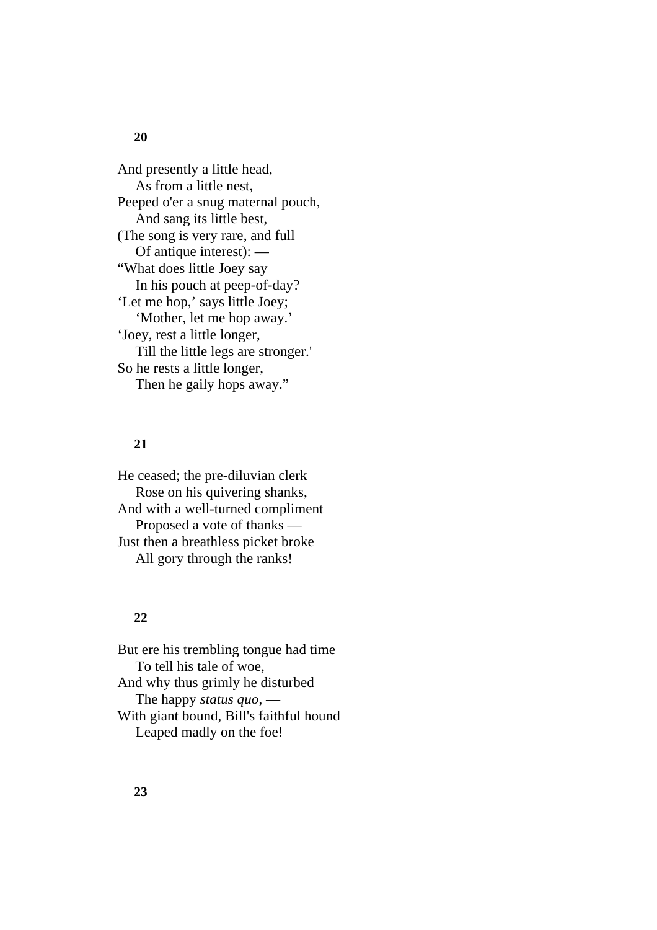And presently a little head, As from a little nest, Peeped o'er a snug maternal pouch, And sang its little best, (The song is very rare, and full Of antique interest): — "What does little Joey say In his pouch at peep-of-day? 'Let me hop,' says little Joey; 'Mother, let me hop away.' 'Joey, rest a little longer, Till the little legs are stronger.' So he rests a little longer, Then he gaily hops away."

## **21**

He ceased; the pre-diluvian clerk Rose on his quivering shanks, And with a well-turned compliment Proposed a vote of thanks — Just then a breathless picket broke All gory through the ranks!

## **22**

But ere his trembling tongue had time To tell his tale of woe, And why thus grimly he disturbed The happy *status quo*, — With giant bound, Bill's faithful hound Leaped madly on the foe!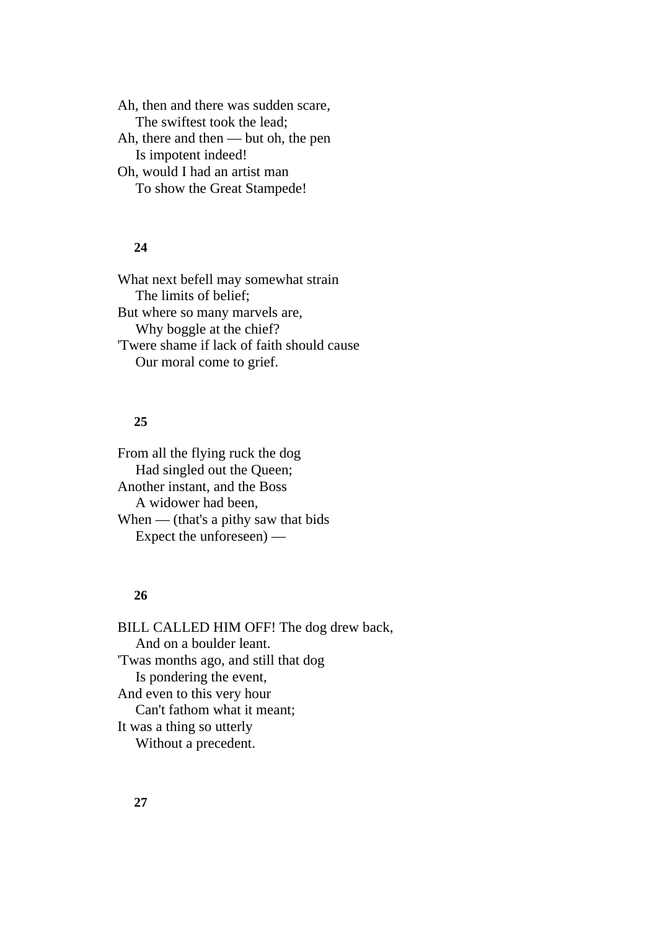Ah, then and there was sudden scare, The swiftest took the lead; Ah, there and then — but oh, the pen Is impotent indeed! Oh, would I had an artist man To show the Great Stampede!

### **24**

What next befell may somewhat strain The limits of belief; But where so many marvels are, Why boggle at the chief? 'Twere shame if lack of faith should cause Our moral come to grief.

### **25**

From all the flying ruck the dog Had singled out the Queen; Another instant, and the Boss A widower had been, When — (that's a pithy saw that bids Expect the unforeseen) —

### **26**

BILL CALLED HIM OFF! The dog drew back, And on a boulder leant. 'Twas months ago, and still that dog Is pondering the event, And even to this very hour Can't fathom what it meant; It was a thing so utterly Without a precedent.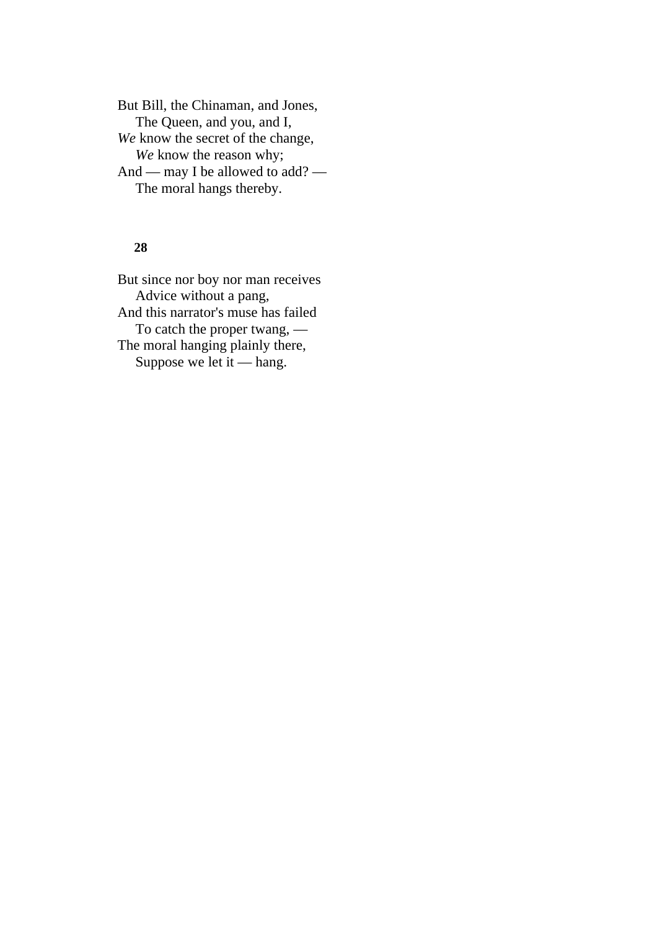But Bill, the Chinaman, and Jones, The Queen, and you, and I, *We* know the secret of the change, *We* know the reason why; And — may I be allowed to add? — The moral hangs thereby.

### **28**

But since nor boy nor man receives Advice without a pang, And this narrator's muse has failed To catch the proper twang, — The moral hanging plainly there, Suppose we let  $i$  — hang.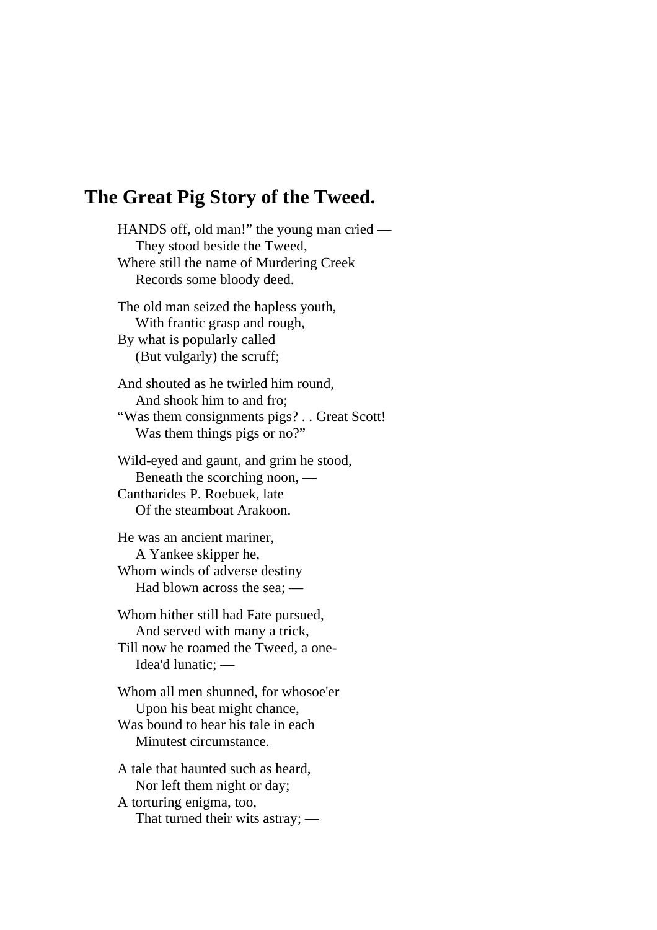# **The Great Pig Story of the Tweed.**

HANDS off, old man!" the young man cried — They stood beside the Tweed, Where still the name of Murdering Creek Records some bloody deed. The old man seized the hapless youth, With frantic grasp and rough, By what is popularly called (But vulgarly) the scruff; And shouted as he twirled him round, And shook him to and fro; "Was them consignments pigs? . . Great Scott!

Was them things pigs or no?"

Wild-eyed and gaunt, and grim he stood, Beneath the scorching noon, — Cantharides P. Roebuek, late Of the steamboat Arakoon.

He was an ancient mariner, A Yankee skipper he, Whom winds of adverse destiny Had blown across the sea; —

Whom hither still had Fate pursued, And served with many a trick, Till now he roamed the Tweed, a one- Idea'd lunatic; —

Whom all men shunned, for whosoe'er Upon his beat might chance, Was bound to hear his tale in each Minutest circumstance.

A tale that haunted such as heard, Nor left them night or day; A torturing enigma, too, That turned their wits astray; —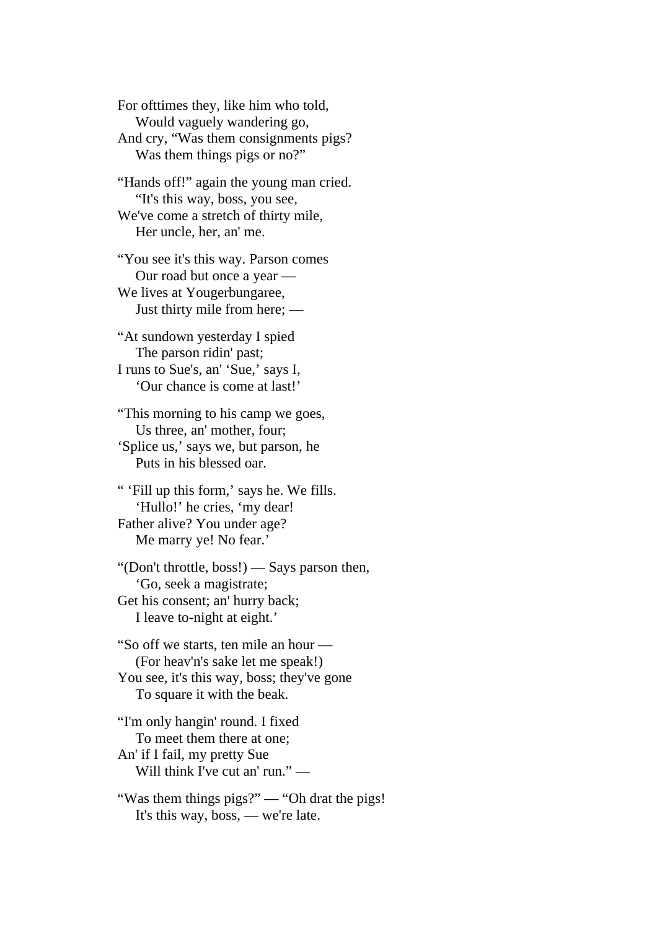For ofttimes they, like him who told, Would vaguely wandering go, And cry, "Was them consignments pigs? Was them things pigs or no?"

"Hands off!" again the young man cried. "It's this way, boss, you see, We've come a stretch of thirty mile, Her uncle, her, an' me.

"You see it's this way. Parson comes Our road but once a year — We lives at Yougerbungaree, Just thirty mile from here; —

"At sundown yesterday I spied The parson ridin' past; I runs to Sue's, an' 'Sue,' says I,

'Our chance is come at last!'

"This morning to his camp we goes, Us three, an' mother, four; 'Splice us,' says we, but parson, he Puts in his blessed oar.

" 'Fill up this form,' says he. We fills. 'Hullo!' he cries, 'my dear! Father alive? You under age? Me marry ye! No fear.'

"(Don't throttle, boss!) — Says parson then, 'Go, seek a magistrate; Get his consent; an' hurry back; I leave to-night at eight.'

"So off we starts, ten mile an hour — (For heav'n's sake let me speak!) You see, it's this way, boss; they've gone To square it with the beak.

"I'm only hangin' round. I fixed To meet them there at one; An' if I fail, my pretty Sue Will think I've cut an' run." —

"Was them things pigs?" — "Oh drat the pigs!" It's this way, boss, — we're late.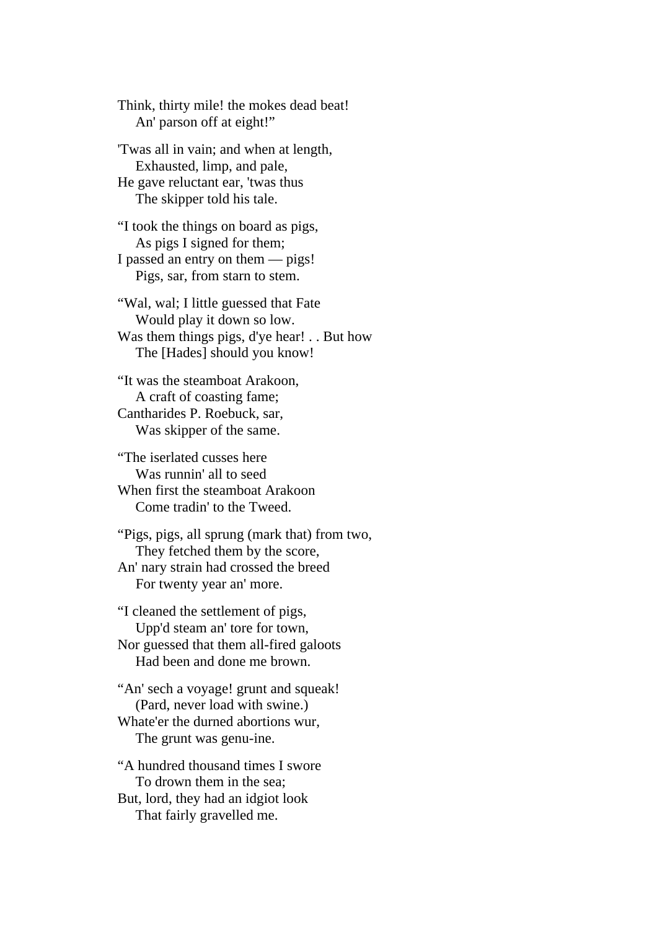Think, thirty mile! the mokes dead beat! An' parson off at eight!"

'Twas all in vain; and when at length, Exhausted, limp, and pale, He gave reluctant ear, 'twas thus The skipper told his tale.

"I took the things on board as pigs, As pigs I signed for them; I passed an entry on them — pigs! Pigs, sar, from starn to stem.

"Wal, wal; I little guessed that Fate Would play it down so low. Was them things pigs, d'ye hear! . . But how The [Hades] should you know!

"It was the steamboat Arakoon, A craft of coasting fame; Cantharides P. Roebuck, sar, Was skipper of the same.

"The iserlated cusses here Was runnin' all to seed When first the steamboat Arakoon Come tradin' to the Tweed.

"Pigs, pigs, all sprung (mark that) from two, They fetched them by the score, An' nary strain had crossed the breed For twenty year an' more.

"I cleaned the settlement of pigs, Upp'd steam an' tore for town, Nor guessed that them all-fired galoots Had been and done me brown.

"An' sech a voyage! grunt and squeak! (Pard, never load with swine.) Whate'er the durned abortions wur, The grunt was genu-ine.

"A hundred thousand times I swore To drown them in the sea; But, lord, they had an idgiot look That fairly gravelled me.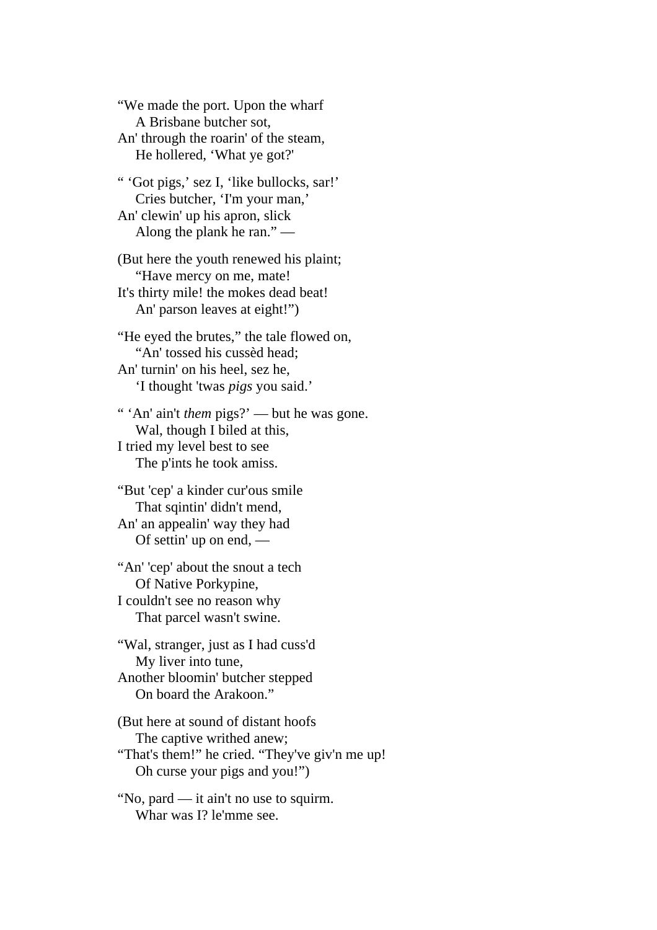"We made the port. Upon the wharf A Brisbane butcher sot, An' through the roarin' of the steam, He hollered, 'What ye got?'

" 'Got pigs,' sez I, 'like bullocks, sar!' Cries butcher, 'I'm your man,' An' clewin' up his apron, slick

Along the plank he ran." —

(But here the youth renewed his plaint; "Have mercy on me, mate! It's thirty mile! the mokes dead beat! An' parson leaves at eight!")

"He eyed the brutes," the tale flowed on, "An' tossed his cussèd head; An' turnin' on his heel, sez he, 'I thought 'twas *pigs* you said.'

" 'An' ain't *them* pigs?' — but he was gone. Wal, though I biled at this, I tried my level best to see The p'ints he took amiss.

"But 'cep' a kinder cur'ous smile That sqintin' didn't mend, An' an appealin' way they had Of settin' up on end, —

"An' 'cep' about the snout a tech Of Native Porkypine, I couldn't see no reason why That parcel wasn't swine.

"Wal, stranger, just as I had cuss'd My liver into tune, Another bloomin' butcher stepped On board the Arakoon."

(But here at sound of distant hoofs The captive writhed anew; "That's them!" he cried. "They've giv'n me up!

Oh curse your pigs and you!")

"No, pard — it ain't no use to squirm. Whar was I? le'mme see.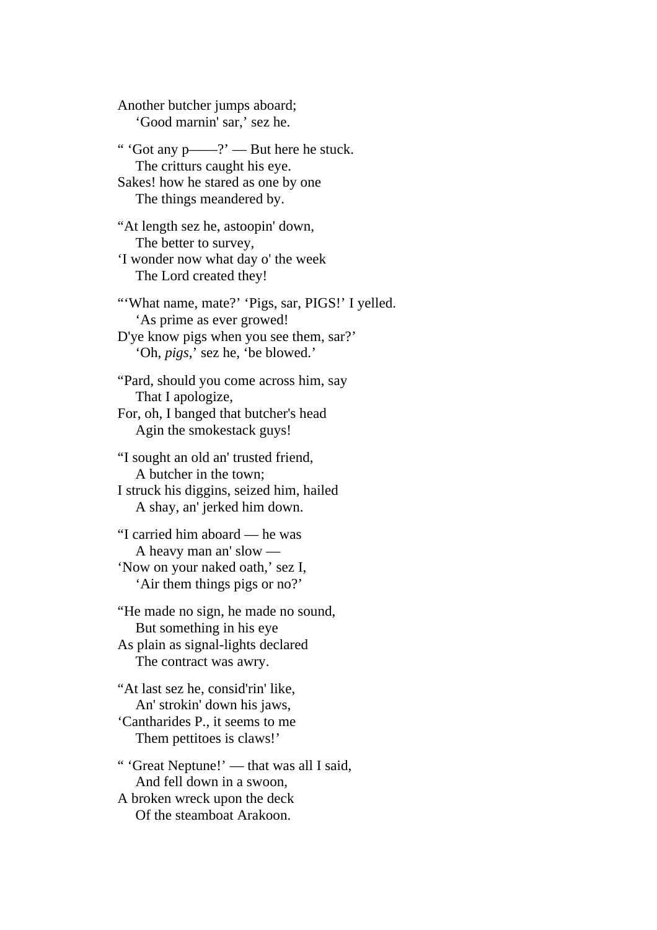Another butcher jumps aboard; 'Good marnin' sar,' sez he. " 'Got any p——?' — But here he stuck. The critturs caught his eye. Sakes! how he stared as one by one The things meandered by. "At length sez he, astoopin' down, The better to survey, 'I wonder now what day o' the week The Lord created they! "'What name, mate?' 'Pigs, sar, PIGS!' I yelled. 'As prime as ever growed! D'ye know pigs when you see them, sar?' 'Oh, *pigs*,' sez he, 'be blowed.' "Pard, should you come across him, say That I apologize, For, oh, I banged that butcher's head Agin the smokestack guys! "I sought an old an' trusted friend, A butcher in the town; I struck his diggins, seized him, hailed A shay, an' jerked him down. "I carried him aboard — he was A heavy man an' slow — 'Now on your naked oath,' sez I, 'Air them things pigs or no?' "He made no sign, he made no sound, But something in his eye As plain as signal-lights declared The contract was awry. "At last sez he, consid'rin' like, An' strokin' down his jaws, 'Cantharides P., it seems to me Them pettitoes is claws!' " 'Great Neptune!' — that was all I said, And fell down in a swoon, A broken wreck upon the deck Of the steamboat Arakoon.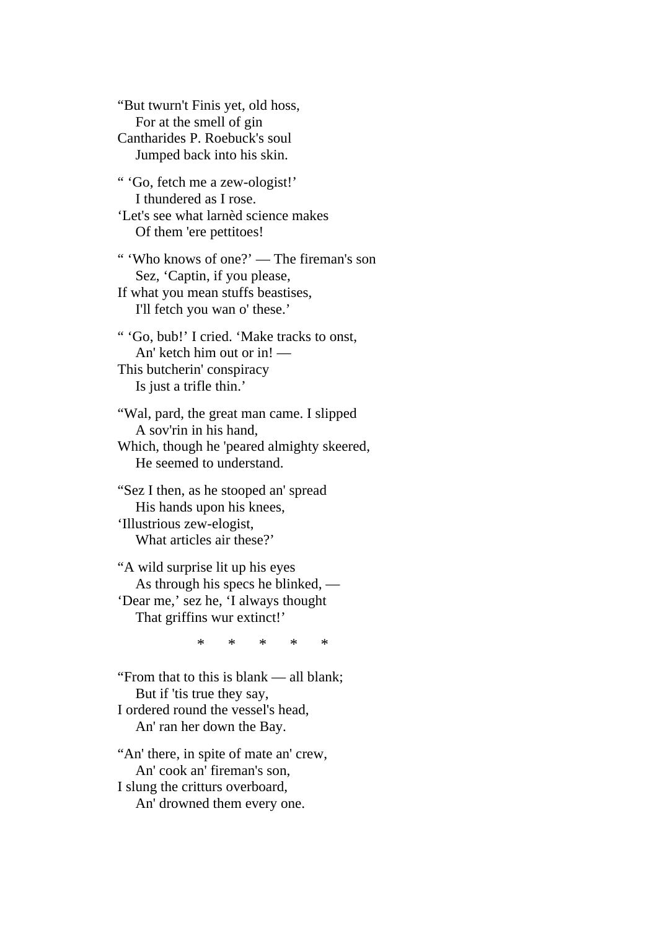"But twurn't Finis yet, old hoss, For at the smell of gin Cantharides P. Roebuck's soul Jumped back into his skin.

" 'Go, fetch me a zew-ologist!' I thundered as I rose.

'Let's see what larnèd science makes Of them 'ere pettitoes!

" 'Who knows of one?' — The fireman's son Sez, 'Captin, if you please, If what you mean stuffs beastises,

I'll fetch you wan o' these.'

" 'Go, bub!' I cried. 'Make tracks to onst, An' ketch him out or in! — This butcherin' conspiracy Is just a trifle thin.'

"Wal, pard, the great man came. I slipped A sov'rin in his hand, Which, though he 'peared almighty skeered,

He seemed to understand.

"Sez I then, as he stooped an' spread His hands upon his knees, 'Illustrious zew-elogist, What articles air these?'

"A wild surprise lit up his eyes As through his specs he blinked, — 'Dear me,' sez he, 'I always thought That griffins wur extinct!'

\* \* \* \* \*

"From that to this is blank — all blank; But if 'tis true they say, I ordered round the vessel's head, An' ran her down the Bay.

"An' there, in spite of mate an' crew, An' cook an' fireman's son, I slung the critturs overboard, An' drowned them every one.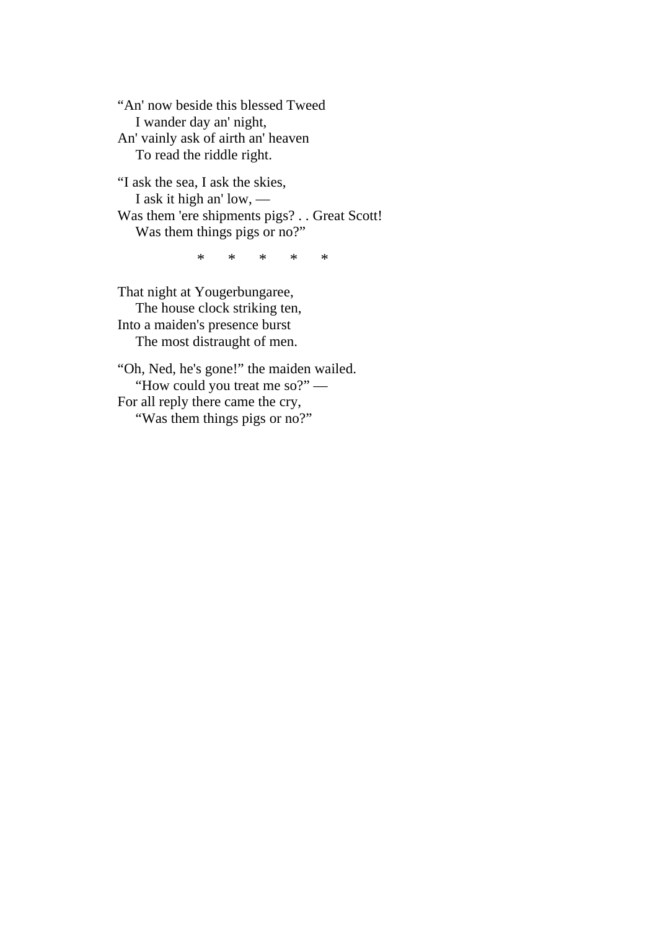"An' now beside this blessed Tweed I wander day an' night, An' vainly ask of airth an' heaven To read the riddle right.

"I ask the sea, I ask the skies, I ask it high an' low, — Was them 'ere shipments pigs? . . Great Scott! Was them things pigs or no?"

\* \* \* \* \*

That night at Yougerbungaree, The house clock striking ten, Into a maiden's presence burst The most distraught of men.

"Oh, Ned, he's gone!" the maiden wailed. "How could you treat me so?" — For all reply there came the cry, "Was them things pigs or no?"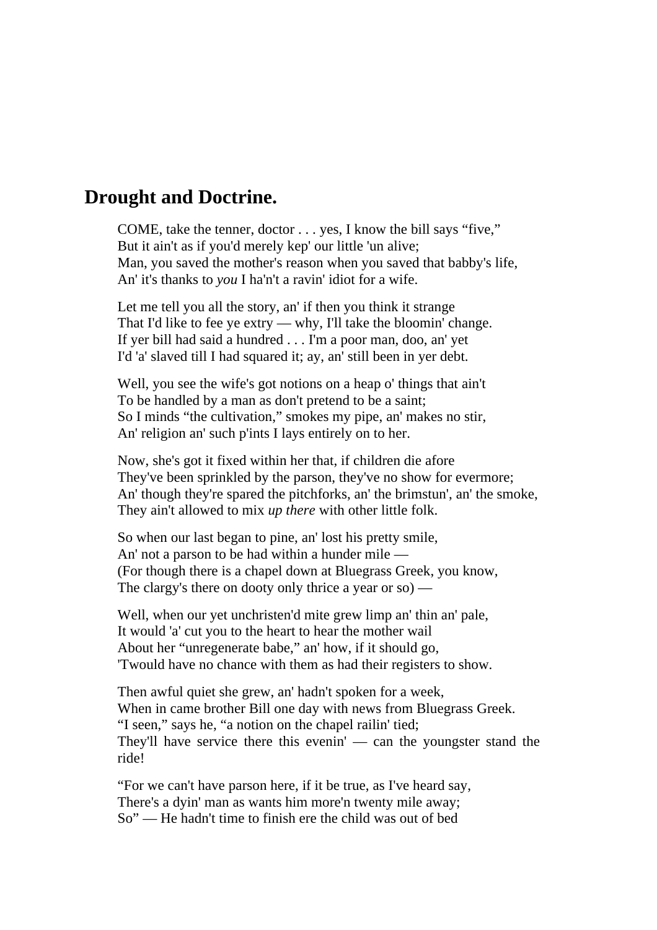# **Drought and Doctrine.**

COME, take the tenner, doctor . . . yes, I know the bill says "five," But it ain't as if you'd merely kep' our little 'un alive; Man, you saved the mother's reason when you saved that babby's life, An' it's thanks to *you* I ha'n't a ravin' idiot for a wife.

Let me tell you all the story, an' if then you think it strange That I'd like to fee ye extry — why, I'll take the bloomin' change. If yer bill had said a hundred . . . I'm a poor man, doo, an' yet I'd 'a' slaved till I had squared it; ay, an' still been in yer debt.

Well, you see the wife's got notions on a heap o' things that ain't To be handled by a man as don't pretend to be a saint; So I minds "the cultivation," smokes my pipe, an' makes no stir, An' religion an' such p'ints I lays entirely on to her.

Now, she's got it fixed within her that, if children die afore They've been sprinkled by the parson, they've no show for evermore; An' though they're spared the pitchforks, an' the brimstun', an' the smoke, They ain't allowed to mix *up there* with other little folk.

So when our last began to pine, an' lost his pretty smile, An' not a parson to be had within a hunder mile — (For though there is a chapel down at Bluegrass Greek, you know, The clargy's there on dooty only thrice a year or so) —

Well, when our yet unchristen'd mite grew limp an' thin an' pale, It would 'a' cut you to the heart to hear the mother wail About her "unregenerate babe," an' how, if it should go, 'Twould have no chance with them as had their registers to show.

Then awful quiet she grew, an' hadn't spoken for a week, When in came brother Bill one day with news from Bluegrass Greek. "I seen," says he, "a notion on the chapel railin' tied; They'll have service there this evenin' — can the youngster stand the ride!

"For we can't have parson here, if it be true, as I've heard say, There's a dyin' man as wants him more'n twenty mile away; So" — He hadn't time to finish ere the child was out of bed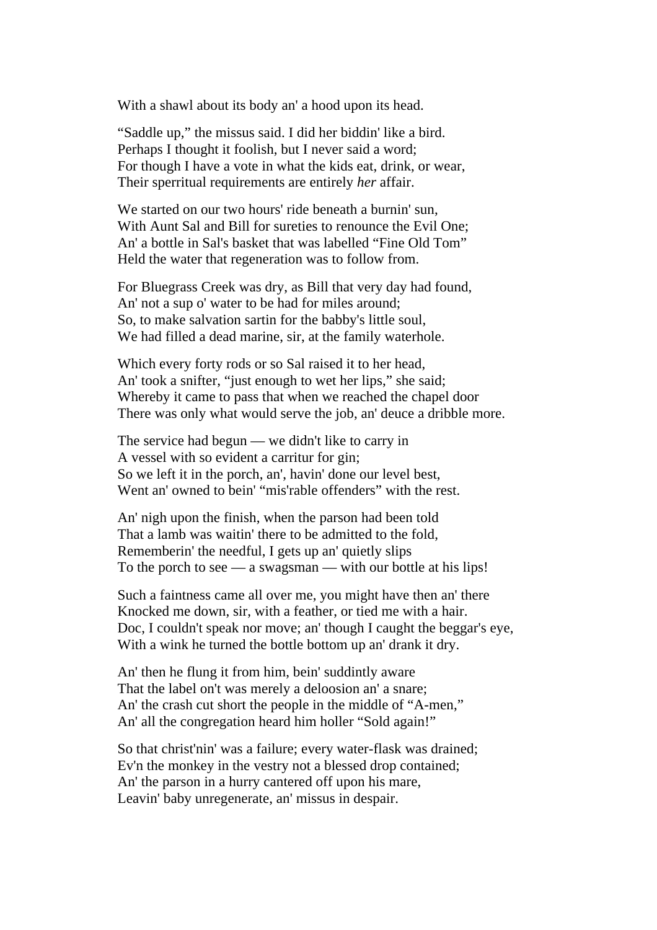With a shawl about its body an' a hood upon its head.

"Saddle up," the missus said. I did her biddin' like a bird. Perhaps I thought it foolish, but I never said a word; For though I have a vote in what the kids eat, drink, or wear, Their sperritual requirements are entirely *her* affair.

We started on our two hours' ride beneath a burnin' sun, With Aunt Sal and Bill for sureties to renounce the Evil One; An' a bottle in Sal's basket that was labelled "Fine Old Tom" Held the water that regeneration was to follow from.

For Bluegrass Creek was dry, as Bill that very day had found, An' not a sup o' water to be had for miles around; So, to make salvation sartin for the babby's little soul, We had filled a dead marine, sir, at the family waterhole.

Which every forty rods or so Sal raised it to her head, An' took a snifter, "just enough to wet her lips," she said; Whereby it came to pass that when we reached the chapel door There was only what would serve the job, an' deuce a dribble more.

The service had begun — we didn't like to carry in A vessel with so evident a carritur for gin; So we left it in the porch, an', havin' done our level best, Went an' owned to bein' "mis'rable offenders" with the rest.

An' nigh upon the finish, when the parson had been told That a lamb was waitin' there to be admitted to the fold, Rememberin' the needful, I gets up an' quietly slips To the porch to see — a swagsman — with our bottle at his lips!

Such a faintness came all over me, you might have then an' there Knocked me down, sir, with a feather, or tied me with a hair. Doc, I couldn't speak nor move; an' though I caught the beggar's eye, With a wink he turned the bottle bottom up an' drank it dry.

An' then he flung it from him, bein' suddintly aware That the label on't was merely a deloosion an' a snare; An' the crash cut short the people in the middle of "A-men," An' all the congregation heard him holler "Sold again!"

So that christ'nin' was a failure; every water-flask was drained; Ev'n the monkey in the vestry not a blessed drop contained; An' the parson in a hurry cantered off upon his mare, Leavin' baby unregenerate, an' missus in despair.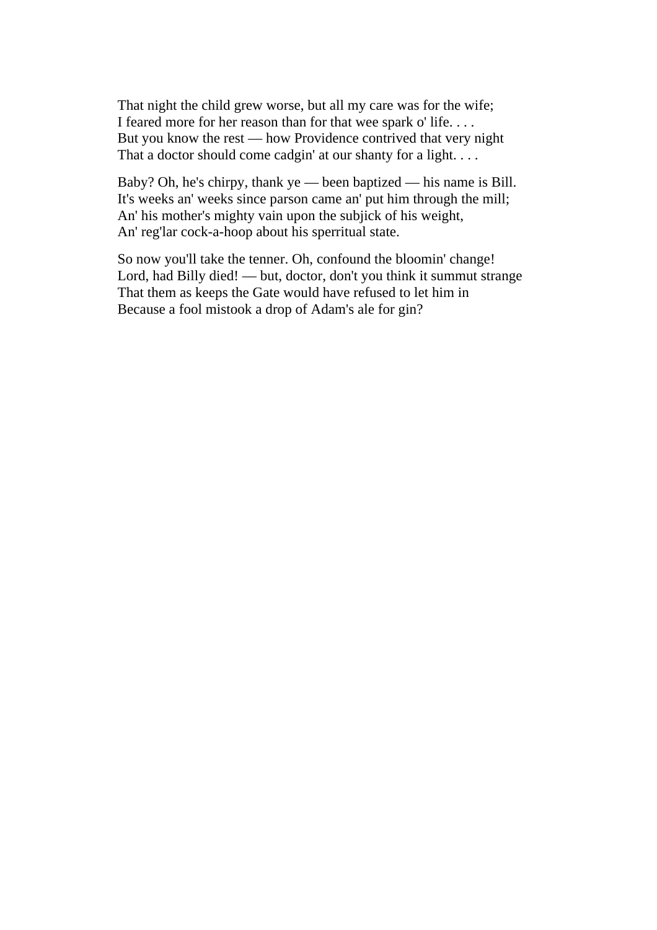That night the child grew worse, but all my care was for the wife; I feared more for her reason than for that wee spark o' life. . . . But you know the rest — how Providence contrived that very night That a doctor should come cadgin' at our shanty for a light. . . .

Baby? Oh, he's chirpy, thank ye — been baptized — his name is Bill. It's weeks an' weeks since parson came an' put him through the mill; An' his mother's mighty vain upon the subjick of his weight, An' reg'lar cock-a-hoop about his sperritual state.

So now you'll take the tenner. Oh, confound the bloomin' change! Lord, had Billy died! — but, doctor, don't you think it summut strange That them as keeps the Gate would have refused to let him in Because a fool mistook a drop of Adam's ale for gin?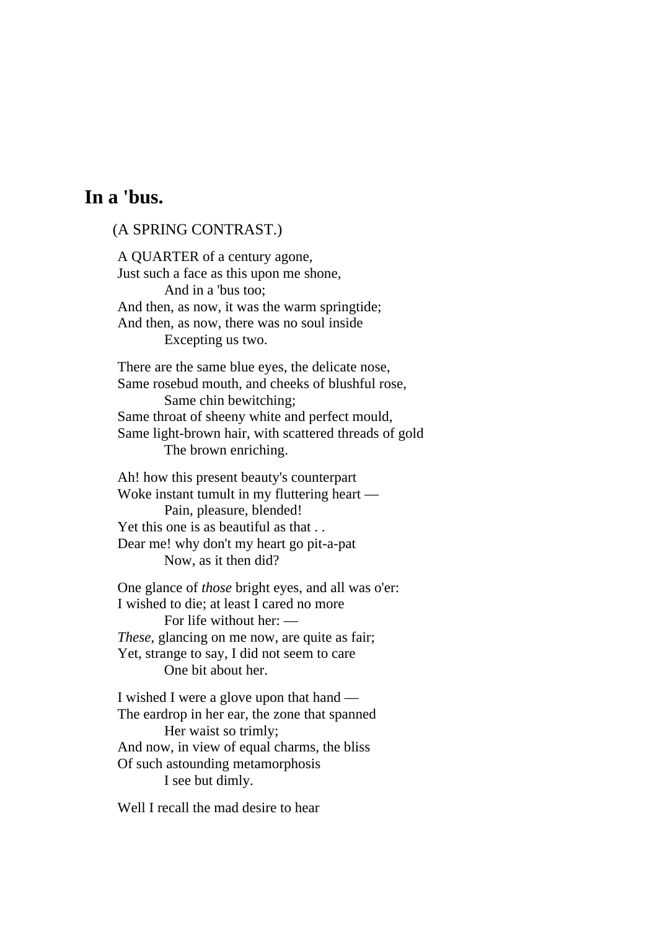# **In a 'bus.**

(A SPRING CONTRAST.)

A QUARTER of a century agone, Just such a face as this upon me shone, And in a 'bus too; And then, as now, it was the warm springtide; And then, as now, there was no soul inside Excepting us two.

There are the same blue eyes, the delicate nose, Same rosebud mouth, and cheeks of blushful rose, Same chin bewitching; Same throat of sheeny white and perfect mould, Same light-brown hair, with scattered threads of gold The brown enriching.

Ah! how this present beauty's counterpart Woke instant tumult in my fluttering heart — Pain, pleasure, blended! Yet this one is as beautiful as that ... Dear me! why don't my heart go pit-a-pat Now, as it then did?

One glance of *those* bright eyes, and all was o'er: I wished to die; at least I cared no more For life without her: — *These*, glancing on me now, are quite as fair; Yet, strange to say, I did not seem to care One bit about her.

I wished I were a glove upon that hand — The eardrop in her ear, the zone that spanned Her waist so trimly; And now, in view of equal charms, the bliss Of such astounding metamorphosis I see but dimly.

Well I recall the mad desire to hear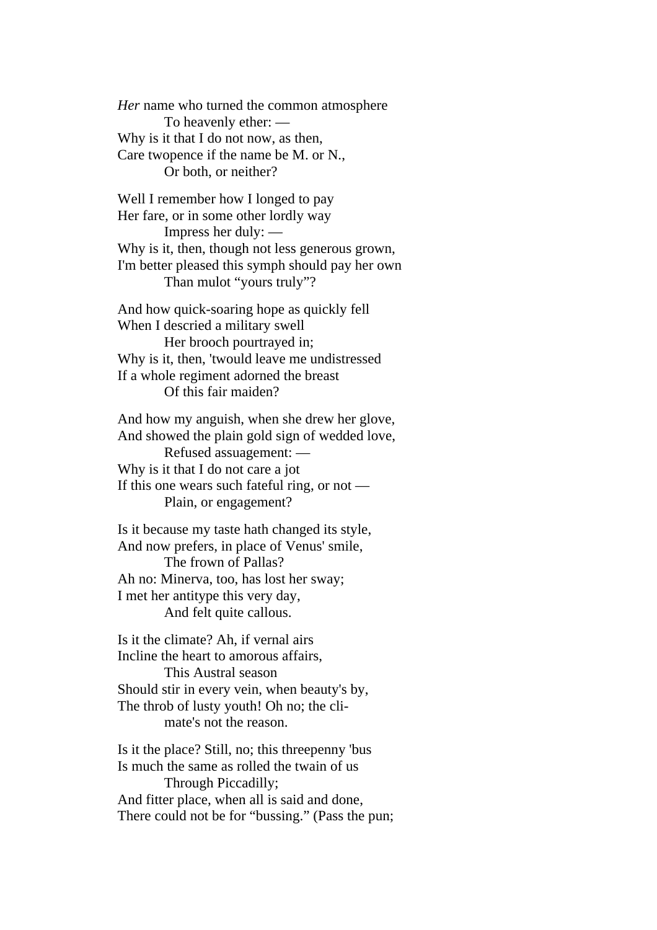*Her* name who turned the common atmosphere To heavenly ether: — Why is it that I do not now, as then, Care twopence if the name be M. or N., Or both, or neither?

Well I remember how I longed to pay Her fare, or in some other lordly way Impress her duly: — Why is it, then, though not less generous grown, I'm better pleased this symph should pay her own Than mulot "yours truly"?

And how quick-soaring hope as quickly fell When I descried a military swell Her brooch pourtrayed in; Why is it, then, 'twould leave me undistressed If a whole regiment adorned the breast Of this fair maiden?

And how my anguish, when she drew her glove, And showed the plain gold sign of wedded love, Refused assuagement: — Why is it that I do not care a jot If this one wears such fateful ring, or not — Plain, or engagement?

Is it because my taste hath changed its style, And now prefers, in place of Venus' smile, The frown of Pallas? Ah no: Minerva, too, has lost her sway; I met her antitype this very day, And felt quite callous.

Is it the climate? Ah, if vernal airs Incline the heart to amorous affairs, This Austral season Should stir in every vein, when beauty's by, The throb of lusty youth! Oh no; the cli mate's not the reason.

Is it the place? Still, no; this threepenny 'bus Is much the same as rolled the twain of us Through Piccadilly; And fitter place, when all is said and done, There could not be for "bussing." (Pass the pun;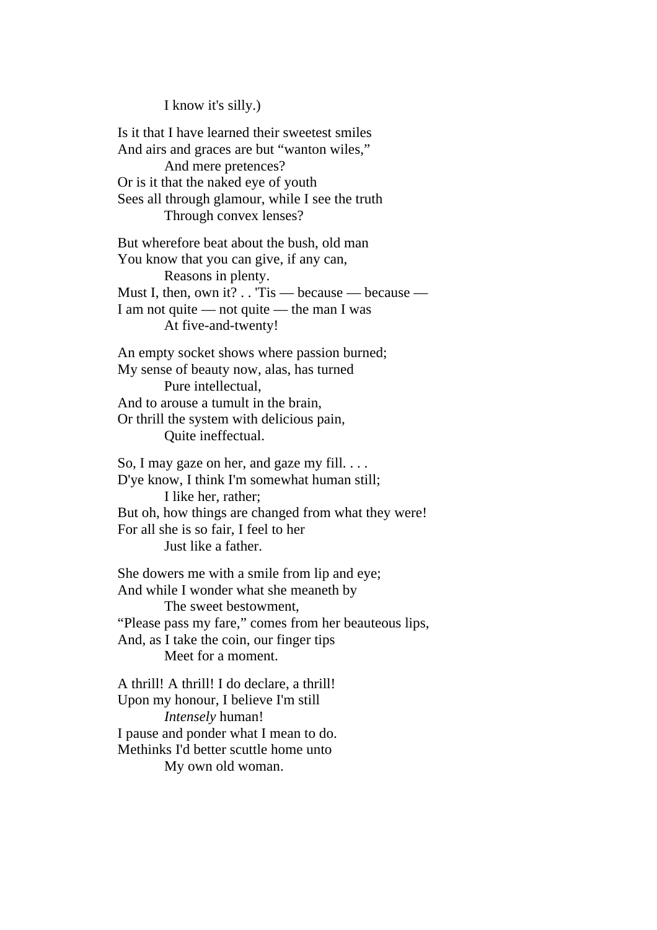I know it's silly.)

Is it that I have learned their sweetest smiles And airs and graces are but "wanton wiles," And mere pretences? Or is it that the naked eye of youth Sees all through glamour, while I see the truth Through convex lenses? But wherefore beat about the bush, old man You know that you can give, if any can, Reasons in plenty. Must I, then, own it?  $\therefore$  Tis — because — because —

I am not quite — not quite — the man I was At five-and-twenty!

An empty socket shows where passion burned; My sense of beauty now, alas, has turned Pure intellectual, And to arouse a tumult in the brain,

Or thrill the system with delicious pain,

Quite ineffectual.

So, I may gaze on her, and gaze my fill. . . . D'ye know, I think I'm somewhat human still; I like her, rather; But oh, how things are changed from what they were! For all she is so fair, I feel to her Just like a father.

She dowers me with a smile from lip and eye; And while I wonder what she meaneth by The sweet bestowment, "Please pass my fare," comes from her beauteous lips, And, as I take the coin, our finger tips Meet for a moment.

A thrill! A thrill! I do declare, a thrill! Upon my honour, I believe I'm still *Intensely* human! I pause and ponder what I mean to do. Methinks I'd better scuttle home unto My own old woman.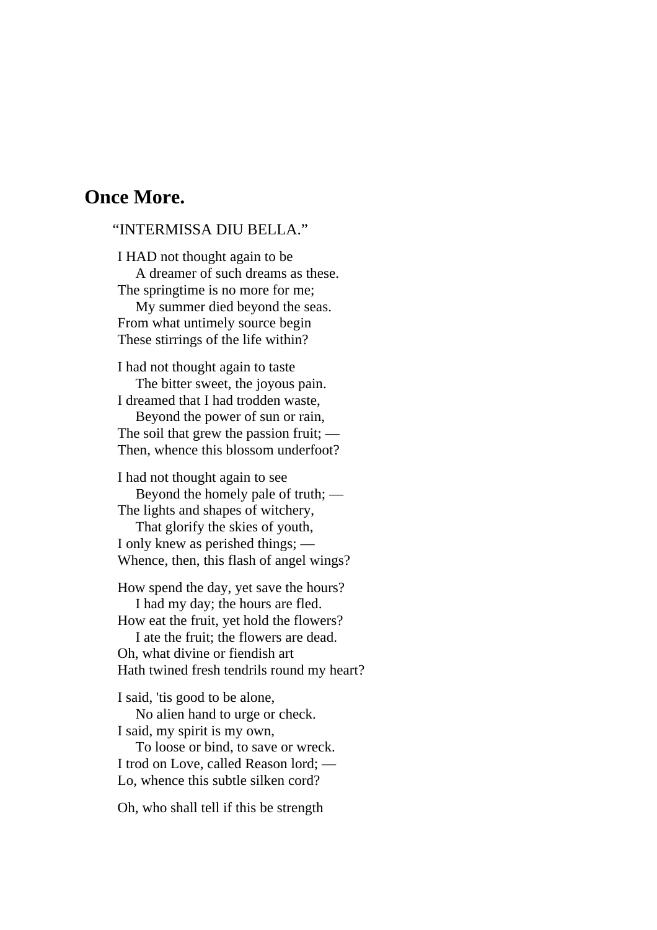### **Once More.**

### "INTERMISSA DIU BELLA."

I HAD not thought again to be A dreamer of such dreams as these. The springtime is no more for me; My summer died beyond the seas. From what untimely source begin These stirrings of the life within?

I had not thought again to taste The bitter sweet, the joyous pain. I dreamed that I had trodden waste,

 Beyond the power of sun or rain, The soil that grew the passion fruit; — Then, whence this blossom underfoot?

I had not thought again to see Beyond the homely pale of truth; — The lights and shapes of witchery,

 That glorify the skies of youth, I only knew as perished things; — Whence, then, this flash of angel wings?

How spend the day, yet save the hours? I had my day; the hours are fled.

How eat the fruit, yet hold the flowers? I ate the fruit; the flowers are dead.

Oh, what divine or fiendish art Hath twined fresh tendrils round my heart?

I said, 'tis good to be alone,

 No alien hand to urge or check. I said, my spirit is my own,

 To loose or bind, to save or wreck. I trod on Love, called Reason lord; — Lo, whence this subtle silken cord?

Oh, who shall tell if this be strength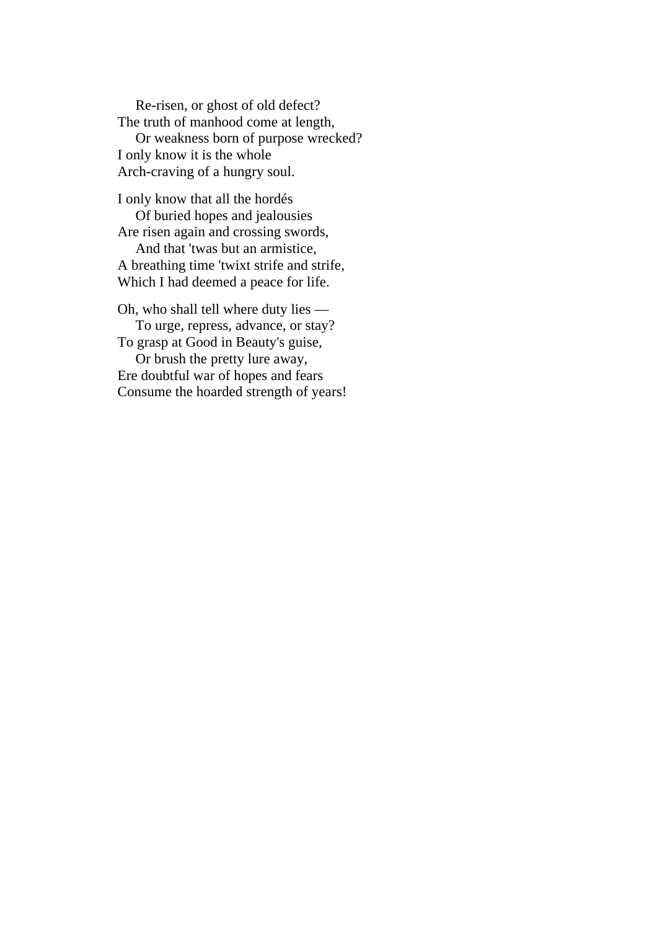Re-risen, or ghost of old defect? The truth of manhood come at length, Or weakness born of purpose wrecked? I only know it is the whole Arch-craving of a hungry soul.

I only know that all the hordés Of buried hopes and jealousies Are risen again and crossing swords, And that 'twas but an armistice, A breathing time 'twixt strife and strife, Which I had deemed a peace for life.

Oh, who shall tell where duty lies — To urge, repress, advance, or stay? To grasp at Good in Beauty's guise, Or brush the pretty lure away,

Ere doubtful war of hopes and fears Consume the hoarded strength of years!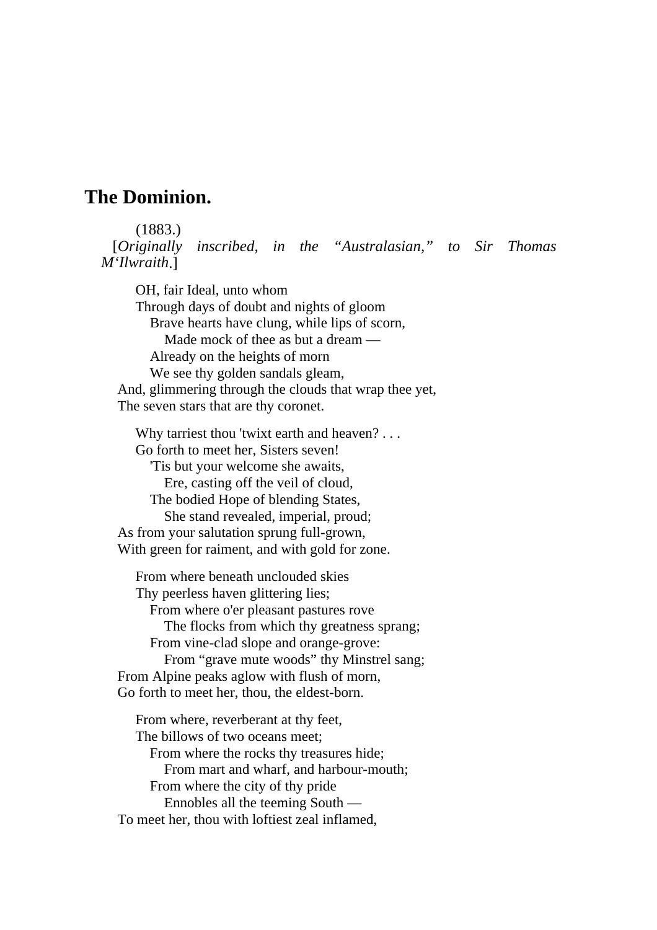## **The Dominion.**

 (1883.) [*Originally inscribed, in the "Australasian," to Sir Thomas M'Ilwraith*.] OH, fair Ideal, unto whom Through days of doubt and nights of gloom Brave hearts have clung, while lips of scorn, Made mock of thee as but a dream — Already on the heights of morn We see thy golden sandals gleam, And, glimmering through the clouds that wrap thee yet, The seven stars that are thy coronet. Why tarriest thou 'twixt earth and heaven? . . . Go forth to meet her, Sisters seven! 'Tis but your welcome she awaits, Ere, casting off the veil of cloud, The bodied Hope of blending States, She stand revealed, imperial, proud; As from your salutation sprung full-grown, With green for raiment, and with gold for zone. From where beneath unclouded skies Thy peerless haven glittering lies; From where o'er pleasant pastures rove The flocks from which thy greatness sprang; From vine-clad slope and orange-grove: From "grave mute woods" thy Minstrel sang; From Alpine peaks aglow with flush of morn, Go forth to meet her, thou, the eldest-born. From where, reverberant at thy feet, The billows of two oceans meet; From where the rocks thy treasures hide; From mart and wharf, and harbour-mouth; From where the city of thy pride Ennobles all the teeming South —

To meet her, thou with loftiest zeal inflamed,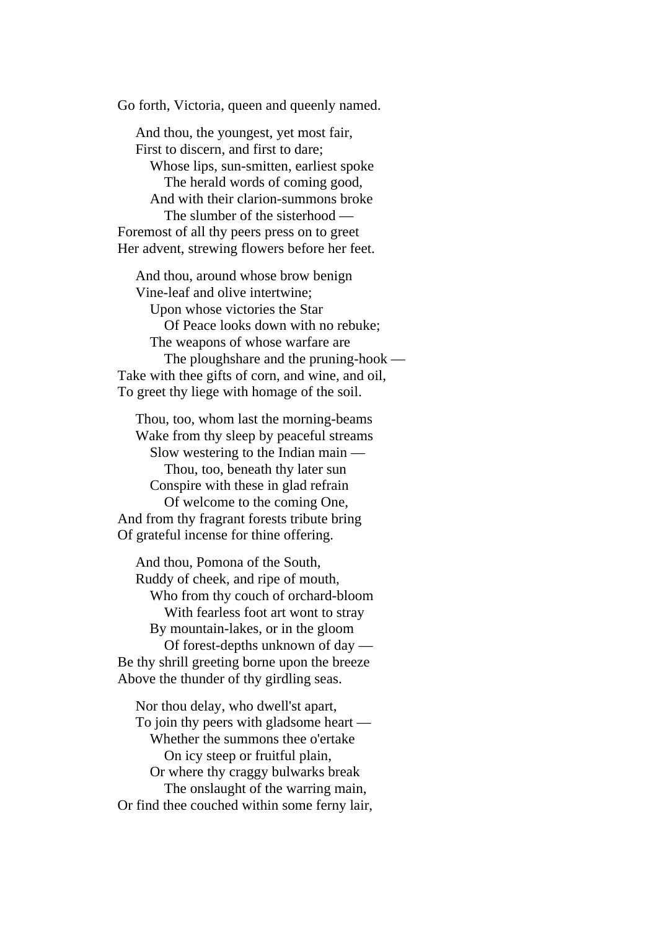Go forth, Victoria, queen and queenly named.

 And thou, the youngest, yet most fair, First to discern, and first to dare; Whose lips, sun-smitten, earliest spoke The herald words of coming good, And with their clarion-summons broke The slumber of the sisterhood — Foremost of all thy peers press on to greet Her advent, strewing flowers before her feet.

 And thou, around whose brow benign Vine-leaf and olive intertwine; Upon whose victories the Star Of Peace looks down with no rebuke; The weapons of whose warfare are The ploughshare and the pruning-hook — Take with thee gifts of corn, and wine, and oil, To greet thy liege with homage of the soil.

 Thou, too, whom last the morning-beams Wake from thy sleep by peaceful streams Slow westering to the Indian main — Thou, too, beneath thy later sun Conspire with these in glad refrain Of welcome to the coming One, And from thy fragrant forests tribute bring Of grateful incense for thine offering.

 And thou, Pomona of the South, Ruddy of cheek, and ripe of mouth, Who from thy couch of orchard-bloom With fearless foot art wont to stray By mountain-lakes, or in the gloom Of forest-depths unknown of day — Be thy shrill greeting borne upon the breeze Above the thunder of thy girdling seas.

 Nor thou delay, who dwell'st apart, To join thy peers with gladsome heart — Whether the summons thee o'ertake On icy steep or fruitful plain, Or where thy craggy bulwarks break The onslaught of the warring main, Or find thee couched within some ferny lair,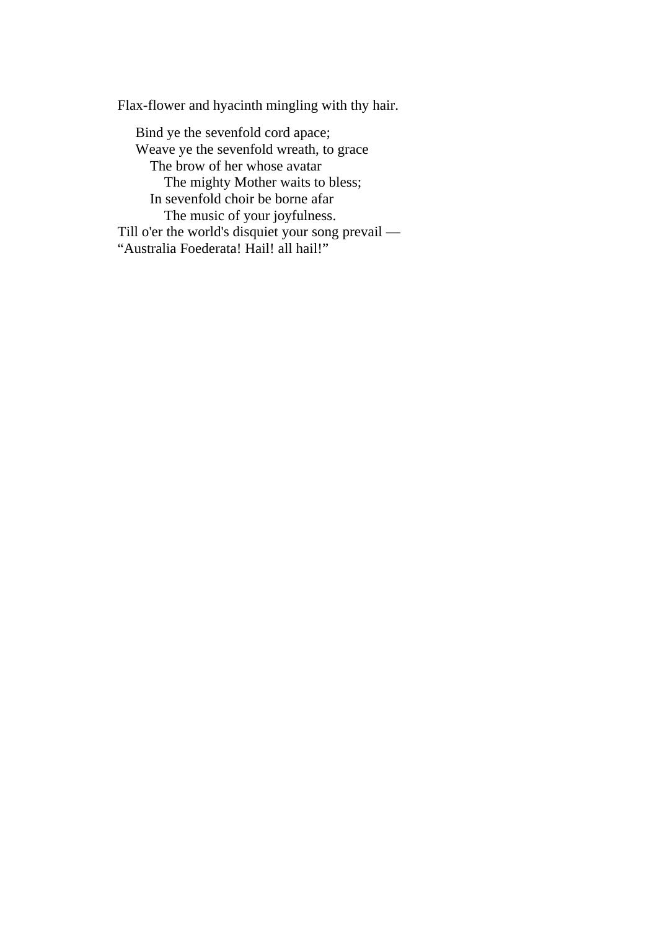Flax-flower and hyacinth mingling with thy hair.

 Bind ye the sevenfold cord apace; Weave ye the sevenfold wreath, to grace The brow of her whose avatar The mighty Mother waits to bless; In sevenfold choir be borne afar The music of your joyfulness. Till o'er the world's disquiet your song prevail — "Australia Foederata! Hail! all hail!"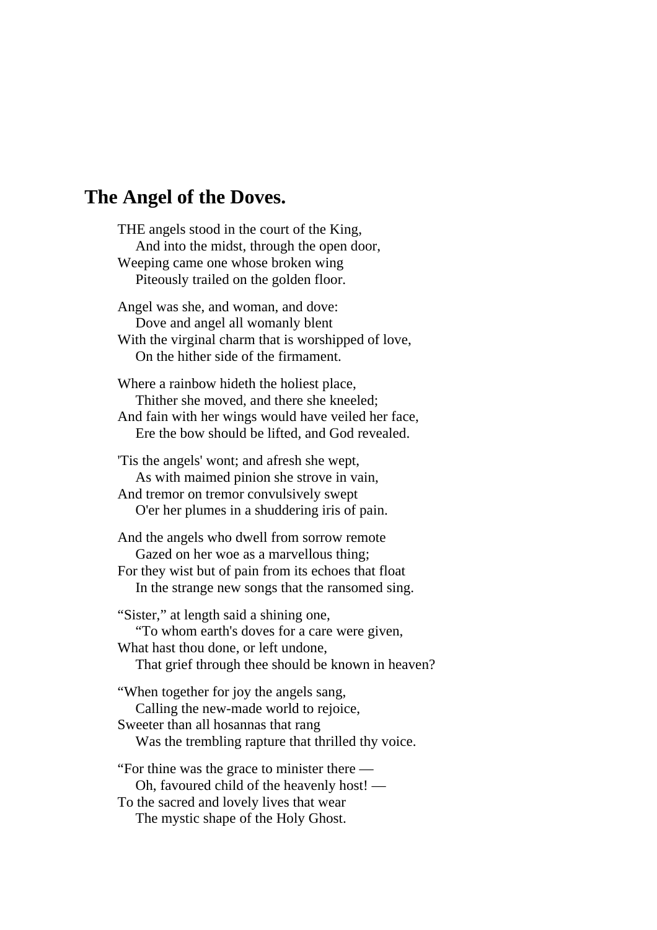# **The Angel of the Doves.**

THE angels stood in the court of the King, And into the midst, through the open door, Weeping came one whose broken wing Piteously trailed on the golden floor. Angel was she, and woman, and dove: Dove and angel all womanly blent With the virginal charm that is worshipped of love, On the hither side of the firmament. Where a rainbow hideth the holiest place, Thither she moved, and there she kneeled; And fain with her wings would have veiled her face, Ere the bow should be lifted, and God revealed. 'Tis the angels' wont; and afresh she wept, As with maimed pinion she strove in vain, And tremor on tremor convulsively swept O'er her plumes in a shuddering iris of pain. And the angels who dwell from sorrow remote Gazed on her woe as a marvellous thing; For they wist but of pain from its echoes that float In the strange new songs that the ransomed sing. "Sister," at length said a shining one, "To whom earth's doves for a care were given, What hast thou done, or left undone, That grief through thee should be known in heaven? "When together for joy the angels sang, Calling the new-made world to rejoice, Sweeter than all hosannas that rang Was the trembling rapture that thrilled thy voice. "For thine was the grace to minister there — Oh, favoured child of the heavenly host! — To the sacred and lovely lives that wear The mystic shape of the Holy Ghost.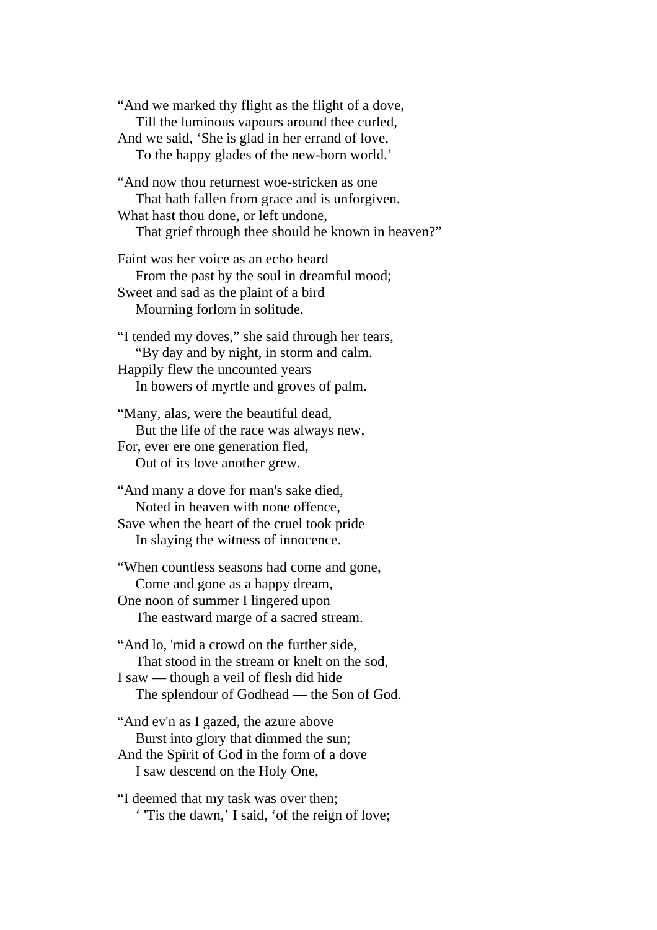"And we marked thy flight as the flight of a dove, Till the luminous vapours around thee curled, And we said, 'She is glad in her errand of love, To the happy glades of the new-born world.'

"And now thou returnest woe-stricken as one That hath fallen from grace and is unforgiven. What hast thou done, or left undone, That grief through thee should be known in heaven?"

Faint was her voice as an echo heard From the past by the soul in dreamful mood; Sweet and sad as the plaint of a bird Mourning forlorn in solitude.

"I tended my doves," she said through her tears, "By day and by night, in storm and calm. Happily flew the uncounted years

In bowers of myrtle and groves of palm.

"Many, alas, were the beautiful dead, But the life of the race was always new, For, ever ere one generation fled, Out of its love another grew.

"And many a dove for man's sake died, Noted in heaven with none offence,

Save when the heart of the cruel took pride In slaying the witness of innocence.

"When countless seasons had come and gone, Come and gone as a happy dream, One noon of summer I lingered upon

The eastward marge of a sacred stream.

"And lo, 'mid a crowd on the further side, That stood in the stream or knelt on the sod, I saw — though a veil of flesh did hide

The splendour of Godhead — the Son of God.

"And ev'n as I gazed, the azure above Burst into glory that dimmed the sun; And the Spirit of God in the form of a dove

I saw descend on the Holy One,

"I deemed that my task was over then; ' 'Tis the dawn,' I said, 'of the reign of love;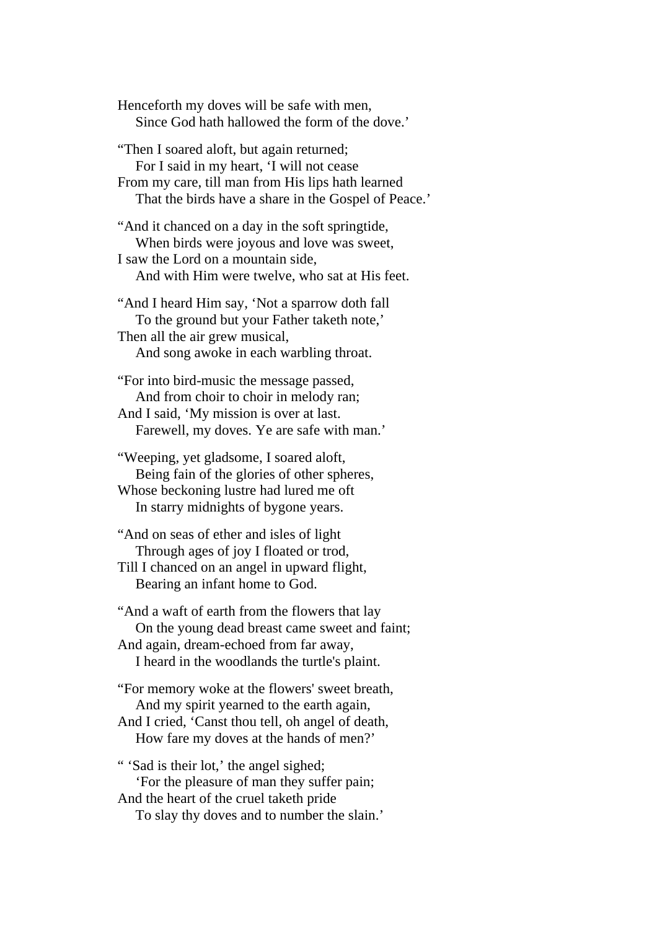Henceforth my doves will be safe with men, Since God hath hallowed the form of the dove.' "Then I soared aloft, but again returned; For I said in my heart, 'I will not cease From my care, till man from His lips hath learned That the birds have a share in the Gospel of Peace.' "And it chanced on a day in the soft springtide, When birds were joyous and love was sweet, I saw the Lord on a mountain side, And with Him were twelve, who sat at His feet. "And I heard Him say, 'Not a sparrow doth fall To the ground but your Father taketh note,' Then all the air grew musical, And song awoke in each warbling throat. "For into bird-music the message passed, And from choir to choir in melody ran; And I said, 'My mission is over at last. Farewell, my doves. Ye are safe with man.' "Weeping, yet gladsome, I soared aloft, Being fain of the glories of other spheres, Whose beckoning lustre had lured me oft In starry midnights of bygone years. "And on seas of ether and isles of light Through ages of joy I floated or trod, Till I chanced on an angel in upward flight, Bearing an infant home to God. "And a waft of earth from the flowers that lay On the young dead breast came sweet and faint; And again, dream-echoed from far away, I heard in the woodlands the turtle's plaint. "For memory woke at the flowers' sweet breath, And my spirit yearned to the earth again, And I cried, 'Canst thou tell, oh angel of death, How fare my doves at the hands of men?' " 'Sad is their lot,' the angel sighed; 'For the pleasure of man they suffer pain; And the heart of the cruel taketh pride To slay thy doves and to number the slain.'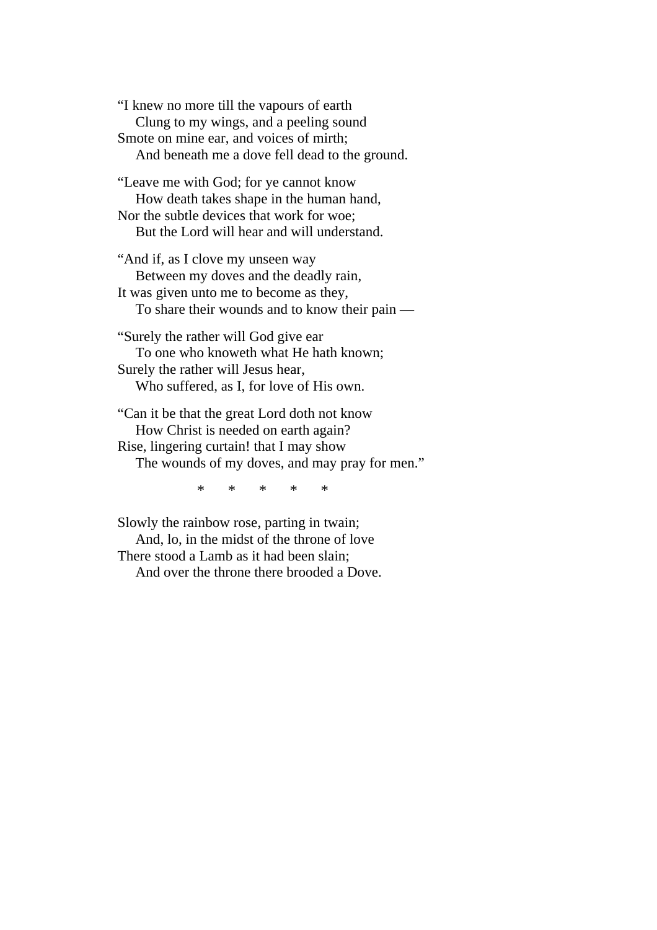"I knew no more till the vapours of earth Clung to my wings, and a peeling sound Smote on mine ear, and voices of mirth; And beneath me a dove fell dead to the ground. "Leave me with God; for ye cannot know How death takes shape in the human hand,

Nor the subtle devices that work for woe; But the Lord will hear and will understand.

"And if, as I clove my unseen way Between my doves and the deadly rain, It was given unto me to become as they, To share their wounds and to know their pain —

"Surely the rather will God give ear To one who knoweth what He hath known; Surely the rather will Jesus hear, Who suffered, as I, for love of His own.

"Can it be that the great Lord doth not know How Christ is needed on earth again? Rise, lingering curtain! that I may show The wounds of my doves, and may pray for men."

\* \* \* \* \*

Slowly the rainbow rose, parting in twain; And, lo, in the midst of the throne of love There stood a Lamb as it had been slain; And over the throne there brooded a Dove.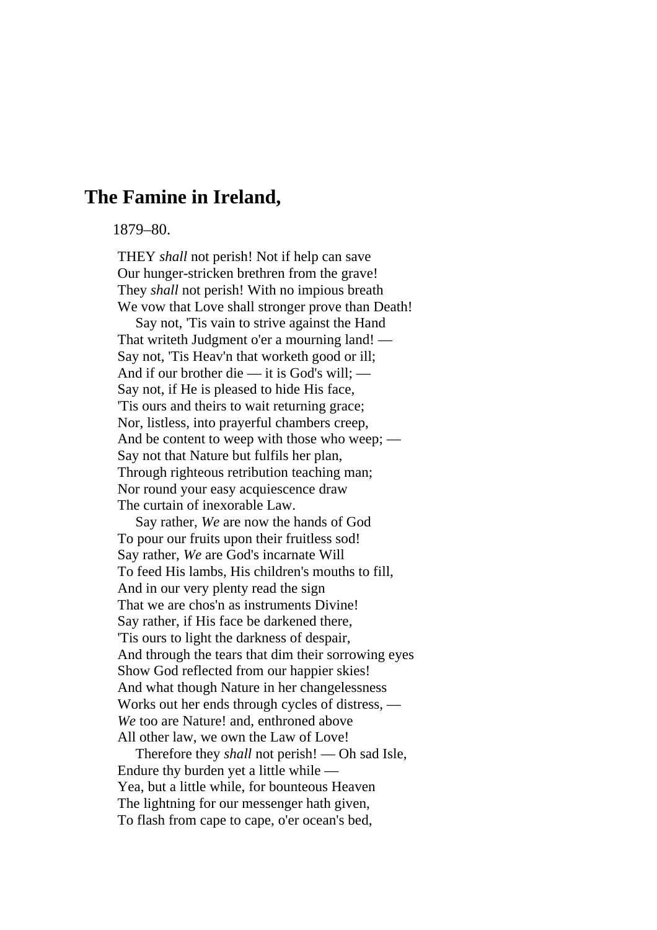### **The Famine in Ireland,**

#### 1879–80.

THEY *shall* not perish! Not if help can save Our hunger-stricken brethren from the grave! They *shall* not perish! With no impious breath We vow that Love shall stronger prove than Death!

 Say not, 'Tis vain to strive against the Hand That writeth Judgment o'er a mourning land! — Say not, 'Tis Heav'n that worketh good or ill; And if our brother die — it is God's will; — Say not, if He is pleased to hide His face, 'Tis ours and theirs to wait returning grace; Nor, listless, into prayerful chambers creep, And be content to weep with those who weep; — Say not that Nature but fulfils her plan, Through righteous retribution teaching man; Nor round your easy acquiescence draw The curtain of inexorable Law.

 Say rather, *We* are now the hands of God To pour our fruits upon their fruitless sod! Say rather, *We* are God's incarnate Will To feed His lambs, His children's mouths to fill, And in our very plenty read the sign That we are chos'n as instruments Divine! Say rather, if His face be darkened there, 'Tis ours to light the darkness of despair, And through the tears that dim their sorrowing eyes Show God reflected from our happier skies! And what though Nature in her changelessness Works out her ends through cycles of distress, — *We* too are Nature! and, enthroned above All other law, we own the Law of Love!

 Therefore they *shall* not perish! — Oh sad Isle, Endure thy burden yet a little while — Yea, but a little while, for bounteous Heaven The lightning for our messenger hath given, To flash from cape to cape, o'er ocean's bed,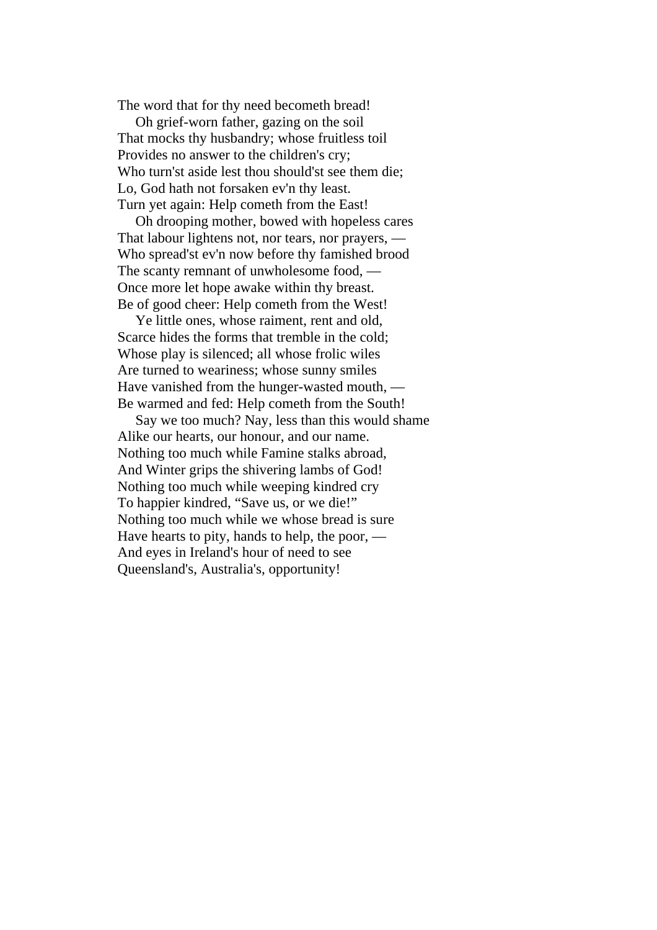The word that for thy need becometh bread!

 Oh grief-worn father, gazing on the soil That mocks thy husbandry; whose fruitless toil Provides no answer to the children's cry; Who turn'st aside lest thou should'st see them die; Lo, God hath not forsaken ev'n thy least. Turn yet again: Help cometh from the East!

 Oh drooping mother, bowed with hopeless cares That labour lightens not, nor tears, nor prayers, — Who spread'st ev'n now before thy famished brood The scanty remnant of unwholesome food, — Once more let hope awake within thy breast. Be of good cheer: Help cometh from the West!

 Ye little ones, whose raiment, rent and old, Scarce hides the forms that tremble in the cold; Whose play is silenced; all whose frolic wiles Are turned to weariness; whose sunny smiles Have vanished from the hunger-wasted mouth, — Be warmed and fed: Help cometh from the South!

 Say we too much? Nay, less than this would shame Alike our hearts, our honour, and our name. Nothing too much while Famine stalks abroad, And Winter grips the shivering lambs of God! Nothing too much while weeping kindred cry To happier kindred, "Save us, or we die!" Nothing too much while we whose bread is sure Have hearts to pity, hands to help, the poor, — And eyes in Ireland's hour of need to see Queensland's, Australia's, opportunity!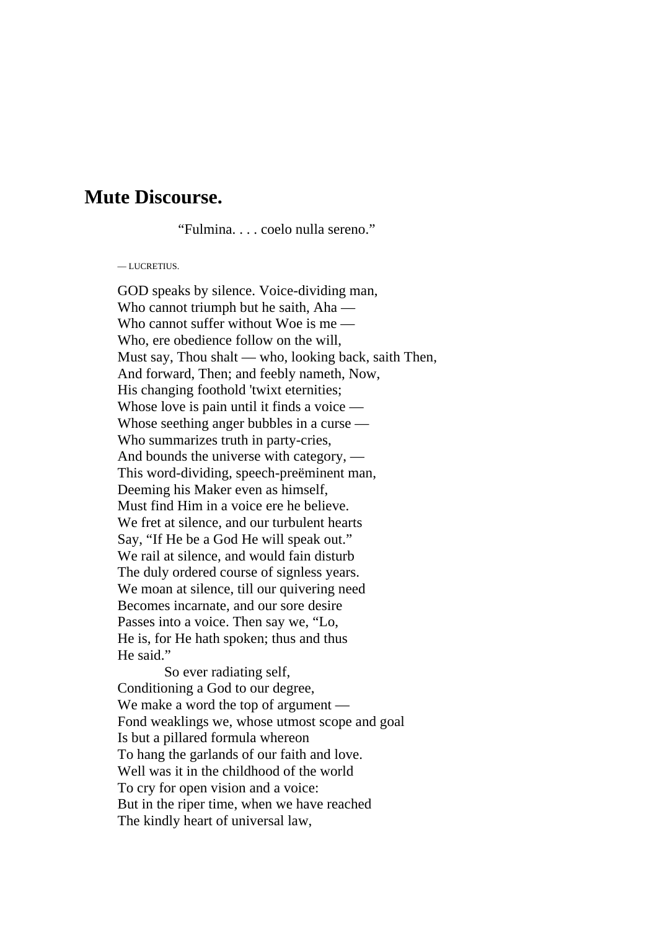### **Mute Discourse.**

"Fulmina. . . . coelo nulla sereno."

— LUCRETIUS.

GOD speaks by silence. Voice-dividing man, Who cannot triumph but he saith, Aha — Who cannot suffer without Woe is me — Who, ere obedience follow on the will, Must say, Thou shalt — who, looking back, saith Then, And forward, Then; and feebly nameth, Now, His changing foothold 'twixt eternities; Whose love is pain until it finds a voice — Whose seething anger bubbles in a curse — Who summarizes truth in party-cries, And bounds the universe with category, — This word-dividing, speech-preëminent man, Deeming his Maker even as himself, Must find Him in a voice ere he believe. We fret at silence, and our turbulent hearts Say, "If He be a God He will speak out." We rail at silence, and would fain disturb The duly ordered course of signless years. We moan at silence, till our quivering need Becomes incarnate, and our sore desire Passes into a voice. Then say we, "Lo, He is, for He hath spoken; thus and thus He said."

 So ever radiating self, Conditioning a God to our degree, We make a word the top of argument — Fond weaklings we, whose utmost scope and goal Is but a pillared formula whereon To hang the garlands of our faith and love. Well was it in the childhood of the world To cry for open vision and a voice: But in the riper time, when we have reached The kindly heart of universal law,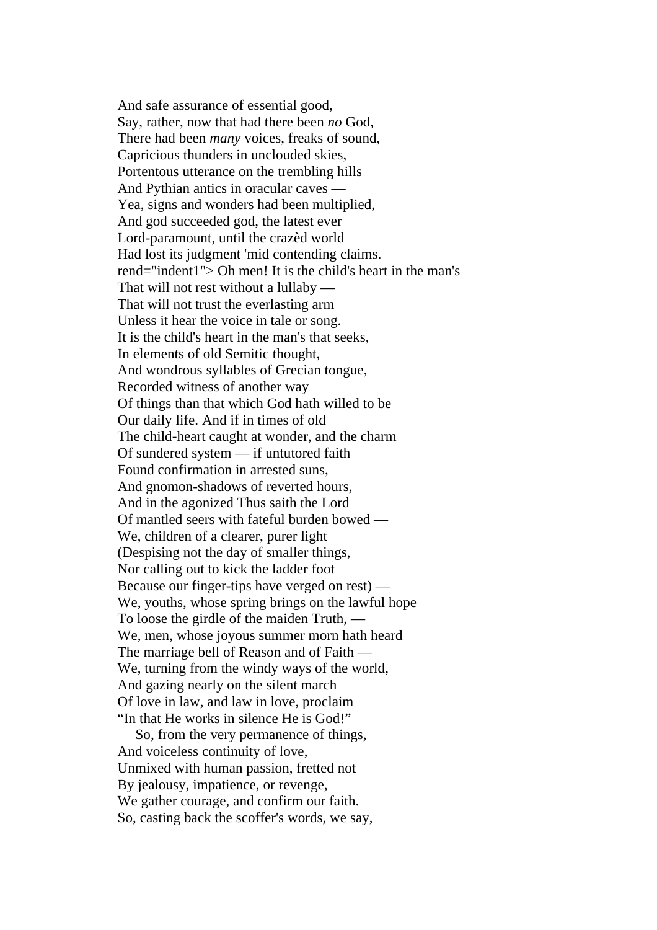And safe assurance of essential good, Say, rather, now that had there been *no* God, There had been *many* voices, freaks of sound, Capricious thunders in unclouded skies, Portentous utterance on the trembling hills And Pythian antics in oracular caves — Yea, signs and wonders had been multiplied, And god succeeded god, the latest ever Lord-paramount, until the crazèd world Had lost its judgment 'mid contending claims. rend="indent1"> Oh men! It is the child's heart in the man's That will not rest without a lullaby — That will not trust the everlasting arm Unless it hear the voice in tale or song. It is the child's heart in the man's that seeks, In elements of old Semitic thought, And wondrous syllables of Grecian tongue, Recorded witness of another way Of things than that which God hath willed to be Our daily life. And if in times of old The child-heart caught at wonder, and the charm Of sundered system — if untutored faith Found confirmation in arrested suns, And gnomon-shadows of reverted hours, And in the agonized Thus saith the Lord Of mantled seers with fateful burden bowed — We, children of a clearer, purer light (Despising not the day of smaller things, Nor calling out to kick the ladder foot Because our finger-tips have verged on rest) — We, youths, whose spring brings on the lawful hope To loose the girdle of the maiden Truth, — We, men, whose joyous summer morn hath heard The marriage bell of Reason and of Faith — We, turning from the windy ways of the world, And gazing nearly on the silent march Of love in law, and law in love, proclaim "In that He works in silence He is God!"

 So, from the very permanence of things, And voiceless continuity of love, Unmixed with human passion, fretted not By jealousy, impatience, or revenge, We gather courage, and confirm our faith. So, casting back the scoffer's words, we say,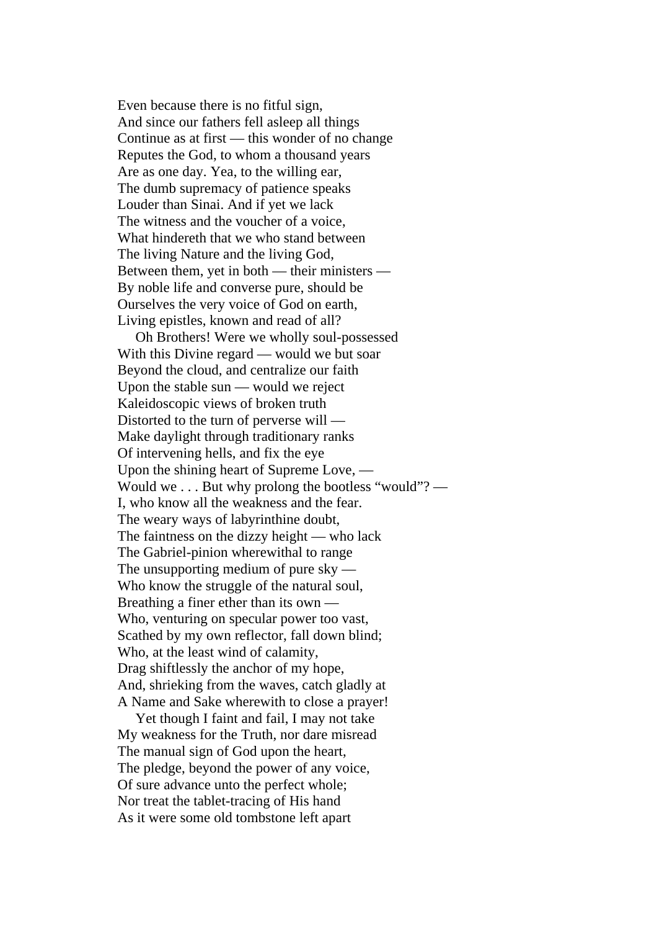Even because there is no fitful sign, And since our fathers fell asleep all things Continue as at first — this wonder of no change Reputes the God, to whom a thousand years Are as one day. Yea, to the willing ear, The dumb supremacy of patience speaks Louder than Sinai. And if yet we lack The witness and the voucher of a voice, What hindereth that we who stand between The living Nature and the living God, Between them, yet in both — their ministers — By noble life and converse pure, should be Ourselves the very voice of God on earth, Living epistles, known and read of all?

 Oh Brothers! Were we wholly soul-possessed With this Divine regard — would we but soar Beyond the cloud, and centralize our faith Upon the stable sun — would we reject Kaleidoscopic views of broken truth Distorted to the turn of perverse will — Make daylight through traditionary ranks Of intervening hells, and fix the eye Upon the shining heart of Supreme Love, — Would we . . . But why prolong the bootless "would"? — I, who know all the weakness and the fear. The weary ways of labyrinthine doubt, The faintness on the dizzy height — who lack The Gabriel-pinion wherewithal to range The unsupporting medium of pure sky — Who know the struggle of the natural soul, Breathing a finer ether than its own — Who, venturing on specular power too vast, Scathed by my own reflector, fall down blind; Who, at the least wind of calamity, Drag shiftlessly the anchor of my hope, And, shrieking from the waves, catch gladly at A Name and Sake wherewith to close a prayer!

 Yet though I faint and fail, I may not take My weakness for the Truth, nor dare misread The manual sign of God upon the heart, The pledge, beyond the power of any voice, Of sure advance unto the perfect whole; Nor treat the tablet-tracing of His hand As it were some old tombstone left apart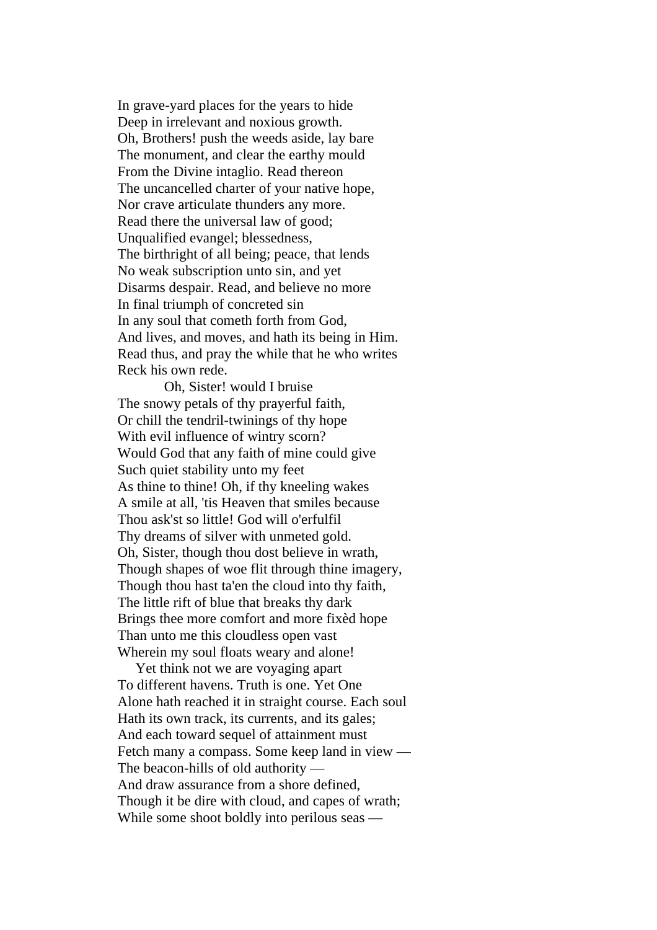In grave-yard places for the years to hide Deep in irrelevant and noxious growth. Oh, Brothers! push the weeds aside, lay bare The monument, and clear the earthy mould From the Divine intaglio. Read thereon The uncancelled charter of your native hope, Nor crave articulate thunders any more. Read there the universal law of good; Unqualified evangel; blessedness, The birthright of all being; peace, that lends No weak subscription unto sin, and yet Disarms despair. Read, and believe no more In final triumph of concreted sin In any soul that cometh forth from God, And lives, and moves, and hath its being in Him. Read thus, and pray the while that he who writes Reck his own rede.

 Oh, Sister! would I bruise The snowy petals of thy prayerful faith, Or chill the tendril-twinings of thy hope With evil influence of wintry scorn? Would God that any faith of mine could give Such quiet stability unto my feet As thine to thine! Oh, if thy kneeling wakes A smile at all, 'tis Heaven that smiles because Thou ask'st so little! God will o'erfulfil Thy dreams of silver with unmeted gold. Oh, Sister, though thou dost believe in wrath, Though shapes of woe flit through thine imagery, Though thou hast ta'en the cloud into thy faith, The little rift of blue that breaks thy dark Brings thee more comfort and more fixèd hope Than unto me this cloudless open vast Wherein my soul floats weary and alone!

 Yet think not we are voyaging apart To different havens. Truth is one. Yet One Alone hath reached it in straight course. Each soul Hath its own track, its currents, and its gales; And each toward sequel of attainment must Fetch many a compass. Some keep land in view — The beacon-hills of old authority — And draw assurance from a shore defined, Though it be dire with cloud, and capes of wrath; While some shoot boldly into perilous seas —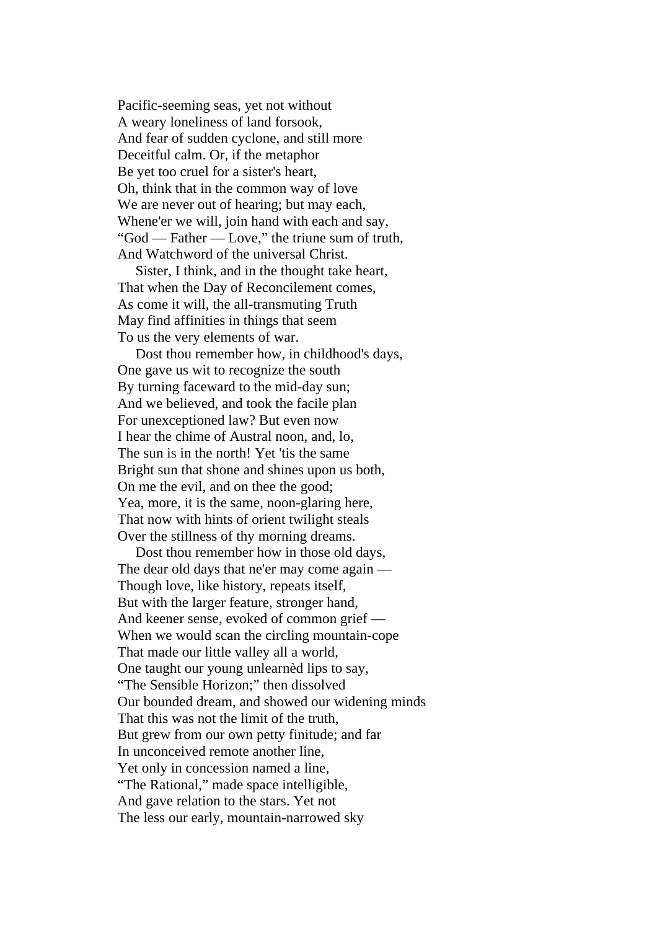Pacific-seeming seas, yet not without A weary loneliness of land forsook, And fear of sudden cyclone, and still more Deceitful calm. Or, if the metaphor Be yet too cruel for a sister's heart, Oh, think that in the common way of love We are never out of hearing; but may each, Whene'er we will, join hand with each and say, "God — Father — Love," the triune sum of truth, And Watchword of the universal Christ.

 Sister, I think, and in the thought take heart, That when the Day of Reconcilement comes, As come it will, the all-transmuting Truth May find affinities in things that seem To us the very elements of war.

 Dost thou remember how, in childhood's days, One gave us wit to recognize the south By turning faceward to the mid-day sun; And we believed, and took the facile plan For unexceptioned law? But even now I hear the chime of Austral noon, and, lo, The sun is in the north! Yet 'tis the same Bright sun that shone and shines upon us both, On me the evil, and on thee the good; Yea, more, it is the same, noon-glaring here, That now with hints of orient twilight steals Over the stillness of thy morning dreams.

 Dost thou remember how in those old days, The dear old days that ne'er may come again — Though love, like history, repeats itself, But with the larger feature, stronger hand, And keener sense, evoked of common grief — When we would scan the circling mountain-cope That made our little valley all a world, One taught our young unlearnèd lips to say, "The Sensible Horizon;" then dissolved Our bounded dream, and showed our widening minds That this was not the limit of the truth, But grew from our own petty finitude; and far In unconceived remote another line, Yet only in concession named a line, "The Rational," made space intelligible, And gave relation to the stars. Yet not The less our early, mountain-narrowed sky